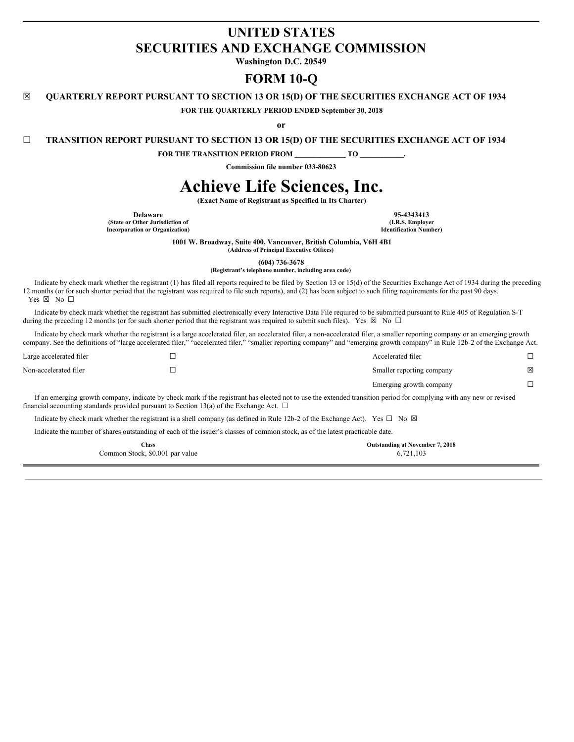# **UNITED STATES SECURITIES AND EXCHANGE COMMISSION**

**Washington D.C. 20549**

## **FORM 10-Q**

**☒ QUARTERLY REPORT PURSUANT TO SECTION 13 OR 15(D) OF THE SECURITIES EXCHANGE ACT OF 1934**

**FOR THE QUARTERLY PERIOD ENDED September 30, 2018**

**or**

**☐ TRANSITION REPORT PURSUANT TO SECTION 13 OR 15(D) OF THE SECURITIES EXCHANGE ACT OF 1934**

**FOR THE TRANSITION PERIOD FROM \_\_\_\_\_\_\_\_\_\_\_\_\_\_ TO \_\_\_\_\_\_\_\_\_\_\_\_.**

**Commission file number 033-80623**

# **Achieve Life Sciences, Inc.**

**(Exact Name of Registrant as Specified in Its Charter)**

**Delaware 95-4343413**<br> **195-4343413**<br> **1.R.S. Employer 1.R.S. Employer (State or Other Jurisdiction of (I.R.S. Employer**  $Incor$ **poration** or **Organization**)

**1001 W. Broadway, Suite 400, Vancouver, British Columbia, V6H 4B1**

**(Address of Principal Executive Offices)**

**(604) 736-3678**

**(Registrant's telephone number, including area code)**

Indicate by check mark whether the registrant (1) has filed all reports required to be filed by Section 13 or 15(d) of the Securities Exchange Act of 1934 during the preceding 12 months (or for such shorter period that the registrant was required to file such reports), and (2) has been subject to such filing requirements for the past 90 days. Yes ⊠ No □

Indicate by check mark whether the registrant has submitted electronically every Interactive Data File required to be submitted pursuant to Rule 405 of Regulation S-T during the preceding 12 months (or for such shorter period that the registrant was required to submit such files). Yes  $\boxtimes$  No  $\Box$ 

Indicate by check mark whether the registrant is a large accelerated filer, an accelerated filer, a non-accelerated filer, a smaller reporting company or an emerging growth company. See the definitions of "large accelerated filer," "accelerated filer," "smaller reporting company" and "emerging growth company" in Rule 12b-2 of the Exchange Act.

| Large accelerated filer | Accelerated filer         |   |
|-------------------------|---------------------------|---|
| Non-accelerated filer   | Smaller reporting company | ⊠ |
|                         | Emerging growth company   |   |

If an emerging growth company, indicate by check mark if the registrant has elected not to use the extended transition period for complying with any new or revised financial accounting standards provided pursuant to Section 13(a) of the Exchange Act.  $\Box$ 

Indicate by check mark whether the registrant is a shell company (as defined in Rule 12b-2 of the Exchange Act). Yes  $\square$  No  $\boxtimes$ 

Indicate the number of shares outstanding of each of the issuer's classes of common stock, as of the latest practicable date.

| $\gamma$ lass                   | <b>Outstanding at November 7, 2018</b> |
|---------------------------------|----------------------------------------|
| Common Stock, \$0.001 par value | 6,721,103                              |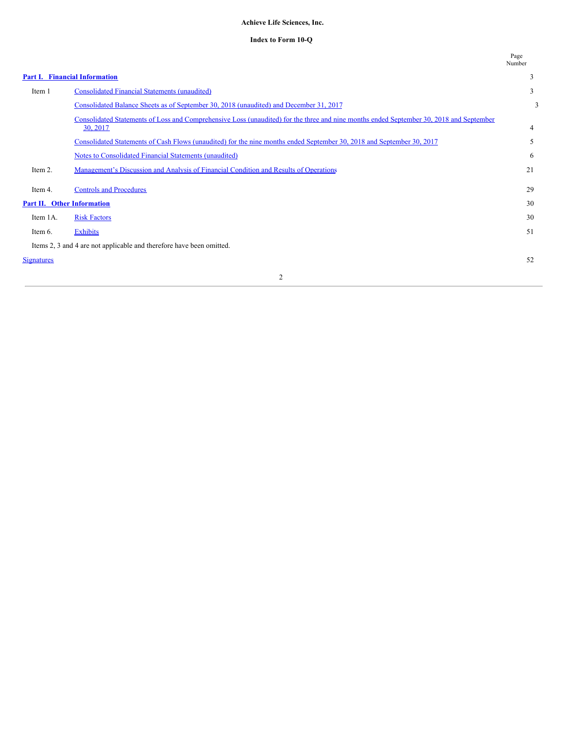## **Achieve Life Sciences, Inc.**

#### **Index to Form 10-Q**

|                                   |                                                                                                                                                     | Page<br>Number |
|-----------------------------------|-----------------------------------------------------------------------------------------------------------------------------------------------------|----------------|
|                                   | <b>Part I. Financial Information</b>                                                                                                                | 3              |
| Item 1                            | <b>Consolidated Financial Statements (unaudited)</b>                                                                                                | 3              |
|                                   | Consolidated Balance Sheets as of September 30, 2018 (unaudited) and December 31, 2017                                                              | 3              |
|                                   | Consolidated Statements of Loss and Comprehensive Loss (unaudited) for the three and nine months ended September 30, 2018 and September<br>30, 2017 | $\overline{4}$ |
|                                   | Consolidated Statements of Cash Flows (unaudited) for the nine months ended September 30, 2018 and September 30, 2017                               | 5              |
|                                   | Notes to Consolidated Financial Statements (unaudited)                                                                                              | 6              |
| Item 2.                           | Management's Discussion and Analysis of Financial Condition and Results of Operations                                                               | 21             |
| Item 4.                           | <b>Controls and Procedures</b>                                                                                                                      | 29             |
| <b>Part II. Other Information</b> |                                                                                                                                                     | 30             |
| Item 1A.                          | <b>Risk Factors</b>                                                                                                                                 | 30             |
| Item 6.                           | Exhibits                                                                                                                                            | 51             |
|                                   | Items 2, 3 and 4 are not applicable and therefore have been omitted.                                                                                |                |
| <b>Signatures</b>                 |                                                                                                                                                     | 52             |
|                                   | 2                                                                                                                                                   |                |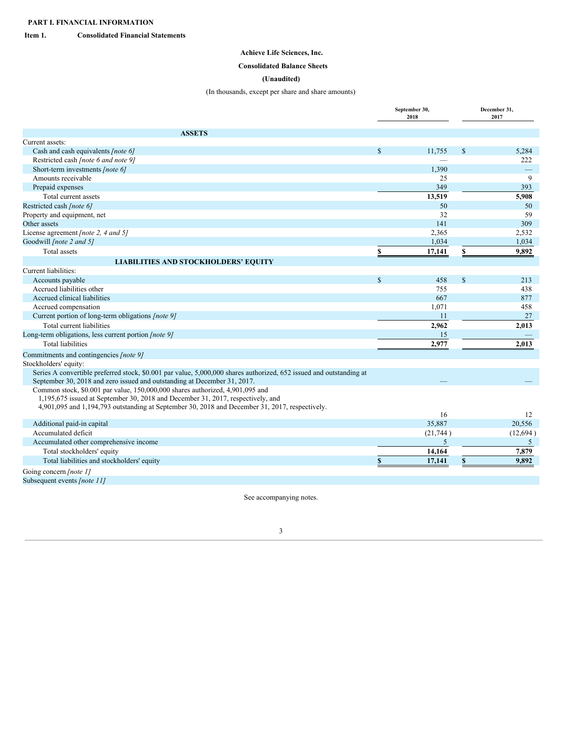<span id="page-2-1"></span><span id="page-2-0"></span>**Item 1. Consolidated Financial Statements**

## **Achieve Life Sciences, Inc.**

## <span id="page-2-2"></span>**Consolidated Balance Sheets**

## **(Unaudited)**

## (In thousands, except per share and share amounts)

|                                                                                                                     |               | September 30,<br>2018 | December 31,<br>2017 |                          |  |
|---------------------------------------------------------------------------------------------------------------------|---------------|-----------------------|----------------------|--------------------------|--|
| <b>ASSETS</b>                                                                                                       |               |                       |                      |                          |  |
| Current assets:                                                                                                     |               |                       |                      |                          |  |
| Cash and cash equivalents [note 6]                                                                                  | $\mathbf{\$}$ | 11.755                | <sup>\$</sup>        | 5,284                    |  |
| Restricted cash [note 6 and note 9]                                                                                 |               |                       |                      | 222                      |  |
| Short-term investments [note 6]                                                                                     |               | 1,390                 |                      | $\overline{\phantom{0}}$ |  |
| Amounts receivable                                                                                                  |               | 25                    |                      | 9                        |  |
| Prepaid expenses                                                                                                    |               | 349                   |                      | 393                      |  |
| Total current assets                                                                                                |               | 13,519                |                      | 5,908                    |  |
| Restricted cash [note 6]                                                                                            |               | 50                    |                      | 50                       |  |
| Property and equipment, net                                                                                         |               | 32                    |                      | 59                       |  |
| Other assets                                                                                                        |               | 141                   |                      | 309                      |  |
| License agreement [note 2, 4 and 5]                                                                                 |               | 2,365                 |                      | 2,532                    |  |
| Goodwill [note 2 and 5]                                                                                             |               | 1,034                 |                      | 1,034                    |  |
| Total assets                                                                                                        | \$            | 17,141                | $\mathbf{s}$         | 9.892                    |  |
| <b>LIABILITIES AND STOCKHOLDERS' EQUITY</b>                                                                         |               |                       |                      |                          |  |
| Current liabilities:                                                                                                |               |                       |                      |                          |  |
| Accounts payable                                                                                                    | $\mathbb{S}$  | 458                   | <sup>\$</sup>        | 213                      |  |
| Accrued liabilities other                                                                                           |               | 755                   |                      | 438                      |  |
| Accrued clinical liabilities                                                                                        |               | 667                   |                      | 877                      |  |
| Accrued compensation                                                                                                |               | 1,071                 |                      | 458                      |  |
| Current portion of long-term obligations [note 9]                                                                   |               | 11                    |                      | 27                       |  |
| Total current liabilities                                                                                           |               | 2,962                 |                      | 2,013                    |  |
| Long-term obligations, less current portion [note 9]                                                                |               | 15                    |                      |                          |  |
| <b>Total liabilities</b>                                                                                            |               | 2,977                 |                      | 2.013                    |  |
| Commitments and contingencies [note 9]                                                                              |               |                       |                      |                          |  |
| Stockholders' equity:                                                                                               |               |                       |                      |                          |  |
| Series A convertible preferred stock, \$0.001 par value, 5,000,000 shares authorized, 652 issued and outstanding at |               |                       |                      |                          |  |
| September 30, 2018 and zero issued and outstanding at December 31, 2017.                                            |               |                       |                      |                          |  |
| Common stock, \$0.001 par value, 150,000,000 shares authorized, 4,901,095 and                                       |               |                       |                      |                          |  |
| 1,195,675 issued at September 30, 2018 and December 31, 2017, respectively, and                                     |               |                       |                      |                          |  |
| 4,901,095 and 1,194,793 outstanding at September 30, 2018 and December 31, 2017, respectively.                      |               | 16                    |                      | 12                       |  |
| Additional paid-in capital                                                                                          |               | 35.887                |                      | 20.556                   |  |
| Accumulated deficit                                                                                                 |               | (21,744)              |                      | (12,694)                 |  |
| Accumulated other comprehensive income                                                                              |               | 5                     |                      | 5                        |  |
| Total stockholders' equity                                                                                          |               | 14,164                |                      | 7.879                    |  |
| Total liabilities and stockholders' equity                                                                          | S             | 17,141                | S                    | 9,892                    |  |
|                                                                                                                     |               |                       |                      |                          |  |
| Going concern [note 1]                                                                                              |               |                       |                      |                          |  |
| Subsequent events [note 11]                                                                                         |               |                       |                      |                          |  |

See accompanying notes.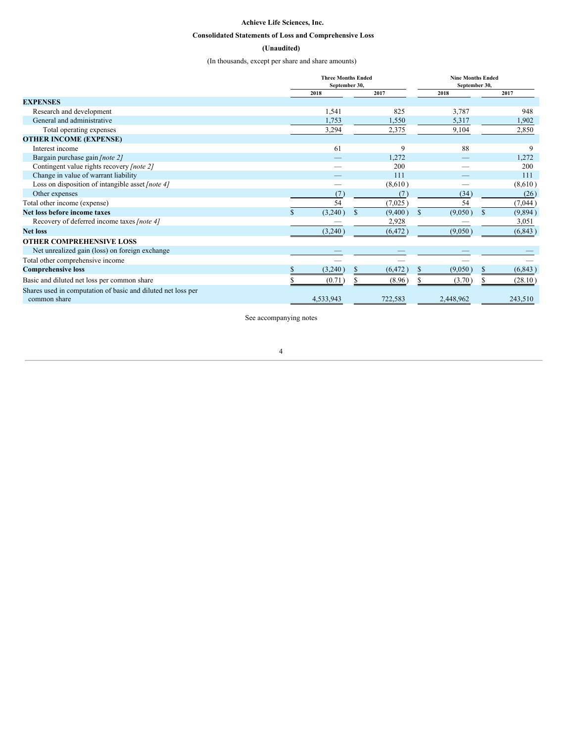## **Achieve Life Sciences, Inc.**

## <span id="page-3-0"></span>**Consolidated Statements of Loss and Comprehensive Loss**

## **(Unaudited)**

(In thousands, except per share and share amounts)

|                                                                              |           | September 30, | <b>Three Months Ended</b> | <b>Nine Months Ended</b> | September 30,            |
|------------------------------------------------------------------------------|-----------|---------------|---------------------------|--------------------------|--------------------------|
|                                                                              | 2018      |               | 2017                      | 2018                     | 2017                     |
| <b>EXPENSES</b>                                                              |           |               |                           |                          |                          |
| Research and development                                                     |           | 1,541         | 825                       | 3,787                    | 948                      |
| General and administrative                                                   |           | 1,753         | 1,550                     | 5,317                    | 1,902                    |
| Total operating expenses                                                     |           | 3,294         | 2,375                     | 9,104                    | 2,850                    |
| <b>OTHER INCOME (EXPENSE)</b>                                                |           |               |                           |                          |                          |
| Interest income                                                              |           | 61            | 9                         | 88                       | 9                        |
| Bargain purchase gain [note 2]                                               |           |               | 1,272                     |                          | 1,272                    |
| Contingent value rights recovery [note 2]                                    |           |               | 200                       |                          | 200                      |
| Change in value of warrant liability                                         |           |               | 111                       |                          | 111                      |
| Loss on disposition of intangible asset [note 4]                             |           |               | (8,610)                   |                          | (8,610)                  |
| Other expenses                                                               |           | (7)           | (7)                       | (34)                     | (26)                     |
| Total other income (expense)                                                 |           | 54            | (7,025)                   | 54                       | (7,044)                  |
| Net loss before income taxes                                                 |           | (3,240)       | $\mathbf S$<br>(9,400)    | \$<br>(9,050)            | <sup>\$</sup><br>(9,894) |
| Recovery of deferred income taxes [note 4]                                   |           |               | 2,928                     |                          | 3,051                    |
| <b>Net loss</b>                                                              |           | (3,240)       | (6, 472)                  | (9,050)                  | (6, 843)                 |
| <b>OTHER COMPREHENSIVE LOSS</b>                                              |           |               |                           |                          |                          |
| Net unrealized gain (loss) on foreign exchange                               |           |               |                           |                          |                          |
| Total other comprehensive income                                             |           |               |                           |                          |                          |
| <b>Comprehensive loss</b>                                                    |           | (3,240)       | (6, 472)                  | (9,050)                  | (6, 843)                 |
| Basic and diluted net loss per common share                                  |           | (0.71)        | (8.96)                    | S<br>(3.70)              | (28.10)                  |
| Shares used in computation of basic and diluted net loss per<br>common share | 4,533,943 |               | 722,583                   | 2,448,962                | 243,510                  |

See accompanying notes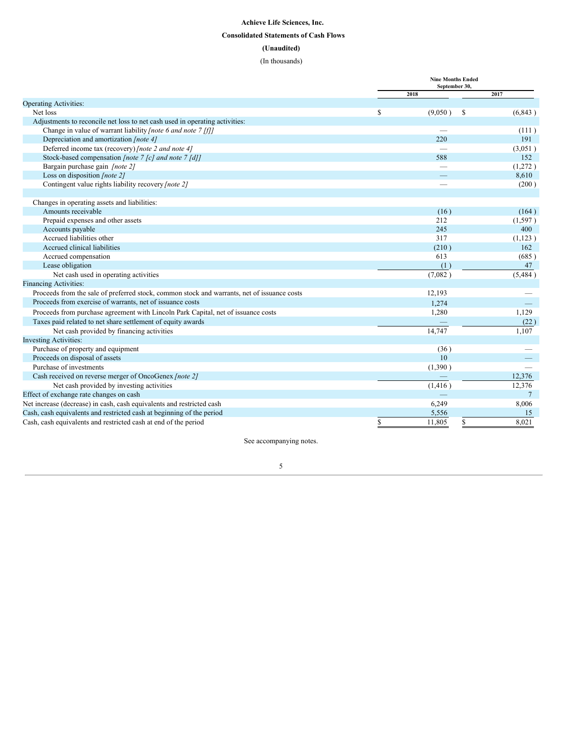## <span id="page-4-0"></span>**Achieve Life Sciences, Inc. Consolidated Statements of Cash Flows (Unaudited)** (In thousands)

|                                                                                             | <b>Nine Months Ended</b><br>September 30, |                  |              |          |  |  |
|---------------------------------------------------------------------------------------------|-------------------------------------------|------------------|--------------|----------|--|--|
|                                                                                             |                                           | 2018             |              | 2017     |  |  |
| <b>Operating Activities:</b>                                                                |                                           |                  |              |          |  |  |
| Net loss                                                                                    | <sup>\$</sup>                             | (9,050)          | <sup>S</sup> | (6, 843) |  |  |
| Adjustments to reconcile net loss to net cash used in operating activities:                 |                                           |                  |              |          |  |  |
| Change in value of warrant liability <i>[note 6 and note 7 [f]]</i>                         |                                           |                  |              | (111)    |  |  |
| Depreciation and amortization [note 4]                                                      |                                           | 220              |              | 191      |  |  |
| Deferred income tax (recovery) [note 2 and note 4]                                          |                                           |                  |              | (3,051)  |  |  |
| Stock-based compensation [note 7 [c] and note 7 [d]]                                        |                                           | 588              |              | 152      |  |  |
| Bargain purchase gain [note 2]                                                              |                                           |                  |              | (1,272)  |  |  |
| Loss on disposition [note 2]                                                                |                                           |                  |              | 8,610    |  |  |
| Contingent value rights liability recovery [note 2]                                         |                                           |                  |              | (200)    |  |  |
|                                                                                             |                                           |                  |              |          |  |  |
| Changes in operating assets and liabilities:                                                |                                           |                  |              |          |  |  |
| Amounts receivable                                                                          |                                           | (16)             |              | (164)    |  |  |
| Prepaid expenses and other assets                                                           |                                           | 212              |              | (1,597)  |  |  |
| Accounts payable                                                                            |                                           | 245              |              | 400      |  |  |
| Accrued liabilities other                                                                   |                                           | 317              |              | (1,123)  |  |  |
| Accrued clinical liabilities                                                                |                                           | (210)            |              | 162      |  |  |
| Accrued compensation                                                                        |                                           | 613              |              | (685)    |  |  |
| Lease obligation                                                                            |                                           | (1)              |              | 47       |  |  |
| Net cash used in operating activities                                                       |                                           | (7,082)          |              | (5,484)  |  |  |
| <b>Financing Activities:</b>                                                                |                                           |                  |              |          |  |  |
| Proceeds from the sale of preferred stock, common stock and warrants, net of issuance costs |                                           | 12,193           |              |          |  |  |
| Proceeds from exercise of warrants, net of issuance costs                                   |                                           | 1.274            |              |          |  |  |
| Proceeds from purchase agreement with Lincoln Park Capital, net of issuance costs           |                                           | 1,280            |              | 1,129    |  |  |
| Taxes paid related to net share settlement of equity awards                                 |                                           |                  |              | (22)     |  |  |
| Net cash provided by financing activities                                                   |                                           | 14,747           |              | 1,107    |  |  |
| <b>Investing Activities:</b>                                                                |                                           |                  |              |          |  |  |
| Purchase of property and equipment                                                          |                                           | (36)             |              |          |  |  |
| Proceeds on disposal of assets                                                              |                                           | 10 <sup>10</sup> |              |          |  |  |
| Purchase of investments                                                                     |                                           | (1,390)          |              |          |  |  |
| Cash received on reverse merger of OncoGenex [note 2]                                       |                                           |                  |              | 12.376   |  |  |
| Net cash provided by investing activities                                                   |                                           | (1, 416)         |              | 12,376   |  |  |
| Effect of exchange rate changes on cash                                                     |                                           |                  |              | 7        |  |  |
| Net increase (decrease) in cash, cash equivalents and restricted cash                       |                                           | 6,249            |              | 8,006    |  |  |
| Cash, cash equivalents and restricted cash at beginning of the period                       |                                           | 5,556            |              | 15       |  |  |
| Cash, cash equivalents and restricted cash at end of the period                             | \$                                        | 11,805           |              | 8,021    |  |  |
|                                                                                             |                                           |                  |              |          |  |  |

See accompanying notes.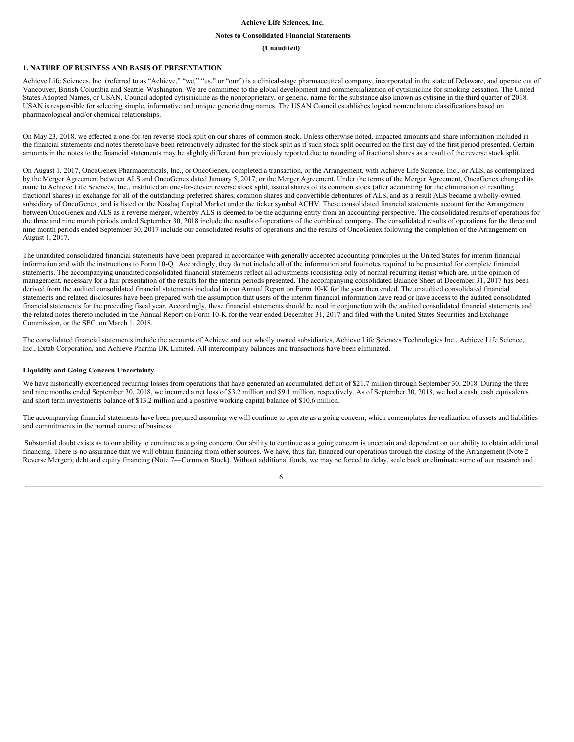#### **Achieve Life Sciences, Inc.**

#### <span id="page-5-0"></span>**Notes to Consolidated Financial Statements**

#### **(Unaudited)**

#### **1. NATURE OF BUSINESS AND BASIS OF PRESENTATION**

Achieve Life Sciences, Inc. (referred to as "Achieve," "we," "us," or "our") is a clinical-stage pharmaceutical company, incorporated in the state of Delaware, and operate out of Vancouver, British Columbia and Seattle, Washington. We are committed to the global development and commercialization of cytisinicline for smoking cessation. The United States Adopted Names, or USAN, Council adopted cytisinicline as the nonproprietary, or generic, name for the substance also known as cytisine in the third quarter of 2018. USAN is responsible for selecting simple, informative and unique generic drug names. The USAN Council establishes logical nomenclature classifications based on pharmacological and/or chemical relationships.

On May 23, 2018, we effected a one-for-ten reverse stock split on our shares of common stock. Unless otherwise noted, impacted amounts and share information included in the financial statements and notes thereto have been retroactively adjusted for the stock split as if such stock split occurred on the first day of the first period presented. Certain amounts in the notes to the financial statements may be slightly different than previously reported due to rounding of fractional shares as a result of the reverse stock split.

On August 1, 2017, OncoGenex Pharmaceuticals, Inc., or OncoGenex, completed a transaction, or the Arrangement, with Achieve Life Science, Inc., or ALS, as contemplated by the Merger Agreement between ALS and OncoGenex dated January 5, 2017, or the Merger Agreement. Under the terms of the Merger Agreement, OncoGenex changed its name to Achieve Life Sciences, Inc., instituted an one-for-eleven reverse stock split, issued shares of its common stock (after accounting for the elimination of resulting fractional shares) in exchange for all of the outstanding preferred shares, common shares and convertible debentures of ALS, and as a result ALS became a wholly-owned subsidiary of OncoGenex, and is listed on the Nasdaq Capital Market under the ticker symbol ACHV. These consolidated financial statements account for the Arrangement between OncoGenex and ALS as a reverse merger, whereby ALS is deemed to be the acquiring entity from an accounting perspective. The consolidated results of operations for the three and nine month periods ended September 30, 2018 include the results of operations of the combined company. The consolidated results of operations for the three and nine month periods ended September 30, 2017 include our consolidated results of operations and the results of OncoGenex following the completion of the Arrangement on August 1, 2017.

The unaudited consolidated financial statements have been prepared in accordance with generally accepted accounting principles in the United States for interim financial information and with the instructions to Form 10-Q. Accordingly, they do not include all of the information and footnotes required to be presented for complete financial statements. The accompanying unaudited consolidated financial statements reflect all adjustments (consisting only of normal recurring items) which are, in the opinion of management, necessary for a fair presentation of the results for the interim periods presented. The accompanying consolidated Balance Sheet at December 31, 2017 has been derived from the audited consolidated financial statements included in our Annual Report on Form 10-K for the year then ended. The unaudited consolidated financial statements and related disclosures have been prepared with the assumption that users of the interim financial information have read or have access to the audited consolidated financial statements for the preceding fiscal year. Accordingly, these financial statements should be read in conjunction with the audited consolidated financial statements and the related notes thereto included in the Annual Report on Form 10-K for the year ended December 31, 2017 and filed with the United States Securities and Exchange Commission, or the SEC, on March 1, 2018.

The consolidated financial statements include the accounts of Achieve and our wholly owned subsidiaries, Achieve Life Sciences Technologies Inc., Achieve Life Science, Inc., Extab Corporation, and Achieve Pharma UK Limited. All intercompany balances and transactions have been eliminated.

#### **Liquidity and Going Concern Uncertainty**

We have historically experienced recurring losses from operations that have generated an accumulated deficit of \$21.7 million through September 30, 2018. During the three and nine months ended September 30, 2018, we incurred a net loss of \$3.2 million and \$9.1 million, respectively. As of September 30, 2018, we had a cash, cash equivalents and short term investments balance of \$13.2 million and a positive working capital balance of \$10.6 million.

The accompanying financial statements have been prepared assuming we will continue to operate as a going concern, which contemplates the realization of assets and liabilities and commitments in the normal course of business.

Substantial doubt exists as to our ability to continue as a going concern. Our ability to continue as a going concern is uncertain and dependent on our ability to obtain additional financing. There is no assurance that we will obtain financing from other sources. We have, thus far, financed our operations through the closing of the Arrangement (Note 2— Reverse Merger), debt and equity financing (Note 7—Common Stock). Without additional funds, we may be forced to delay, scale back or eliminate some of our research and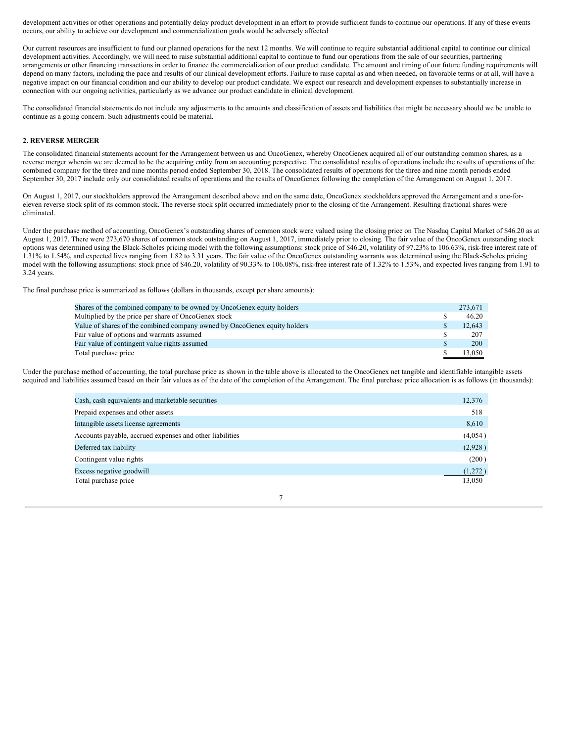development activities or other operations and potentially delay product development in an effort to provide sufficient funds to continue our operations. If any of these events occurs, our ability to achieve our development and commercialization goals would be adversely affected.

Our current resources are insufficient to fund our planned operations for the next 12 months. We will continue to require substantial additional capital to continue our clinical development activities. Accordingly, we will need to raise substantial additional capital to continue to fund our operations from the sale of our securities, partnering arrangements or other financing transactions in order to finance the commercialization of our product candidate. The amount and timing of our future funding requirements will depend on many factors, including the pace and results of our clinical development efforts. Failure to raise capital as and when needed, on favorable terms or at all, will have a negative impact on our financial condition and our ability to develop our product candidate. We expect our research and development expenses to substantially increase in connection with our ongoing activities, particularly as we advance our product candidate in clinical development.

The consolidated financial statements do not include any adjustments to the amounts and classification of assets and liabilities that might be necessary should we be unable to continue as a going concern. Such adjustments could be material.

#### **2. REVERSE MERGER**

The consolidated financial statements account for the Arrangement between us and OncoGenex, whereby OncoGenex acquired all of our outstanding common shares, as a reverse merger wherein we are deemed to be the acquiring entity from an accounting perspective. The consolidated results of operations include the results of operations of the combined company for the three and nine months period ended September 30, 2018. The consolidated results of operations for the three and nine month periods ended September 30, 2017 include only our consolidated results of operations and the results of OncoGenex following the completion of the Arrangement on August 1, 2017.

On August 1, 2017, our stockholders approved the Arrangement described above and on the same date, OncoGenex stockholders approved the Arrangement and a one-foreleven reverse stock split of its common stock. The reverse stock split occurred immediately prior to the closing of the Arrangement. Resulting fractional shares were eliminated.

Under the purchase method of accounting, OncoGenex's outstanding shares of common stock were valued using the closing price on The Nasdaq Capital Market of \$46.20 as at August 1, 2017. There were 273,670 shares of common stock outstanding on August 1, 2017, immediately prior to closing. The fair value of the OncoGenex outstanding stock options was determined using the Black-Scholes pricing model with the following assumptions: stock price of \$46.20, volatility of 97.23% to 106.63%, risk-free interest rate of 1.31% to 1.54%, and expected lives ranging from 1.82 to 3.31 years. The fair value of the OncoGenex outstanding warrants was determined using the Black-Scholes pricing model with the following assumptions: stock price of \$46.20, volatility of 90.33% to 106.08%, risk-free interest rate of 1.32% to 1.53%, and expected lives ranging from 1.91 to 3.24 years.

The final purchase price is summarized as follows (dollars in thousands, except per share amounts):

| Shares of the combined company to be owned by OncoGenex equity holders    | 273.671    |
|---------------------------------------------------------------------------|------------|
| Multiplied by the price per share of OncoGenex stock                      | 46.20      |
| Value of shares of the combined company owned by OncoGenex equity holders | 12.643     |
| Fair value of options and warrants assumed                                | 207        |
| Fair value of contingent value rights assumed                             | <b>200</b> |
| Total purchase price                                                      | 13.050     |

Under the purchase method of accounting, the total purchase price as shown in the table above is allocated to the OncoGenex net tangible and identifiable intangible assets acquired and liabilities assumed based on their fair values as of the date of the completion of the Arrangement. The final purchase price allocation is as follows (in thousands):

| Cash, cash equivalents and marketable securities         | 12,376  |
|----------------------------------------------------------|---------|
| Prepaid expenses and other assets                        | 518     |
| Intangible assets license agreements                     | 8,610   |
| Accounts payable, accrued expenses and other liabilities | (4,054) |
| Deferred tax liability                                   | (2,928) |
| Contingent value rights                                  | (200)   |
| Excess negative goodwill                                 | (1,272) |
| Total purchase price                                     | 13,050  |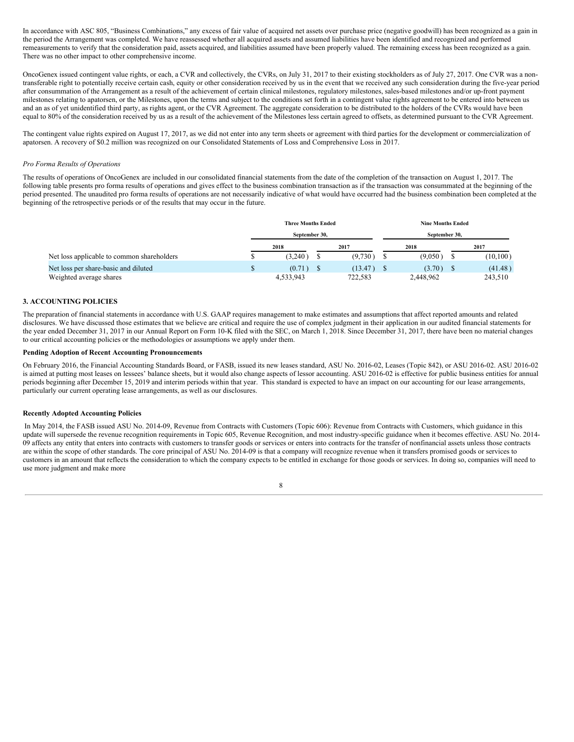In accordance with ASC 805, "Business Combinations," any excess of fair value of acquired net assets over purchase price (negative goodwill) has been recognized as a gain in the period the Arrangement was completed. We have reassessed whether all acquired assets and assumed liabilities have been identified and recognized and performed remeasurements to verify that the consideration paid, assets acquired, and liabilities assumed have been properly valued. The remaining excess has been recognized as a gain. There was no other impact to other comprehensive income.

OncoGenex issued contingent value rights, or each, a CVR and collectively, the CVRs, on July 31, 2017 to their existing stockholders as of July 27, 2017. One CVR was a nontransferable right to potentially receive certain cash, equity or other consideration received by us in the event that we received any such consideration during the five-year period after consummation of the Arrangement as a result of the achievement of certain clinical milestones, regulatory milestones, sales-based milestones and/or up-front payment milestones relating to apatorsen, or the Milestones, upon the terms and subject to the conditions set forth in a contingent value rights agreement to be entered into between us and an as of yet unidentified third party, as rights agent, or the CVR Agreement. The aggregate consideration to be distributed to the holders of the CVRs would have been equal to 80% of the consideration received by us as a result of the achievement of the Milestones less certain agreed to offsets, as determined pursuant to the CVR Agreement.

The contingent value rights expired on August 17, 2017, as we did not enter into any term sheets or agreement with third parties for the development or commercialization of apatorsen. A recovery of \$0.2 million was recognized on our Consolidated Statements of Loss and Comprehensive Loss in 2017.

#### *Pro Forma Results of Operations*

The results of operations of OncoGenex are included in our consolidated financial statements from the date of the completion of the transaction on August 1, 2017. The following table presents pro forma results of operations and gives effect to the business combination transaction as if the transaction was consummated at the beginning of the period presented. The unaudited pro forma results of operations are not necessarily indicative of what would have occurred had the business combination been completed at the beginning of the retrospective periods or of the results that may occur in the future.

|                                            | <b>Three Months Ended</b> |  | <b>Nine Months Ended</b> |               |  |           |  |  |  |
|--------------------------------------------|---------------------------|--|--------------------------|---------------|--|-----------|--|--|--|
|                                            | September 30.             |  |                          | September 30, |  |           |  |  |  |
|                                            | 2018                      |  | 2017                     | 2018          |  | 2017      |  |  |  |
| Net loss applicable to common shareholders | (3.240)                   |  | (9,730)                  | (9.050)       |  | (10, 100) |  |  |  |
| Net loss per share-basic and diluted       | (0.71)                    |  | (13.47)                  | (3.70)        |  | (41.48)   |  |  |  |
| Weighted average shares                    | 4,533,943                 |  | 722,583                  | 2,448,962     |  | 243,510   |  |  |  |

#### **3. ACCOUNTING POLICIES**

The preparation of financial statements in accordance with U.S. GAAP requires management to make estimates and assumptions that affect reported amounts and related disclosures. We have discussed those estimates that we believe are critical and require the use of complex judgment in their application in our audited financial statements for the year ended December 31, 2017 in our Annual Report on Form 10-K filed with the SEC, on March 1, 2018. Since December 31, 2017, there have been no material changes to our critical accounting policies or the methodologies or assumptions we apply under them.

#### **Pending Adoption of Recent Accounting Pronouncements**

On February 2016, the Financial Accounting Standards Board, or FASB, issued its new leases standard, ASU No. 2016-02, Leases (Topic 842), or ASU 2016-02. ASU 2016-02 is aimed at putting most leases on lessees' balance sheets, but it would also change aspects of lessor accounting. ASU 2016-02 is effective for public business entities for annual periods beginning after December 15, 2019 and interim periods within that year. This standard is expected to have an impact on our accounting for our lease arrangements, particularly our current operating lease arrangements, as well as our disclosures.

#### **Recently Adopted Accounting Policies**

In May 2014, the FASB issued ASU No. 2014-09, Revenue from Contracts with Customers (Topic 606): Revenue from Contracts with Customers, which guidance in this update will supersede the revenue recognition requirements in Topic 605, Revenue Recognition, and most industry-specific guidance when it becomes effective. ASU No. 2014- 09 affects any entity that enters into contracts with customers to transfer goods or services or enters into contracts for the transfer of nonfinancial assets unless those contracts are within the scope of other standards. The core principal of ASU No. 2014-09 is that a company will recognize revenue when it transfers promised goods or services to customers in an amount that reflects the consideration to which the company expects to be entitled in exchange for those goods or services. In doing so, companies will need to use more judgment and make more

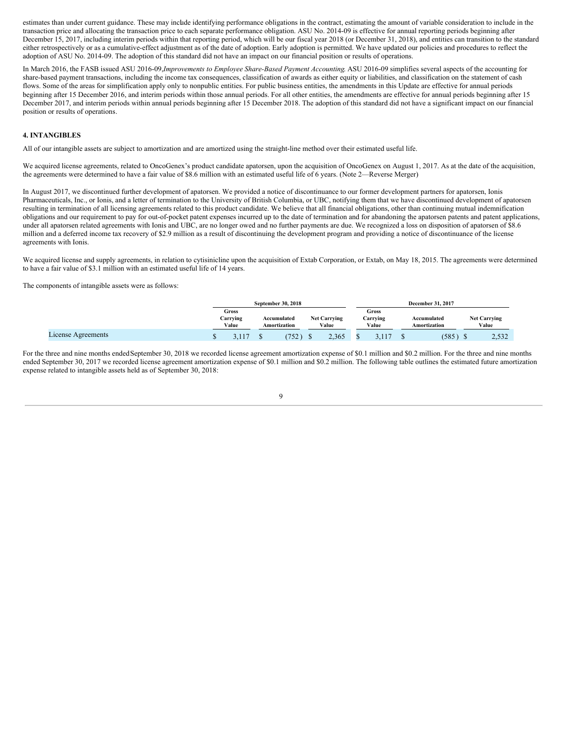estimates than under current guidance. These may include identifying performance obligations in the contract, estimating the amount of variable consideration to include in the transaction price and allocating the transaction price to each separate performance obligation. ASU No. 2014-09 is effective for annual reporting periods beginning after December 15, 2017, including interim periods within that reporting period, which will be our fiscal year 2018 (or December 31, 2018), and entities can transition to the standard either retrospectively or as a cumulative-effect adjustment as of the date of adoption. Early adoption is permitted. We have updated our policies and procedures to reflect the adoption of ASU No. 2014-09. The adoption of this standard did not have an impact on our financial position or results of operations.

In March 2016, the FASB issued ASU 2016-09,*Improvements to Employee Share-Based Payment Accounting*. ASU 2016-09 simplifies several aspects of the accounting for share-based payment transactions, including the income tax consequences, classification of awards as either equity or liabilities, and classification on the statement of cash flows. Some of the areas for simplification apply only to nonpublic entities. For public business entities, the amendments in this Update are effective for annual periods beginning after 15 December 2016, and interim periods within those annual periods. For all other entities, the amendments are effective for annual periods beginning after 15 December 2017, and interim periods within annual periods beginning after 15 December 2018. The adoption of this standard did not have a significant impact on our financial position or results of operations.

#### **4. INTANGIBLES**

All of our intangible assets are subject to amortization and are amortized using the straight-line method over their estimated useful life.

We acquired license agreements, related to OncoGenex's product candidate apatorsen, upon the acquisition of OncoGenex on August 1, 2017. As at the date of the acquisition, the agreements were determined to have a fair value of \$8.6 million with an estimated useful life of 6 years. (Note 2—Reverse Merger)

In August 2017, we discontinued further development of apatorsen. We provided a notice of discontinuance to our former development partners for apatorsen, Ionis Pharmaceuticals, Inc., or Ionis, and a letter of termination to the University of British Columbia, or UBC, notifying them that we have discontinued development of apatorsen resulting in termination of all licensing agreements related to this product candidate. We believe that all financial obligations, other than continuing mutual indemnification obligations and our requirement to pay for out-of-pocket patent expenses incurred up to the date of termination and for abandoning the apatorsen patents and patent applications, under all apatorsen related agreements with Ionis and UBC, are no longer owed and no further payments are due. We recognized a loss on disposition of apatorsen of \$8.6 million and a deferred income tax recovery of \$2.9 million as a result of discontinuing the development program and providing a notice of discontinuance of the license agreements with Ionis.

We acquired license and supply agreements, in relation to cytisinicline upon the acquisition of Extab Corporation, or Extab, on May 18, 2015. The agreements were determined to have a fair value of \$3.1 million with an estimated useful life of 14 years.

The components of intangible assets were as follows:

|                    | September 30, 2018         |  |                             |                              |       | December 31, 2017 |                            |  |                             |  |                              |
|--------------------|----------------------------|--|-----------------------------|------------------------------|-------|-------------------|----------------------------|--|-----------------------------|--|------------------------------|
|                    | Gross<br>Carrying<br>Value |  | Accumulated<br>Amortization | <b>Net Carrying</b><br>Value |       |                   | Gross<br>Carrving<br>Value |  | Accumulated<br>Amortization |  | <b>Net Carrying</b><br>Value |
| License Agreements | 117                        |  | 752                         |                              | 2,365 |                   |                            |  | (585)                       |  | 2.532                        |

For the three and nine months ended September 30, 2018 we recorded license agreement amortization expense of \$0.1 million and \$0.2 million. For the three and nine months ended September 30, 2017 we recorded license agreement amortization expense of \$0.1 million and \$0.2 million. The following table outlines the estimated future amortization expense related to intangible assets held as of September 30, 2018: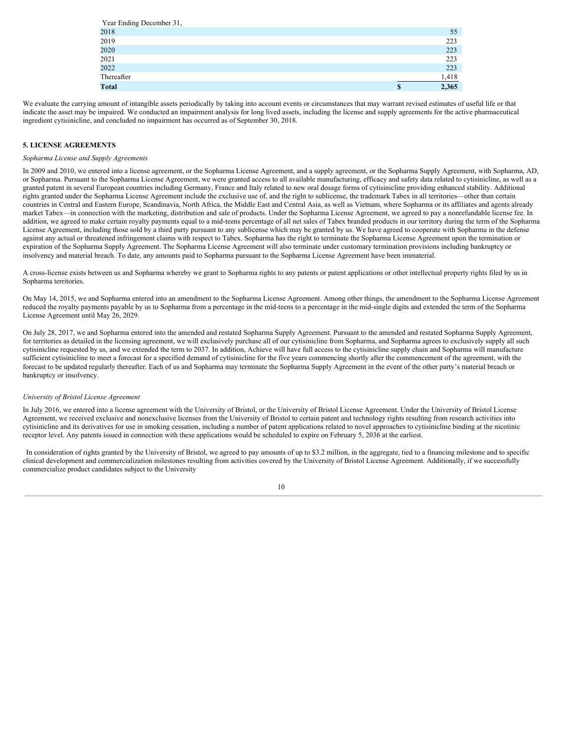| Year Ending December 31, |   |       |
|--------------------------|---|-------|
| 2018                     |   | 55    |
| 2019                     |   | 223   |
| 2020                     |   | 223   |
| 2021                     |   | 223   |
| 2022                     |   | 223   |
| Thereafter               |   | 1,418 |
| <b>Total</b>             | S | 2,365 |

We evaluate the carrying amount of intangible assets periodically by taking into account events or circumstances that may warrant revised estimates of useful life or that indicate the asset may be impaired. We conducted an impairment analysis for long lived assets, including the license and supply agreements for the active pharmaceutical ingredient cytisinicline, and concluded no impairment has occurred as of September 30, 2018.

#### **5. LICENSE AGREEMENTS**

#### *Sopharma License and Supply Agreements*

In 2009 and 2010, we entered into a license agreement, or the Sopharma License Agreement, and a supply agreement, or the Sopharma Supply Agreement, with Sopharma, AD, or Sopharma. Pursuant to the Sopharma License Agreement, we were granted access to all available manufacturing, efficacy and safety data related to cytisinicline, as well as a granted patent in several European countries including Germany, France and Italy related to new oral dosage forms of cytisinicline providing enhanced stability. Additional rights granted under the Sopharma License Agreement include the exclusive use of, and the right to sublicense, the trademark Tabex in all territories—other than certain countries in Central and Eastern Europe, Scandinavia, North Africa, the Middle East and Central Asia, as well as Vietnam, where Sopharma or its affiliates and agents already market Tabex—in connection with the marketing, distribution and sale of products. Under the Sopharma License Agreement, we agreed to pay a nonrefundable license fee. In addition, we agreed to make certain royalty payments equal to a mid-teens percentage of all net sales of Tabex branded products in our territory during the term of the Sopharma License Agreement, including those sold by a third party pursuant to any sublicense which may be granted by us. We have agreed to cooperate with Sopharma in the defense against any actual or threatened infringement claims with respect to Tabex. Sopharma has the right to terminate the Sopharma License Agreement upon the termination or expiration of the Sopharma Supply Agreement. The Sopharma License Agreement will also terminate under customary termination provisions including bankruptcy or insolvency and material breach. To date, any amounts paid to Sopharma pursuant to the Sopharma License Agreement have been immaterial.

A cross-license exists between us and Sopharma whereby we grant to Sopharma rights to any patents or patent applications or other intellectual property rights filed by us in Sopharma territories.

On May 14, 2015, we and Sopharma entered into an amendment to the Sopharma License Agreement. Among other things, the amendment to the Sopharma License Agreement reduced the royalty payments payable by us to Sopharma from a percentage in the mid-teens to a percentage in the mid-single digits and extended the term of the Sopharma License Agreement until May 26, 2029.

On July 28, 2017, we and Sopharma entered into the amended and restated Sopharma Supply Agreement. Pursuant to the amended and restated Sopharma Supply Agreement, for territories as detailed in the licensing agreement, we will exclusively purchase all of our cytisinicline from Sopharma, and Sopharma agrees to exclusively supply all such cytisinicline requested by us, and we extended the term to 2037. In addition, Achieve will have full access to the cytisinicline supply chain and Sopharma will manufacture sufficient cytisinicline to meet a forecast for a specified demand of cytisinicline for the five years commencing shortly after the commencement of the agreement, with the forecast to be updated regularly thereafter. Each of us and Sopharma may terminate the Sopharma Supply Agreement in the event of the other party's material breach or bankruptcy or insolvency.

#### *University of Bristol License Agreement*

In July 2016, we entered into a license agreement with the University of Bristol, or the University of Bristol License Agreement. Under the University of Bristol License Agreement, we received exclusive and nonexclusive licenses from the University of Bristol to certain patent and technology rights resulting from research activities into cytisinicline and its derivatives for use in smoking cessation, including a number of patent applications related to novel approaches to cytisinicline binding at the nicotinic receptor level. Any patents issued in connection with these applications would be scheduled to expire on February 5, 2036 at the earliest.

In consideration of rights granted by the University of Bristol, we agreed to pay amounts of up to \$3.2 million, in the aggregate, tied to a financing milestone and to specific clinical development and commercialization milestones resulting from activities covered by the University of Bristol License Agreement. Additionally, if we successfully commercialize product candidates subject to the University

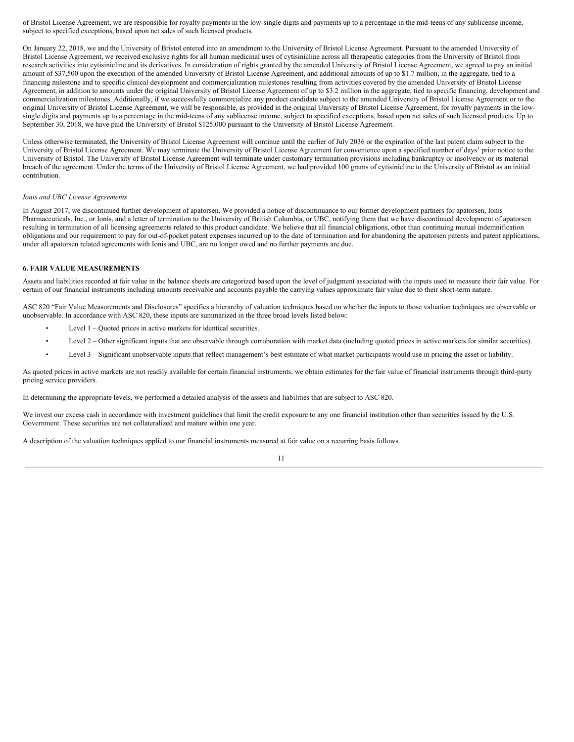of Bristol License Agreement, we are responsible for royalty payments in the low-single digits and payments up to a percentage in the mid-teens of any sublicense income, subject to specified exceptions, based upon net sales of such licensed products.

On January 22, 2018, we and the University of Bristol entered into an amendment to the University of Bristol License Agreement. Pursuant to the amended University of Bristol License Agreement, we received exclusive rights for all human medicinal uses of cytisinicline across all therapeutic categories from the University of Bristol from research activities into cytisinicline and its derivatives. In consideration of rights granted by the amended University of Bristol License Agreement, we agreed to pay an initial amount of \$37,500 upon the execution of the amended University of Bristol License Agreement, and additional amounts of up to \$1.7 million, in the aggregate, tied to a financing milestone and to specific clinical development and commercialization milestones resulting from activities covered by the amended University of Bristol License Agreement, in addition to amounts under the original University of Bristol License Agreement of up to \$3.2 million in the aggregate, tied to specific financing, development and commercialization milestones. Additionally, if we successfully commercialize any product candidate subject to the amended University of Bristol License Agreement or to the original University of Bristol License Agreement, we will be responsible, as provided in the original University of Bristol License Agreement, for royalty payments in the lowsingle digits and payments up to a percentage in the mid-teens of any sublicense income, subject to specified exceptions, based upon net sales of such licensed products. Up to September 30, 2018, we have paid the University of Bristol \$125,000 pursuant to the University of Bristol License Agreement.

Unless otherwise terminated, the University of Bristol License Agreement will continue until the earlier of July 2036 or the expiration of the last patent claim subject to the University of Bristol License Agreement. We may terminate the University of Bristol License Agreement for convenience upon a specified number of days' prior notice to the University of Bristol. The University of Bristol License Agreement will terminate under customary termination provisions including bankruptcy or insolvency or its material breach of the agreement. Under the terms of the University of Bristol License Agreement, we had provided 100 grams of cytisinicline to the University of Bristol as an initial contribution.

#### *Ionis and UBC License Agreements*

In August 2017, we discontinued further development of apatorsen. We provided a notice of discontinuance to our former development partners for apatorsen, Ionis Pharmaceuticals, Inc., or Ionis, and a letter of termination to the University of British Columbia, or UBC, notifying them that we have discontinued development of apatorsen resulting in termination of all licensing agreements related to this product candidate. We believe that all financial obligations, other than continuing mutual indemnification obligations and our requirement to pay for out-of-pocket patent expenses incurred up to the date of termination and for abandoning the apatorsen patents and patent applications, under all apatorsen related agreements with Ionis and UBC, are no longer owed and no further payments are due.

#### **6. FAIR VALUE MEASUREMENTS**

Assets and liabilities recorded at fair value in the balance sheets are categorized based upon the level of judgment associated with the inputs used to measure their fair value. For certain of our financial instruments including amounts receivable and accounts payable the carrying values approximate fair value due to their short-term nature.

ASC 820 "Fair Value Measurements and Disclosures" specifies a hierarchy of valuation techniques based on whether the inputs to those valuation techniques are observable or unobservable. In accordance with ASC 820, these inputs are summarized in the three broad levels listed below:

- Level 1 Quoted prices in active markets for identical securities.
- Level 2 Other significant inputs that are observable through corroboration with market data (including quoted prices in active markets for similar securities).
- Level 3 Significant unobservable inputs that reflect management's best estimate of what market participants would use in pricing the asset or liability.

As quoted prices in active markets are not readily available for certain financial instruments, we obtain estimates for the fair value of financial instruments through third-party pricing service providers.

In determining the appropriate levels, we performed a detailed analysis of the assets and liabilities that are subject to ASC 820.

We invest our excess cash in accordance with investment guidelines that limit the credit exposure to any one financial institution other than securities issued by the U.S. Government. These securities are not collateralized and mature within one year.

A description of the valuation techniques applied to our financial instruments measured at fair value on a recurring basis follows.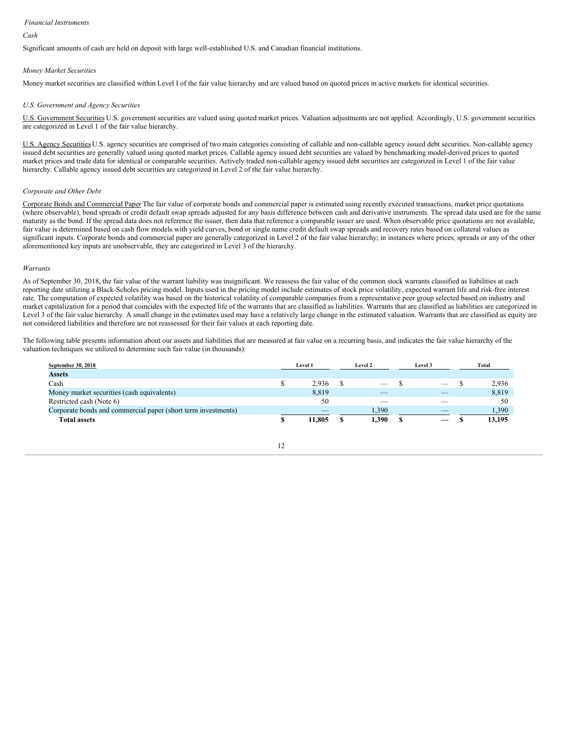#### *Financial Instruments*

#### *Cash*

Significant amounts of cash are held on deposit with large well-established U.S. and Canadian financial institutions.

#### *Money Market Securities*

Money market securities are classified within Level I of the fair value hierarchy and are valued based on quoted prices in active markets for identical securities.

#### *U.S. Government and Agency Securities*

U.S. Government Securities U.S. government securities are valued using quoted market prices. Valuation adjustments are not applied. Accordingly, U.S. government securities are categorized in Level 1 of the fair value hierarchy.

U.S. Agency Securities U.S. agency securities are comprised of two main categories consisting of callable and non-callable agency issued debt securities. Non-callable agency issued debt securities are generally valued using quoted market prices. Callable agency issued debt securities are valued by benchmarking model-derived prices to quoted market prices and trade data for identical or comparable securities. Actively traded non-callable agency issued debt securities are categorized in Level 1 of the fair value hierarchy. Callable agency issued debt securities are categorized in Level 2 of the fair value hierarchy.

#### *Corporate and Other Debt*

Corporate Bonds and Commercial Paper The fair value of corporate bonds and commercial paper is estimated using recently executed transactions, market price quotations (where observable), bond spreads or credit default swap spreads adjusted for any basis difference between cash and derivative instruments. The spread data used are for the same maturity as the bond. If the spread data does not reference the issuer, then data that reference a comparable issuer are used. When observable price quotations are not available, fair value is determined based on cash flow models with yield curves, bond or single name credit default swap spreads and recovery rates based on collateral values as significant inputs. Corporate bonds and commercial paper are generally categorized in Level 2 of the fair value hierarchy; in instances where prices, spreads or any of the other aforementioned key inputs are unobservable, they are categorized in Level 3 of the hierarchy.

#### *Warrants*

As of September 30, 2018, the fair value of the warrant liability was insignificant. We reassess the fair value of the common stock warrants classified as liabilities at each reporting date utilizing a Black-Scholes pricing model. Inputs used in the pricing model include estimates of stock price volatility, expected warrant life and risk-free interest rate. The computation of expected volatility was based on the historical volatility of comparable companies from a representative peer group selected based on industry and market capitalization for a period that coincides with the expected life of the warrants that are classified as liabilities. Warrants that are classified as liabilities are categorized in Level 3 of the fair value hierarchy. A small change in the estimates used may have a relatively large change in the estimated valuation. Warrants that are classified as equity are not considered liabilities and therefore are not reassessed for their fair values at each reporting date.

The following table presents information about our assets and liabilities that are measured at fair value on a recurring basis, and indicates the fair value hierarchy of the valuation techniques we utilized to determine such fair value (in thousands):

| September 30, 2018                                            | Level 1 |        | Level 2 |                          | Level 3 |    | Total  |
|---------------------------------------------------------------|---------|--------|---------|--------------------------|---------|----|--------|
| <b>Assets</b>                                                 |         |        |         |                          |         |    |        |
| Cash                                                          |         | 2.936  |         | $\overline{\phantom{a}}$ |         |    | 2.936  |
| Money market securities (cash equivalents)                    |         | 8,819  |         | $\overline{\phantom{a}}$ |         |    | 8,819  |
| Restricted cash (Note 6)                                      |         | 50     |         | $\sim$                   |         | __ | 50     |
| Corporate bonds and commercial paper (short term investments) |         | __     |         | 1,390                    |         | __ | 1,390  |
| <b>Total assets</b>                                           |         | 11.805 |         | 1,390                    |         |    | 13.195 |

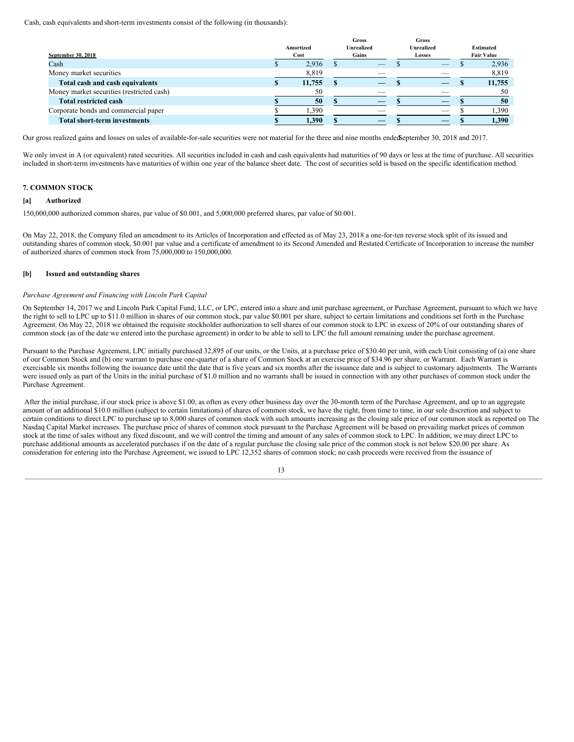Cash, cash equivalents and short-term investments consist of the following (in thousands):

|                                           | Amortized | <b>Gross</b><br><b>Unrealized</b> |        | <b>Gross</b><br><b>Unrealized</b> | <b>Estimated</b> |                   |  |
|-------------------------------------------|-----------|-----------------------------------|--------|-----------------------------------|------------------|-------------------|--|
| September 30, 2018                        | Cost      | Gains                             | Losses |                                   |                  | <b>Fair Value</b> |  |
| Cash                                      | 2,936     | __                                |        | _                                 |                  | 2,936             |  |
| Money market securities                   | 8,819     |                                   |        |                                   |                  | 8,819             |  |
| Total cash and cash equivalents           | 11,755    | _                                 |        |                                   |                  | 11,755            |  |
| Money market securities (restricted cash) | 50        | $\overline{\phantom{a}}$          |        | __                                |                  | 50                |  |
| <b>Total restricted cash</b>              | 50        |                                   |        |                                   |                  | 50                |  |
| Corporate bonds and commercial paper      | 1,390     |                                   |        | __                                |                  | 1,390             |  |
| <b>Total short-term investments</b>       | 1,390     |                                   |        |                                   |                  | 1,390             |  |

Our gross realized gains and losses on sales of available-for-sale securities were not material for the three and nine months endedSeptember 30, 2018 and 2017.

We only invest in A (or equivalent) rated securities. All securities included in cash and cash equivalents had maturities of 90 days or less at the time of purchase. All securities included in short-term investments have maturities of within one year of the balance sheet date. The cost of securities sold is based on the specific identification method.

#### **7. COMMON STOCK**

#### **[a] Authorized**

150,000,000 authorized common shares, par value of \$0.001, and 5,000,000 preferred shares, par value of \$0.001.

On May 22, 2018, the Company filed an amendment to its Articles of Incorporation and effected as of May 23, 2018 a one-for-ten reverse stock split of its issued and outstanding shares of common stock, \$0.001 par value and a certificate of amendment to its Second Amended and Restated Certificate of Incorporation to increase the number of authorized shares of common stock from 75,000,000 to 150,000,000.

#### **[b] Issued and outstanding shares**

#### *Purchase Agreement and Financing with Lincoln Park Capital*

On September 14, 2017 we and Lincoln Park Capital Fund, LLC, or LPC, entered into a share and unit purchase agreement, or Purchase Agreement, pursuant to which we have the right to sell to LPC up to \$11.0 million in shares of our common stock, par value \$0.001 per share, subject to certain limitations and conditions set forth in the Purchase Agreement. On May 22, 2018 we obtained the requisite stockholder authorization to sell shares of our common stock to LPC in excess of 20% of our outstanding shares of common stock (as of the date we entered into the purchase agreement) in order to be able to sell to LPC the full amount remaining under the purchase agreement.

Pursuant to the Purchase Agreement, LPC initially purchased 32,895 of our units, or the Units, at a purchase price of \$30.40 per unit, with each Unit consisting of (a) one share of our Common Stock and (b) one warrant to purchase one-quarter of a share of Common Stock at an exercise price of \$34.96 per share, or Warrant. Each Warrant is exercisable six months following the issuance date until the date that is five years and six months after the issuance date and is subject to customary adjustments. The Warrants were issued only as part of the Units in the initial purchase of \$1.0 million and no warrants shall be issued in connection with any other purchases of common stock under the Purchase Agreement.

After the initial purchase, if our stock price is above \$1.00, as often as every other business day over the 30-month term of the Purchase Agreement, and up to an aggregate amount of an additional \$10.0 million (subject to certain limitations) of shares of common stock, we have the right, from time to time, in our sole discretion and subject to certain conditions to direct LPC to purchase up to 8,000 shares of common stock with such amounts increasing as the closing sale price of our common stock as reported on The Nasdaq Capital Market increases. The purchase price of shares of common stock pursuant to the Purchase Agreement will be based on prevailing market prices of common stock at the time of sales without any fixed discount, and we will control the timing and amount of any sales of common stock to LPC. In addition, we may direct LPC to purchase additional amounts as accelerated purchases if on the date of a regular purchase the closing sale price of the common stock is not below \$20.00 per share. As consideration for entering into the Purchase Agreement, we issued to LPC 12,352 shares of common stock; no cash proceeds were received from the issuance of

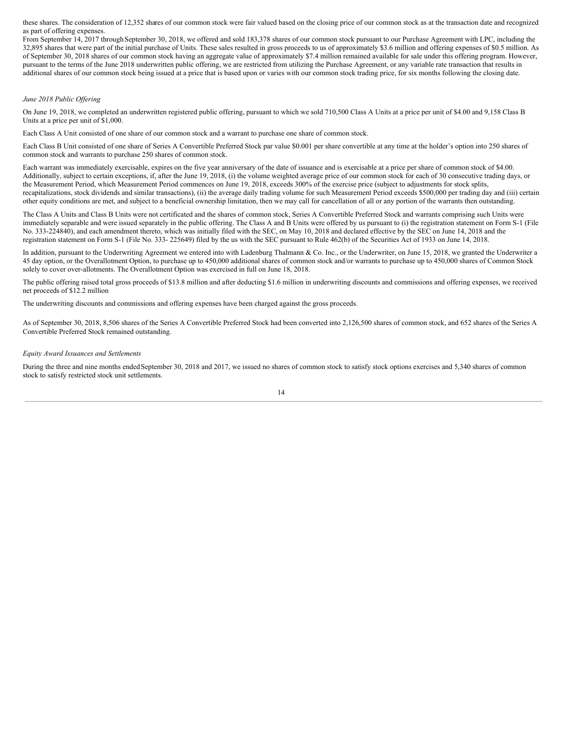these shares. The consideration of 12,352 shares of our common stock were fair valued based on the closing price of our common stock as at the transaction date and recognized as part of offering expenses.

From September 14, 2017 through September 30, 2018, we offered and sold 183,378 shares of our common stock pursuant to our Purchase Agreement with LPC, including the 32,895 shares that were part of the initial purchase of Units. These sales resulted in gross proceeds to us of approximately \$3.6 million and offering expenses of \$0.5 million. As of September 30, 2018 shares of our common stock having an aggregate value of approximately \$7.4 million remained available for sale under this offering program. However, pursuant to the terms of the June 2018 underwritten public offering, we are restricted from utilizing the Purchase Agreement, or any variable rate transaction that results in additional shares of our common stock being issued at a price that is based upon or varies with our common stock trading price, for six months following the closing date.

#### *June 2018 Public Of ering*

On June 19, 2018, we completed an underwritten registered public offering, pursuant to which we sold 710,500 Class A Units at a price per unit of \$4.00 and 9,158 Class B Units at a price per unit of \$1,000.

Each Class A Unit consisted of one share of our common stock and a warrant to purchase one share of common stock.

Each Class B Unit consisted of one share of Series A Convertible Preferred Stock par value \$0.001 per share convertible at any time at the holder's option into 250 shares of common stock and warrants to purchase 250 shares of common stock.

Each warrant was immediately exercisable, expires on the five year anniversary of the date of issuance and is exercisable at a price per share of common stock of \$4.00. Additionally, subject to certain exceptions, if, after the June 19, 2018, (i) the volume weighted average price of our common stock for each of 30 consecutive trading days, or the Measurement Period, which Measurement Period commences on June 19, 2018, exceeds 300% of the exercise price (subject to adjustments for stock splits, recapitalizations, stock dividends and similar transactions), (ii) the average daily trading volume for such Measurement Period exceeds \$500,000 per trading day and (iii) certain other equity conditions are met, and subject to a beneficial ownership limitation, then we may call for cancellation of all or any portion of the warrants then outstanding.

The Class A Units and Class B Units were not certificated and the shares of common stock, Series A Convertible Preferred Stock and warrants comprising such Units were immediately separable and were issued separately in the public offering. The Class A and B Units were offered by us pursuant to (i) the registration statement on Form S-1 (File No. 333-224840), and each amendment thereto, which was initially filed with the SEC, on May 10, 2018 and declared effective by the SEC on June 14, 2018 and the registration statement on Form S-1 (File No. 333- 225649) filed by the us with the SEC pursuant to Rule 462(b) of the Securities Act of 1933 on June 14, 2018.

In addition, pursuant to the Underwriting Agreement we entered into with Ladenburg Thalmann & Co. Inc., or the Underwriter, on June 15, 2018, we granted the Underwriter a 45 day option, or the Overallotment Option, to purchase up to 450,000 additional shares of common stock and/or warrants to purchase up to 450,000 shares of Common Stock solely to cover over-allotments. The Overallotment Option was exercised in full on June 18, 2018.

The public offering raised total gross proceeds of \$13.8 million and after deducting \$1.6 million in underwriting discounts and commissions and offering expenses, we received net proceeds of \$12.2 million

The underwriting discounts and commissions and offering expenses have been charged against the gross proceeds.

As of September 30, 2018, 8,506 shares of the Series A Convertible Preferred Stock had been converted into 2,126,500 shares of common stock, and 652 shares of the Series A Convertible Preferred Stock remained outstanding.

#### *Equity Award Issuances and Settlements*

During the three and nine months ended September 30, 2018 and 2017, we issued no shares of common stock to satisfy stock options exercises and 5,340 shares of common stock to satisfy restricted stock unit settlements.

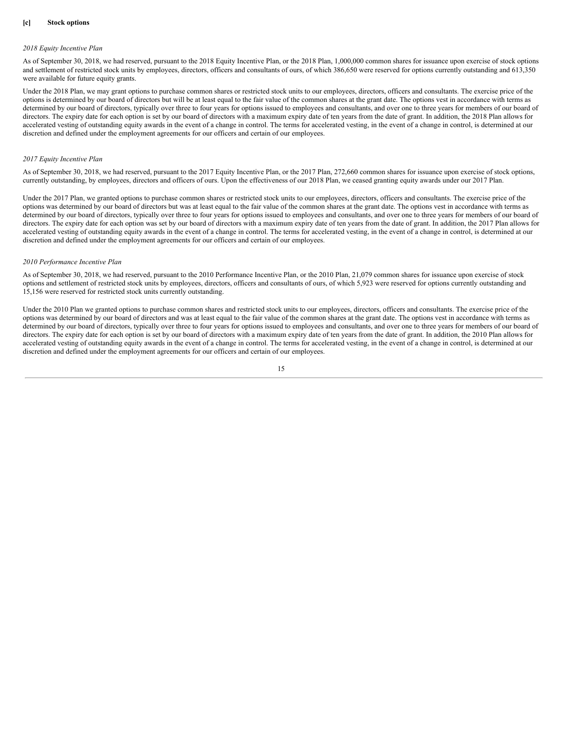#### **[c] Stock options**

#### *2018 Equity Incentive Plan*

As of September 30, 2018, we had reserved, pursuant to the 2018 Equity Incentive Plan, or the 2018 Plan, 1,000,000 common shares for issuance upon exercise of stock options and settlement of restricted stock units by employees, directors, officers and consultants of ours, of which 386,650 were reserved for options currently outstanding and 613,350 were available for future equity grants.

Under the 2018 Plan, we may grant options to purchase common shares or restricted stock units to our employees, directors, officers and consultants. The exercise price of the options is determined by our board of directors but will be at least equal to the fair value of the common shares at the grant date. The options vest in accordance with terms as determined by our board of directors, typically over three to four years for options issued to employees and consultants, and over one to three years for members of our board of directors. The expiry date for each option is set by our board of directors with a maximum expiry date of ten years from the date of grant. In addition, the 2018 Plan allows for accelerated vesting of outstanding equity awards in the event of a change in control. The terms for accelerated vesting, in the event of a change in control, is determined at our discretion and defined under the employment agreements for our officers and certain of our employees.

#### *2017 Equity Incentive Plan*

As of September 30, 2018, we had reserved, pursuant to the 2017 Equity Incentive Plan, or the 2017 Plan, 272,660 common shares for issuance upon exercise of stock options, currently outstanding, by employees, directors and officers of ours. Upon the effectiveness of our 2018 Plan, we ceased granting equity awards under our 2017 Plan.

Under the 2017 Plan, we granted options to purchase common shares or restricted stock units to our employees, directors, officers and consultants. The exercise price of the options was determined by our board of directors but was at least equal to the fair value of the common shares at the grant date. The options vest in accordance with terms as determined by our board of directors, typically over three to four years for options issued to employees and consultants, and over one to three years for members of our board of directors. The expiry date for each option was set by our board of directors with a maximum expiry date of ten years from the date of grant. In addition, the 2017 Plan allows for accelerated vesting of outstanding equity awards in the event of a change in control. The terms for accelerated vesting, in the event of a change in control, is determined at our discretion and defined under the employment agreements for our officers and certain of our employees.

#### *2010 Performance Incentive Plan*

As of September 30, 2018, we had reserved, pursuant to the 2010 Performance Incentive Plan, or the 2010 Plan, 21,079 common shares for issuance upon exercise of stock options and settlement of restricted stock units by employees, directors, officers and consultants of ours, of which 5,923 were reserved for options currently outstanding and 15,156 were reserved for restricted stock units currently outstanding.

Under the 2010 Plan we granted options to purchase common shares and restricted stock units to our employees, directors, officers and consultants. The exercise price of the options was determined by our board of directors and was at least equal to the fair value of the common shares at the grant date. The options vest in accordance with terms as determined by our board of directors, typically over three to four years for options issued to employees and consultants, and over one to three years for members of our board of directors. The expiry date for each option is set by our board of directors with a maximum expiry date of ten years from the date of grant. In addition, the 2010 Plan allows for accelerated vesting of outstanding equity awards in the event of a change in control. The terms for accelerated vesting, in the event of a change in control, is determined at our discretion and defined under the employment agreements for our officers and certain of our employees.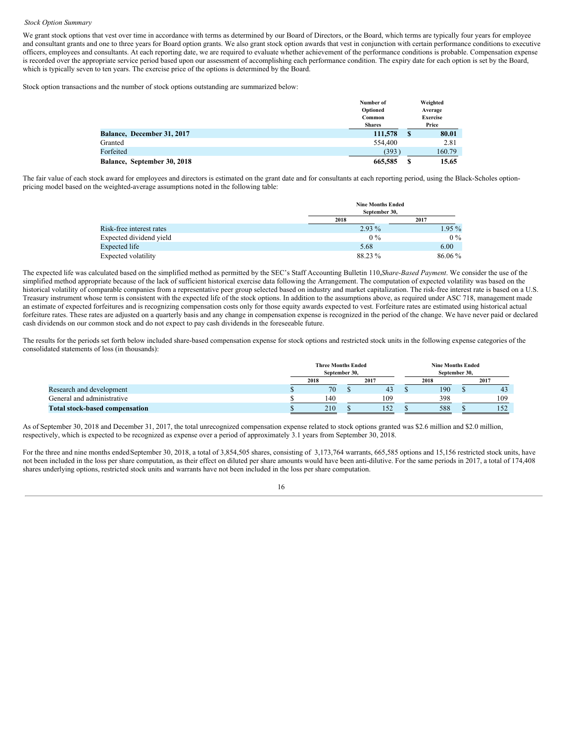#### *Stock Option Summary*

We grant stock options that vest over time in accordance with terms as determined by our Board of Directors, or the Board, which terms are typically four years for employee and consultant grants and one to three years for Board option grants. We also grant stock option awards that vest in conjunction with certain performance conditions to executive officers, employees and consultants. At each reporting date, we are required to evaluate whether achievement of the performance conditions is probable. Compensation expense is recorded over the appropriate service period based upon our assessment of accomplishing each performance condition. The expiry date for each option is set by the Board, which is typically seven to ten years. The exercise price of the options is determined by the Board.

Stock option transactions and the number of stock options outstanding are summarized below:

|                                   | Number of     |    | Weighted        |
|-----------------------------------|---------------|----|-----------------|
|                                   | Optioned      |    | Average         |
|                                   | Common        |    | <b>Exercise</b> |
|                                   | <b>Shares</b> |    | Price           |
| <b>Balance, December 31, 2017</b> | 111,578       | S  | 80.01           |
| Granted                           | 554,400       |    | 2.81            |
| Forfeited                         | (393)         |    | 160.79          |
| Balance, September 30, 2018       | 665,585       | \$ | 15.65           |

The fair value of each stock award for employees and directors is estimated on the grant date and for consultants at each reporting period, using the Black-Scholes optionpricing model based on the weighted-average assumptions noted in the following table:

|                          |          | <b>Nine Months Ended</b><br>September 30. |  |  |  |  |
|--------------------------|----------|-------------------------------------------|--|--|--|--|
|                          | 2018     | 2017                                      |  |  |  |  |
| Risk-free interest rates | $2.93\%$ | $1.95\%$                                  |  |  |  |  |
| Expected dividend yield  | $0\%$    | $0\%$                                     |  |  |  |  |
| Expected life            | 5.68     | 6.00                                      |  |  |  |  |
| Expected volatility      | 88.23 %  | 86.06%                                    |  |  |  |  |

The expected life was calculated based on the simplified method as permitted by the SEC's Staff Accounting Bulletin 110,*Share-Based Payment*. We consider the use of the simplified method appropriate because of the lack of sufficient historical exercise data following the Arrangement. The computation of expected volatility was based on the historical volatility of comparable companies from a representative peer group selected based on industry and market capitalization. The risk-free interest rate is based on a U.S. Treasury instrument whose term is consistent with the expected life of the stock options. In addition to the assumptions above, as required under ASC 718, management made an estimate of expected forfeitures and is recognizing compensation costs only for those equity awards expected to vest. Forfeiture rates are estimated using historical actual forfeiture rates. These rates are adjusted on a quarterly basis and any change in compensation expense is recognized in the period of the change. We have never paid or declared cash dividends on our common stock and do not expect to pay cash dividends in the foreseeable future.

The results for the periods set forth below included share-based compensation expense for stock options and restricted stock units in the following expense categories of the consolidated statements of loss (in thousands):

|                                       | <b>Three Months Ended</b><br>September 30, |      |  |      | <b>Nine Months Ended</b><br>September 30. |      |  |      |  |
|---------------------------------------|--------------------------------------------|------|--|------|-------------------------------------------|------|--|------|--|
|                                       |                                            | 2018 |  | 2017 |                                           | 2018 |  | 2017 |  |
| Research and development              |                                            | 70   |  | 43   |                                           | 190  |  | 43   |  |
| General and administrative            |                                            | 140  |  | 109  |                                           | 398  |  | 109  |  |
| <b>Total stock-based compensation</b> |                                            | 210  |  | 152  |                                           | 588  |  | 152  |  |

As of September 30, 2018 and December 31, 2017, the total unrecognized compensation expense related to stock options granted was \$2.6 million and \$2.0 million, respectively, which is expected to be recognized as expense over a period of approximately 3.1 years from September 30, 2018.

For the three and nine months ended September 30, 2018, a total of 3,854,505 shares, consisting of 3,173,764 warrants, 665,585 options and 15,156 restricted stock units, have not been included in the loss per share computation, as their effect on diluted per share amounts would have been anti-dilutive. For the same periods in 2017, a total of 174,408 shares underlying options, restricted stock units and warrants have not been included in the loss per share computation.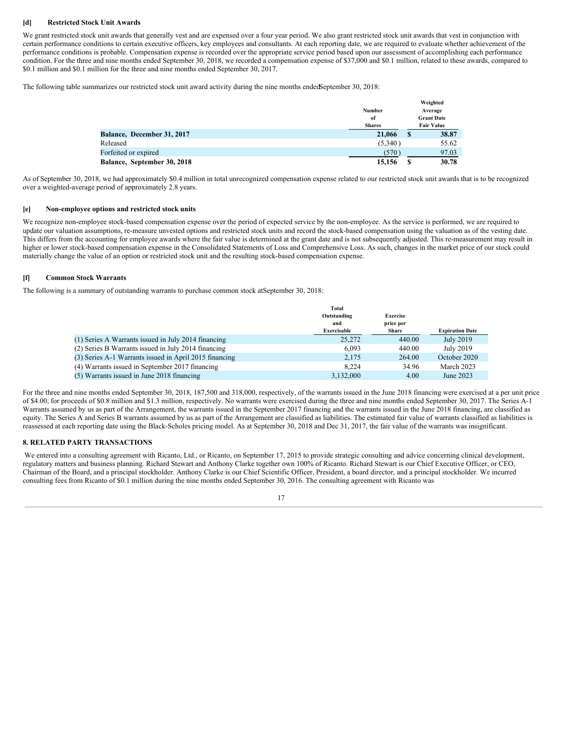#### **[d] Restricted Stock Unit Awards**

We grant restricted stock unit awards that generally vest and are expensed over a four year period. We also grant restricted stock unit awards that vest in conjunction with certain performance conditions to certain executive officers, key employees and consultants. At each reporting date, we are required to evaluate whether achievement of the performance conditions is probable. Compensation expense is recorded over the appropriate service period based upon our assessment of accomplishing each performance condition. For the three and nine months ended September 30, 2018, we recorded a compensation expense of \$37,000 and \$0.1 million, related to these awards, compared to \$0.1 million and \$0.1 million for the three and nine months ended September 30, 2017.

The following table summarizes our restricted stock unit award activity during the nine months endedSeptember 30, 2018:

|                             |               |   | Weighted          |
|-----------------------------|---------------|---|-------------------|
|                             | <b>Number</b> |   | Average           |
|                             | of            |   | <b>Grant Date</b> |
|                             | <b>Shares</b> |   | <b>Fair Value</b> |
| Balance, December 31, 2017  | 21,066        | S | 38.87             |
| Released                    | (5,340)       |   | 55.62             |
| Forfeited or expired        | (570)         |   | 97.03             |
| Balance, September 30, 2018 | 15,156        | S | 30.78             |

As of September 30, 2018, we had approximately \$0.4 million in total unrecognized compensation expense related to our restricted stock unit awards that is to be recognized over a weighted-average period of approximately 2.8 years.

#### **[e] Non-employee options and restricted stock units**

We recognize non-employee stock-based compensation expense over the period of expected service by the non-employee. As the service is performed, we are required to update our valuation assumptions, re-measure unvested options and restricted stock units and record the stock-based compensation using the valuation as of the vesting date. This differs from the accounting for employee awards where the fair value is determined at the grant date and is not subsequently adjusted. This re-measurement may result in higher or lower stock-based compensation expense in the Consolidated Statements of Loss and Comprehensive Loss. As such, changes in the market price of our stock could materially change the value of an option or restricted stock unit and the resulting stock-based compensation expense.

#### **[f] Common Stock Warrants**

The following is a summary of outstanding warrants to purchase common stock atSeptember 30, 2018:

|                                                        | Total              |                              |                        |
|--------------------------------------------------------|--------------------|------------------------------|------------------------|
|                                                        | Outstanding<br>and | <b>Exercise</b><br>price per |                        |
|                                                        | Exercisable        | <b>Share</b>                 | <b>Expiration Date</b> |
| (1) Series A Warrants issued in July 2014 financing    | 25,272             | 440.00                       | July 2019              |
| (2) Series B Warrants issued in July 2014 financing    | 6.093              | 440.00                       | July 2019              |
| (3) Series A-1 Warrants issued in April 2015 financing | 2.175              | 264.00                       | October 2020           |
| (4) Warrants issued in September 2017 financing        | 8.224              | 34.96                        | March 2023             |
| (5) Warrants issued in June 2018 financing             | 3,132,000          | 4.00                         | June 2023              |
|                                                        |                    |                              |                        |

For the three and nine months ended September 30, 2018, 187,500 and 318,000, respectively, of the warrants issued in the June 2018 financing were exercised at a per unit price of \$4.00, for proceeds of \$0.8 million and \$1.3 million, respectively. No warrants were exercised during the three and nine months ended September 30, 2017. The Series A-1 Warrants assumed by us as part of the Arrangement, the warrants issued in the September 2017 financing and the warrants issued in the June 2018 financing, are classified as equity. The Series A and Series B warrants assumed by us as part of the Arrangement are classified as liabilities. The estimated fair value of warrants classified as liabilities is reassessed at each reporting date using the Black-Scholes pricing model. As at September 30, 2018 and Dec 31, 2017, the fair value of the warrants was insignificant.

#### **8. RELATED PARTY TRANSACTIONS**

We entered into a consulting agreement with Ricanto, Ltd., or Ricanto, on September 17, 2015 to provide strategic consulting and advice concerning clinical development, regulatory matters and business planning. Richard Stewart and Anthony Clarke together own 100% of Ricanto. Richard Stewart is our Chief Executive Officer, or CEO, Chairman of the Board, and a principal stockholder. Anthony Clarke is our Chief Scientific Officer, President, a board director, and a principal stockholder. We incurred consulting fees from Ricanto of \$0.1 million during the nine months ended September 30, 2016. The consulting agreement with Ricanto was

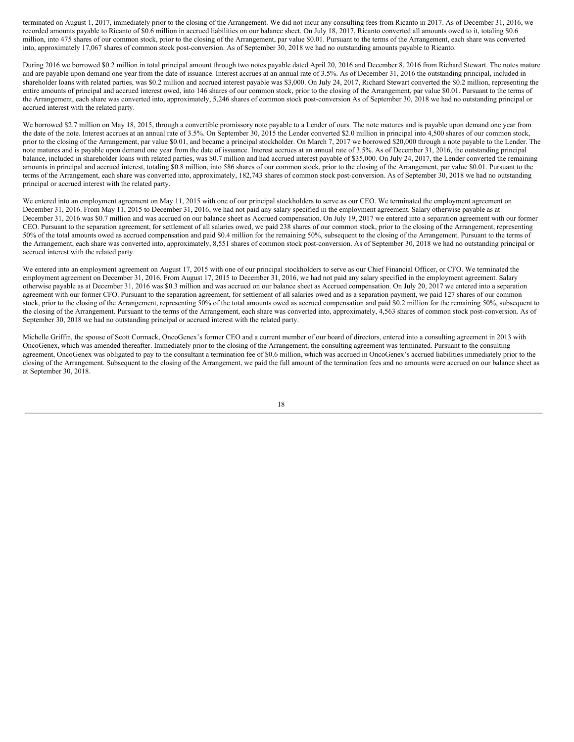terminated on August 1, 2017, immediately prior to the closing of the Arrangement. We did not incur any consulting fees from Ricanto in 2017. As of December 31, 2016, we recorded amounts payable to Ricanto of \$0.6 million in accrued liabilities on our balance sheet. On July 18, 2017, Ricanto converted all amounts owed to it, totaling \$0.6 million, into 475 shares of our common stock, prior to the closing of the Arrangement, par value \$0.01. Pursuant to the terms of the Arrangement, each share was converted into, approximately 17,067 shares of common stock post-conversion. As of September 30, 2018 we had no outstanding amounts payable to Ricanto.

During 2016 we borrowed \$0.2 million in total principal amount through two notes payable dated April 20, 2016 and December 8, 2016 from Richard Stewart. The notes mature and are payable upon demand one year from the date of issuance. Interest accrues at an annual rate of 3.5%. As of December 31, 2016 the outstanding principal, included in shareholder loans with related parties, was \$0.2 million and accrued interest payable was \$3,000. On July 24, 2017, Richard Stewart converted the \$0.2 million, representing the entire amounts of principal and accrued interest owed, into 146 shares of our common stock, prior to the closing of the Arrangement, par value \$0.01. Pursuant to the terms of the Arrangement, each share was converted into, approximately, 5,246 shares of common stock post-conversion As of September 30, 2018 we had no outstanding principal or accrued interest with the related party.

We borrowed \$2.7 million on May 18, 2015, through a convertible promissory note payable to a Lender of ours. The note matures and is payable upon demand one year from the date of the note. Interest accrues at an annual rate of 3.5%. On September 30, 2015 the Lender converted \$2.0 million in principal into 4,500 shares of our common stock, prior to the closing of the Arrangement, par value \$0.01, and became a principal stockholder. On March 7, 2017 we borrowed \$20,000 through a note payable to the Lender. The note matures and is payable upon demand one year from the date of issuance. Interest accrues at an annual rate of 3.5%. As of December 31, 2016, the outstanding principal balance, included in shareholder loans with related parties, was \$0.7 million and had accrued interest payable of \$35,000. On July 24, 2017, the Lender converted the remaining amounts in principal and accrued interest, totaling \$0.8 million, into 586 shares of our common stock, prior to the closing of the Arrangement, par value \$0.01. Pursuant to the terms of the Arrangement, each share was converted into, approximately, 182,743 shares of common stock post-conversion. As of September 30, 2018 we had no outstanding principal or accrued interest with the related party.

We entered into an employment agreement on May 11, 2015 with one of our principal stockholders to serve as our CEO. We terminated the employment agreement on December 31, 2016. From May 11, 2015 to December 31, 2016, we had not paid any salary specified in the employment agreement. Salary otherwise payable as at December 31, 2016 was \$0.7 million and was accrued on our balance sheet as Accrued compensation. On July 19, 2017 we entered into a separation agreement with our former CEO. Pursuant to the separation agreement, for settlement of all salaries owed, we paid 238 shares of our common stock, prior to the closing of the Arrangement, representing 50% of the total amounts owed as accrued compensation and paid \$0.4 million for the remaining 50%, subsequent to the closing of the Arrangement. Pursuant to the terms of the Arrangement, each share was converted into, approximately, 8,551 shares of common stock post-conversion. As of September 30, 2018 we had no outstanding principal or accrued interest with the related party.

We entered into an employment agreement on August 17, 2015 with one of our principal stockholders to serve as our Chief Financial Officer, or CFO. We terminated the employment agreement on December 31, 2016. From August 17, 2015 to December 31, 2016, we had not paid any salary specified in the employment agreement. Salary otherwise payable as at December 31, 2016 was \$0.3 million and was accrued on our balance sheet as Accrued compensation. On July 20, 2017 we entered into a separation agreement with our former CFO. Pursuant to the separation agreement, for settlement of all salaries owed and as a separation payment, we paid 127 shares of our common stock, prior to the closing of the Arrangement, representing 50% of the total amounts owed as accrued compensation and paid \$0.2 million for the remaining 50%, subsequent to the closing of the Arrangement. Pursuant to the terms of the Arrangement, each share was converted into, approximately, 4,563 shares of common stock post-conversion. As of September 30, 2018 we had no outstanding principal or accrued interest with the related party.

Michelle Griffin, the spouse of Scott Cormack, OncoGenex's former CEO and a current member of our board of directors, entered into a consulting agreement in 2013 with OncoGenex, which was amended thereafter. Immediately prior to the closing of the Arrangement, the consulting agreement was terminated. Pursuant to the consulting agreement, OncoGenex was obligated to pay to the consultant a termination fee of \$0.6 million, which was accrued in OncoGenex's accrued liabilities immediately prior to the closing of the Arrangement. Subsequent to the closing of the Arrangement, we paid the full amount of the termination fees and no amounts were accrued on our balance sheet as at September 30, 2018.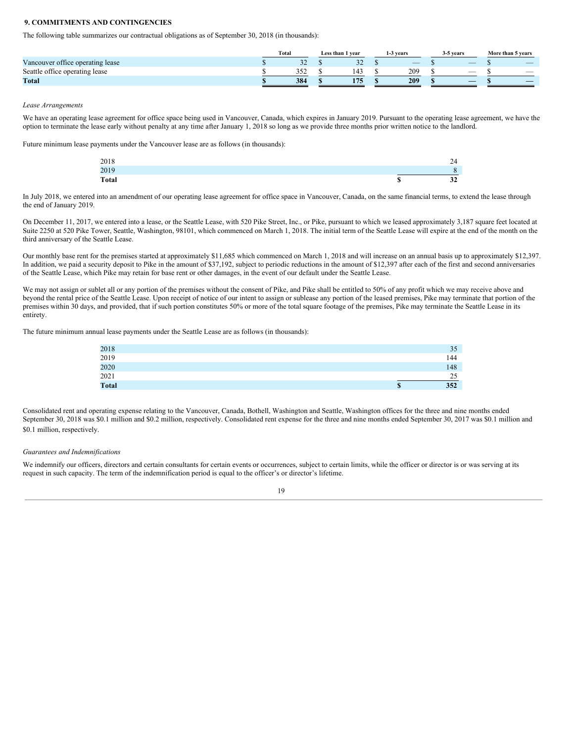#### **9. COMMITMENTS AND CONTINGENCIES**

The following table summarizes our contractual obligations as of September 30, 2018 (in thousands):

|                                               | <b>Total</b> |               | Less than 1 vear | 1-3 vears                | 3-5 vears                | More than 5 years        |
|-----------------------------------------------|--------------|---------------|------------------|--------------------------|--------------------------|--------------------------|
| <b>TT</b><br>Vancouver office operating lease |              | $\sim$<br>ے ر | $\sim$<br>ے ر    | $\overline{\phantom{a}}$ | $\overline{\phantom{a}}$ | $\overline{\phantom{a}}$ |
| Seattle office operating lease                |              | າເາ<br>ے ب    | 143              | 209                      | $\overline{\phantom{a}}$ | $\overline{\phantom{a}}$ |
| <b>Total</b>                                  |              | 384           | 175              | 209                      |                          | _                        |

#### *Lease Arrangements*

We have an operating lease agreement for office space being used in Vancouver, Canada, which expires in January 2019. Pursuant to the operating lease agreement, we have the option to terminate the lease early without penalty at any time after January 1, 2018 so long as we provide three months prior written notice to the landlord.

Future minimum lease payments under the Vancouver lease are as follows (in thousands):

| 2018         |                        | 24 |
|--------------|------------------------|----|
| 2019         |                        | O  |
| <b>Total</b> | $\sqrt{2}$<br><b>D</b> | 32 |

In July 2018, we entered into an amendment of our operating lease agreement for office space in Vancouver, Canada, on the same financial terms, to extend the lease through the end of January 2019.

On December 11, 2017, we entered into a lease, or the Seattle Lease, with 520 Pike Street, Inc., or Pike, pursuant to which we leased approximately 3,187 square feet located at Suite 2250 at 520 Pike Tower, Seattle, Washington, 98101, which commenced on March 1, 2018. The initial term of the Seattle Lease will expire at the end of the month on the third anniversary of the Seattle Lease.

Our monthly base rent for the premises started at approximately \$11,685 which commenced on March 1, 2018 and will increase on an annual basis up to approximately \$12,397. In addition, we paid a security deposit to Pike in the amount of \$37,192, subject to periodic reductions in the amount of \$12,397 after each of the first and second anniversaries of the Seattle Lease, which Pike may retain for base rent or other damages, in the event of our default under the Seattle Lease.

We may not assign or sublet all or any portion of the premises without the consent of Pike, and Pike shall be entitled to 50% of any profit which we may receive above and beyond the rental price of the Seattle Lease. Upon receipt of notice of our intent to assign or sublease any portion of the leased premises, Pike may terminate that portion of the premises within 30 days, and provided, that if such portion constitutes 50% or more of the total square footage of the premises, Pike may terminate the Seattle Lease in its entirety.

The future minimum annual lease payments under the Seattle Lease are as follows (in thousands):

|                     | 35        |
|---------------------|-----------|
| $\frac{2018}{2019}$ | 144       |
| 2020                | 148       |
| 2021                | 25        |
| <b>Total</b>        | \$<br>352 |

Consolidated rent and operating expense relating to the Vancouver, Canada, Bothell, Washington and Seattle, Washington offices for the three and nine months ended September 30, 2018 was \$0.1 million and \$0.2 million, respectively. Consolidated rent expense for the three and nine months ended September 30, 2017 was \$0.1 million and \$0.1 million, respectively.

#### *Guarantees and Indemnifications*

We indemnify our officers, directors and certain consultants for certain events or occurrences, subject to certain limits, while the officer or director is or was serving at its request in such capacity. The term of the indemnification period is equal to the officer's or director's lifetime.

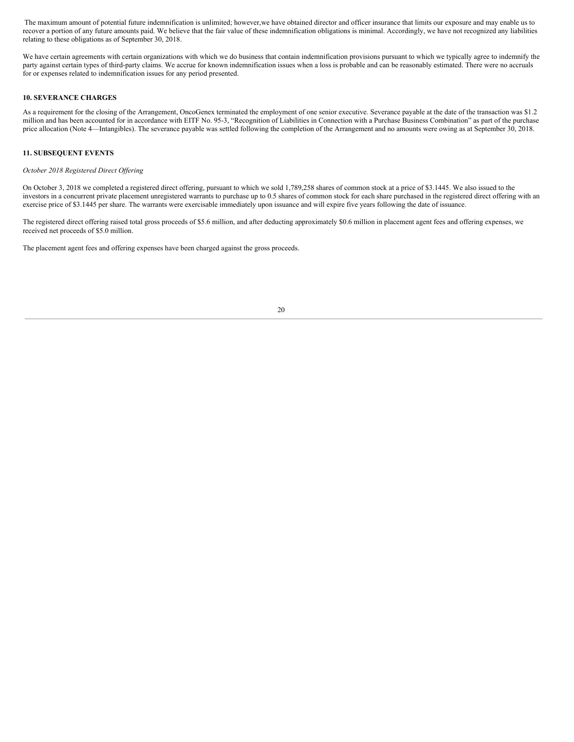The maximum amount of potential future indemnification is unlimited; however,we have obtained director and officer insurance that limits our exposure and may enable us to recover a portion of any future amounts paid. We believe that the fair value of these indemnification obligations is minimal. Accordingly, we have not recognized any liabilities relating to these obligations as of September 30, 2018.

We have certain agreements with certain organizations with which we do business that contain indemnification provisions pursuant to which we typically agree to indemnify the party against certain types of third-party claims. We accrue for known indemnification issues when a loss is probable and can be reasonably estimated. There were no accruals for or expenses related to indemnification issues for any period presented.

#### **10. SEVERANCE CHARGES**

As a requirement for the closing of the Arrangement, OncoGenex terminated the employment of one senior executive. Severance payable at the date of the transaction was \$1.2 million and has been accounted for in accordance with EITF No. 95-3, "Recognition of Liabilities in Connection with a Purchase Business Combination" as part of the purchase price allocation (Note 4—Intangibles). The severance payable was settled following the completion of the Arrangement and no amounts were owing as at September 30, 2018.

#### **11. SUBSEQUENT EVENTS**

#### *October 2018 Registered Direct Of ering*

On October 3, 2018 we completed a registered direct offering, pursuant to which we sold 1,789,258 shares of common stock at a price of \$3.1445. We also issued to the investors in a concurrent private placement unregistered warrants to purchase up to 0.5 shares of common stock for each share purchased in the registered direct offering with an exercise price of \$3.1445 per share. The warrants were exercisable immediately upon issuance and will expire five years following the date of issuance.

The registered direct offering raised total gross proceeds of \$5.6 million, and after deducting approximately \$0.6 million in placement agent fees and offering expenses, we received net proceeds of \$5.0 million.

The placement agent fees and offering expenses have been charged against the gross proceeds.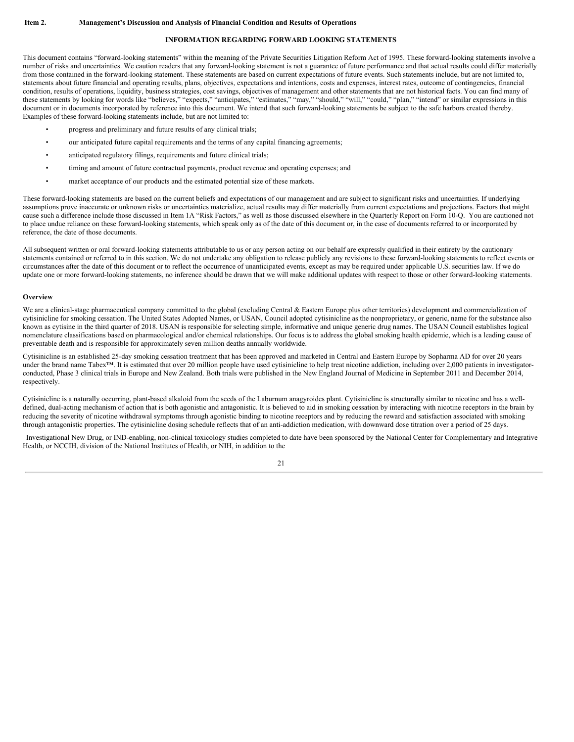#### **INFORMATION REGARDING FORWARD LOOKING STATEMENTS**

<span id="page-20-0"></span>This document contains "forward-looking statements" within the meaning of the Private Securities Litigation Reform Act of 1995. These forward-looking statements involve a number of risks and uncertainties. We caution readers that any forward-looking statement is not a guarantee of future performance and that actual results could differ materially from those contained in the forward-looking statement. These statements are based on current expectations of future events. Such statements include, but are not limited to, statements about future financial and operating results, plans, objectives, expectations and intentions, costs and expenses, interest rates, outcome of contingencies, financial condition, results of operations, liquidity, business strategies, cost savings, objectives of management and other statements that are not historical facts. You can find many of these statements by looking for words like "believes," "expects," "anticipates," "estimates," "may," "should," "will," "could," "plan," "intend" or similar expressions in this document or in documents incorporated by reference into this document. We intend that such forward-looking statements be subject to the safe harbors created thereby. Examples of these forward-looking statements include, but are not limited to:

- progress and preliminary and future results of any clinical trials;
- our anticipated future capital requirements and the terms of any capital financing agreements;
- anticipated regulatory filings, requirements and future clinical trials;
- timing and amount of future contractual payments, product revenue and operating expenses; and
- market acceptance of our products and the estimated potential size of these markets.

These forward-looking statements are based on the current beliefs and expectations of our management and are subject to significant risks and uncertainties. If underlying assumptions prove inaccurate or unknown risks or uncertainties materialize, actual results may differ materially from current expectations and projections. Factors that might cause such a difference include those discussed in Item 1A "Risk Factors," as well as those discussed elsewhere in the Quarterly Report on Form 10-Q. You are cautioned not to place undue reliance on these forward-looking statements, which speak only as of the date of this document or, in the case of documents referred to or incorporated by reference, the date of those documents.

All subsequent written or oral forward-looking statements attributable to us or any person acting on our behalf are expressly qualified in their entirety by the cautionary statements contained or referred to in this section. We do not undertake any obligation to release publicly any revisions to these forward-looking statements to reflect events or circumstances after the date of this document or to reflect the occurrence of unanticipated events, except as may be required under applicable U.S. securities law. If we do update one or more forward-looking statements, no inference should be drawn that we will make additional updates with respect to those or other forward-looking statements.

#### **Overview**

We are a clinical-stage pharmaceutical company committed to the global (excluding Central & Eastern Europe plus other territories) development and commercialization of cytisinicline for smoking cessation. The United States Adopted Names, or USAN, Council adopted cytisinicline as the nonproprietary, or generic, name for the substance also known as cytisine in the third quarter of 2018. USAN is responsible for selecting simple, informative and unique generic drug names. The USAN Council establishes logical nomenclature classifications based on pharmacological and/or chemical relationships. Our focus is to address the global smoking health epidemic, which is a leading cause of preventable death and is responsible for approximately seven million deaths annually worldwide.

Cytisinicline is an established 25-day smoking cessation treatment that has been approved and marketed in Central and Eastern Europe by Sopharma AD for over 20 years under the brand name Tabex™. It is estimated that over 20 million people have used cytisinicline to help treat nicotine addiction, including over 2,000 patients in investigatorconducted, Phase 3 clinical trials in Europe and New Zealand. Both trials were published in the New England Journal of Medicine in September 2011 and December 2014, respectively.

Cytisinicline is a naturally occurring, plant-based alkaloid from the seeds of the Laburnum anagyroides plant. Cytisinicline is structurally similar to nicotine and has a welldefined, dual-acting mechanism of action that is both agonistic and antagonistic. It is believed to aid in smoking cessation by interacting with nicotine receptors in the brain by reducing the severity of nicotine withdrawal symptoms through agonistic binding to nicotine receptors and by reducing the reward and satisfaction associated with smoking through antagonistic properties. The cytisinicline dosing schedule reflects that of an anti-addiction medication, with downward dose titration over a period of 25 days.

Investigational New Drug, or IND-enabling, non-clinical toxicology studies completed to date have been sponsored by the National Center for Complementary and Integrative Health, or NCCIH, division of the National Institutes of Health, or NIH, in addition to the

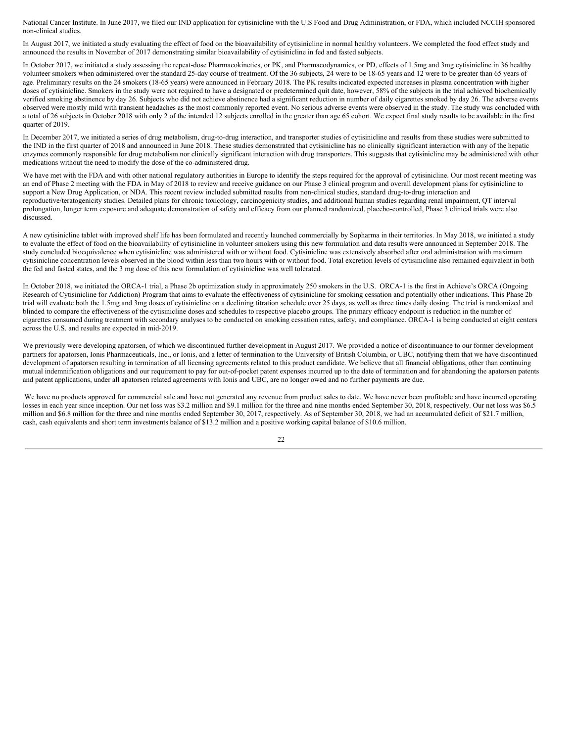National Cancer Institute. In June 2017, we filed our IND application for cytisinicline with the U.S Food and Drug Administration, or FDA, which included NCCIH sponsored non-clinical studies.

In August 2017, we initiated a study evaluating the effect of food on the bioavailability of cytisinicline in normal healthy volunteers. We completed the food effect study and announced the results in November of 2017 demonstrating similar bioavailability of cytisinicline in fed and fasted subjects.

In October 2017, we initiated a study assessing the repeat-dose Pharmacokinetics, or PK, and Pharmacodynamics, or PD, effects of 1.5mg and 3mg cytisinicline in 36 healthy volunteer smokers when administered over the standard 25-day course of treatment. Of the 36 subjects, 24 were to be 18-65 years and 12 were to be greater than 65 years of age. Preliminary results on the 24 smokers (18-65 years) were announced in February 2018. The PK results indicated expected increases in plasma concentration with higher doses of cytisinicline. Smokers in the study were not required to have a designated or predetermined quit date, however, 58% of the subjects in the trial achieved biochemically verified smoking abstinence by day 26. Subjects who did not achieve abstinence had a significant reduction in number of daily cigarettes smoked by day 26. The adverse events observed were mostly mild with transient headaches as the most commonly reported event. No serious adverse events were observed in the study. The study was concluded with a total of 26 subjects in October 2018 with only 2 of the intended 12 subjects enrolled in the greater than age 65 cohort. We expect final study results to be available in the first quarter of 2019.

In December 2017, we initiated a series of drug metabolism, drug-to-drug interaction, and transporter studies of cytisinicline and results from these studies were submitted to the IND in the first quarter of 2018 and announced in June 2018. These studies demonstrated that cytisinicline has no clinically significant interaction with any of the hepatic enzymes commonly responsible for drug metabolism nor clinically significant interaction with drug transporters. This suggests that cytisinicline may be administered with other medications without the need to modify the dose of the co-administered drug.

We have met with the FDA and with other national regulatory authorities in Europe to identify the steps required for the approval of cytisinicline. Our most recent meeting was an end of Phase 2 meeting with the FDA in May of 2018 to review and receive guidance on our Phase 3 clinical program and overall development plans for cytisinicline to support a New Drug Application, or NDA. This recent review included submitted results from non-clinical studies, standard drug-to-drug interaction and reproductive/teratogenicity studies. Detailed plans for chronic toxicology, carcinogenicity studies, and additional human studies regarding renal impairment, QT interval prolongation, longer term exposure and adequate demonstration of safety and efficacy from our planned randomized, placebo-controlled, Phase 3 clinical trials were also discussed.

A new cytisinicline tablet with improved shelf life has been formulated and recently launched commercially by Sopharma in their territories. In May 2018, we initiated a study to evaluate the effect of food on the bioavailability of cytisinicline in volunteer smokers using this new formulation and data results were announced in September 2018. The study concluded bioequivalence when cytisinicline was administered with or without food. Cytisinicline was extensively absorbed after oral administration with maximum cytisinicline concentration levels observed in the blood within less than two hours with or without food. Total excretion levels of cytisinicline also remained equivalent in both the fed and fasted states, and the 3 mg dose of this new formulation of cytisinicline was well tolerated.

In October 2018, we initiated the ORCA-1 trial, a Phase 2b optimization study in approximately 250 smokers in the U.S. ORCA-1 is the first in Achieve's ORCA (Ongoing Research of Cytisinicline for Addiction) Program that aims to evaluate the effectiveness of cytisinicline for smoking cessation and potentially other indications. This Phase 2b trial will evaluate both the 1.5mg and 3mg doses of cytisinicline on a declining titration schedule over 25 days, as well as three times daily dosing. The trial is randomized and blinded to compare the effectiveness of the cytisinicline doses and schedules to respective placebo groups. The primary efficacy endpoint is reduction in the number of cigarettes consumed during treatment with secondary analyses to be conducted on smoking cessation rates, safety, and compliance. ORCA-1 is being conducted at eight centers across the U.S. and results are expected in mid-2019.

We previously were developing apatorsen, of which we discontinued further development in August 2017. We provided a notice of discontinuance to our former development partners for apatorsen, Ionis Pharmaceuticals, Inc., or Ionis, and a letter of termination to the University of British Columbia, or UBC, notifying them that we have discontinued development of apatorsen resulting in termination of all licensing agreements related to this product candidate. We believe that all financial obligations, other than continuing mutual indemnification obligations and our requirement to pay for out-of-pocket patent expenses incurred up to the date of termination and for abandoning the apatorsen patents and patent applications, under all apatorsen related agreements with Ionis and UBC, are no longer owed and no further payments are due.

We have no products approved for commercial sale and have not generated any revenue from product sales to date. We have never been profitable and have incurred operating losses in each year since inception. Our net loss was \$3.2 million and \$9.1 million for the three and nine months ended September 30, 2018, respectively. Our net loss was \$6.5 million and \$6.8 million for the three and nine months ended September 30, 2017, respectively. As of September 30, 2018, we had an accumulated deficit of \$21.7 million, cash, cash equivalents and short term investments balance of \$13.2 million and a positive working capital balance of \$10.6 million.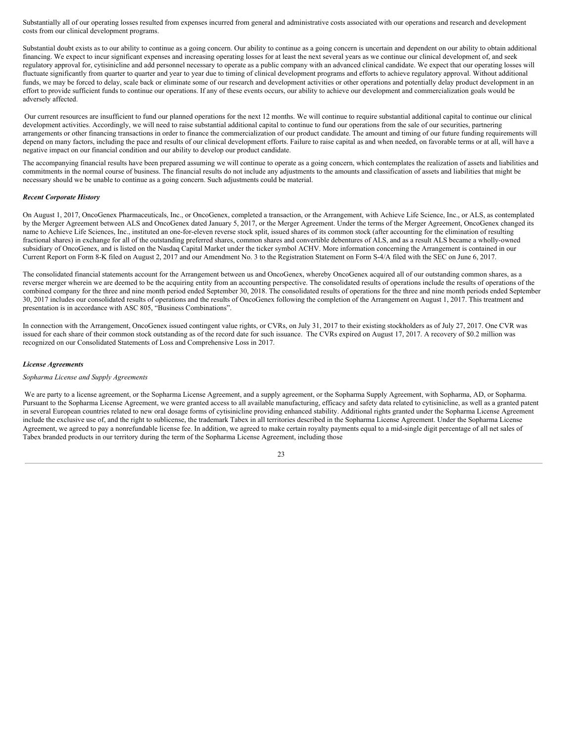Substantially all of our operating losses resulted from expenses incurred from general and administrative costs associated with our operations and research and development costs from our clinical development programs.

Substantial doubt exists as to our ability to continue as a going concern. Our ability to continue as a going concern is uncertain and dependent on our ability to obtain additional financing. We expect to incur significant expenses and increasing operating losses for at least the next several years as we continue our clinical development of, and seek regulatory approval for, cytisinicline and add personnel necessary to operate as a public company with an advanced clinical candidate. We expect that our operating losses will fluctuate significantly from quarter to quarter and year to year due to timing of clinical development programs and efforts to achieve regulatory approval. Without additional funds, we may be forced to delay, scale back or eliminate some of our research and development activities or other operations and potentially delay product development in an effort to provide sufficient funds to continue our operations. If any of these events occurs, our ability to achieve our development and commercialization goals would be adversely affected.

Our current resources are insufficient to fund our planned operations for the next 12 months. We will continue to require substantial additional capital to continue our clinical development activities. Accordingly, we will need to raise substantial additional capital to continue to fund our operations from the sale of our securities, partnering arrangements or other financing transactions in order to finance the commercialization of our product candidate. The amount and timing of our future funding requirements will depend on many factors, including the pace and results of our clinical development efforts. Failure to raise capital as and when needed, on favorable terms or at all, will have a negative impact on our financial condition and our ability to develop our product candidate.

The accompanying financial results have been prepared assuming we will continue to operate as a going concern, which contemplates the realization of assets and liabilities and commitments in the normal course of business. The financial results do not include any adjustments to the amounts and classification of assets and liabilities that might be necessary should we be unable to continue as a going concern. Such adjustments could be material.

#### *Recent Corporate History*

On August 1, 2017, OncoGenex Pharmaceuticals, Inc., or OncoGenex, completed a transaction, or the Arrangement, with Achieve Life Science, Inc., or ALS, as contemplated by the Merger Agreement between ALS and OncoGenex dated January 5, 2017, or the Merger Agreement. Under the terms of the Merger Agreement, OncoGenex changed its name to Achieve Life Sciences, Inc., instituted an one-for-eleven reverse stock split, issued shares of its common stock (after accounting for the elimination of resulting fractional shares) in exchange for all of the outstanding preferred shares, common shares and convertible debentures of ALS, and as a result ALS became a wholly-owned subsidiary of OncoGenex, and is listed on the Nasdaq Capital Market under the ticker symbol ACHV. More information concerning the Arrangement is contained in our Current Report on Form 8-K filed on August 2, 2017 and our Amendment No. 3 to the Registration Statement on Form S-4/A filed with the SEC on June 6, 2017.

The consolidated financial statements account for the Arrangement between us and OncoGenex, whereby OncoGenex acquired all of our outstanding common shares, as a reverse merger wherein we are deemed to be the acquiring entity from an accounting perspective. The consolidated results of operations include the results of operations of the combined company for the three and nine month period ended September 30, 2018. The consolidated results of operations for the three and nine month periods ended September 30, 2017 includes our consolidated results of operations and the results of OncoGenex following the completion of the Arrangement on August 1, 2017. This treatment and presentation is in accordance with ASC 805, "Business Combinations".

In connection with the Arrangement, OncoGenex issued contingent value rights, or CVRs, on July 31, 2017 to their existing stockholders as of July 27, 2017. One CVR was issued for each share of their common stock outstanding as of the record date for such issuance. The CVRs expired on August 17, 2017. A recovery of \$0.2 million was recognized on our Consolidated Statements of Loss and Comprehensive Loss in 2017.

#### *License Agreements*

#### *Sopharma License and Supply Agreements*

We are party to a license agreement, or the Sopharma License Agreement, and a supply agreement, or the Sopharma Supply Agreement, with Sopharma, AD, or Sopharma. Pursuant to the Sopharma License Agreement, we were granted access to all available manufacturing, efficacy and safety data related to cytisinicline, as well as a granted patent in several European countries related to new oral dosage forms of cytisinicline providing enhanced stability. Additional rights granted under the Sopharma License Agreement include the exclusive use of, and the right to sublicense, the trademark Tabex in all territories described in the Sopharma License Agreement. Under the Sopharma License Agreement, we agreed to pay a nonrefundable license fee. In addition, we agreed to make certain royalty payments equal to a mid-single digit percentage of all net sales of Tabex branded products in our territory during the term of the Sopharma License Agreement, including those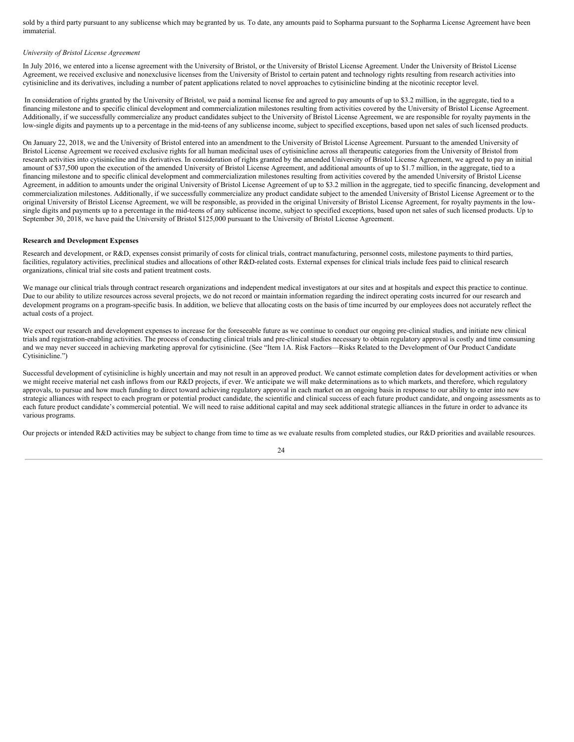sold by a third party pursuant to any sublicense which may begranted by us. To date, any amounts paid to Sopharma pursuant to the Sopharma License Agreement have been immaterial.

#### *University of Bristol License Agreement*

In July 2016, we entered into a license agreement with the University of Bristol, or the University of Bristol License Agreement. Under the University of Bristol License Agreement, we received exclusive and nonexclusive licenses from the University of Bristol to certain patent and technology rights resulting from research activities into cytisinicline and its derivatives, including a number of patent applications related to novel approaches to cytisinicline binding at the nicotinic receptor level.

In consideration of rights granted by the University of Bristol, we paid a nominal license fee and agreed to pay amounts of up to \$3.2 million, in the aggregate, tied to a financing milestone and to specific clinical development and commercialization milestones resulting from activities covered by the University of Bristol License Agreement. Additionally, if we successfully commercialize any product candidates subject to the University of Bristol License Agreement, we are responsible for royalty payments in the low-single digits and payments up to a percentage in the mid-teens of any sublicense income, subject to specified exceptions, based upon net sales of such licensed products.

On January 22, 2018, we and the University of Bristol entered into an amendment to the University of Bristol License Agreement. Pursuant to the amended University of Bristol License Agreement we received exclusive rights for all human medicinal uses of cytisinicline across all therapeutic categories from the University of Bristol from research activities into cytisinicline and its derivatives. In consideration of rights granted by the amended University of Bristol License Agreement, we agreed to pay an initial amount of \$37,500 upon the execution of the amended University of Bristol License Agreement, and additional amounts of up to \$1.7 million, in the aggregate, tied to a financing milestone and to specific clinical development and commercialization milestones resulting from activities covered by the amended University of Bristol License Agreement, in addition to amounts under the original University of Bristol License Agreement of up to \$3.2 million in the aggregate, tied to specific financing, development and commercialization milestones. Additionally, if we successfully commercialize any product candidate subject to the amended University of Bristol License Agreement or to the original University of Bristol License Agreement, we will be responsible, as provided in the original University of Bristol License Agreement, for royalty payments in the lowsingle digits and payments up to a percentage in the mid-teens of any sublicense income, subject to specified exceptions, based upon net sales of such licensed products. Up to September 30, 2018, we have paid the University of Bristol \$125,000 pursuant to the University of Bristol License Agreement.

#### **Research and Development Expenses**

Research and development, or R&D, expenses consist primarily of costs for clinical trials, contract manufacturing, personnel costs, milestone payments to third parties, facilities, regulatory activities, preclinical studies and allocations of other R&D-related costs. External expenses for clinical trials include fees paid to clinical research organizations, clinical trial site costs and patient treatment costs.

We manage our clinical trials through contract research organizations and independent medical investigators at our sites and at hospitals and expect this practice to continue. Due to our ability to utilize resources across several projects, we do not record or maintain information regarding the indirect operating costs incurred for our research and development programs on a program-specific basis. In addition, we believe that allocating costs on the basis of time incurred by our employees does not accurately reflect the actual costs of a project.

We expect our research and development expenses to increase for the foreseeable future as we continue to conduct our ongoing pre-clinical studies, and initiate new clinical trials and registration-enabling activities. The process of conducting clinical trials and pre-clinical studies necessary to obtain regulatory approval is costly and time consuming and we may never succeed in achieving marketing approval for cytisinicline. (See "Item 1A. Risk Factors—Risks Related to the Development of Our Product Candidate Cytisinicline.")

Successful development of cytisinicline is highly uncertain and may not result in an approved product. We cannot estimate completion dates for development activities or when we might receive material net cash inflows from our R&D projects, if ever. We anticipate we will make determinations as to which markets, and therefore, which regulatory approvals, to pursue and how much funding to direct toward achieving regulatory approval in each market on an ongoing basis in response to our ability to enter into new strategic alliances with respect to each program or potential product candidate, the scientific and clinical success of each future product candidate, and ongoing assessments as to each future product candidate's commercial potential. We will need to raise additional capital and may seek additional strategic alliances in the future in order to advance its various programs.

Our projects or intended R&D activities may be subject to change from time to time as we evaluate results from completed studies, our R&D priorities and available resources.

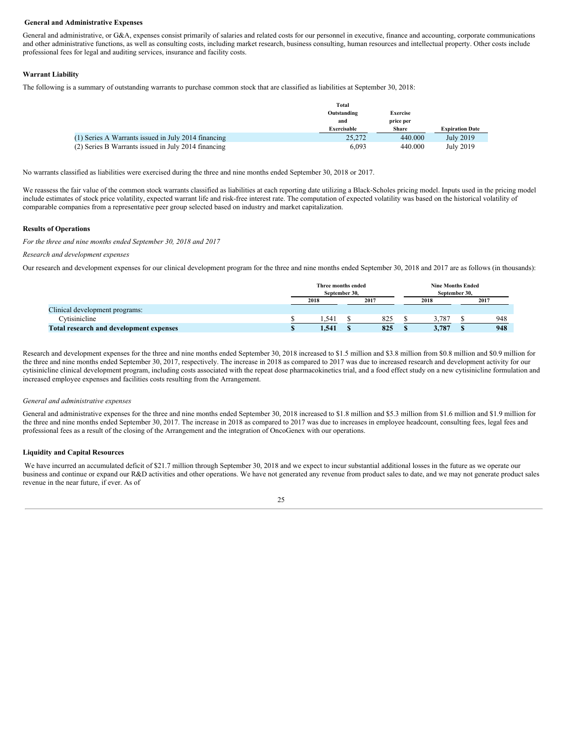#### **General and Administrative Expenses**

General and administrative, or G&A, expenses consist primarily of salaries and related costs for our personnel in executive, finance and accounting, corporate communications and other administrative functions, as well as consulting costs, including market research, business consulting, human resources and intellectual property. Other costs include professional fees for legal and auditing services, insurance and facility costs.

#### **Warrant Liability**

The following is a summary of outstanding warrants to purchase common stock that are classified as liabilities at September 30, 2018:

|                                                     | <b>Total</b>       |                 |                        |
|-----------------------------------------------------|--------------------|-----------------|------------------------|
|                                                     | Outstanding        | <b>Exercise</b> |                        |
|                                                     | and                | price per       |                        |
|                                                     | <b>Exercisable</b> | <b>Share</b>    | <b>Expiration Date</b> |
| (1) Series A Warrants issued in July 2014 financing | 25,272             | 440.000         | July 2019              |
| (2) Series B Warrants issued in July 2014 financing | 6.093              | 440.000         | July 2019              |

No warrants classified as liabilities were exercised during the three and nine months ended September 30, 2018 or 2017.

We reassess the fair value of the common stock warrants classified as liabilities at each reporting date utilizing a Black-Scholes pricing model. Inputs used in the pricing model include estimates of stock price volatility, expected warrant life and risk-free interest rate. The computation of expected volatility was based on the historical volatility of comparable companies from a representative peer group selected based on industry and market capitalization.

#### **Results of Operations**

*For the three and nine months ended September 30, 2018 and 2017*

#### *Research and development expenses*

Our research and development expenses for our clinical development program for the three and nine months ended September 30, 2018 and 2017 are as follows (in thousands):

|                                                | Three months ended<br>September 30, |       |      |     | <b>Nine Months Ended</b><br>September 30, |       |      |     |  |
|------------------------------------------------|-------------------------------------|-------|------|-----|-------------------------------------------|-------|------|-----|--|
|                                                | 2018                                |       | 2017 |     | 2018                                      |       | 2017 |     |  |
| Clinical development programs:                 |                                     |       |      |     |                                           |       |      |     |  |
| Cytisinicline                                  |                                     | . 541 |      | 825 |                                           | 3.787 |      | 948 |  |
| <b>Total research and development expenses</b> |                                     | 1.541 |      | 825 |                                           | 3,787 |      | 948 |  |

Research and development expenses for the three and nine months ended September 30, 2018 increased to \$1.5 million and \$3.8 million from \$0.8 million and \$0.9 million for the three and nine months ended September 30, 2017, respectively. The increase in 2018 as compared to 2017 was due to increased research and development activity for our cytisinicline clinical development program, including costs associated with the repeat dose pharmacokinetics trial, and a food effect study on a new cytisinicline formulation and increased employee expenses and facilities costs resulting from the Arrangement.

#### *General and administrative expenses*

General and administrative expenses for the three and nine months ended September 30, 2018 increased to \$1.8 million and \$5.3 million from \$1.6 million and \$1.9 million for the three and nine months ended September 30, 2017. The increase in 2018 as compared to 2017 was due to increases in employee headcount, consulting fees, legal fees and professional fees as a result of the closing of the Arrangement and the integration of OncoGenex with our operations.

#### **Liquidity and Capital Resources**

We have incurred an accumulated deficit of \$21.7 million through September 30, 2018 and we expect to incur substantial additional losses in the future as we operate our business and continue or expand our R&D activities and other operations. We have not generated any revenue from product sales to date, and we may not generate product sales revenue in the near future, if ever. As of

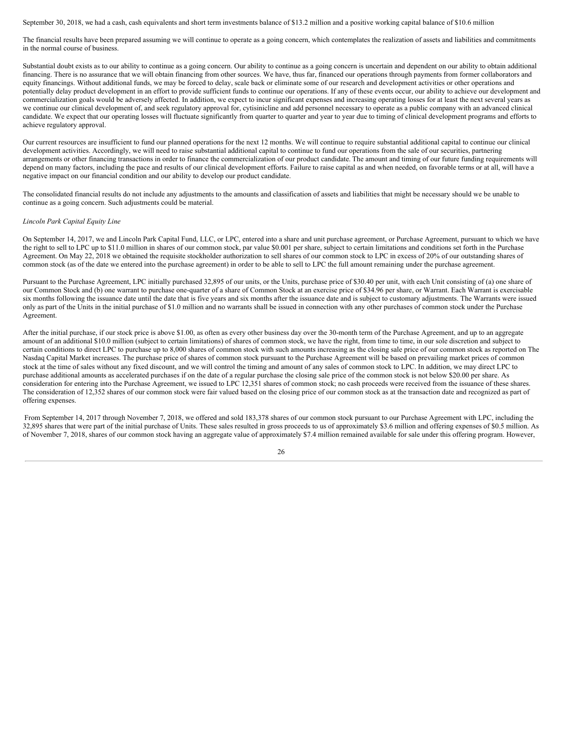September 30, 2018, we had a cash, cash equivalents and short term investments balance of \$13.2 million and a positive working capital balance of \$10.6 million

The financial results have been prepared assuming we will continue to operate as a going concern, which contemplates the realization of assets and liabilities and commitments in the normal course of business.

Substantial doubt exists as to our ability to continue as a going concern. Our ability to continue as a going concern is uncertain and dependent on our ability to obtain additional financing. There is no assurance that we will obtain financing from other sources. We have, thus far, financed our operations through payments from former collaborators and equity financings. Without additional funds, we may be forced to delay, scale back or eliminate some of our research and development activities or other operations and potentially delay product development in an effort to provide sufficient funds to continue our operations. If any of these events occur, our ability to achieve our development and commercialization goals would be adversely affected. In addition, we expect to incur significant expenses and increasing operating losses for at least the next several years as we continue our clinical development of, and seek regulatory approval for, cytisinicline and add personnel necessary to operate as a public company with an advanced clinical candidate. We expect that our operating losses will fluctuate significantly from quarter to quarter and year to year due to timing of clinical development programs and efforts to achieve regulatory approval.

Our current resources are insufficient to fund our planned operations for the next 12 months. We will continue to require substantial additional capital to continue our clinical development activities. Accordingly, we will need to raise substantial additional capital to continue to fund our operations from the sale of our securities, partnering arrangements or other financing transactions in order to finance the commercialization of our product candidate. The amount and timing of our future funding requirements will depend on many factors, including the pace and results of our clinical development efforts. Failure to raise capital as and when needed, on favorable terms or at all, will have a negative impact on our financial condition and our ability to develop our product candidate.

The consolidated financial results do not include any adjustments to the amounts and classification of assets and liabilities that might be necessary should we be unable to continue as a going concern. Such adjustments could be material.

#### *Lincoln Park Capital Equity Line*

On September 14, 2017, we and Lincoln Park Capital Fund, LLC, or LPC, entered into a share and unit purchase agreement, or Purchase Agreement, pursuant to which we have the right to sell to LPC up to \$11.0 million in shares of our common stock, par value \$0.001 per share, subject to certain limitations and conditions set forth in the Purchase Agreement. On May 22, 2018 we obtained the requisite stockholder authorization to sell shares of our common stock to LPC in excess of 20% of our outstanding shares of common stock (as of the date we entered into the purchase agreement) in order to be able to sell to LPC the full amount remaining under the purchase agreement.

Pursuant to the Purchase Agreement, LPC initially purchased 32,895 of our units, or the Units, purchase price of \$30.40 per unit, with each Unit consisting of (a) one share of our Common Stock and (b) one warrant to purchase one-quarter of a share of Common Stock at an exercise price of \$34.96 per share, or Warrant. Each Warrant is exercisable six months following the issuance date until the date that is five years and six months after the issuance date and is subject to customary adjustments. The Warrants were issued only as part of the Units in the initial purchase of \$1.0 million and no warrants shall be issued in connection with any other purchases of common stock under the Purchase Agreement.

After the initial purchase, if our stock price is above \$1.00, as often as every other business day over the 30-month term of the Purchase Agreement, and up to an aggregate amount of an additional \$10.0 million (subject to certain limitations) of shares of common stock, we have the right, from time to time, in our sole discretion and subject to certain conditions to direct LPC to purchase up to 8,000 shares of common stock with such amounts increasing as the closing sale price of our common stock as reported on The Nasdaq Capital Market increases. The purchase price of shares of common stock pursuant to the Purchase Agreement will be based on prevailing market prices of common stock at the time of sales without any fixed discount, and we will control the timing and amount of any sales of common stock to LPC. In addition, we may direct LPC to purchase additional amounts as accelerated purchases if on the date of a regular purchase the closing sale price of the common stock is not below \$20.00 per share. As consideration for entering into the Purchase Agreement, we issued to LPC 12,351 shares of common stock; no cash proceeds were received from the issuance of these shares. The consideration of 12,352 shares of our common stock were fair valued based on the closing price of our common stock as at the transaction date and recognized as part of offering expenses.

From September 14, 2017 through November 7, 2018, we offered and sold 183,378 shares of our common stock pursuant to our Purchase Agreement with LPC, including the 32,895 shares that were part of the initial purchase of Units. These sales resulted in gross proceeds to us of approximately \$3.6 million and offering expenses of \$0.5 million. As of November 7, 2018, shares of our common stock having an aggregate value of approximately \$7.4 million remained available for sale under this offering program. However,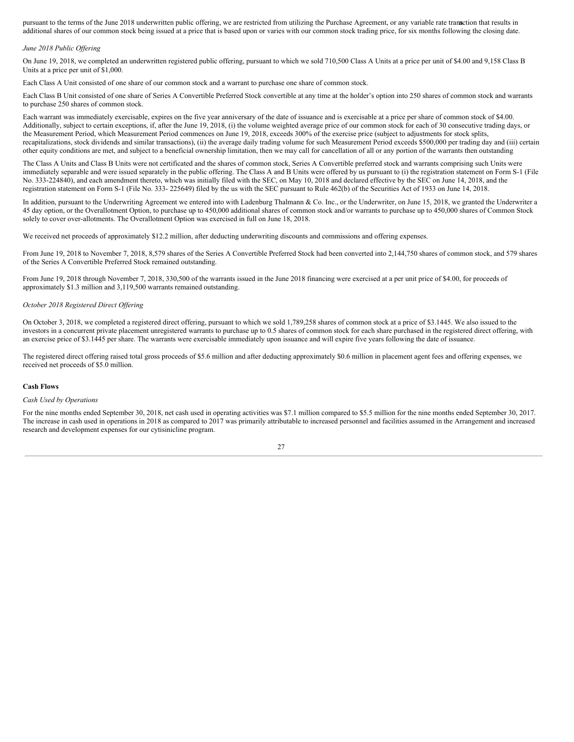pursuant to the terms of the June 2018 underwritten public offering, we are restricted from utilizing the Purchase Agreement, or any variable rate tranasction that results in additional shares of our common stock being issued at a price that is based upon or varies with our common stock trading price, for six months following the closing date.

#### *June 2018 Public Of ering*

On June 19, 2018, we completed an underwritten registered public offering, pursuant to which we sold 710,500 Class A Units at a price per unit of \$4.00 and 9,158 Class B Units at a price per unit of \$1,000.

Each Class A Unit consisted of one share of our common stock and a warrant to purchase one share of common stock.

Each Class B Unit consisted of one share of Series A Convertible Preferred Stock convertible at any time at the holder's option into 250 shares of common stock and warrants to purchase 250 shares of common stock.

Each warrant was immediately exercisable, expires on the five year anniversary of the date of issuance and is exercisable at a price per share of common stock of \$4.00. Additionally, subject to certain exceptions, if, after the June 19, 2018, (i) the volume weighted average price of our common stock for each of 30 consecutive trading days, or the Measurement Period, which Measurement Period commences on June 19, 2018, exceeds 300% of the exercise price (subject to adjustments for stock splits, recapitalizations, stock dividends and similar transactions), (ii) the average daily trading volume for such Measurement Period exceeds \$500,000 per trading day and (iii) certain other equity conditions are met, and subject to a beneficial ownership limitation, then we may call for cancellation of all or any portion of the warrants then outstanding

The Class A Units and Class B Units were not certificated and the shares of common stock, Series A Convertible preferred stock and warrants comprising such Units were immediately separable and were issued separately in the public offering. The Class A and B Units were offered by us pursuant to (i) the registration statement on Form S-1 (File No. 333-224840), and each amendment thereto, which was initially filed with the SEC, on May 10, 2018 and declared effective by the SEC on June 14, 2018, and the registration statement on Form S-1 (File No. 333- 225649) filed by the us with the SEC pursuant to Rule 462(b) of the Securities Act of 1933 on June 14, 2018.

In addition, pursuant to the Underwriting Agreement we entered into with Ladenburg Thalmann & Co. Inc., or the Underwriter, on June 15, 2018, we granted the Underwriter a 45 day option, or the Overallotment Option, to purchase up to 450,000 additional shares of common stock and/or warrants to purchase up to 450,000 shares of Common Stock solely to cover over-allotments. The Overallotment Option was exercised in full on June 18, 2018.

We received net proceeds of approximately \$12.2 million, after deducting underwriting discounts and commissions and offering expenses.

From June 19, 2018 to November 7, 2018, 8,579 shares of the Series A Convertible Preferred Stock had been converted into 2,144,750 shares of common stock, and 579 shares of the Series A Convertible Preferred Stock remained outstanding.

From June 19, 2018 through November 7, 2018, 330,500 of the warrants issued in the June 2018 financing were exercised at a per unit price of \$4.00, for proceeds of approximately \$1.3 million and 3,119,500 warrants remained outstanding.

#### *October 2018 Registered Direct Of ering*

On October 3, 2018, we completed a registered direct offering, pursuant to which we sold 1,789,258 shares of common stock at a price of \$3.1445. We also issued to the investors in a concurrent private placement unregistered warrants to purchase up to 0.5 shares of common stock for each share purchased in the registered direct offering, with an exercise price of \$3.1445 per share. The warrants were exercisable immediately upon issuance and will expire five years following the date of issuance.

The registered direct offering raised total gross proceeds of \$5.6 million and after deducting approximately \$0.6 million in placement agent fees and offering expenses, we received net proceeds of \$5.0 million.

#### **Cash Flows**

#### *Cash Used by Operations*

For the nine months ended September 30, 2018, net cash used in operating activities was \$7.1 million compared to \$5.5 million for the nine months ended September 30, 2017. The increase in cash used in operations in 2018 as compared to 2017 was primarily attributable to increased personnel and facilities assumed in the Arrangement and increased research and development expenses for our cytisinicline program.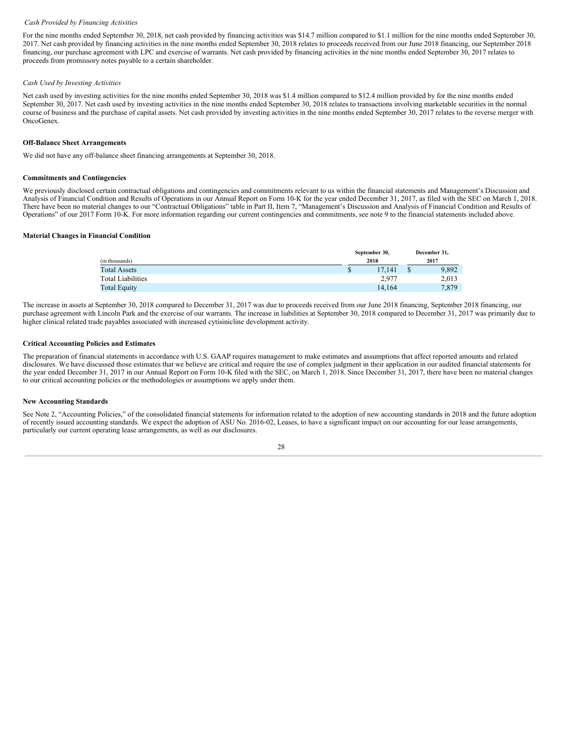#### *Cash Provided by Financing Activities*

For the nine months ended September 30, 2018, net cash provided by financing activities was \$14.7 million compared to \$1.1 million for the nine months ended September 30, 2017. Net cash provided by financing activities in the nine months ended September 30, 2018 relates to proceeds received from our June 2018 financing, our September 2018 financing, our purchase agreement with LPC and exercise of warrants. Net cash provided by financing activities in the nine months ended September 30, 2017 relates to proceeds from promissory notes payable to a certain shareholder.

#### *Cash Used by Investing Activities*

Net cash used by investing activities for the nine months ended September 30, 2018 was \$1.4 million compared to \$12.4 million provided by for the nine months ended September 30, 2017. Net cash used by investing activities in the nine months ended September 30, 2018 relates to transactions involving marketable securities in the normal course of business and the purchase of capital assets. Net cash provided by investing activities in the nine months ended September 30, 2017 relates to the reverse merger with OncoGenex.

#### **Off-Balance Sheet Arrangements**

We did not have any off-balance sheet financing arrangements at September 30, 2018.

#### **Commitments and Contingencies**

We previously disclosed certain contractual obligations and contingencies and commitments relevant to us within the financial statements and Management's Discussion and Analysis of Financial Condition and Results of Operations in our Annual Report on Form 10-K for the year ended December 31, 2017, as filed with the SEC on March 1, 2018. There have been no material changes to our "Contractual Obligations" table in Part II, Item 7, "Management's Discussion and Analysis of Financial Condition and Results of Operations" of our 2017 Form 10-K. For more information regarding our current contingencies and commitments, see note 9 to the financial statements included above.

#### **Material Changes in Financial Condition**

|                          | September 30, |      | December 31, |  |
|--------------------------|---------------|------|--------------|--|
| (in thousands)           | 2018          | 2017 |              |  |
| <b>Total Assets</b>      | \$<br>17.141  | ъ    | 9,892        |  |
| <b>Total Liabilities</b> | 2.977         |      | 2,013        |  |
| <b>Total Equity</b>      | 14.164        |      | 7,879        |  |

The increase in assets at September 30, 2018 compared to December 31, 2017 was due to proceeds received from our June 2018 financing, September 2018 financing, our purchase agreement with Lincoln Park and the exercise of our warrants. The increase in liabilities at September 30, 2018 compared to December 31, 2017 was primarily due to higher clinical related trade payables associated with increased cytisinicline development activity.

#### **Critical Accounting Policies and Estimates**

The preparation of financial statements in accordance with U.S. GAAP requires management to make estimates and assumptions that affect reported amounts and related disclosures. We have discussed those estimates that we believe are critical and require the use of complex judgment in their application in our audited financial statements for the year ended December 31, 2017 in our Annual Report on Form 10-K filed with the SEC, on March 1, 2018. Since December 31, 2017, there have been no material changes to our critical accounting policies or the methodologies or assumptions we apply under them.

#### **New Accounting Standards**

See Note 2, "Accounting Policies," of the consolidated financial statements for information related to the adoption of new accounting standards in 2018 and the future adoption of recently issued accounting standards. We expect the adoption of ASU No. 2016-02, Leases, to have a significant impact on our accounting for our lease arrangements, particularly our current operating lease arrangements, as well as our disclosures.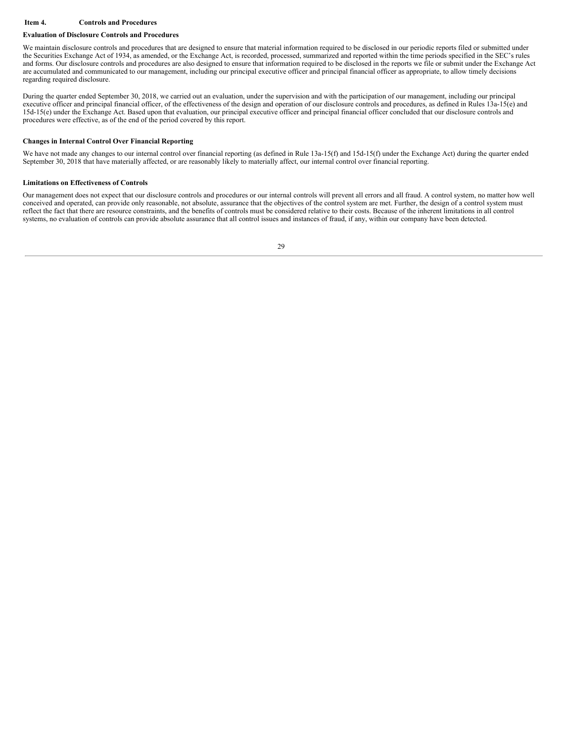#### <span id="page-28-0"></span>**Item 4. Controls and Procedures**

#### **Evaluation of Disclosure Controls and Procedures**

We maintain disclosure controls and procedures that are designed to ensure that material information required to be disclosed in our periodic reports filed or submitted under the Securities Exchange Act of 1934, as amended, or the Exchange Act, is recorded, processed, summarized and reported within the time periods specified in the SEC's rules and forms. Our disclosure controls and procedures are also designed to ensure that information required to be disclosed in the reports we file or submit under the Exchange Act are accumulated and communicated to our management, including our principal executive officer and principal financial officer as appropriate, to allow timely decisions regarding required disclosure.

During the quarter ended September 30, 2018, we carried out an evaluation, under the supervision and with the participation of our management, including our principal executive officer and principal financial officer, of the effectiveness of the design and operation of our disclosure controls and procedures, as defined in Rules 13a-15(e) and 15d-15(e) under the Exchange Act. Based upon that evaluation, our principal executive officer and principal financial officer concluded that our disclosure controls and procedures were effective, as of the end of the period covered by this report.

#### **Changes in Internal Control Over Financial Reporting**

We have not made any changes to our internal control over financial reporting (as defined in Rule 13a-15(f) and 15d-15(f) under the Exchange Act) during the quarter ended September 30, 2018 that have materially affected, or are reasonably likely to materially affect, our internal control over financial reporting.

#### **Limitations on Effectiveness of Controls**

Our management does not expect that our disclosure controls and procedures or our internal controls will prevent all errors and all fraud. A control system, no matter how well conceived and operated, can provide only reasonable, not absolute, assurance that the objectives of the control system are met. Further, the design of a control system must reflect the fact that there are resource constraints, and the benefits of controls must be considered relative to their costs. Because of the inherent limitations in all control systems, no evaluation of controls can provide absolute assurance that all control issues and instances of fraud, if any, within our company have been detected.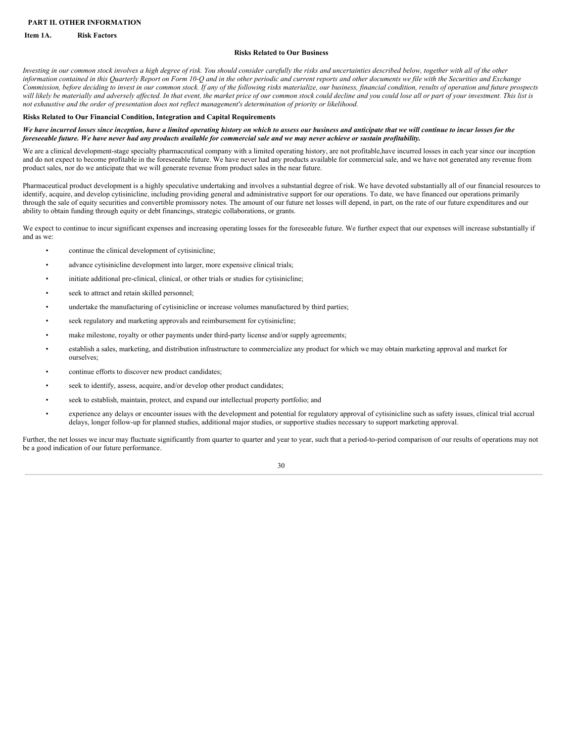#### <span id="page-29-0"></span>**PART II. OTHER INFORMATION**

#### <span id="page-29-1"></span>**Item 1A. Risk Factors**

#### **Risks Related to Our Business**

Investing in our common stock involves a high degree of risk. You should consider carefully the risks and uncertainties described below, together with all of the other information contained in this Quarterly Report on Form 10-Q and in the other periodic and current reports and other documents we file with the Securities and Exchange Commission, before deciding to invest in our common stock. If any of the following risks materialize, our business, financial condition, results of operation and future prospects will likely be materially and adversely affected. In that event, the market price of our common stock could decline and you could lose all or part of your investment. This list is not exhaustive and the order of presentation does not reflect management's determination of priority or likelihood.

#### **Risks Related to Our Financial Condition, Integration and Capital Requirements**

#### We have incurred losses since inception, have a limited operating history on which to assess our business and anticipate that we will continue to incur losses for the foreseeable future. We have never had any products available for commercial sale and we may never achieve or sustain profitability.

We are a clinical development-stage specialty pharmaceutical company with a limited operating history, are not profitable,have incurred losses in each year since our inception and do not expect to become profitable in the foreseeable future. We have never had any products available for commercial sale, and we have not generated any revenue from product sales, nor do we anticipate that we will generate revenue from product sales in the near future.

Pharmaceutical product development is a highly speculative undertaking and involves a substantial degree of risk. We have devoted substantially all of our financial resources to identify, acquire, and develop cytisinicline, including providing general and administrative support for our operations. To date, we have financed our operations primarily through the sale of equity securities and convertible promissory notes. The amount of our future net losses will depend, in part, on the rate of our future expenditures and our ability to obtain funding through equity or debt financings, strategic collaborations, or grants.

We expect to continue to incur significant expenses and increasing operating losses for the foreseeable future. We further expect that our expenses will increase substantially if and as we:

- continue the clinical development of cytisinicline;
- advance cytisinicline development into larger, more expensive clinical trials;
- initiate additional pre-clinical, clinical, or other trials or studies for cytisinicline;
- seek to attract and retain skilled personnel;
- undertake the manufacturing of cytisinicline or increase volumes manufactured by third parties;
- seek regulatory and marketing approvals and reimbursement for cytisinicline;
- make milestone, royalty or other payments under third-party license and/or supply agreements;
- establish a sales, marketing, and distribution infrastructure to commercialize any product for which we may obtain marketing approval and market for ourselves;
- continue efforts to discover new product candidates;
- seek to identify, assess, acquire, and/or develop other product candidates;
- seek to establish, maintain, protect, and expand our intellectual property portfolio; and
- experience any delays or encounter issues with the development and potential for regulatory approval of cytisinicline such as safety issues, clinical trial accrual delays, longer follow-up for planned studies, additional major studies, or supportive studies necessary to support marketing approval.

Further, the net losses we incur may fluctuate significantly from quarter to quarter and year to year, such that a period-to-period comparison of our results of operations may not be a good indication of our future performance.

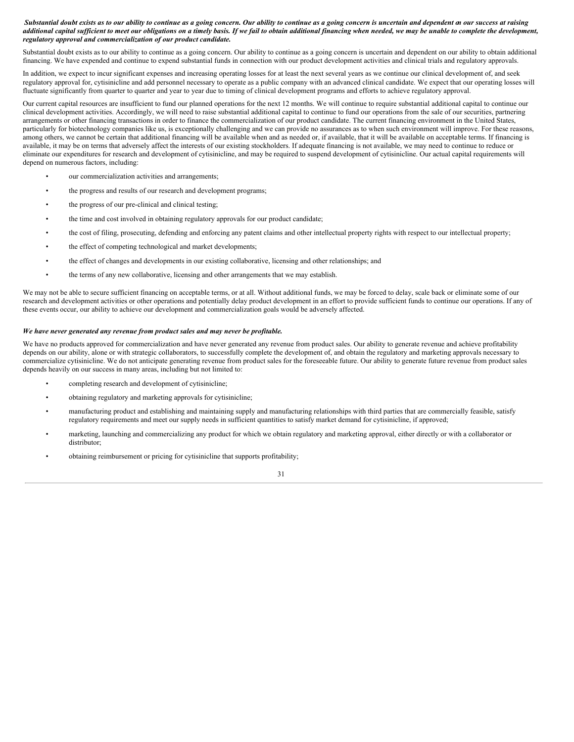#### Substantial doubt exists as to our ability to continue as a going concern. Our ability to continue as a going concern is uncertain and dependent on our success at raising additional capital sufficient to meet our obligations on a timely basis. If we fail to obtain additional financing when needed, we may be unable to complete the development, *regulatory approval and commercialization of our product candidate.*

Substantial doubt exists as to our ability to continue as a going concern. Our ability to continue as a going concern is uncertain and dependent on our ability to obtain additional financing. We have expended and continue to expend substantial funds in connection with our product development activities and clinical trials and regulatory approvals.

In addition, we expect to incur significant expenses and increasing operating losses for at least the next several years as we continue our clinical development of, and seek regulatory approval for, cytisinicline and add personnel necessary to operate as a public company with an advanced clinical candidate. We expect that our operating losses will fluctuate significantly from quarter to quarter and year to year due to timing of clinical development programs and efforts to achieve regulatory approval.

Our current capital resources are insufficient to fund our planned operations for the next 12 months. We will continue to require substantial additional capital to continue our clinical development activities. Accordingly, we will need to raise substantial additional capital to continue to fund our operations from the sale of our securities, partnering arrangements or other financing transactions in order to finance the commercialization of our product candidate. The current financing environment in the United States, particularly for biotechnology companies like us, is exceptionally challenging and we can provide no assurances as to when such environment will improve. For these reasons, among others, we cannot be certain that additional financing will be available when and as needed or, if available, that it will be available on acceptable terms. If financing is available, it may be on terms that adversely affect the interests of our existing stockholders. If adequate financing is not available, we may need to continue to reduce or eliminate our expenditures for research and development of cytisinicline, and may be required to suspend development of cytisinicline. Our actual capital requirements will depend on numerous factors, including:

- our commercialization activities and arrangements;
- the progress and results of our research and development programs;
- the progress of our pre-clinical and clinical testing;
- the time and cost involved in obtaining regulatory approvals for our product candidate;
- the cost of filing, prosecuting, defending and enforcing any patent claims and other intellectual property rights with respect to our intellectual property;
- the effect of competing technological and market developments;
- the effect of changes and developments in our existing collaborative, licensing and other relationships; and
- the terms of any new collaborative, licensing and other arrangements that we may establish.

We may not be able to secure sufficient financing on acceptable terms, or at all. Without additional funds, we may be forced to delay, scale back or eliminate some of our research and development activities or other operations and potentially delay product development in an effort to provide sufficient funds to continue our operations. If any of these events occur, our ability to achieve our development and commercialization goals would be adversely affected.

#### *We have never generated any revenue from product sales and may never be profitable.*

We have no products approved for commercialization and have never generated any revenue from product sales. Our ability to generate revenue and achieve profitability depends on our ability, alone or with strategic collaborators, to successfully complete the development of, and obtain the regulatory and marketing approvals necessary to commercialize cytisinicline. We do not anticipate generating revenue from product sales for the foreseeable future. Our ability to generate future revenue from product sales depends heavily on our success in many areas, including but not limited to:

- completing research and development of cytisinicline;
- obtaining regulatory and marketing approvals for cytisinicline;
- manufacturing product and establishing and maintaining supply and manufacturing relationships with third parties that are commercially feasible, satisfy regulatory requirements and meet our supply needs in sufficient quantities to satisfy market demand for cytisinicline, if approved;
- marketing, launching and commercializing any product for which we obtain regulatory and marketing approval, either directly or with a collaborator or distributor;
- obtaining reimbursement or pricing for cytisinicline that supports profitability;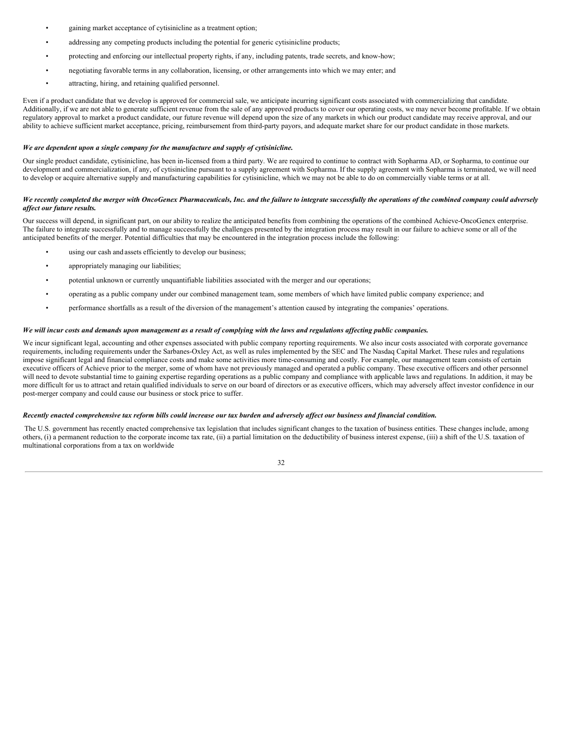- gaining market acceptance of cytisinicline as a treatment option;
- addressing any competing products including the potential for generic cytisinicline products;
- protecting and enforcing our intellectual property rights, if any, including patents, trade secrets, and know-how;
- negotiating favorable terms in any collaboration, licensing, or other arrangements into which we may enter; and
- attracting, hiring, and retaining qualified personnel.

Even if a product candidate that we develop is approved for commercial sale, we anticipate incurring significant costs associated with commercializing that candidate. Additionally, if we are not able to generate sufficient revenue from the sale of any approved products to cover our operating costs, we may never become profitable. If we obtain regulatory approval to market a product candidate, our future revenue will depend upon the size of any markets in which our product candidate may receive approval, and our ability to achieve sufficient market acceptance, pricing, reimbursement from third-party payors, and adequate market share for our product candidate in those markets.

#### *We are dependent upon a single company for the manufacture and supply of cytisinicline.*

Our single product candidate, cytisinicline, has been in-licensed from a third party. We are required to continue to contract with Sopharma AD, or Sopharma, to continue our development and commercialization, if any, of cytisinicline pursuant to a supply agreement with Sopharma. If the supply agreement with Sopharma is terminated, we will need to develop or acquire alternative supply and manufacturing capabilities for cytisinicline, which we may not be able to do on commercially viable terms or at all.

#### We recently completed the merger with OncoGenex Pharmaceuticals, Inc. and the failure to integrate successfully the operations of the combined company could adversely *af ect our future results.*

Our success will depend, in significant part, on our ability to realize the anticipated benefits from combining the operations of the combined Achieve-OncoGenex enterprise. The failure to integrate successfully and to manage successfully the challenges presented by the integration process may result in our failure to achieve some or all of the anticipated benefits of the merger. Potential difficulties that may be encountered in the integration process include the following:

- using our cash and assets efficiently to develop our business;
- appropriately managing our liabilities;
- potential unknown or currently unquantifiable liabilities associated with the merger and our operations;
- operating as a public company under our combined management team, some members of which have limited public company experience; and
- performance shortfalls as a result of the diversion of the management's attention caused by integrating the companies' operations.

#### We will incur costs and demands upon management as a result of complying with the laws and regulations affecting public companies.

We incur significant legal, accounting and other expenses associated with public company reporting requirements. We also incur costs associated with corporate governance requirements, including requirements under the Sarbanes-Oxley Act, as well as rules implemented by the SEC and The Nasdaq Capital Market. These rules and regulations impose significant legal and financial compliance costs and make some activities more time-consuming and costly. For example, our management team consists of certain executive officers of Achieve prior to the merger, some of whom have not previously managed and operated a public company. These executive officers and other personnel will need to devote substantial time to gaining expertise regarding operations as a public company and compliance with applicable laws and regulations. In addition, it may be more difficult for us to attract and retain qualified individuals to serve on our board of directors or as executive officers, which may adversely affect investor confidence in our post-merger company and could cause our business or stock price to suffer.

#### Recently enacted comprehensive tax reform bills could increase our tax burden and adversely affect our business and financial condition.

The U.S. government has recently enacted comprehensive tax legislation that includes significant changes to the taxation of business entities. These changes include, among others, (i) a permanent reduction to the corporate income tax rate, (ii) a partial limitation on the deductibility of business interest expense, (iii) a shift of the U.S. taxation of multinational corporations from a tax on worldwide

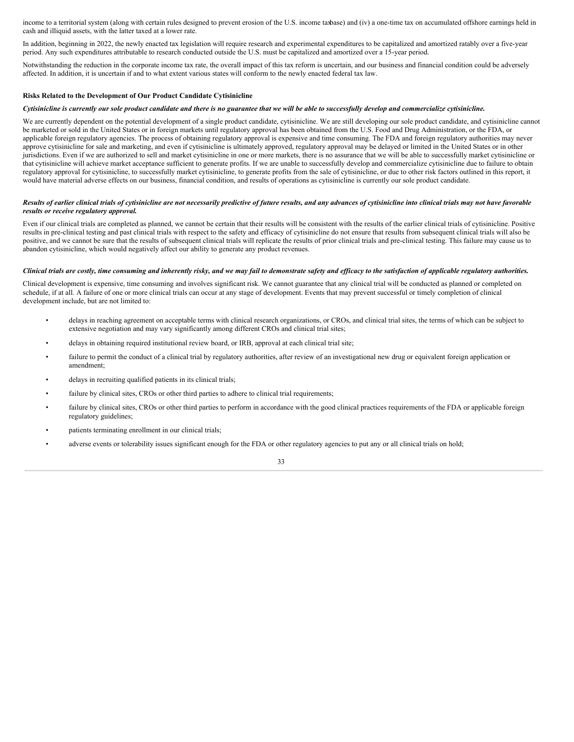income to a territorial system (along with certain rules designed to prevent erosion of the U.S. income taxbase) and (iv) a one-time tax on accumulated offshore earnings held in cash and illiquid assets, with the latter taxed at a lower rate.

In addition, beginning in 2022, the newly enacted tax legislation will require research and experimental expenditures to be capitalized and amortized ratably over a five-year period. Any such expenditures attributable to research conducted outside the U.S. must be capitalized and amortized over a 15-year period.

Notwithstanding the reduction in the corporate income tax rate, the overall impact of this tax reform is uncertain, and our business and financial condition could be adversely affected. In addition, it is uncertain if and to what extent various states will conform to the newly enacted federal tax law.

#### **Risks Related to the Development of Our Product Candidate Cytisinicline**

#### Cytisinicline is currently our sole product candidate and there is no guarantee that we will be able to successfully develop and commercialize cytisinicline.

We are currently dependent on the potential development of a single product candidate, cytisinicline. We are still developing our sole product candidate, and cytisinicline cannot be marketed or sold in the United States or in foreign markets until regulatory approval has been obtained from the U.S. Food and Drug Administration, or the FDA, or applicable foreign regulatory agencies. The process of obtaining regulatory approval is expensive and time consuming. The FDA and foreign regulatory authorities may never approve cytisinicline for sale and marketing, and even if cytisinicline is ultimately approved, regulatory approval may be delayed or limited in the United States or in other jurisdictions. Even if we are authorized to sell and market cytisinicline in one or more markets, there is no assurance that we will be able to successfully market cytisinicline or that cytisinicline will achieve market acceptance sufficient to generate profits. If we are unable to successfully develop and commercialize cytisinicline due to failure to obtain regulatory approval for cytisinicline, to successfully market cytisinicline, to generate profits from the sale of cytisinicline, or due to other risk factors outlined in this report, it would have material adverse effects on our business, financial condition, and results of operations as cytisinicline is currently our sole product candidate.

#### Results of earlier clinical trials of cytisinicline are not necessarily predictive of future results, and any advances of cytisinicline into clinical trials may not have favorable *results or receive regulatory approval.*

Even if our clinical trials are completed as planned, we cannot be certain that their results will be consistent with the results of the earlier clinical trials of cytisinicline. Positive results in pre-clinical testing and past clinical trials with respect to the safety and efficacy of cytisinicline do not ensure that results from subsequent clinical trials will also be positive, and we cannot be sure that the results of subsequent clinical trials will replicate the results of prior clinical trials and pre-clinical testing. This failure may cause us to abandon cytisinicline, which would negatively affect our ability to generate any product revenues.

#### Clinical trials are costly, time consuming and inherently risky, and we may fail to demonstrate safety and efficacy to the satisfaction of applicable regulatory authorities.

Clinical development is expensive, time consuming and involves significant risk. We cannot guarantee that any clinical trial will be conducted as planned or completed on schedule, if at all. A failure of one or more clinical trials can occur at any stage of development. Events that may prevent successful or timely completion of clinical development include, but are not limited to:

- delays in reaching agreement on acceptable terms with clinical research organizations, or CROs, and clinical trial sites, the terms of which can be subject to extensive negotiation and may vary significantly among different CROs and clinical trial sites;
- delays in obtaining required institutional review board, or IRB, approval at each clinical trial site;
- failure to permit the conduct of a clinical trial by regulatory authorities, after review of an investigational new drug or equivalent foreign application or amendment;
- delays in recruiting qualified patients in its clinical trials;
- failure by clinical sites, CROs or other third parties to adhere to clinical trial requirements;
- failure by clinical sites, CROs or other third parties to perform in accordance with the good clinical practices requirements of the FDA or applicable foreign regulatory guidelines;
- patients terminating enrollment in our clinical trials;
- adverse events or tolerability issues significant enough for the FDA or other regulatory agencies to put any or all clinical trials on hold;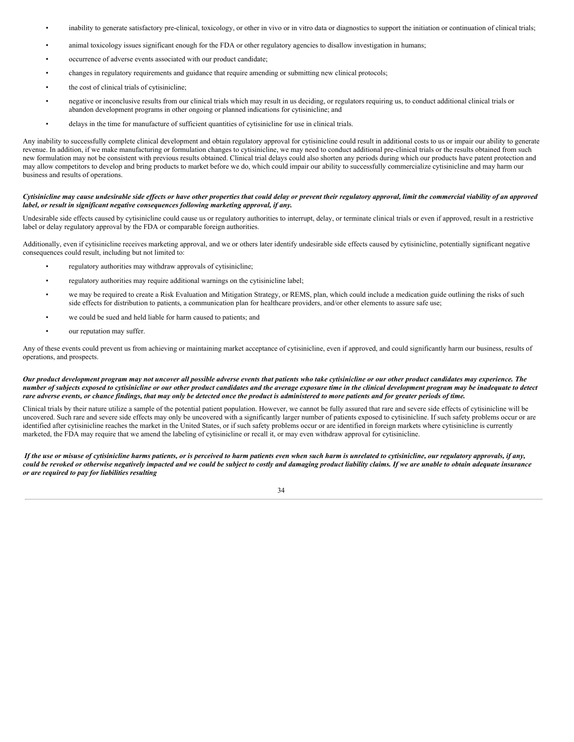- inability to generate satisfactory pre-clinical, toxicology, or other in vivo or in vitro data or diagnostics to support the initiation or continuation of clinical trials;
- animal toxicology issues significant enough for the FDA or other regulatory agencies to disallow investigation in humans;
- occurrence of adverse events associated with our product candidate;
- changes in regulatory requirements and guidance that require amending or submitting new clinical protocols;
- the cost of clinical trials of cytisinicline;
- negative or inconclusive results from our clinical trials which may result in us deciding, or regulators requiring us, to conduct additional clinical trials or abandon development programs in other ongoing or planned indications for cytisinicline; and
- delays in the time for manufacture of sufficient quantities of cytisinicline for use in clinical trials.

Any inability to successfully complete clinical development and obtain regulatory approval for cytisinicline could result in additional costs to us or impair our ability to generate revenue. In addition, if we make manufacturing or formulation changes to cytisinicline, we may need to conduct additional pre-clinical trials or the results obtained from such new formulation may not be consistent with previous results obtained. Clinical trial delays could also shorten any periods during which our products have patent protection and may allow competitors to develop and bring products to market before we do, which could impair our ability to successfully commercialize cytisinicline and may harm our business and results of operations.

#### Cytisinicline may cause undesirable side effects or have other properties that could delay or prevent their regulatory approval, limit the commercial viability of an approved *label, or result in significant negative consequences following marketing approval, if any.*

Undesirable side effects caused by cytisinicline could cause us or regulatory authorities to interrupt, delay, or terminate clinical trials or even if approved, result in a restrictive label or delay regulatory approval by the FDA or comparable foreign authorities.

Additionally, even if cytisinicline receives marketing approval, and we or others later identify undesirable side effects caused by cytisinicline, potentially significant negative consequences could result, including but not limited to:

- regulatory authorities may withdraw approvals of cytisinicline;
- regulatory authorities may require additional warnings on the cytisinicline label;
- we may be required to create a Risk Evaluation and Mitigation Strategy, or REMS, plan, which could include a medication guide outlining the risks of such side effects for distribution to patients, a communication plan for healthcare providers, and/or other elements to assure safe use;
- we could be sued and held liable for harm caused to patients; and
- our reputation may suffer.

Any of these events could prevent us from achieving or maintaining market acceptance of cytisinicline, even if approved, and could significantly harm our business, results of operations, and prospects.

#### Our product development program may not uncover all possible adverse events that patients who take cytisinicline or our other product candidates may experience. The number of subjects exposed to cytisinicline or our other product candidates and the average exposure time in the clinical development program may be inadequate to detect rare adverse events, or chance findings, that may only be detected once the product is administered to more patients and for greater periods of time.

Clinical trials by their nature utilize a sample of the potential patient population. However, we cannot be fully assured that rare and severe side effects of cytisinicline will be uncovered. Such rare and severe side effects may only be uncovered with a significantly larger number of patients exposed to cytisinicline. If such safety problems occur or are identified after cytisinicline reaches the market in the United States, or if such safety problems occur or are identified in foreign markets where cytisinicline is currently marketed, the FDA may require that we amend the labeling of cytisinicline or recall it, or may even withdraw approval for cytisinicline.

If the use or misuse of cytisinicline harms patients, or is perceived to harm patients even when such harm is unrelated to cytisinicline, our regulatory approvals. if any. could be revoked or otherwise negatively impacted and we could be subject to costly and damaging product liability claims. If we are unable to obtain adequate insurance *or are required to pay for liabilities resulting*

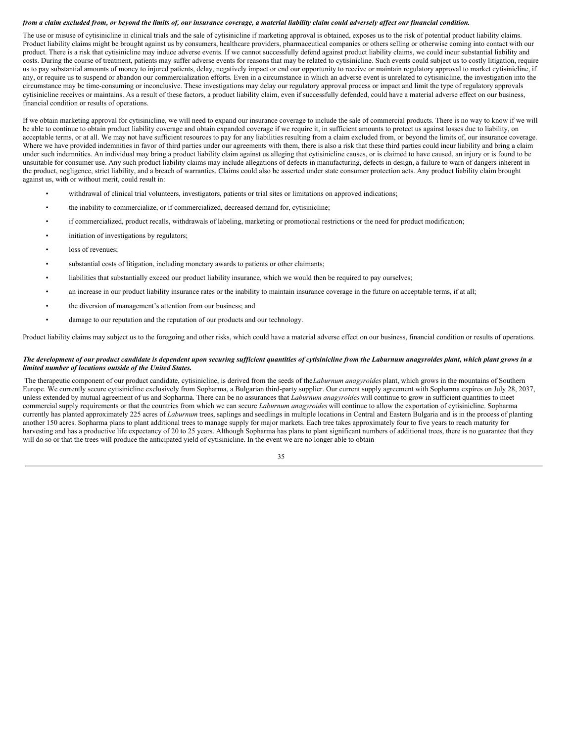#### from a claim excluded from, or beyond the limits of, our insurance coverage, a material liability claim could adversely affect our financial condition.

The use or misuse of cytisinicline in clinical trials and the sale of cytisinicline if marketing approval is obtained, exposes us to the risk of potential product liability claims. Product liability claims might be brought against us by consumers, healthcare providers, pharmaceutical companies or others selling or otherwise coming into contact with our product. There is a risk that cytisinicline may induce adverse events. If we cannot successfully defend against product liability claims, we could incur substantial liability and costs. During the course of treatment, patients may suffer adverse events for reasons that may be related to cytisinicline. Such events could subject us to costly litigation, require us to pay substantial amounts of money to injured patients, delay, negatively impact or end our opportunity to receive or maintain regulatory approval to market cytisinicline, if any, or require us to suspend or abandon our commercialization efforts. Even in a circumstance in which an adverse event is unrelated to cytisinicline, the investigation into the circumstance may be time-consuming or inconclusive. These investigations may delay our regulatory approval process or impact and limit the type of regulatory approvals cytisinicline receives or maintains. As a result of these factors, a product liability claim, even if successfully defended, could have a material adverse effect on our business, financial condition or results of operations.

If we obtain marketing approval for cytisinicline, we will need to expand our insurance coverage to include the sale of commercial products. There is no way to know if we will be able to continue to obtain product liability coverage and obtain expanded coverage if we require it, in sufficient amounts to protect us against losses due to liability, on acceptable terms, or at all. We may not have sufficient resources to pay for any liabilities resulting from a claim excluded from, or beyond the limits of, our insurance coverage. Where we have provided indemnities in favor of third parties under our agreements with them, there is also a risk that these third parties could incur liability and bring a claim under such indemnities. An individual may bring a product liability claim against us alleging that cytisinicline causes, or is claimed to have caused, an injury or is found to be unsuitable for consumer use. Any such product liability claims may include allegations of defects in manufacturing, defects in design, a failure to warn of dangers inherent in the product, negligence, strict liability, and a breach of warranties. Claims could also be asserted under state consumer protection acts. Any product liability claim brought against us, with or without merit, could result in:

- withdrawal of clinical trial volunteers, investigators, patients or trial sites or limitations on approved indications;
- the inability to commercialize, or if commercialized, decreased demand for, cytisinicline;
- if commercialized, product recalls, withdrawals of labeling, marketing or promotional restrictions or the need for product modification;
- initiation of investigations by regulators;
- loss of revenues;
- substantial costs of litigation, including monetary awards to patients or other claimants;
- liabilities that substantially exceed our product liability insurance, which we would then be required to pay ourselves;
- an increase in our product liability insurance rates or the inability to maintain insurance coverage in the future on acceptable terms, if at all;
- the diversion of management's attention from our business; and
- damage to our reputation and the reputation of our products and our technology.

Product liability claims may subject us to the foregoing and other risks, which could have a material adverse effect on our business, financial condition or results of operations.

#### The development of our product candidate is dependent upon securing sufficient quantities of cytisinicline from the Laburnum anagyroides plant, which plant grows in a *limited number of locations outside of the United States.*

The therapeutic component of our product candidate, cytisinicline, is derived from the seeds of the*Laburnum anagyroides* plant, which grows in the mountains of Southern Europe. We currently secure cytisinicline exclusively from Sopharma, a Bulgarian third-party supplier. Our current supply agreement with Sopharma expires on July 28, 2037, unless extended by mutual agreement of us and Sopharma. There can be no assurances that *Laburnum anagyroides* will continue to grow in sufficient quantities to meet commercial supply requirements or that the countries from which we can secure *Laburnum anagyroides* will continue to allow the exportation of cytisinicline. Sopharma currently has planted approximately 225 acres of *Laburnum* trees, saplings and seedlings in multiple locations in Central and Eastern Bulgaria and is in the process of planting another 150 acres. Sopharma plans to plant additional trees to manage supply for major markets. Each tree takes approximately four to five years to reach maturity for harvesting and has a productive life expectancy of 20 to 25 years. Although Sopharma has plans to plant significant numbers of additional trees, there is no guarantee that they will do so or that the trees will produce the anticipated yield of cytisinicline. In the event we are no longer able to obtain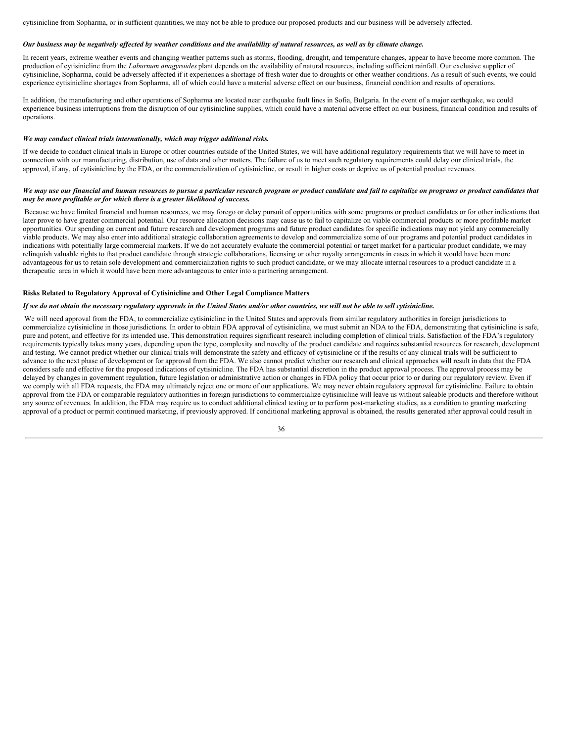cytisinicline from Sopharma, or in sufficient quantities, we may not be able to produce our proposed products and our business will be adversely affected.

#### Our business may be negatively affected by weather conditions and the availability of natural resources, as well as by climate change.

In recent years, extreme weather events and changing weather patterns such as storms, flooding, drought, and temperature changes, appear to have become more common. The production of cytisinicline from the *Laburnum anagyroides* plant depends on the availability of natural resources, including sufficient rainfall. Our exclusive supplier of cytisinicline, Sopharma, could be adversely affected if it experiences a shortage of fresh water due to droughts or other weather conditions. As a result of such events, we could experience cytisinicline shortages from Sopharma, all of which could have a material adverse effect on our business, financial condition and results of operations.

In addition, the manufacturing and other operations of Sopharma are located near earthquake fault lines in Sofia, Bulgaria. In the event of a major earthquake, we could experience business interruptions from the disruption of our cytisinicline supplies, which could have a material adverse effect on our business, financial condition and results of operations.

#### *We may conduct clinical trials internationally, which may trigger additional risks.*

If we decide to conduct clinical trials in Europe or other countries outside of the United States, we will have additional regulatory requirements that we will have to meet in connection with our manufacturing, distribution, use of data and other matters. The failure of us to meet such regulatory requirements could delay our clinical trials, the approval, if any, of cytisinicline by the FDA, or the commercialization of cytisinicline, or result in higher costs or deprive us of potential product revenues.

#### We may use our financial and human resources to pursue a particular research program or product candidate and fail to capitalize on programs or product candidates that *may be more profitable or for which there is a greater likelihood of success.*

Because we have limited financial and human resources, we may forego or delay pursuit of opportunities with some programs or product candidates or for other indications that later prove to have greater commercial potential. Our resource allocation decisions may cause us to fail to capitalize on viable commercial products or more profitable market opportunities. Our spending on current and future research and development programs and future product candidates for specific indications may not yield any commercially viable products. We may also enter into additional strategic collaboration agreements to develop and commercialize some of our programs and potential product candidates in indications with potentially large commercial markets. If we do not accurately evaluate the commercial potential or target market for a particular product candidate, we may relinquish valuable rights to that product candidate through strategic collaborations, licensing or other royalty arrangements in cases in which it would have been more advantageous for us to retain sole development and commercialization rights to such product candidate, or we may allocate internal resources to a product candidate in a therapeutic area in which it would have been more advantageous to enter into a partnering arrangement.

#### **Risks Related to Regulatory Approval of Cytisinicline and Other Legal Compliance Matters**

#### If we do not obtain the necessary regulatory approvals in the United States and/or other countries, we will not be able to sell cytisinicline.

We will need approval from the FDA, to commercialize cytisinicline in the United States and approvals from similar regulatory authorities in foreign jurisdictions to commercialize cytisinicline in those jurisdictions. In order to obtain FDA approval of cytisinicline, we must submit an NDA to the FDA, demonstrating that cytisinicline is safe, pure and potent, and effective for its intended use. This demonstration requires significant research including completion of clinical trials. Satisfaction of the FDA's regulatory requirements typically takes many years, depending upon the type, complexity and novelty of the product candidate and requires substantial resources for research, development and testing. We cannot predict whether our clinical trials will demonstrate the safety and efficacy of cytisinicline or if the results of any clinical trials will be sufficient to advance to the next phase of development or for approval from the FDA. We also cannot predict whether our research and clinical approaches will result in data that the FDA considers safe and effective for the proposed indications of cytisinicline. The FDA has substantial discretion in the product approval process. The approval process may be delayed by changes in government regulation, future legislation or administrative action or changes in FDA policy that occur prior to or during our regulatory review. Even if we comply with all FDA requests, the FDA may ultimately reject one or more of our applications. We may never obtain regulatory approval for cytisinicline. Failure to obtain approval from the FDA or comparable regulatory authorities in foreign jurisdictions to commercialize cytisinicline will leave us without saleable products and therefore without any source of revenues. In addition, the FDA may require us to conduct additional clinical testing or to perform post-marketing studies, as a condition to granting marketing approval of a product or permit continued marketing, if previously approved. If conditional marketing approval is obtained, the results generated after approval could result in

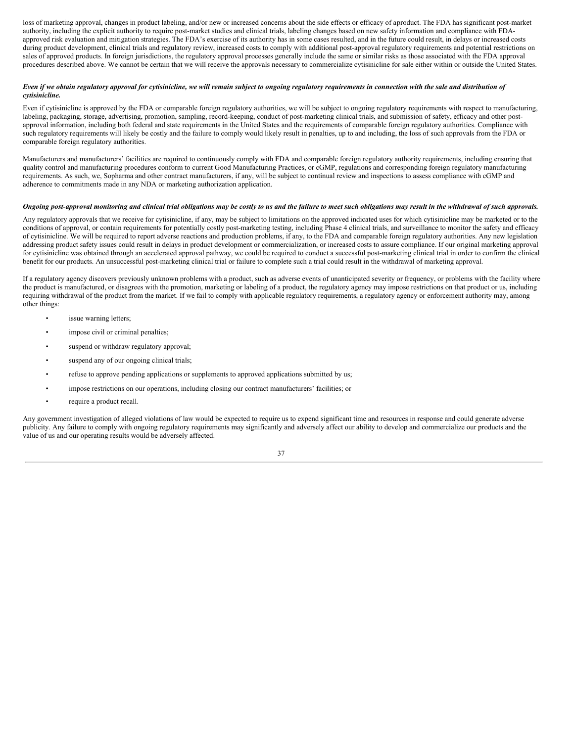loss of marketing approval, changes in product labeling, and/or new or increased concerns about the side effects or efficacy of aproduct. The FDA has significant post-market authority, including the explicit authority to require post-market studies and clinical trials, labeling changes based on new safety information and compliance with FDAapproved risk evaluation and mitigation strategies. The FDA's exercise of its authority has in some cases resulted, and in the future could result, in delays or increased costs during product development, clinical trials and regulatory review, increased costs to comply with additional post-approval regulatory requirements and potential restrictions on sales of approved products. In foreign jurisdictions, the regulatory approval processes generally include the same or similar risks as those associated with the FDA approval procedures described above. We cannot be certain that we will receive the approvals necessary to commercialize cytisinicline for sale either within or outside the United States.

## Even if we obtain regulatory approval for cytisinicline, we will remain subject to ongoing regulatory requirements in connection with the sale and distribution of *cytisinicline.*

Even if cytisinicline is approved by the FDA or comparable foreign regulatory authorities, we will be subject to ongoing regulatory requirements with respect to manufacturing, labeling, packaging, storage, advertising, promotion, sampling, record-keeping, conduct of post-marketing clinical trials, and submission of safety, efficacy and other postapproval information, including both federal and state requirements in the United States and the requirements of comparable foreign regulatory authorities. Compliance with such regulatory requirements will likely be costly and the failure to comply would likely result in penalties, up to and including, the loss of such approvals from the FDA or comparable foreign regulatory authorities.

Manufacturers and manufacturers' facilities are required to continuously comply with FDA and comparable foreign regulatory authority requirements, including ensuring that quality control and manufacturing procedures conform to current Good Manufacturing Practices, or cGMP, regulations and corresponding foreign regulatory manufacturing requirements. As such, we, Sopharma and other contract manufacturers, if any, will be subject to continual review and inspections to assess compliance with cGMP and adherence to commitments made in any NDA or marketing authorization application.

## Ongoing post-approval monitoring and clinical trial obligations may be costly to us and the failure to meet such obligations may result in the withdrawal of such approvals.

Any regulatory approvals that we receive for cytisinicline, if any, may be subject to limitations on the approved indicated uses for which cytisinicline may be marketed or to the conditions of approval, or contain requirements for potentially costly post-marketing testing, including Phase 4 clinical trials, and surveillance to monitor the safety and efficacy of cytisinicline. We will be required to report adverse reactions and production problems, if any, to the FDA and comparable foreign regulatory authorities. Any new legislation addressing product safety issues could result in delays in product development or commercialization, or increased costs to assure compliance. If our original marketing approval for cytisinicline was obtained through an accelerated approval pathway, we could be required to conduct a successful post-marketing clinical trial in order to confirm the clinical benefit for our products. An unsuccessful post-marketing clinical trial or failure to complete such a trial could result in the withdrawal of marketing approval.

If a regulatory agency discovers previously unknown problems with a product, such as adverse events of unanticipated severity or frequency, or problems with the facility where the product is manufactured, or disagrees with the promotion, marketing or labeling of a product, the regulatory agency may impose restrictions on that product or us, including requiring withdrawal of the product from the market. If we fail to comply with applicable regulatory requirements, a regulatory agency or enforcement authority may, among other things:

- issue warning letters;
- impose civil or criminal penalties;
- suspend or withdraw regulatory approval;
- suspend any of our ongoing clinical trials;
- refuse to approve pending applications or supplements to approved applications submitted by us;
- impose restrictions on our operations, including closing our contract manufacturers' facilities; or
- require a product recall.

Any government investigation of alleged violations of law would be expected to require us to expend significant time and resources in response and could generate adverse publicity. Any failure to comply with ongoing regulatory requirements may significantly and adversely affect our ability to develop and commercialize our products and the value of us and our operating results would be adversely affected.

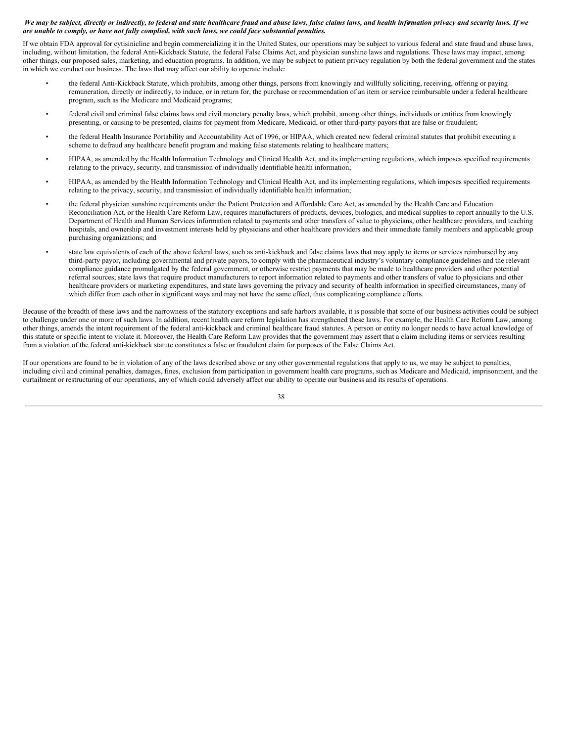## We may be subject, directly or indirectly, to federal and state healthcare fraud and abuse laws, false claims laws, and health information privacy and security laws. If we *are unable to comply, or have not fully complied, with such laws, we could face substantial penalties.*

If we obtain FDA approval for cytisinicline and begin commercializing it in the United States, our operations may be subject to various federal and state fraud and abuse laws, including, without limitation, the federal Anti-Kickback Statute, the federal False Claims Act, and physician sunshine laws and regulations. These laws may impact, among other things, our proposed sales, marketing, and education programs. In addition, we may be subject to patient privacy regulation by both the federal government and the states in which we conduct our business. The laws that may affect our ability to operate include:

- the federal Anti-Kickback Statute, which prohibits, among other things, persons from knowingly and willfully soliciting, receiving, offering or paying remuneration, directly or indirectly, to induce, or in return for, the purchase or recommendation of an item or service reimbursable under a federal healthcare program, such as the Medicare and Medicaid programs;
- federal civil and criminal false claims laws and civil monetary penalty laws, which prohibit, among other things, individuals or entities from knowingly presenting, or causing to be presented, claims for payment from Medicare, Medicaid, or other third-party payors that are false or fraudulent;
- the federal Health Insurance Portability and Accountability Act of 1996, or HIPAA, which created new federal criminal statutes that prohibit executing a scheme to defraud any healthcare benefit program and making false statements relating to healthcare matters;
- HIPAA, as amended by the Health Information Technology and Clinical Health Act, and its implementing regulations, which imposes specified requirements relating to the privacy, security, and transmission of individually identifiable health information;
- HIPAA, as amended by the Health Information Technology and Clinical Health Act, and its implementing regulations, which imposes specified requirements relating to the privacy, security, and transmission of individually identifiable health information;
- the federal physician sunshine requirements under the Patient Protection and Affordable Care Act, as amended by the Health Care and Education Reconciliation Act, or the Health Care Reform Law, requires manufacturers of products, devices, biologics, and medical supplies to report annually to the U.S. Department of Health and Human Services information related to payments and other transfers of value to physicians, other healthcare providers, and teaching hospitals, and ownership and investment interests held by physicians and other healthcare providers and their immediate family members and applicable group purchasing organizations; and
- state law equivalents of each of the above federal laws, such as anti-kickback and false claims laws that may apply to items or services reimbursed by any third-party payor, including governmental and private payors, to comply with the pharmaceutical industry's voluntary compliance guidelines and the relevant compliance guidance promulgated by the federal government, or otherwise restrict payments that may be made to healthcare providers and other potential referral sources; state laws that require product manufacturers to report information related to payments and other transfers of value to physicians and other healthcare providers or marketing expenditures, and state laws governing the privacy and security of health information in specified circumstances, many of which differ from each other in significant ways and may not have the same effect, thus complicating compliance efforts.

Because of the breadth of these laws and the narrowness of the statutory exceptions and safe harbors available, it is possible that some of our business activities could be subject to challenge under one or more of such laws. In addition, recent health care reform legislation has strengthened these laws. For example, the Health Care Reform Law, among other things, amends the intent requirement of the federal anti-kickback and criminal healthcare fraud statutes. A person or entity no longer needs to have actual knowledge of this statute or specific intent to violate it. Moreover, the Health Care Reform Law provides that the government may assert that a claim including items or services resulting from a violation of the federal anti-kickback statute constitutes a false or fraudulent claim for purposes of the False Claims Act.

If our operations are found to be in violation of any of the laws described above or any other governmental regulations that apply to us, we may be subject to penalties, including civil and criminal penalties, damages, fines, exclusion from participation in government health care programs, such as Medicare and Medicaid, imprisonment, and the curtailment or restructuring of our operations, any of which could adversely affect our ability to operate our business and its results of operations.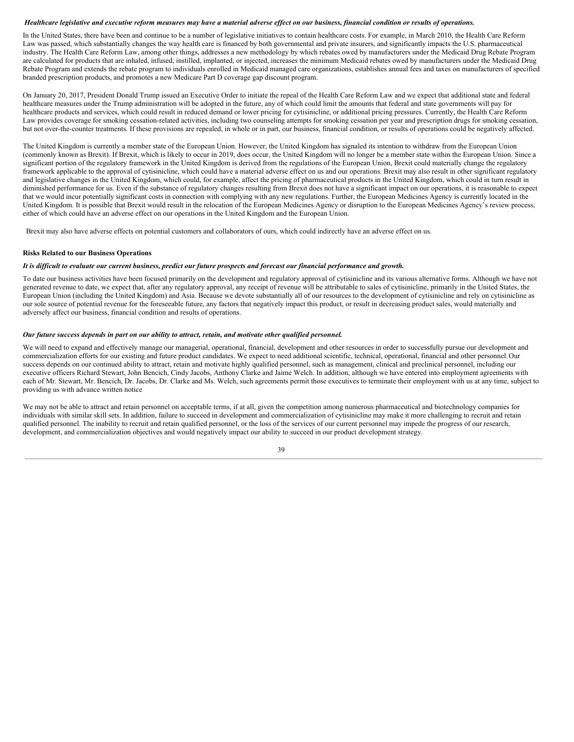#### Healthcare legislative and executive reform measures may have a material adverse effect on our business, financial condition or results of operations.

In the United States, there have been and continue to be a number of legislative initiatives to contain healthcare costs. For example, in March 2010, the Health Care Reform Law was passed, which substantially changes the way health care is financed by both governmental and private insurers, and significantly impacts the U.S. pharmaceutical industry. The Health Care Reform Law, among other things, addresses a new methodology by which rebates owed by manufacturers under the Medicaid Drug Rebate Program are calculated for products that are inhaled, infused, instilled, implanted, or injected, increases the minimum Medicaid rebates owed by manufacturers under the Medicaid Drug Rebate Program and extends the rebate program to individuals enrolled in Medicaid managed care organizations, establishes annual fees and taxes on manufacturers of specified branded prescription products, and promotes a new Medicare Part D coverage gap discount program.

On January 20, 2017, President Donald Trump issued an Executive Order to initiate the repeal of the Health Care Reform Law and we expect that additional state and federal healthcare measures under the Trump administration will be adopted in the future, any of which could limit the amounts that federal and state governments will pay for healthcare products and services, which could result in reduced demand or lower pricing for cytisinicline, or additional pricing pressures. Currently, the Health Care Reform Law provides coverage for smoking cessation-related activities, including two counseling attempts for smoking cessation per year and prescription drugs for smoking cessation, but not over-the-counter treatments. If these provisions are repealed, in whole or in part, our business, financial condition, or results of operations could be negatively affected.

The United Kingdom is currently a member state of the European Union. However, the United Kingdom has signaled its intention to withdraw from the European Union (commonly known as Brexit). If Brexit, which is likely to occur in 2019, does occur, the United Kingdom will no longer be a member state within the European Union. Since a significant portion of the regulatory framework in the United Kingdom is derived from the regulations of the European Union, Brexit could materially change the regulatory framework applicable to the approval of cytisinicline, which could have a material adverse effect on us and our operations. Brexit may also result in other significant regulatory and legislative changes in the United Kingdom, which could, for example, affect the pricing of pharmaceutical products in the United Kingdom, which could in turn result in diminished performance for us. Even if the substance of regulatory changes resulting from Brexit does not have a significant impact on our operations, it is reasonable to expect that we would incur potentially significant costs in connection with complying with any new regulations. Further, the European Medicines Agency is currently located in the United Kingdom. It is possible that Brexit would result in the relocation of the European Medicines Agency or disruption to the European Medicines Agency's review process, either of which could have an adverse effect on our operations in the United Kingdom and the European Union.

Brexit may also have adverse effects on potential customers and collaborators of ours, which could indirectly have an adverse effect on us.

## **Risks Related to our Business Operations**

#### It is difficult to evaluate our current business, predict our future prospects and forecast our financial performance and growth.

To date our business activities have been focused primarily on the development and regulatory approval of cytisinicline and its various alternative forms. Although we have not generated revenue to date, we expect that, after any regulatory approval, any receipt of revenue will be attributable to sales of cytisinicline, primarily in the United States, the European Union (including the United Kingdom) and Asia. Because we devote substantially all of our resources to the development of cytisinicline and rely on cytisinicline as our sole source of potential revenue for the foreseeable future, any factors that negatively impact this product, or result in decreasing product sales, would materially and adversely affect our business, financial condition and results of operations.

## Our future success depends in part on our ability to attract, retain, and motivate other qualified personnel.

We will need to expand and effectively manage our managerial, operational, financial, development and other resources in order to successfully pursue our development and commercialization efforts for our existing and future product candidates. We expect to need additional scientific, technical, operational, financial and other personnel.Our success depends on our continued ability to attract, retain and motivate highly qualified personnel, such as management, clinical and preclinical personnel, including our executive officers Richard Stewart, John Bencich, Cindy Jacobs, Anthony Clarke and Jaime Welch. In addition, although we have entered into employment agreements with each of Mr. Stewart, Mr. Bencich, Dr. Jacobs, Dr. Clarke and Ms. Welch, such agreements permit those executives to terminate their employment with us at any time, subject to providing us with advance written notice

We may not be able to attract and retain personnel on acceptable terms, if at all, given the competition among numerous pharmaceutical and biotechnology companies for individuals with similar skill sets. In addition, failure to succeed in development and commercialization of cytisinicline may make it more challenging to recruit and retain qualified personnel. The inability to recruit and retain qualified personnel, or the loss of the services of our current personnel may impede the progress of our research, development, and commercialization objectives and would negatively impact our ability to succeed in our product development strategy.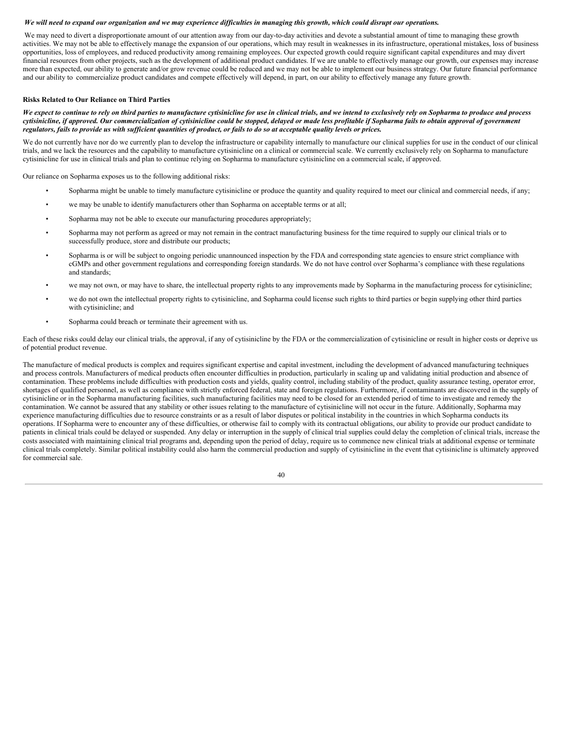#### We will need to expand our organization and we may experience difficulties in managing this growth, which could disrupt our operations.

We may need to divert a disproportionate amount of our attention away from our day-to-day activities and devote a substantial amount of time to managing these growth activities. We may not be able to effectively manage the expansion of our operations, which may result in weaknesses in its infrastructure, operational mistakes, loss of business opportunities, loss of employees, and reduced productivity among remaining employees. Our expected growth could require significant capital expenditures and may divert financial resources from other projects, such as the development of additional product candidates. If we are unable to effectively manage our growth, our expenses may increase more than expected, our ability to generate and/or grow revenue could be reduced and we may not be able to implement our business strategy. Our future financial performance and our ability to commercialize product candidates and compete effectively will depend, in part, on our ability to effectively manage any future growth.

#### **Risks Related to Our Reliance on Third Parties**

We expect to continue to rely on third parties to manufacture cytisinicline for use in clinical trials, and we intend to exclusively rely on Sopharma to produce and process cytisinicline, if approved. Our commercialization of cytisinicline could be stopped, delayed or made less profitable if Sopharma fails to obtain approval of government regulators, fails to provide us with sufficient quantities of product, or fails to do so at acceptable quality levels or prices.

We do not currently have nor do we currently plan to develop the infrastructure or capability internally to manufacture our clinical supplies for use in the conduct of our clinical trials, and we lack the resources and the capability to manufacture cytisinicline on a clinical or commercial scale. We currently exclusively rely on Sopharma to manufacture cytisinicline for use in clinical trials and plan to continue relying on Sopharma to manufacture cytisinicline on a commercial scale, if approved.

Our reliance on Sopharma exposes us to the following additional risks:

- Sopharma might be unable to timely manufacture cytisinicline or produce the quantity and quality required to meet our clinical and commercial needs, if any;
- we may be unable to identify manufacturers other than Sopharma on acceptable terms or at all;
- Sopharma may not be able to execute our manufacturing procedures appropriately;
- Sopharma may not perform as agreed or may not remain in the contract manufacturing business for the time required to supply our clinical trials or to successfully produce, store and distribute our products;
- Sopharma is or will be subject to ongoing periodic unannounced inspection by the FDA and corresponding state agencies to ensure strict compliance with cGMPs and other government regulations and corresponding foreign standards. We do not have control over Sopharma's compliance with these regulations and standards;
- we may not own, or may have to share, the intellectual property rights to any improvements made by Sopharma in the manufacturing process for cytisinicline;
- we do not own the intellectual property rights to cytisinicline, and Sopharma could license such rights to third parties or begin supplying other third parties with cytisinicline; and
- Sopharma could breach or terminate their agreement with us.

Each of these risks could delay our clinical trials, the approval, if any of cytisinicline by the FDA or the commercialization of cytisinicline or result in higher costs or deprive us of potential product revenue.

The manufacture of medical products is complex and requires significant expertise and capital investment, including the development of advanced manufacturing techniques and process controls. Manufacturers of medical products often encounter difficulties in production, particularly in scaling up and validating initial production and absence of contamination. These problems include difficulties with production costs and yields, quality control, including stability of the product, quality assurance testing, operator error, shortages of qualified personnel, as well as compliance with strictly enforced federal, state and foreign regulations. Furthermore, if contaminants are discovered in the supply of cytisinicline or in the Sopharma manufacturing facilities, such manufacturing facilities may need to be closed for an extended period of time to investigate and remedy the contamination. We cannot be assured that any stability or other issues relating to the manufacture of cytisinicline will not occur in the future. Additionally, Sopharma may experience manufacturing difficulties due to resource constraints or as a result of labor disputes or political instability in the countries in which Sopharma conducts its operations. If Sopharma were to encounter any of these difficulties, or otherwise fail to comply with its contractual obligations, our ability to provide our product candidate to patients in clinical trials could be delayed or suspended. Any delay or interruption in the supply of clinical trial supplies could delay the completion of clinical trials, increase the costs associated with maintaining clinical trial programs and, depending upon the period of delay, require us to commence new clinical trials at additional expense or terminate clinical trials completely. Similar political instability could also harm the commercial production and supply of cytisinicline in the event that cytisinicline is ultimately approved for commercial sale.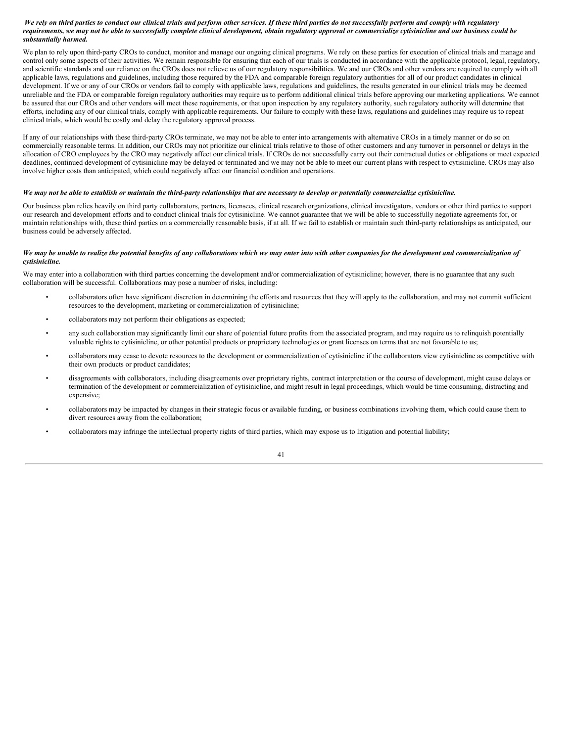## We rely on third parties to conduct our clinical trials and perform other services. If these third parties do not successfully perform and comply with regulatory requirements, we may not be able to successfully complete clinical development, obtain regulatory approval or commercialize cytisinicline and our business could be *substantially harmed.*

We plan to rely upon third-party CROs to conduct, monitor and manage our ongoing clinical programs. We rely on these parties for execution of clinical trials and manage and control only some aspects of their activities. We remain responsible for ensuring that each of our trials is conducted in accordance with the applicable protocol, legal, regulatory, and scientific standards and our reliance on the CROs does not relieve us of our regulatory responsibilities. We and our CROs and other vendors are required to comply with all applicable laws, regulations and guidelines, including those required by the FDA and comparable foreign regulatory authorities for all of our product candidates in clinical development. If we or any of our CROs or vendors fail to comply with applicable laws, regulations and guidelines, the results generated in our clinical trials may be deemed unreliable and the FDA or comparable foreign regulatory authorities may require us to perform additional clinical trials before approving our marketing applications. We cannot be assured that our CROs and other vendors will meet these requirements, or that upon inspection by any regulatory authority, such regulatory authority will determine that efforts, including any of our clinical trials, comply with applicable requirements. Our failure to comply with these laws, regulations and guidelines may require us to repeat clinical trials, which would be costly and delay the regulatory approval process.

If any of our relationships with these third-party CROs terminate, we may not be able to enter into arrangements with alternative CROs in a timely manner or do so on commercially reasonable terms. In addition, our CROs may not prioritize our clinical trials relative to those of other customers and any turnover in personnel or delays in the allocation of CRO employees by the CRO may negatively affect our clinical trials. If CROs do not successfully carry out their contractual duties or obligations or meet expected deadlines, continued development of cytisinicline may be delayed or terminated and we may not be able to meet our current plans with respect to cytisinicline. CROs may also involve higher costs than anticipated, which could negatively affect our financial condition and operations.

## We may not be able to establish or maintain the third-party relationships that are necessary to develop or potentially commercialize cytisinicline.

Our business plan relies heavily on third party collaborators, partners, licensees, clinical research organizations, clinical investigators, vendors or other third parties to support our research and development efforts and to conduct clinical trials for cytisinicline. We cannot guarantee that we will be able to successfully negotiate agreements for, or maintain relationships with, these third parties on a commercially reasonable basis, if at all. If we fail to establish or maintain such third-party relationships as anticipated, our business could be adversely affected.

#### We may be unable to realize the potential benefits of any collaborations which we may enter into with other companies for the development and commercialization of *cytisinicline.*

We may enter into a collaboration with third parties concerning the development and/or commercialization of cytisinicline; however, there is no guarantee that any such collaboration will be successful. Collaborations may pose a number of risks, including:

- collaborators often have significant discretion in determining the efforts and resources that they will apply to the collaboration, and may not commit sufficient resources to the development, marketing or commercialization of cytisinicline;
- collaborators may not perform their obligations as expected;
- any such collaboration may significantly limit our share of potential future profits from the associated program, and may require us to relinquish potentially valuable rights to cytisinicline, or other potential products or proprietary technologies or grant licenses on terms that are not favorable to us;
- collaborators may cease to devote resources to the development or commercialization of cytisinicline if the collaborators view cytisinicline as competitive with their own products or product candidates;
- disagreements with collaborators, including disagreements over proprietary rights, contract interpretation or the course of development, might cause delays or termination of the development or commercialization of cytisinicline, and might result in legal proceedings, which would be time consuming, distracting and expensive;
- collaborators may be impacted by changes in their strategic focus or available funding, or business combinations involving them, which could cause them to divert resources away from the collaboration;
- collaborators may infringe the intellectual property rights of third parties, which may expose us to litigation and potential liability;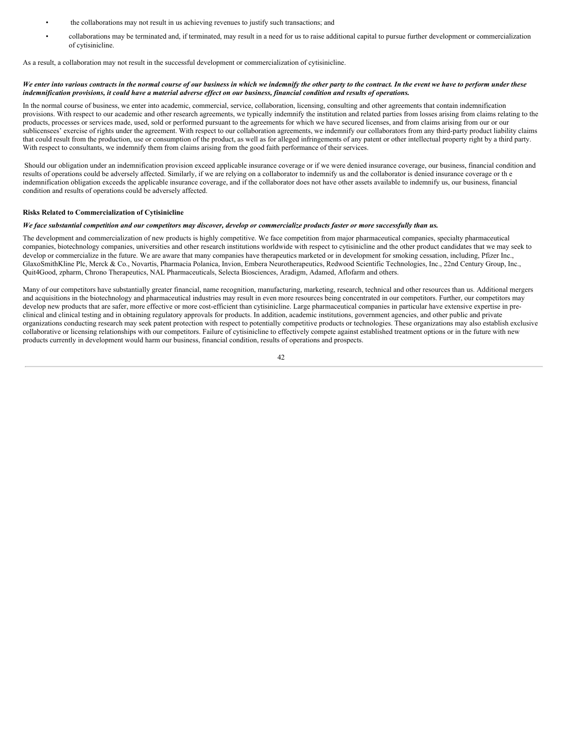- the collaborations may not result in us achieving revenues to justify such transactions; and
- collaborations may be terminated and, if terminated, may result in a need for us to raise additional capital to pursue further development or commercialization of cytisinicline.

As a result, a collaboration may not result in the successful development or commercialization of cytisinicline.

#### We enter into various contracts in the normal course of our business in which we indemnify the other party to the contract. In the event we have to perform under these indemnification provisions, it could have a material adverse effect on our business, financial condition and results of operations.

In the normal course of business, we enter into academic, commercial, service, collaboration, licensing, consulting and other agreements that contain indemnification provisions. With respect to our academic and other research agreements, we typically indemnify the institution and related parties from losses arising from claims relating to the products, processes or services made, used, sold or performed pursuant to the agreements for which we have secured licenses, and from claims arising from our or our sublicensees' exercise of rights under the agreement. With respect to our collaboration agreements, we indemnify our collaborators from any third-party product liability claims that could result from the production, use or consumption of the product, as well as for alleged infringements of any patent or other intellectual property right by a third party. With respect to consultants, we indemnify them from claims arising from the good faith performance of their services.

Should our obligation under an indemnification provision exceed applicable insurance coverage or if we were denied insurance coverage, our business, financial condition and results of operations could be adversely affected. Similarly, if we are relying on a collaborator to indemnify us and the collaborator is denied insurance coverage or th e indemnification obligation exceeds the applicable insurance coverage, and if the collaborator does not have other assets available to indemnify us, our business, financial condition and results of operations could be adversely affected.

## **Risks Related to Commercialization of Cytisinicline**

### We face substantial competition and our competitors may discover, develop or commercialize products faster or more successfully than us.

The development and commercialization of new products is highly competitive. We face competition from major pharmaceutical companies, specialty pharmaceutical companies, biotechnology companies, universities and other research institutions worldwide with respect to cytisinicline and the other product candidates that we may seek to develop or commercialize in the future. We are aware that many companies have therapeutics marketed or in development for smoking cessation, including, Pfizer Inc., GlaxoSmithKline Plc, Merck & Co., Novartis, Pharmacia Polanica, Invion, Embera Neurotherapeutics, Redwood Scientific Technologies, Inc., 22nd Century Group, Inc., Quit4Good, zpharm, Chrono Therapeutics, NAL Pharmaceuticals, Selecta Biosciences, Aradigm, Adamed, Aflofarm and others.

Many of our competitors have substantially greater financial, name recognition, manufacturing, marketing, research, technical and other resources than us. Additional mergers and acquisitions in the biotechnology and pharmaceutical industries may result in even more resources being concentrated in our competitors. Further, our competitors may develop new products that are safer, more effective or more cost-efficient than cytisinicline. Large pharmaceutical companies in particular have extensive expertise in preclinical and clinical testing and in obtaining regulatory approvals for products. In addition, academic institutions, government agencies, and other public and private organizations conducting research may seek patent protection with respect to potentially competitive products or technologies. These organizations may also establish exclusive collaborative or licensing relationships with our competitors. Failure of cytisinicline to effectively compete against established treatment options or in the future with new products currently in development would harm our business, financial condition, results of operations and prospects.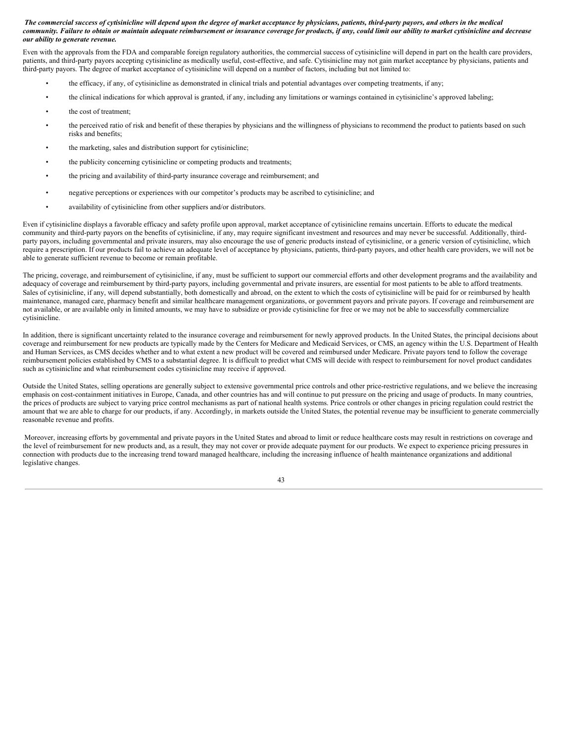## The commercial success of cytisinicline will depend upon the degree of market acceptance by physicians, patients, third-party payors, and others in the medical community. Failure to obtain or maintain adequate reimbursement or insurance coverage for products, if any, could limit our ability to market cytisinicline and decrease *our ability to generate revenue.*

Even with the approvals from the FDA and comparable foreign regulatory authorities, the commercial success of cytisinicline will depend in part on the health care providers, patients, and third-party payors accepting cytisinicline as medically useful, cost-effective, and safe. Cytisinicline may not gain market acceptance by physicians, patients and third-party payors. The degree of market acceptance of cytisinicline will depend on a number of factors, including but not limited to:

- the efficacy, if any, of cytisinicline as demonstrated in clinical trials and potential advantages over competing treatments, if any;
- the clinical indications for which approval is granted, if any, including any limitations or warnings contained in cytisinicline's approved labeling;
- the cost of treatment;
- the perceived ratio of risk and benefit of these therapies by physicians and the willingness of physicians to recommend the product to patients based on such risks and benefits;
- the marketing, sales and distribution support for cytisinicline;
- the publicity concerning cytisinicline or competing products and treatments;
- the pricing and availability of third-party insurance coverage and reimbursement; and
- negative perceptions or experiences with our competitor's products may be ascribed to cytisinicline; and
- availability of cytisinicline from other suppliers and/or distributors.

Even if cytisinicline displays a favorable efficacy and safety profile upon approval, market acceptance of cytisinicline remains uncertain. Efforts to educate the medical community and third-party payors on the benefits of cytisinicline, if any, may require significant investment and resources and may never be successful. Additionally, thirdparty payors, including governmental and private insurers, may also encourage the use of generic products instead of cytisinicline, or a generic version of cytisinicline, which require a prescription. If our products fail to achieve an adequate level of acceptance by physicians, patients, third-party payors, and other health care providers, we will not be able to generate sufficient revenue to become or remain profitable.

The pricing, coverage, and reimbursement of cytisinicline, if any, must be sufficient to support our commercial efforts and other development programs and the availability and adequacy of coverage and reimbursement by third-party payors, including governmental and private insurers, are essential for most patients to be able to afford treatments. Sales of cytisinicline, if any, will depend substantially, both domestically and abroad, on the extent to which the costs of cytisinicline will be paid for or reimbursed by health maintenance, managed care, pharmacy benefit and similar healthcare management organizations, or government payors and private payors. If coverage and reimbursement are not available, or are available only in limited amounts, we may have to subsidize or provide cytisinicline for free or we may not be able to successfully commercialize cytisinicline.

In addition, there is significant uncertainty related to the insurance coverage and reimbursement for newly approved products. In the United States, the principal decisions about coverage and reimbursement for new products are typically made by the Centers for Medicare and Medicaid Services, or CMS, an agency within the U.S. Department of Health and Human Services, as CMS decides whether and to what extent a new product will be covered and reimbursed under Medicare. Private payors tend to follow the coverage reimbursement policies established by CMS to a substantial degree. It is difficult to predict what CMS will decide with respect to reimbursement for novel product candidates such as cytisinicline and what reimbursement codes cytisinicline may receive if approved.

Outside the United States, selling operations are generally subject to extensive governmental price controls and other price-restrictive regulations, and we believe the increasing emphasis on cost-containment initiatives in Europe, Canada, and other countries has and will continue to put pressure on the pricing and usage of products. In many countries, the prices of products are subject to varying price control mechanisms as part of national health systems. Price controls or other changes in pricing regulation could restrict the amount that we are able to charge for our products, if any. Accordingly, in markets outside the United States, the potential revenue may be insufficient to generate commercially reasonable revenue and profits.

Moreover, increasing efforts by governmental and private payors in the United States and abroad to limit or reduce healthcare costs may result in restrictions on coverage and the level of reimbursement for new products and, as a result, they may not cover or provide adequate payment for our products. We expect to experience pricing pressures in connection with products due to the increasing trend toward managed healthcare, including the increasing influence of health maintenance organizations and additional legislative changes.

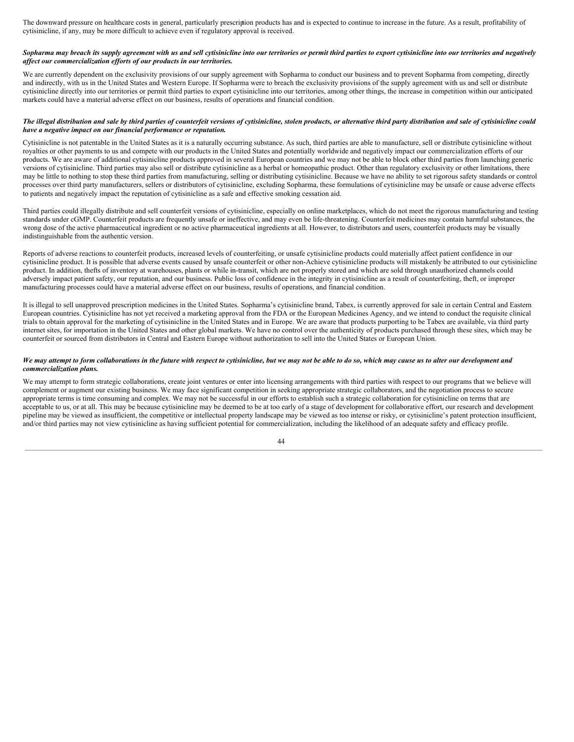The downward pressure on healthcare costs in general, particularly prescription products has and is expected to continue to increase in the future. As a result, profitability of cytisinicline, if any, may be more difficult to achieve even if regulatory approval is received.

## Sopharma may breach its supply agreement with us and sell cytisinicline into our territories or permit third parties to export cytisinicline into our territories and negatively *af ect our commercialization ef orts of our products in our territories.*

We are currently dependent on the exclusivity provisions of our supply agreement with Sopharma to conduct our business and to prevent Sopharma from competing, directly and indirectly, with us in the United States and Western Europe. If Sopharma were to breach the exclusivity provisions of the supply agreement with us and sell or distribute cytisinicline directly into our territories or permit third parties to export cytisinicline into our territories, among other things, the increase in competition within our anticipated markets could have a material adverse effect on our business, results of operations and financial condition.

#### The illegal distribution and sale by third parties of counterfeit versions of cytisinicline, stolen products, or alternative third party distribution and sale of cytisinicline could *have a negative impact on our financial performance or reputation.*

Cytisinicline is not patentable in the United States as it is a naturally occurring substance. As such, third parties are able to manufacture, sell or distribute cytisinicline without royalties or other payments to us and compete with our products in the United States and potentially worldwide and negatively impact our commercialization efforts of our products. We are aware of additional cytisinicline products approved in several European countries and we may not be able to block other third parties from launching generic versions of cytisinicline. Third parties may also sell or distribute cytisinicline as a herbal or homeopathic product. Other than regulatory exclusivity or other limitations, there may be little to nothing to stop these third parties from manufacturing, selling or distributing cytisinicline. Because we have no ability to set rigorous safety standards or control processes over third party manufacturers, sellers or distributors of cytisinicline, excluding Sopharma, these formulations of cytisinicline may be unsafe or cause adverse effects to patients and negatively impact the reputation of cytisinicline as a safe and effective smoking cessation aid.

Third parties could illegally distribute and sell counterfeit versions of cytisinicline, especially on online marketplaces, which do not meet the rigorous manufacturing and testing standards under cGMP. Counterfeit products are frequently unsafe or ineffective, and may even be life-threatening. Counterfeit medicines may contain harmful substances, the wrong dose of the active pharmaceutical ingredient or no active pharmaceutical ingredients at all. However, to distributors and users, counterfeit products may be visually indistinguishable from the authentic version.

Reports of adverse reactions to counterfeit products, increased levels of counterfeiting, or unsafe cytisinicline products could materially affect patient confidence in our cytisinicline product. It is possible that adverse events caused by unsafe counterfeit or other non-Achieve cytisinicline products will mistakenly be attributed to our cytisinicline product. In addition, thefts of inventory at warehouses, plants or while in-transit, which are not properly stored and which are sold through unauthorized channels could adversely impact patient safety, our reputation, and our business. Public loss of confidence in the integrity in cytisinicline as a result of counterfeiting, theft, or improper manufacturing processes could have a material adverse effect on our business, results of operations, and financial condition.

It is illegal to sell unapproved prescription medicines in the United States. Sopharma's cytisinicline brand, Tabex, is currently approved for sale in certain Central and Eastern European countries. Cytisinicline has not yet received a marketing approval from the FDA or the European Medicines Agency, and we intend to conduct the requisite clinical trials to obtain approval for the marketing of cytisinicline in the United States and in Europe. We are aware that products purporting to be Tabex are available, via third party internet sites, for importation in the United States and other global markets. We have no control over the authenticity of products purchased through these sites, which may be counterfeit or sourced from distributors in Central and Eastern Europe without authorization to sell into the United States or European Union.

#### We may attempt to form collaborations in the future with respect to cytisinicline, but we may not be able to do so, which may cause us to alter our development and *commercialization plans.*

We may attempt to form strategic collaborations, create joint ventures or enter into licensing arrangements with third parties with respect to our programs that we believe will complement or augment our existing business. We may face significant competition in seeking appropriate strategic collaborators, and the negotiation process to secure appropriate terms is time consuming and complex. We may not be successful in our efforts to establish such a strategic collaboration for cytisinicline on terms that are acceptable to us, or at all. This may be because cytisinicline may be deemed to be at too early of a stage of development for collaborative effort, our research and development pipeline may be viewed as insufficient, the competitive or intellectual property landscape may be viewed as too intense or risky, or cytisinicline's patent protection insufficient, and/or third parties may not view cytisinicline as having sufficient potential for commercialization, including the likelihood of an adequate safety and efficacy profile.

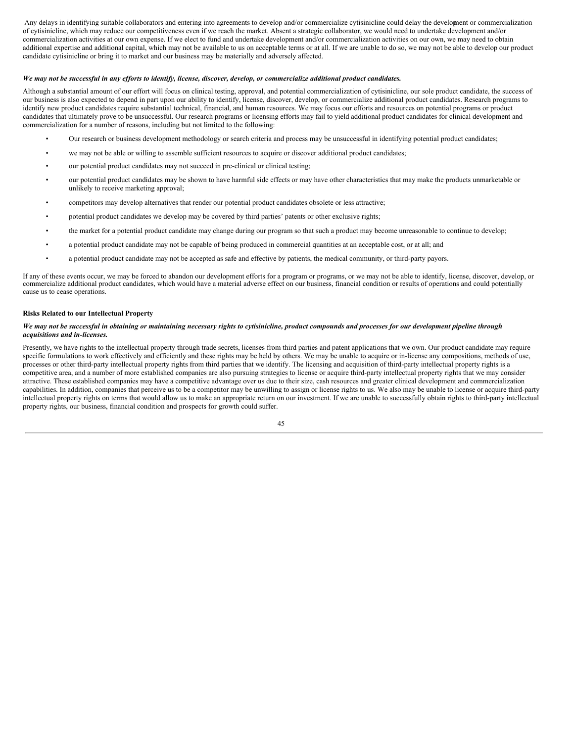Any delays in identifying suitable collaborators and entering into agreements to develop and/or commercialize cytisinicline could delay the development or commercialization of cytisinicline, which may reduce our competitiveness even if we reach the market. Absent a strategic collaborator, we would need to undertake development and/or commercialization activities at our own expense. If we elect to fund and undertake development and/or commercialization activities on our own, we may need to obtain additional expertise and additional capital, which may not be available to us on acceptable terms or at all. If we are unable to do so, we may not be able to develop our product candidate cytisinicline or bring it to market and our business may be materially and adversely affected.

## We may not be successful in any efforts to identify, license, discover, develop, or commercialize additional product candidates.

Although a substantial amount of our effort will focus on clinical testing, approval, and potential commercialization of cytisinicline, our sole product candidate, the success of our business is also expected to depend in part upon our ability to identify, license, discover, develop, or commercialize additional product candidates. Research programs to identify new product candidates require substantial technical, financial, and human resources. We may focus our efforts and resources on potential programs or product candidates that ultimately prove to be unsuccessful. Our research programs or licensing efforts may fail to yield additional product candidates for clinical development and commercialization for a number of reasons, including but not limited to the following:

- Our research or business development methodology or search criteria and process may be unsuccessful in identifying potential product candidates;
- we may not be able or willing to assemble sufficient resources to acquire or discover additional product candidates;
- our potential product candidates may not succeed in pre-clinical or clinical testing;
- our potential product candidates may be shown to have harmful side effects or may have other characteristics that may make the products unmarketable or unlikely to receive marketing approval;
- competitors may develop alternatives that render our potential product candidates obsolete or less attractive;
- potential product candidates we develop may be covered by third parties' patents or other exclusive rights;
- the market for a potential product candidate may change during our program so that such a product may become unreasonable to continue to develop;
- a potential product candidate may not be capable of being produced in commercial quantities at an acceptable cost, or at all; and
- a potential product candidate may not be accepted as safe and effective by patients, the medical community, or third-party payors.

If any of these events occur, we may be forced to abandon our development efforts for a program or programs, or we may not be able to identify, license, discover, develop, or commercialize additional product candidates, which would have a material adverse effect on our business, financial condition or results of operations and could potentially cause us to cease operations.

## **Risks Related to our Intellectual Property**

#### We may not be successful in obtaining or maintaining necessary rights to cytisinicline, product compounds and processes for our development pipeline through *acquisitions and in-licenses.*

Presently, we have rights to the intellectual property through trade secrets, licenses from third parties and patent applications that we own. Our product candidate may require specific formulations to work effectively and efficiently and these rights may be held by others. We may be unable to acquire or in-license any compositions, methods of use, processes or other third-party intellectual property rights from third parties that we identify. The licensing and acquisition of third-party intellectual property rights is a competitive area, and a number of more established companies are also pursuing strategies to license or acquire third-party intellectual property rights that we may consider attractive. These established companies may have a competitive advantage over us due to their size, cash resources and greater clinical development and commercialization capabilities. In addition, companies that perceive us to be a competitor may be unwilling to assign or license rights to us. We also may be unable to license or acquire third-party intellectual property rights on terms that would allow us to make an appropriate return on our investment. If we are unable to successfully obtain rights to third-party intellectual property rights, our business, financial condition and prospects for growth could suffer.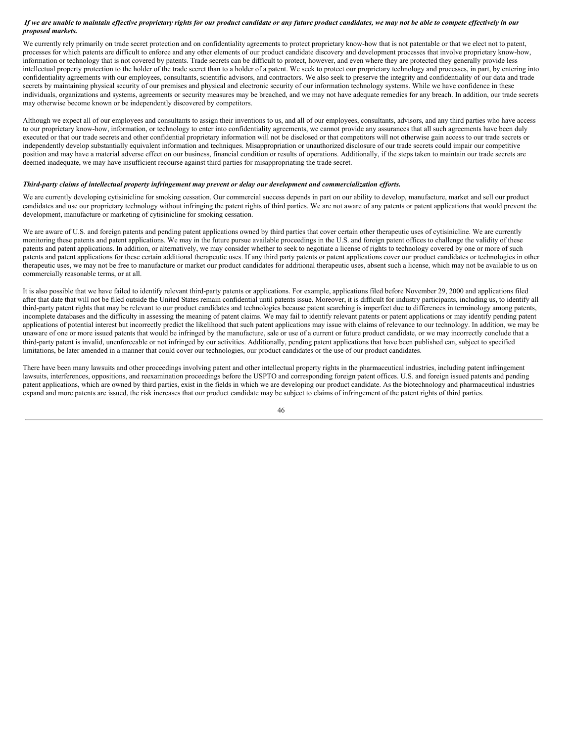## If we are unable to maintain effective proprietary rights for our product candidate or any future product candidates, we may not be able to compete effectively in our *proposed markets.*

We currently rely primarily on trade secret protection and on confidentiality agreements to protect proprietary know-how that is not patentable or that we elect not to patent, processes for which patents are difficult to enforce and any other elements of our product candidate discovery and development processes that involve proprietary know-how, information or technology that is not covered by patents. Trade secrets can be difficult to protect, however, and even where they are protected they generally provide less intellectual property protection to the holder of the trade secret than to a holder of a patent. We seek to protect our proprietary technology and processes, in part, by entering into confidentiality agreements with our employees, consultants, scientific advisors, and contractors. We also seek to preserve the integrity and confidentiality of our data and trade secrets by maintaining physical security of our premises and physical and electronic security of our information technology systems. While we have confidence in these individuals, organizations and systems, agreements or security measures may be breached, and we may not have adequate remedies for any breach. In addition, our trade secrets may otherwise become known or be independently discovered by competitors.

Although we expect all of our employees and consultants to assign their inventions to us, and all of our employees, consultants, advisors, and any third parties who have access to our proprietary know-how, information, or technology to enter into confidentiality agreements, we cannot provide any assurances that all such agreements have been duly executed or that our trade secrets and other confidential proprietary information will not be disclosed or that competitors will not otherwise gain access to our trade secrets or independently develop substantially equivalent information and techniques. Misappropriation or unauthorized disclosure of our trade secrets could impair our competitive position and may have a material adverse effect on our business, financial condition or results of operations. Additionally, if the steps taken to maintain our trade secrets are deemed inadequate, we may have insufficient recourse against third parties for misappropriating the trade secret.

#### Third-party claims of intellectual property infringement may prevent or delay our development and commercialization efforts.

We are currently developing cytisinicline for smoking cessation. Our commercial success depends in part on our ability to develop, manufacture, market and sell our product candidates and use our proprietary technology without infringing the patent rights of third parties. We are not aware of any patents or patent applications that would prevent the development, manufacture or marketing of cytisinicline for smoking cessation.

We are aware of U.S. and foreign patents and pending patent applications owned by third parties that cover certain other therapeutic uses of cytisinicline. We are currently monitoring these patents and patent applications. We may in the future pursue available proceedings in the U.S. and foreign patent offices to challenge the validity of these patents and patent applications. In addition, or alternatively, we may consider whether to seek to negotiate a license of rights to technology covered by one or more of such patents and patent applications for these certain additional therapeutic uses. If any third party patents or patent applications cover our product candidates or technologies in other therapeutic uses, we may not be free to manufacture or market our product candidates for additional therapeutic uses, absent such a license, which may not be available to us on commercially reasonable terms, or at all.

It is also possible that we have failed to identify relevant third-party patents or applications. For example, applications filed before November 29, 2000 and applications filed after that date that will not be filed outside the United States remain confidential until patents issue. Moreover, it is difficult for industry participants, including us, to identify all third-party patent rights that may be relevant to our product candidates and technologies because patent searching is imperfect due to differences in terminology among patents, incomplete databases and the difficulty in assessing the meaning of patent claims. We may fail to identify relevant patents or patent applications or may identify pending patent applications of potential interest but incorrectly predict the likelihood that such patent applications may issue with claims of relevance to our technology. In addition, we may be unaware of one or more issued patents that would be infringed by the manufacture, sale or use of a current or future product candidate, or we may incorrectly conclude that a third-party patent is invalid, unenforceable or not infringed by our activities. Additionally, pending patent applications that have been published can, subject to specified limitations, be later amended in a manner that could cover our technologies, our product candidates or the use of our product candidates.

There have been many lawsuits and other proceedings involving patent and other intellectual property rights in the pharmaceutical industries, including patent infringement lawsuits, interferences, oppositions, and reexamination proceedings before the USPTO and corresponding foreign patent offices. U.S. and foreign issued patents and pending patent applications, which are owned by third parties, exist in the fields in which we are developing our product candidate. As the biotechnology and pharmaceutical industries expand and more patents are issued, the risk increases that our product candidate may be subject to claims of infringement of the patent rights of third parties.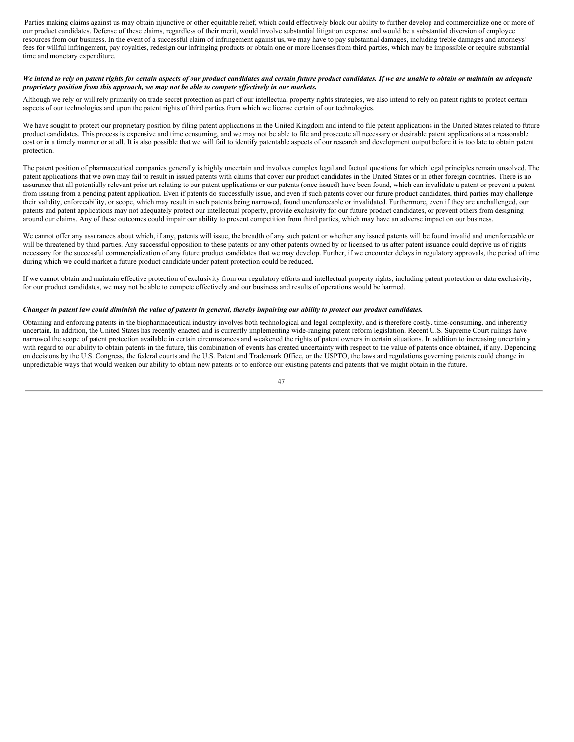Parties making claims against us may obtain injunctive or other equitable relief, which could effectively block our ability to further develop and commercialize one or more of our product candidates. Defense of these claims, regardless of their merit, would involve substantial litigation expense and would be a substantial diversion of employee resources from our business. In the event of a successful claim of infringement against us, we may have to pay substantial damages, including treble damages and attorneys' fees for willful infringement, pay royalties, redesign our infringing products or obtain one or more licenses from third parties, which may be impossible or require substantial time and monetary expenditure.

#### We intend to rely on patent rights for certain aspects of our product candidates and certain future product candidates. If we are unable to obtain or maintain an adequate *proprietary position from this approach, we may not be able to compete ef ectively in our markets.*

Although we rely or will rely primarily on trade secret protection as part of our intellectual property rights strategies, we also intend to rely on patent rights to protect certain aspects of our technologies and upon the patent rights of third parties from which we license certain of our technologies.

We have sought to protect our proprietary position by filing patent applications in the United Kingdom and intend to file patent applications in the United States related to future product candidates. This process is expensive and time consuming, and we may not be able to file and prosecute all necessary or desirable patent applications at a reasonable cost or in a timely manner or at all. It is also possible that we will fail to identify patentable aspects of our research and development output before it is too late to obtain patent protection.

The patent position of pharmaceutical companies generally is highly uncertain and involves complex legal and factual questions for which legal principles remain unsolved. The patent applications that we own may fail to result in issued patents with claims that cover our product candidates in the United States or in other foreign countries. There is no assurance that all potentially relevant prior art relating to our patent applications or our patents (once issued) have been found, which can invalidate a patent or prevent a patent from issuing from a pending patent application. Even if patents do successfully issue, and even if such patents cover our future product candidates, third parties may challenge their validity, enforceability, or scope, which may result in such patents being narrowed, found unenforceable or invalidated. Furthermore, even if they are unchallenged, our patents and patent applications may not adequately protect our intellectual property, provide exclusivity for our future product candidates, or prevent others from designing around our claims. Any of these outcomes could impair our ability to prevent competition from third parties, which may have an adverse impact on our business.

We cannot offer any assurances about which, if any, patents will issue, the breadth of any such patent or whether any issued patents will be found invalid and unenforceable or will be threatened by third parties. Any successful opposition to these patents or any other patents owned by or licensed to us after patent issuance could deprive us of rights necessary for the successful commercialization of any future product candidates that we may develop. Further, if we encounter delays in regulatory approvals, the period of time during which we could market a future product candidate under patent protection could be reduced.

If we cannot obtain and maintain effective protection of exclusivity from our regulatory efforts and intellectual property rights, including patent protection or data exclusivity, for our product candidates, we may not be able to compete effectively and our business and results of operations would be harmed.

## Changes in patent law could diminish the value of patents in general, thereby impairing our ability to protect our product candidates.

Obtaining and enforcing patents in the biopharmaceutical industry involves both technological and legal complexity, and is therefore costly, time-consuming, and inherently uncertain. In addition, the United States has recently enacted and is currently implementing wide-ranging patent reform legislation. Recent U.S. Supreme Court rulings have narrowed the scope of patent protection available in certain circumstances and weakened the rights of patent owners in certain situations. In addition to increasing uncertainty with regard to our ability to obtain patents in the future, this combination of events has created uncertainty with respect to the value of patents once obtained, if any. Depending on decisions by the U.S. Congress, the federal courts and the U.S. Patent and Trademark Office, or the USPTO, the laws and regulations governing patents could change in unpredictable ways that would weaken our ability to obtain new patents or to enforce our existing patents and patents that we might obtain in the future.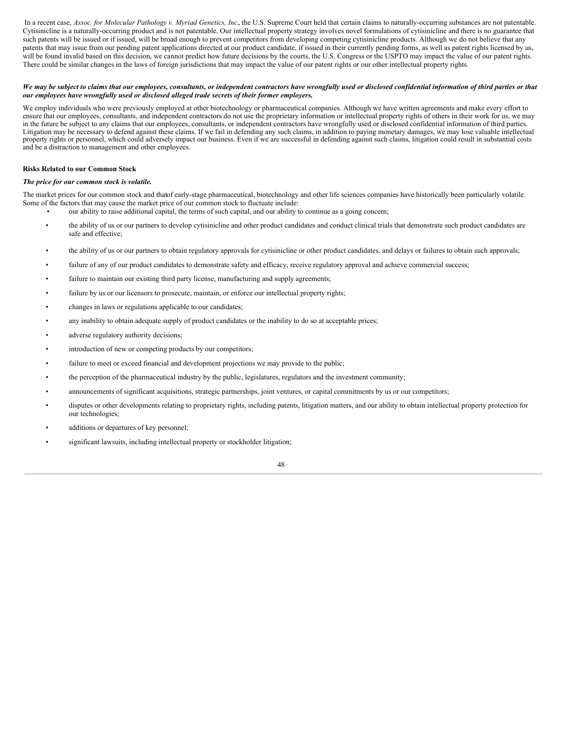In a recent case, Assoc. for Molecular Pathology v. Myriad Genetics, Inc., the U.S. Supreme Court held that certain claims to naturally-occurring substances are not patentable. Cytisinicline is a naturally-occurring product and is not patentable. Our intellectual property strategy involves novel formulations of cytisinicline and there is no guarantee that such patents will be issued or if issued, will be broad enough to prevent competitors from developing competing cytisinicline products. Although we do not believe that any patents that may issue from our pending patent applications directed at our product candidate, if issued in their currently pending forms, as well as patent rights licensed by us, will be found invalid based on this decision, we cannot predict how future decisions by the courts, the U.S. Congress or the USPTO may impact the value of our patent rights. There could be similar changes in the laws of foreign jurisdictions that may impact the value of our patent rights or our other intellectual property rights.

## We may be subject to claims that our employees, consultants, or independent contractors have wrongfully used or disclosed confidential information of third parties or that *our employees have wrongfully used or disclosed alleged trade secrets of their former employers.*

We employ individuals who were previously employed at other biotechnology or pharmaceutical companies. Although we have written agreements and make every effort to ensure that our employees, consultants, and independent contractors do not use the proprietary information or intellectual property rights of others in their work for us, we may in the future be subject to any claims that our employees, consultants, or independent contractors have wrongfully used or disclosed confidential information of third parties. Litigation may be necessary to defend against these claims. If we fail in defending any such claims, in addition to paying monetary damages, we may lose valuable intellectual property rights or personnel, which could adversely impact our business. Even if we are successful in defending against such claims, litigation could result in substantial costs and be a distraction to management and other employees.

## **Risks Related to our Common Stock**

## *The price for our common stock is volatile.*

The market prices for our common stock and thatof early-stage pharmaceutical, biotechnology and other life sciences companies have historically been particularly volatile. Some of the factors that may cause the market price of our common stock to fluctuate include:

- our ability to raise additional capital, the terms of such capital, and our ability to continue as a going concern;
- the ability of us or our partners to develop cytisinicline and other product candidates and conduct clinical trials that demonstrate such product candidates are safe and effective;
- the ability of us or our partners to obtain regulatory approvals for cytisinicline or other product candidates, and delays or failures to obtain such approvals;
- failure of any of our product candidates to demonstrate safety and efficacy, receive regulatory approval and achieve commercial success;
- failure to maintain our existing third party license, manufacturing and supply agreements;
- failure by us or our licensors to prosecute, maintain, or enforce our intellectual property rights;
- changes in laws or regulations applicable to our candidates;
- any inability to obtain adequate supply of product candidates or the inability to do so at acceptable prices;
- adverse regulatory authority decisions;
- introduction of new or competing products by our competitors;
- failure to meet or exceed financial and development projections we may provide to the public;
- the perception of the pharmaceutical industry by the public, legislatures, regulators and the investment community;
- announcements of significant acquisitions, strategic partnerships, joint ventures, or capital commitments by us or our competitors;
- disputes or other developments relating to proprietary rights, including patents, litigation matters, and our ability to obtain intellectual property protection for our technologies;
- additions or departures of key personnel;
- significant lawsuits, including intellectual property or stockholder litigation;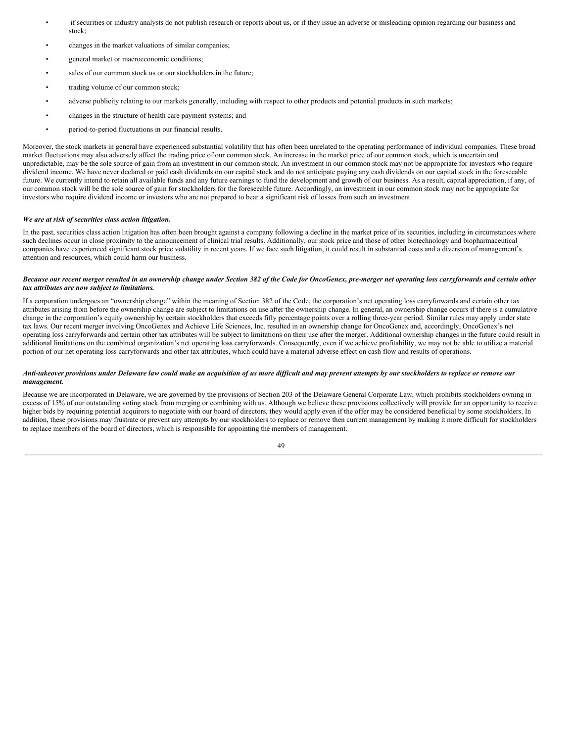- if securities or industry analysts do not publish research or reports about us, or if they issue an adverse or misleading opinion regarding our business and stock;
- changes in the market valuations of similar companies;
- general market or macroeconomic conditions;
- sales of our common stock us or our stockholders in the future;
- trading volume of our common stock;
- adverse publicity relating to our markets generally, including with respect to other products and potential products in such markets;
- changes in the structure of health care payment systems; and
- period-to-period fluctuations in our financial results.

Moreover, the stock markets in general have experienced substantial volatility that has often been unrelated to the operating performance of individual companies. These broad market fluctuations may also adversely affect the trading price of our common stock. An increase in the market price of our common stock, which is uncertain and unpredictable, may be the sole source of gain from an investment in our common stock. An investment in our common stock may not be appropriate for investors who require dividend income. We have never declared or paid cash dividends on our capital stock and do not anticipate paying any cash dividends on our capital stock in the foreseeable future. We currently intend to retain all available funds and any future earnings to fund the development and growth of our business. As a result, capital appreciation, if any, of our common stock will be the sole source of gain for stockholders for the foreseeable future. Accordingly, an investment in our common stock may not be appropriate for investors who require dividend income or investors who are not prepared to bear a significant risk of losses from such an investment.

## *We are at risk of securities class action litigation.*

In the past, securities class action litigation has often been brought against a company following a decline in the market price of its securities, including in circumstances where such declines occur in close proximity to the announcement of clinical trial results. Additionally, our stock price and those of other biotechnology and biopharmaceutical companies have experienced significant stock price volatility in recent years. If we face such litigation, it could result in substantial costs and a diversion of management's attention and resources, which could harm our business.

## Because our recent merger resulted in an ownership change under Section 382 of the Code for OncoGenex, pre-merger net operating loss carryforwards and certain other *tax attributes are now subject to limitations.*

If a corporation undergoes an "ownership change" within the meaning of Section 382 of the Code, the corporation's net operating loss carryforwards and certain other tax attributes arising from before the ownership change are subject to limitations on use after the ownership change. In general, an ownership change occurs if there is a cumulative change in the corporation's equity ownership by certain stockholders that exceeds fifty percentage points over a rolling three-year period. Similar rules may apply under state tax laws. Our recent merger involving OncoGenex and Achieve Life Sciences, Inc. resulted in an ownership change for OncoGenex and, accordingly, OncoGenex's net operating loss carryforwards and certain other tax attributes will be subject to limitations on their use after the merger. Additional ownership changes in the future could result in additional limitations on the combined organization's net operating loss carryforwards. Consequently, even if we achieve profitability, we may not be able to utilize a material portion of our net operating loss carryforwards and other tax attributes, which could have a material adverse effect on cash flow and results of operations.

#### Anti-takeover provisions under Delaware law could make an acquisition of us more difficult and may prevent attempts by our stockholders to replace or remove our *management.*

Because we are incorporated in Delaware, we are governed by the provisions of Section 203 of the Delaware General Corporate Law, which prohibits stockholders owning in excess of 15% of our outstanding voting stock from merging or combining with us. Although we believe these provisions collectively will provide for an opportunity to receive higher bids by requiring potential acquirors to negotiate with our board of directors, they would apply even if the offer may be considered beneficial by some stockholders. In addition, these provisions may frustrate or prevent any attempts by our stockholders to replace or remove then current management by making it more difficult for stockholders to replace members of the board of directors, which is responsible for appointing the members of management.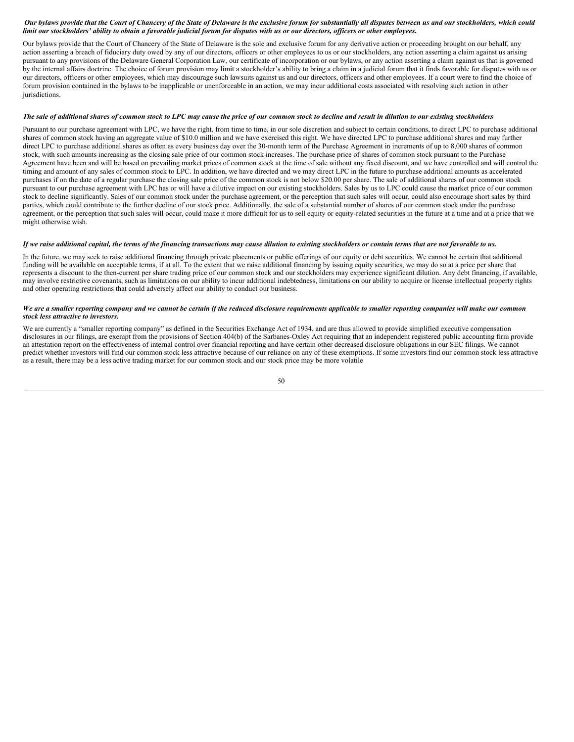## Our bylaws provide that the Court of Chancery of the State of Delaware is the exclusive forum for substantially all disputes between us and our stockholders, which could limit our stockholders' ability to obtain a favorable judicial forum for disputes with us or our directors, officers or other employees.

Our bylaws provide that the Court of Chancery of the State of Delaware is the sole and exclusive forum for any derivative action or proceeding brought on our behalf, any action asserting a breach of fiduciary duty owed by any of our directors, officers or other employees to us or our stockholders, any action asserting a claim against us arising pursuant to any provisions of the Delaware General Corporation Law, our certificate of incorporation or our bylaws, or any action asserting a claim against us that is governed by the internal affairs doctrine. The choice of forum provision may limit a stockholder's ability to bring a claim in a judicial forum that it finds favorable for disputes with us or our directors, officers or other employees, which may discourage such lawsuits against us and our directors, officers and other employees. If a court were to find the choice of forum provision contained in the bylaws to be inapplicable or unenforceable in an action, we may incur additional costs associated with resolving such action in other jurisdictions.

#### The sale of additional shares of common stock to LPC may cause the price of our common stock to decline and result in dilution to our existing stockholders

Pursuant to our purchase agreement with LPC, we have the right, from time to time, in our sole discretion and subject to certain conditions, to direct LPC to purchase additional shares of common stock having an aggregate value of \$10.0 million and we have exercised this right. We have directed LPC to purchase additional shares and may further direct LPC to purchase additional shares as often as every business day over the 30-month term of the Purchase Agreement in increments of up to 8,000 shares of common stock, with such amounts increasing as the closing sale price of our common stock increases. The purchase price of shares of common stock pursuant to the Purchase Agreement have been and will be based on prevailing market prices of common stock at the time of sale without any fixed discount, and we have controlled and will control the timing and amount of any sales of common stock to LPC. In addition, we have directed and we may direct LPC in the future to purchase additional amounts as accelerated purchases if on the date of a regular purchase the closing sale price of the common stock is not below \$20.00 per share. The sale of additional shares of our common stock pursuant to our purchase agreement with LPC has or will have a dilutive impact on our existing stockholders. Sales by us to LPC could cause the market price of our common stock to decline significantly. Sales of our common stock under the purchase agreement, or the perception that such sales will occur, could also encourage short sales by third parties, which could contribute to the further decline of our stock price. Additionally, the sale of a substantial number of shares of our common stock under the purchase agreement, or the perception that such sales will occur, could make it more difficult for us to sell equity or equity-related securities in the future at a time and at a price that we might otherwise wish.

#### If we raise additional capital, the terms of the financing transactions may cause dilution to existing stockholders or contain terms that are not favorable to us.

In the future, we may seek to raise additional financing through private placements or public offerings of our equity or debt securities. We cannot be certain that additional funding will be available on acceptable terms, if at all. To the extent that we raise additional financing by issuing equity securities, we may do so at a price per share that represents a discount to the then-current per share trading price of our common stock and our stockholders may experience significant dilution. Any debt financing, if available, may involve restrictive covenants, such as limitations on our ability to incur additional indebtedness, limitations on our ability to acquire or license intellectual property rights and other operating restrictions that could adversely affect our ability to conduct our business.

#### We are a smaller reporting company and we cannot be certain if the reduced disclosure requirements applicable to smaller reporting companies will make our common *stock less attractive to investors.*

We are currently a "smaller reporting company" as defined in the Securities Exchange Act of 1934, and are thus allowed to provide simplified executive compensation disclosures in our filings, are exempt from the provisions of Section 404(b) of the Sarbanes-Oxley Act requiring that an independent registered public accounting firm provide an attestation report on the effectiveness of internal control over financial reporting and have certain other decreased disclosure obligations in our SEC filings. We cannot predict whether investors will find our common stock less attractive because of our reliance on any of these exemptions. If some investors find our common stock less attractive as a result, there may be a less active trading market for our common stock and our stock price may be more volatile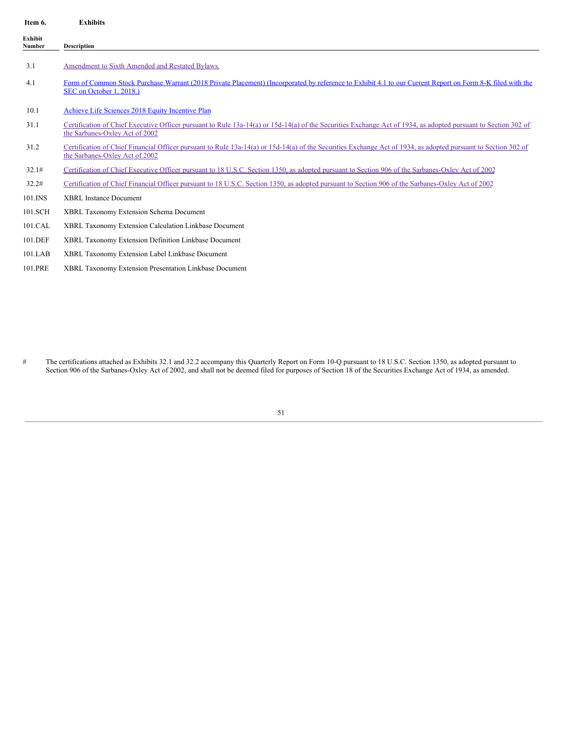| Item 6.           | <b>Exhibits</b>                                                                                                                                                                                  |
|-------------------|--------------------------------------------------------------------------------------------------------------------------------------------------------------------------------------------------|
| Exhibit<br>Number | <b>Description</b>                                                                                                                                                                               |
| 3.1               | Amendment to Sixth Amended and Restated Bylaws.                                                                                                                                                  |
| 4.1               | Form of Common Stock Purchase Warrant (2018 Private Placement) (Incorporated by reference to Exhibit 4.1 to our Current Report on Form 8-K filed with the<br>SEC on October 1, 2018.)            |
| 10.1              | Achieve Life Sciences 2018 Equity Incentive Plan                                                                                                                                                 |
| 31.1              | Certification of Chief Executive Officer pursuant to Rule 13a-14(a) or 15d-14(a) of the Securities Exchange Act of 1934, as adopted pursuant to Section 302 of<br>the Sarbanes-Oxley Act of 2002 |
| 31.2              | Certification of Chief Financial Officer pursuant to Rule 13a-14(a) or 15d-14(a) of the Securities Exchange Act of 1934, as adopted pursuant to Section 302 of<br>the Sarbanes-Oxley Act of 2002 |
| 32.1#             | Certification of Chief Executive Officer pursuant to 18 U.S.C. Section 1350, as adopted pursuant to Section 906 of the Sarbanes-Oxley Act of 2002                                                |
| 32.2#             | Certification of Chief Financial Officer pursuant to 18 U.S.C. Section 1350, as adopted pursuant to Section 906 of the Sarbanes-Oxley Act of 2002                                                |
| 101.INS           | <b>XBRL</b> Instance Document                                                                                                                                                                    |
| 101.SCH           | XBRL Taxonomy Extension Schema Document                                                                                                                                                          |
| 101.CAL           | XBRL Taxonomy Extension Calculation Linkbase Document                                                                                                                                            |
| 101.DEF           | XBRL Taxonomy Extension Definition Linkbase Document                                                                                                                                             |
| 101.LAB           | XBRL Taxonomy Extension Label Linkbase Document                                                                                                                                                  |
| 101.PRE           | XBRL Taxonomy Extension Presentation Linkbase Document                                                                                                                                           |

# The certifications attached as Exhibits 32.1 and 32.2 accompany this Quarterly Report on Form 10-Q pursuant to 18 U.S.C. Section 1350, as adopted pursuant to Section 906 of the Sarbanes-Oxley Act of 2002, and shall not be deemed filed for purposes of Section 18 of the Securities Exchange Act of 1934, as amended.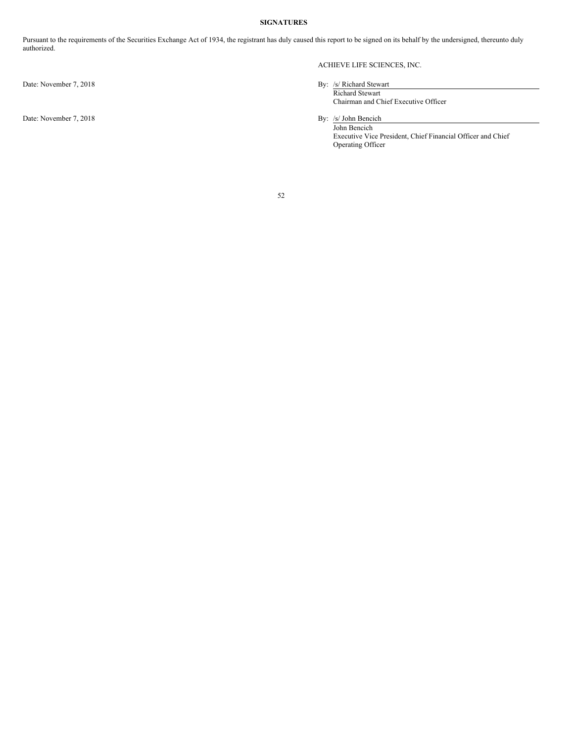## **SIGNATURES**

Pursuant to the requirements of the Securities Exchange Act of 1934, the registrant has duly caused this report to be signed on its behalf by the undersigned, thereunto duly authorized.

Date: November 7, 2018

# ACHIEVE LIFE SCIENCES, INC.

Date: November 7, 2018 By: /s/ Richard Stewart

Richard Stewart Chairman and Chief Executive Officer

By: <u>/s/ John Bencich</u><br>John Bencich Executive Vice President, Chief Financial Officer and Chief Operating Officer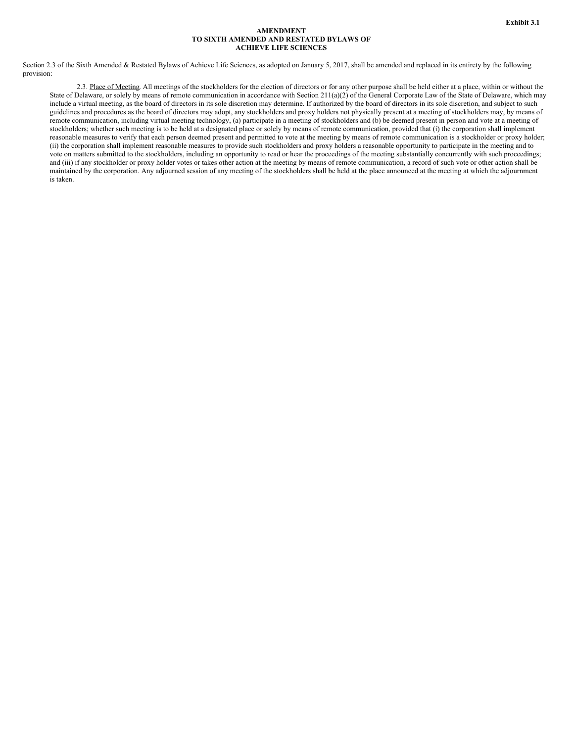## **AMENDMENT TO SIXTH AMENDED AND RESTATED BYLAWS OF ACHIEVE LIFE SCIENCES**

<span id="page-52-0"></span>Section 2.3 of the Sixth Amended & Restated Bylaws of Achieve Life Sciences, as adopted on January 5, 2017, shall be amended and replaced in its entirety by the following provision:

2.3. Place of Meeting. All meetings of the stockholders for the election of directors or for any other purpose shall be held either at a place, within or without the State of Delaware, or solely by means of remote communication in accordance with Section 211(a)(2) of the General Corporate Law of the State of Delaware, which may include a virtual meeting, as the board of directors in its sole discretion may determine. If authorized by the board of directors in its sole discretion, and subject to such guidelines and procedures as the board of directors may adopt, any stockholders and proxy holders not physically present at a meeting of stockholders may, by means of remote communication, including virtual meeting technology, (a) participate in a meeting of stockholders and (b) be deemed present in person and vote at a meeting of stockholders; whether such meeting is to be held at a designated place or solely by means of remote communication, provided that (i) the corporation shall implement reasonable measures to verify that each person deemed present and permitted to vote at the meeting by means of remote communication is a stockholder or proxy holder; (ii) the corporation shall implement reasonable measures to provide such stockholders and proxy holders a reasonable opportunity to participate in the meeting and to vote on matters submitted to the stockholders, including an opportunity to read or hear the proceedings of the meeting substantially concurrently with such proceedings; and (iii) if any stockholder or proxy holder votes or takes other action at the meeting by means of remote communication, a record of such vote or other action shall be maintained by the corporation. Any adjourned session of any meeting of the stockholders shall be held at the place announced at the meeting at which the adjournment is taken.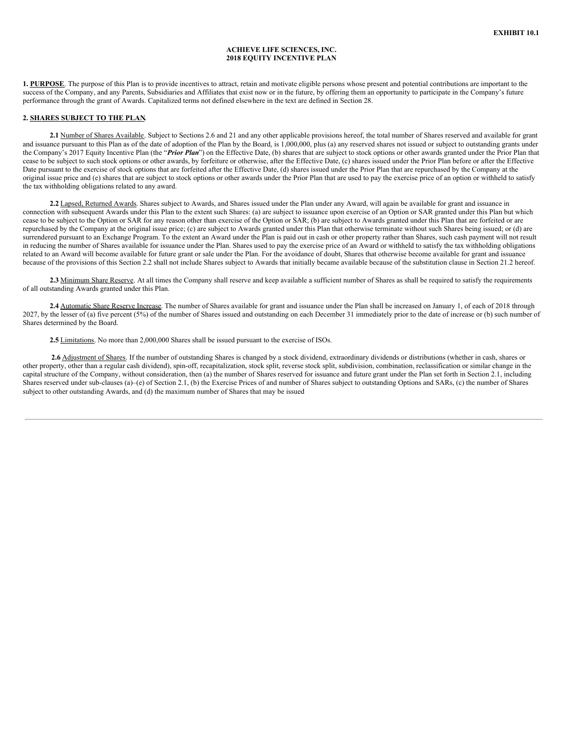## **ACHIEVE LIFE SCIENCES, INC. 2018 EQUITY INCENTIVE PLAN**

**1. PURPOSE**. The purpose of this Plan is to provide incentives to attract, retain and motivate eligible persons whose present and potential contributions are important to the success of the Company, and any Parents, Subsidiaries and Affiliates that exist now or in the future, by offering them an opportunity to participate in the Company's future performance through the grant of Awards. Capitalized terms not defined elsewhere in the text are defined in Section 28.

#### **2. SHARES SUBJECT TO THE PLAN.**

2.1 Number of Shares Available. Subject to Sections 2.6 and 21 and any other applicable provisions hereof, the total number of Shares reserved and available for grant and issuance pursuant to this Plan as of the date of adoption of the Plan by the Board, is  $1,000,000$ , plus (a) any reserved shares not issued or subject to outstanding grants under the Company's 2017 Equity Incentive Plan (the "*Prior Plan*") on the Effective Date, (b) shares that are subject to stock options or other awards granted under the Prior Plan that cease to be subject to such stock options or other awards, by forfeiture or otherwise, after the Effective Date, (c) shares issued under the Prior Plan before or after the Effective Date pursuant to the exercise of stock options that are forfeited after the Effective Date, (d) shares issued under the Prior Plan that are repurchased by the Company at the original issue price and (e) shares that are subject to stock options or other awards under the Prior Plan that are used to pay the exercise price of an option or withheld to satisfy the tax withholding obligations related to any award.

**2.2** Lapsed, Returned Awards. Shares subject to Awards, and Shares issued under the Plan under any Award, will again be available for grant and issuance in connection with subsequent Awards under this Plan to the extent such Shares: (a) are subject to issuance upon exercise of an Option or SAR granted under this Plan but which cease to be subject to the Option or SAR for any reason other than exercise of the Option or SAR; (b) are subject to Awards granted under this Plan that are forfeited or are repurchased by the Company at the original issue price; (c) are subject to Awards granted under this Plan that otherwise terminate without such Shares being issued; or (d) are surrendered pursuant to an Exchange Program. To the extent an Award under the Plan is paid out in cash or other property rather than Shares, such cash payment will not result in reducing the number of Shares available for issuance under the Plan. Shares used to pay the exercise price of an Award or withheld to satisfy the tax withholding obligations related to an Award will become available for future grant or sale under the Plan. For the avoidance of doubt, Shares that otherwise become available for grant and issuance because of the provisions of this Section 2.2 shall not include Shares subject to Awards that initially became available because of the substitution clause in Section 21.2 hereof.

2.3 Minimum Share Reserve. At all times the Company shall reserve and keep available a sufficient number of Shares as shall be required to satisfy the requirements of all outstanding Awards granted under this Plan.

2.4 Automatic Share Reserve Increase. The number of Shares available for grant and issuance under the Plan shall be increased on January 1, of each of 2018 through 2027, by the lesser of (a) five percent (5%) of the number of Shares issued and outstanding on each December 31 immediately prior to the date of increase or (b) such number of Shares determined by the Board.

**2.5** Limitations. No more than 2,000,000 Shares shall be issued pursuant to the exercise of ISOs.

2.6 Adjustment of Shares. If the number of outstanding Shares is changed by a stock dividend, extraordinary dividends or distributions (whether in cash, shares or other property, other than a regular cash dividend), spin-off, recapitalization, stock split, reverse stock split, subdivision, combination, reclassification or similar change in the capital structure of the Company, without consideration, then (a) the number of Shares reserved for issuance and future grant under the Plan set forth in Section 2.1, including Shares reserved under sub-clauses (a)–(e) of Section 2.1, (b) the Exercise Prices of and number of Shares subject to outstanding Options and SARs, (c) the number of Shares subject to other outstanding Awards, and (d) the maximum number of Shares that may be issued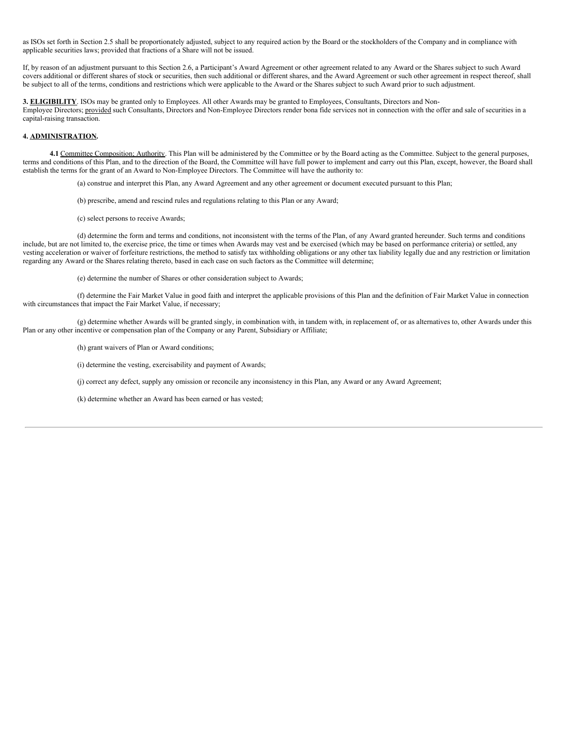as ISOs set forth in Section 2.5 shall be proportionately adjusted, subject to any required action by the Board or the stockholders of the Company and in compliance with applicable securities laws; provided that fractions of a Share will not be issued.

If, by reason of an adjustment pursuant to this Section 2.6, a Participant's Award Agreement or other agreement related to any Award or the Shares subject to such Award covers additional or different shares of stock or securities, then such additional or different shares, and the Award Agreement or such other agreement in respect thereof, shall be subject to all of the terms, conditions and restrictions which were applicable to the Award or the Shares subject to such Award prior to such adjustment.

**3. ELIGIBILITY**. ISOs may be granted only to Employees. All other Awards may be granted to Employees, Consultants, Directors and Non-Employee Directors; provided such Consultants, Directors and Non-Employee Directors render bona fide services not in connection with the offer and sale of securities in a capital-raising transaction.

## **4. ADMINISTRATION.**

**4.1** Committee Composition; Authority. This Plan will be administered by the Committee or by the Board acting as the Committee. Subject to the general purposes, terms and conditions of this Plan, and to the direction of the Board, the Committee will have full power to implement and carry out this Plan, except, however, the Board shall establish the terms for the grant of an Award to Non-Employee Directors. The Committee will have the authority to:

(a) construe and interpret this Plan, any Award Agreement and any other agreement or document executed pursuant to this Plan;

(b) prescribe, amend and rescind rules and regulations relating to this Plan or any Award;

(c) select persons to receive Awards;

(d) determine the form and terms and conditions, not inconsistent with the terms of the Plan, of any Award granted hereunder. Such terms and conditions include, but are not limited to, the exercise price, the time or times when Awards may vest and be exercised (which may be based on performance criteria) or settled, any vesting acceleration or waiver of forfeiture restrictions, the method to satisfy tax withholding obligations or any other tax liability legally due and any restriction or limitation regarding any Award or the Shares relating thereto, based in each case on such factors as the Committee will determine;

(e) determine the number of Shares or other consideration subject to Awards;

(f) determine the Fair Market Value in good faith and interpret the applicable provisions of this Plan and the definition of Fair Market Value in connection with circumstances that impact the Fair Market Value, if necessary;

(g) determine whether Awards will be granted singly, in combination with, in tandem with, in replacement of, or as alternatives to, other Awards under this Plan or any other incentive or compensation plan of the Company or any Parent, Subsidiary or Affiliate;

(h) grant waivers of Plan or Award conditions;

(i) determine the vesting, exercisability and payment of Awards;

(j) correct any defect, supply any omission or reconcile any inconsistency in this Plan, any Award or any Award Agreement;

(k) determine whether an Award has been earned or has vested;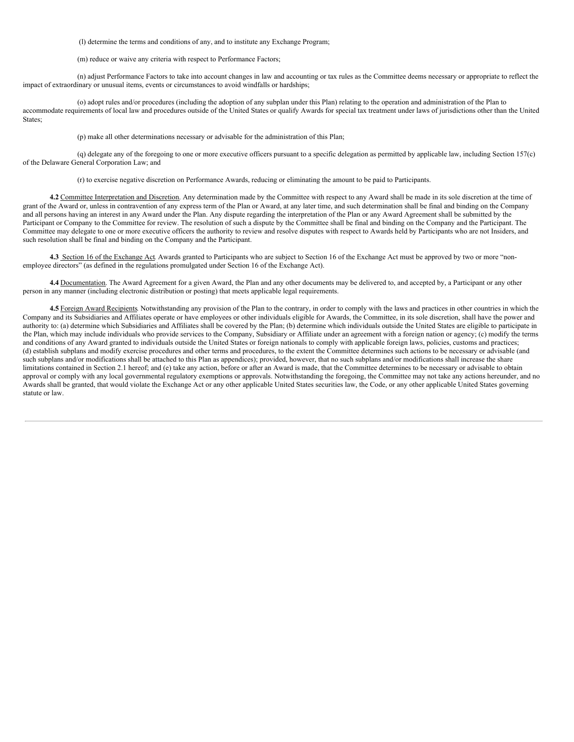(l) determine the terms and conditions of any, and to institute any Exchange Program;

(m) reduce or waive any criteria with respect to Performance Factors;

(n) adjust Performance Factors to take into account changes in law and accounting or tax rules as the Committee deems necessary or appropriate to reflect the impact of extraordinary or unusual items, events or circumstances to avoid windfalls or hardships;

(o) adopt rules and/or procedures (including the adoption of any subplan under this Plan) relating to the operation and administration of the Plan to accommodate requirements of local law and procedures outside of the United States or qualify Awards for special tax treatment under laws of jurisdictions other than the United States;

(p) make all other determinations necessary or advisable for the administration of this Plan;

(q) delegate any of the foregoing to one or more executive officers pursuant to a specific delegation as permitted by applicable law, including Section 157(c) of the Delaware General Corporation Law; and

(r) to exercise negative discretion on Performance Awards, reducing or eliminating the amount to be paid to Participants.

4.2 Committee Interpretation and Discretion. Any determination made by the Committee with respect to any Award shall be made in its sole discretion at the time of grant of the Award or, unless in contravention of any express term of the Plan or Award, at any later time, and such determination shall be final and binding on the Company and all persons having an interest in any Award under the Plan. Any dispute regarding the interpretation of the Plan or any Award Agreement shall be submitted by the Participant or Company to the Committee for review. The resolution of such a dispute by the Committee shall be final and binding on the Company and the Participant. The Committee may delegate to one or more executive officers the authority to review and resolve disputes with respect to Awards held by Participants who are not Insiders, and such resolution shall be final and binding on the Company and the Participant.

**4.3** Section 16 of the Exchange Act. Awards granted to Participants who are subject to Section 16 of the Exchange Act must be approved by two or more "nonemployee directors" (as defined in the regulations promulgated under Section 16 of the Exchange Act).

4.4 Documentation. The Award Agreement for a given Award, the Plan and any other documents may be delivered to, and accepted by, a Participant or any other person in any manner (including electronic distribution or posting) that meets applicable legal requirements.

4.5 Foreign Award Recipients. Notwithstanding any provision of the Plan to the contrary, in order to comply with the laws and practices in other countries in which the Company and its Subsidiaries and Affiliates operate or have employees or other individuals eligible for Awards, the Committee, in its sole discretion, shall have the power and authority to: (a) determine which Subsidiaries and Affiliates shall be covered by the Plan; (b) determine which individuals outside the United States are eligible to participate in the Plan, which may include individuals who provide services to the Company, Subsidiary or Affiliate under an agreement with a foreign nation or agency; (c) modify the terms and conditions of any Award granted to individuals outside the United States or foreign nationals to comply with applicable foreign laws, policies, customs and practices; (d) establish subplans and modify exercise procedures and other terms and procedures, to the extent the Committee determines such actions to be necessary or advisable (and such subplans and/or modifications shall be attached to this Plan as appendices); provided, however, that no such subplans and/or modifications shall increase the share limitations contained in Section 2.1 hereof; and (e) take any action, before or after an Award is made, that the Committee determines to be necessary or advisable to obtain approval or comply with any local governmental regulatory exemptions or approvals. Notwithstanding the foregoing, the Committee may not take any actions hereunder, and no Awards shall be granted, that would violate the Exchange Act or any other applicable United States securities law, the Code, or any other applicable United States governing statute or law.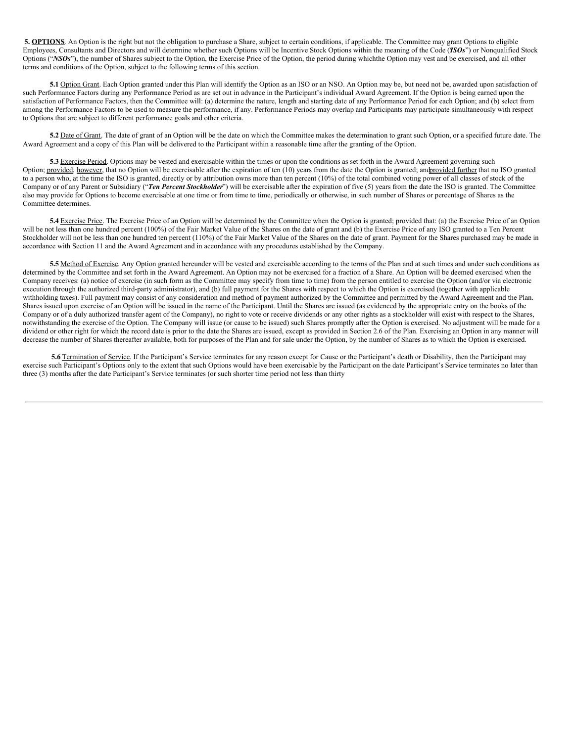**5. OPTIONS**. An Option is the right but not the obligation to purchase a Share, subject to certain conditions, if applicable. The Committee may grant Options to eligible Employees, Consultants and Directors and will determine whether such Options will be Incentive Stock Options within the meaning of the Code ("*ISOs*") or Nonqualified Stock Options ("*NSOs*"), the number of Shares subject to the Option, the Exercise Price of the Option, the period during whichthe Option may vest and be exercised, and all other terms and conditions of the Option, subject to the following terms of this section.

**5.1** Option Grant. Each Option granted under this Plan will identify the Option as an ISO or an NSO. An Option may be, but need not be, awarded upon satisfaction of such Performance Factors during any Performance Period as are set out in advance in the Participant's individual Award Agreement. If the Option is being earned upon the satisfaction of Performance Factors, then the Committee will: (a) determine the nature, length and starting date of any Performance Period for each Option; and (b) select from among the Performance Factors to be used to measure the performance, if any. Performance Periods may overlap and Participants may participate simultaneously with respect to Options that are subject to different performance goals and other criteria.

**5.2** Date of Grant. The date of grant of an Option will be the date on which the Committee makes the determination to grant such Option, or a specified future date. The Award Agreement and a copy of this Plan will be delivered to the Participant within a reasonable time after the granting of the Option.

**5.3** Exercise Period. Options may be vested and exercisable within the times or upon the conditions as set forth in the Award Agreement governing such Option; provided, however, that no Option will be exercisable after the expiration of ten (10) years from the date the Option is granted; and provided further that no ISO granted to a person who, at the time the ISO is granted, directly or by attribution owns more than ten percent (10%) of the total combined voting power of all classes of stock of the Company or of any Parent or Subsidiary ("*Ten Percent Stockholder*") will be exercisable after the expiration of five (5) years from the date the ISO is granted. The Committee also may provide for Options to become exercisable at one time or from time to time, periodically or otherwise, in such number of Shares or percentage of Shares as the Committee determines.

**5.4** Exercise Price. The Exercise Price of an Option will be determined by the Committee when the Option is granted; provided that: (a) the Exercise Price of an Option will be not less than one hundred percent (100%) of the Fair Market Value of the Shares on the date of grant and (b) the Exercise Price of any ISO granted to a Ten Percent Stockholder will not be less than one hundred ten percent (110%) of the Fair Market Value of the Shares on the date of grant. Payment for the Shares purchased may be made in accordance with Section 11 and the Award Agreement and in accordance with any procedures established by the Company.

5.5 Method of Exercise. Any Option granted hereunder will be vested and exercisable according to the terms of the Plan and at such times and under such conditions as determined by the Committee and set forth in the Award Agreement. An Option may not be exercised for a fraction of a Share. An Option will be deemed exercised when the Company receives: (a) notice of exercise (in such form as the Committee may specify from time to time) from the person entitled to exercise the Option (and/or via electronic execution through the authorized third-party administrator), and (b) full payment for the Shares with respect to which the Option is exercised (together with applicable withholding taxes). Full payment may consist of any consideration and method of payment authorized by the Committee and permitted by the Award Agreement and the Plan. Shares issued upon exercise of an Option will be issued in the name of the Participant. Until the Shares are issued (as evidenced by the appropriate entry on the books of the Company or of a duly authorized transfer agent of the Company), no right to vote or receive dividends or any other rights as a stockholder will exist with respect to the Shares, notwithstanding the exercise of the Option. The Company will issue (or cause to be issued) such Shares promptly after the Option is exercised. No adjustment will be made for a dividend or other right for which the record date is prior to the date the Shares are issued, except as provided in Section 2.6 of the Plan. Exercising an Option in any manner will decrease the number of Shares thereafter available, both for purposes of the Plan and for sale under the Option, by the number of Shares as to which the Option is exercised.

5.6 Termination of Service. If the Participant's Service terminates for any reason except for Cause or the Participant's death or Disability, then the Participant may exercise such Participant's Options only to the extent that such Options would have been exercisable by the Participant on the date Participant's Service terminates no later than three (3) months after the date Participant's Service terminates (or such shorter time period not less than thirty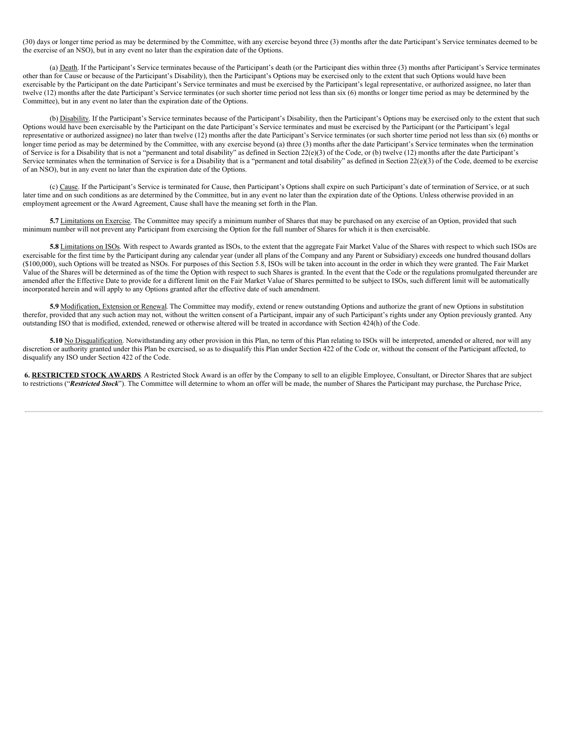(30) days or longer time period as may be determined by the Committee, with any exercise beyond three (3) months after the date Participant's Service terminates deemed to be the exercise of an NSO), but in any event no later than the expiration date of the Options.

(a) Death. If the Participant's Service terminates because of the Participant's death (or the Participant dies within three (3) months after Participant's Service terminates other than for Cause or because of the Participant's Disability), then the Participant's Options may be exercised only to the extent that such Options would have been exercisable by the Participant on the date Participant's Service terminates and must be exercised by the Participant's legal representative, or authorized assignee, no later than twelve (12) months after the date Participant's Service terminates (or such shorter time period not less than six (6) months or longer time period as may be determined by the Committee), but in any event no later than the expiration date of the Options.

(b) Disability. If the Participant's Service terminates because of the Participant's Disability, then the Participant's Options may be exercised only to the extent that such Options would have been exercisable by the Participant on the date Participant's Service terminates and must be exercised by the Participant (or the Participant's legal representative or authorized assignee) no later than twelve (12) months after the date Participant's Service terminates (or such shorter time period not less than six (6) months or longer time period as may be determined by the Committee, with any exercise beyond (a) three (3) months after the date Participant's Service terminates when the termination of Service is for a Disability that is not a "permanent and total disability" as defined in Section 22(e)(3) of the Code, or (b) twelve (12) months after the date Participant's Service terminates when the termination of Service is for a Disability that is a "permanent and total disability" as defined in Section 22(e)(3) of the Code, deemed to be exercise of an NSO), but in any event no later than the expiration date of the Options.

(c) Cause. If the Participant's Service is terminated for Cause, then Participant's Options shall expire on such Participant's date of termination of Service, or at such later time and on such conditions as are determined by the Committee, but in any event no later than the expiration date of the Options. Unless otherwise provided in an employment agreement or the Award Agreement, Cause shall have the meaning set forth in the Plan.

5.7 Limitations on Exercise. The Committee may specify a minimum number of Shares that may be purchased on any exercise of an Option, provided that such minimum number will not prevent any Participant from exercising the Option for the full number of Shares for which it is then exercisable.

5.8 Limitations on ISOs. With respect to Awards granted as ISOs, to the extent that the aggregate Fair Market Value of the Shares with respect to which such ISOs are exercisable for the first time by the Participant during any calendar year (under all plans of the Company and any Parent or Subsidiary) exceeds one hundred thousand dollars (\$100,000), such Options will be treated as NSOs. For purposes of this Section 5.8, ISOs will be taken into account in the order in which they were granted. The Fair Market Value of the Shares will be determined as of the time the Option with respect to such Shares is granted. In the event that the Code or the regulations promulgated thereunder are amended after the Effective Date to provide for a different limit on the Fair Market Value of Shares permitted to be subject to ISOs, such different limit will be automatically incorporated herein and will apply to any Options granted after the effective date of such amendment.

5.9 Modification, Extension or Renewal. The Committee may modify, extend or renew outstanding Options and authorize the grant of new Options in substitution therefor, provided that any such action may not, without the written consent of a Participant, impair any of such Participant's rights under any Option previously granted. Any outstanding ISO that is modified, extended, renewed or otherwise altered will be treated in accordance with Section 424(h) of the Code.

5.10 No Disqualification. Notwithstanding any other provision in this Plan, no term of this Plan relating to ISOs will be interpreted, amended or altered, nor will any discretion or authority granted under this Plan be exercised, so as to disqualify this Plan under Section 422 of the Code or, without the consent of the Participant affected, to disqualify any ISO under Section 422 of the Code.

**6. RESTRICTED STOCK AWARDS**. A Restricted Stock Award is an offer by the Company to sell to an eligible Employee, Consultant, or Director Shares that are subject to restrictions ("*Restricted Stock*"). The Committee will determine to whom an offer will be made, the number of Shares the Participant may purchase, the Purchase Price,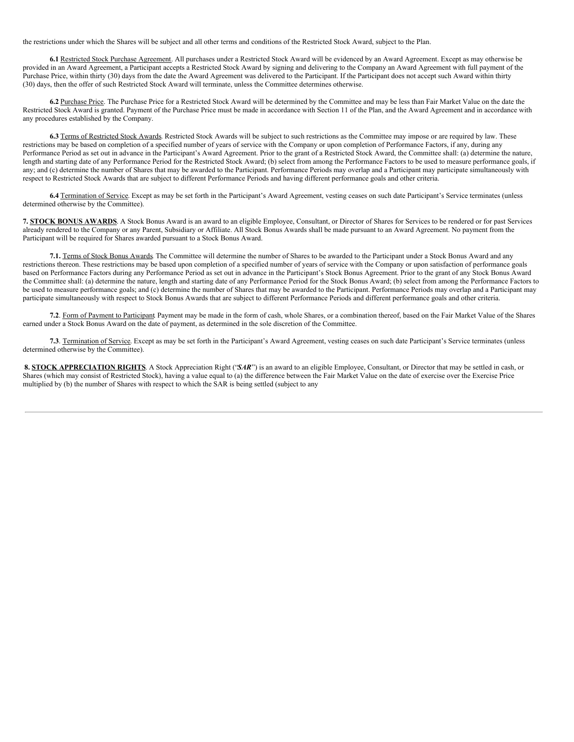the restrictions under which the Shares will be subject and all other terms and conditions of the Restricted Stock Award, subject to the Plan.

**6.1** Restricted Stock Purchase Agreement. All purchases under a Restricted Stock Award will be evidenced by an Award Agreement. Except as may otherwise be provided in an Award Agreement, a Participant accepts a Restricted Stock Award by signing and delivering to the Company an Award Agreement with full payment of the Purchase Price, within thirty (30) days from the date the Award Agreement was delivered to the Participant. If the Participant does not accept such Award within thirty (30) days, then the offer of such Restricted Stock Award will terminate, unless the Committee determines otherwise.

**6.2** Purchase Price. The Purchase Price for a Restricted Stock Award will be determined by the Committee and may be less than Fair Market Value on the date the Restricted Stock Award is granted. Payment of the Purchase Price must be made in accordance with Section 11 of the Plan, and the Award Agreement and in accordance with any procedures established by the Company.

**6.3** Terms of Restricted Stock Awards. Restricted Stock Awards will be subject to such restrictions as the Committee may impose or are required by law. These restrictions may be based on completion of a specified number of years of service with the Company or upon completion of Performance Factors, if any, during any Performance Period as set out in advance in the Participant's Award Agreement. Prior to the grant of a Restricted Stock Award, the Committee shall: (a) determine the nature, length and starting date of any Performance Period for the Restricted Stock Award; (b) select from among the Performance Factors to be used to measure performance goals, if any; and (c) determine the number of Shares that may be awarded to the Participant. Performance Periods may overlap and a Participant may participate simultaneously with respect to Restricted Stock Awards that are subject to different Performance Periods and having different performance goals and other criteria.

**6.4** Termination of Service. Except as may be set forth in the Participant's Award Agreement, vesting ceases on such date Participant's Service terminates (unless determined otherwise by the Committee).

**7. STOCK BONUS AWARDS**. A Stock Bonus Award is an award to an eligible Employee, Consultant, or Director of Shares for Services to be rendered or for past Services already rendered to the Company or any Parent, Subsidiary or Affiliate. All Stock Bonus Awards shall be made pursuant to an Award Agreement. No payment from the Participant will be required for Shares awarded pursuant to a Stock Bonus Award.

**7.1.** Terms of Stock Bonus Awards. The Committee will determine the number of Shares to be awarded to the Participant under a Stock Bonus Award and any restrictions thereon. These restrictions may be based upon completion of a specified number of years of service with the Company or upon satisfaction of performance goals based on Performance Factors during any Performance Period as set out in advance in the Participant's Stock Bonus Agreement. Prior to the grant of any Stock Bonus Award the Committee shall: (a) determine the nature, length and starting date of any Performance Period for the Stock Bonus Award; (b) select from among the Performance Factors to be used to measure performance goals; and (c) determine the number of Shares that may be awarded to the Participant. Performance Periods may overlap and a Participant may participate simultaneously with respect to Stock Bonus Awards that are subject to different Performance Periods and different performance goals and other criteria.

**7.2**. Form of Payment to Participant. Payment may be made in the form of cash, whole Shares, or a combination thereof, based on the Fair Market Value of the Shares earned under a Stock Bonus Award on the date of payment, as determined in the sole discretion of the Committee.

**7.3**. Termination of Service. Except as may be set forth in the Participant's Award Agreement, vesting ceases on such date Participant's Service terminates (unless determined otherwise by the Committee).

**8. STOCK APPRECIATION RIGHTS**. A Stock Appreciation Right ("*SAR*") is an award to an eligible Employee, Consultant, or Director that may be settled in cash, or Shares (which may consist of Restricted Stock), having a value equal to (a) the difference between the Fair Market Value on the date of exercise over the Exercise Price multiplied by (b) the number of Shares with respect to which the SAR is being settled (subject to any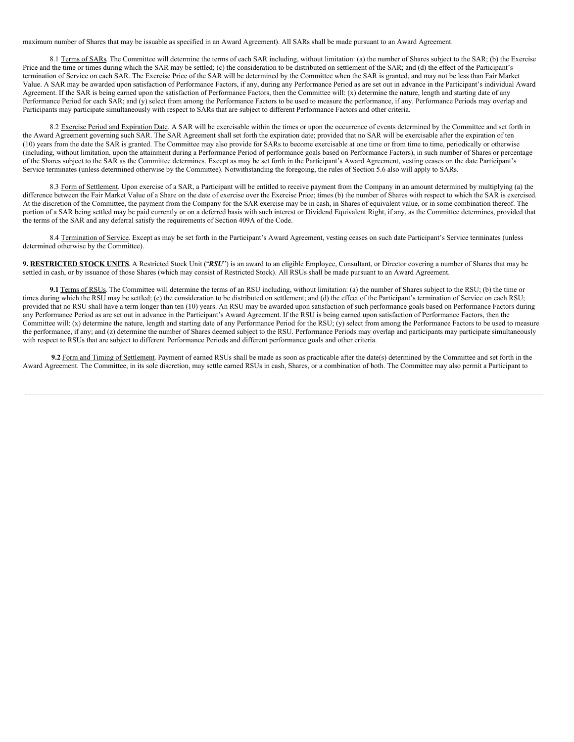maximum number of Shares that may be issuable as specified in an Award Agreement). All SARs shall be made pursuant to an Award Agreement.

8.1 Terms of SARs. The Committee will determine the terms of each SAR including, without limitation: (a) the number of Shares subject to the SAR; (b) the Exercise Price and the time or times during which the SAR may be settled; (c) the consideration to be distributed on settlement of the SAR; and (d) the effect of the Participant's termination of Service on each SAR. The Exercise Price of the SAR will be determined by the Committee when the SAR is granted, and may not be less than Fair Market Value. A SAR may be awarded upon satisfaction of Performance Factors, if any, during any Performance Period as are set out in advance in the Participant's individual Award Agreement. If the SAR is being earned upon the satisfaction of Performance Factors, then the Committee will: (x) determine the nature, length and starting date of any Performance Period for each SAR; and (y) select from among the Performance Factors to be used to measure the performance, if any. Performance Periods may overlap and Participants may participate simultaneously with respect to SARs that are subject to different Performance Factors and other criteria.

8.2 Exercise Period and Expiration Date. A SAR will be exercisable within the times or upon the occurrence of events determined by the Committee and set forth in the Award Agreement governing such SAR. The SAR Agreement shall set forth the expiration date; provided that no SAR will be exercisable after the expiration of ten (10) years from the date the SAR is granted. The Committee may also provide for SARs to become exercisable at one time or from time to time, periodically or otherwise (including, without limitation, upon the attainment during a Performance Period of performance goals based on Performance Factors), in such number of Shares or percentage of the Shares subject to the SAR as the Committee determines. Except as may be set forth in the Participant's Award Agreement, vesting ceases on the date Participant's Service terminates (unless determined otherwise by the Committee). Notwithstanding the foregoing, the rules of Section 5.6 also will apply to SARs.

8.3 Form of Settlement. Upon exercise of a SAR, a Participant will be entitled to receive payment from the Company in an amount determined by multiplying (a) the difference between the Fair Market Value of a Share on the date of exercise over the Exercise Price; times (b) the number of Shares with respect to which the SAR is exercised. At the discretion of the Committee, the payment from the Company for the SAR exercise may be in cash, in Shares of equivalent value, or in some combination thereof. The portion of a SAR being settled may be paid currently or on a deferred basis with such interest or Dividend Equivalent Right, if any, as the Committee determines, provided that the terms of the SAR and any deferral satisfy the requirements of Section 409A of the Code.

8.4 Termination of Service. Except as may be set forth in the Participant's Award Agreement, vesting ceases on such date Participant's Service terminates (unless determined otherwise by the Committee).

**9. RESTRICTED STOCK UNITS**. A Restricted Stock Unit ("*RSU*") is an award to an eligible Employee, Consultant, or Director covering a number of Shares that may be settled in cash, or by issuance of those Shares (which may consist of Restricted Stock). All RSUs shall be made pursuant to an Award Agreement.

**9.1** Terms of RSUs. The Committee will determine the terms of an RSU including, without limitation: (a) the number of Shares subject to the RSU; (b) the time or times during which the RSU may be settled; (c) the consideration to be distributed on settlement; and (d) the effect of the Participant's termination of Service on each RSU; provided that no RSU shall have a term longer than ten (10) years. An RSU may be awarded upon satisfaction of such performance goals based on Performance Factors during any Performance Period as are set out in advance in the Participant's Award Agreement. If the RSU is being earned upon satisfaction of Performance Factors, then the Committee will: (x) determine the nature, length and starting date of any Performance Period for the RSU; (y) select from among the Performance Factors to be used to measure the performance, if any; and (z) determine the number of Shares deemed subject to the RSU. Performance Periods may overlap and participants may participate simultaneously with respect to RSUs that are subject to different Performance Periods and different performance goals and other criteria.

**9.2** Form and Timing of Settlement. Payment of earned RSUs shall be made as soon as practicable after the date(s) determined by the Committee and set forth in the Award Agreement. The Committee, in its sole discretion, may settle earned RSUs in cash, Shares, or a combination of both. The Committee may also permit a Participant to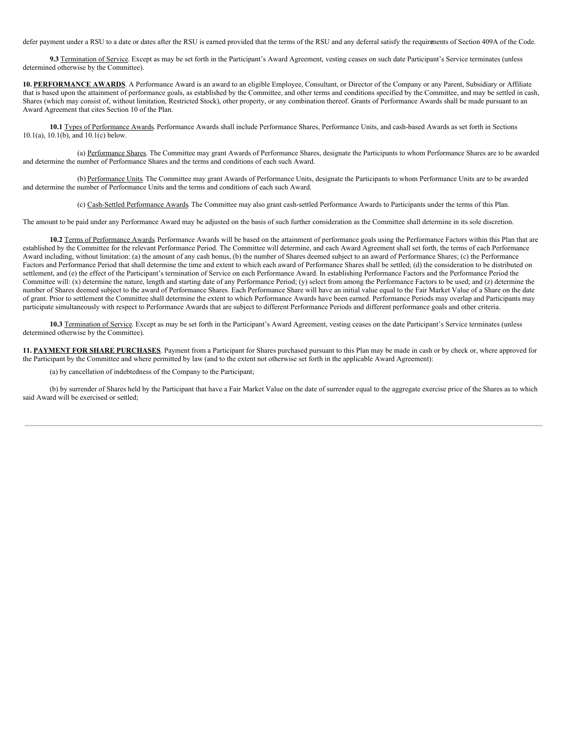defer payment under a RSU to a date or dates after the RSU is earned provided that the terms of the RSU and any deferral satisfy the requirements of Section 409A of the Code.

**9.3** Termination of Service. Except as may be set forth in the Participant's Award Agreement, vesting ceases on such date Participant's Service terminates (unless determined otherwise by the Committee).

**10. PERFORMANCE AWARDS**. A Performance Award is an award to an eligible Employee, Consultant, or Director of the Company or any Parent, Subsidiary or Affiliate that is based upon the attainment of performance goals, as established by the Committee, and other terms and conditions specified by the Committee, and may be settled in cash, Shares (which may consist of, without limitation, Restricted Stock), other property, or any combination thereof. Grants of Performance Awards shall be made pursuant to an Award Agreement that cites Section 10 of the Plan.

**10.1** Types of Performance Awards. Performance Awards shall include Performance Shares, Performance Units, and cash-based Awards as set forth in Sections 10.1(a), 10.1(b), and 10.1(c) below.

(a) Performance Shares. The Committee may grant Awards of Performance Shares, designate the Participants to whom Performance Shares are to be awarded and determine the number of Performance Shares and the terms and conditions of each such Award.

(b) Performance Units. The Committee may grant Awards of Performance Units, designate the Participants to whom Performance Units are to be awarded and determine the number of Performance Units and the terms and conditions of each such Award.

(c) Cash-Settled Performance Awards. The Committee may also grant cash-settled Performance Awards to Participants under the terms of this Plan.

The amount to be paid under any Performance Award may be adjusted on the basis of such further consideration as the Committee shall determine in its sole discretion.

10.2 Terms of Performance Awards. Performance Awards will be based on the attainment of performance goals using the Performance Factors within this Plan that are established by the Committee for the relevant Performance Period. The Committee will determine, and each Award Agreement shall set forth, the terms of each Performance Award including, without limitation: (a) the amount of any cash bonus, (b) the number of Shares deemed subject to an award of Performance Shares; (c) the Performance Factors and Performance Period that shall determine the time and extent to which each award of Performance Shares shall be settled; (d) the consideration to be distributed on settlement, and (e) the effect of the Participant's termination of Service on each Performance Award. In establishing Performance Factors and the Performance Period the Committee will: (x) determine the nature, length and starting date of any Performance Period; (y) select from among the Performance Factors to be used; and (z) determine the number of Shares deemed subject to the award of Performance Shares. Each Performance Share will have an initial value equal to the Fair Market Value of a Share on the date of grant. Prior to settlement the Committee shall determine the extent to which Performance Awards have been earned. Performance Periods may overlap and Participants may participate simultaneously with respect to Performance Awards that are subject to different Performance Periods and different performance goals and other criteria.

**10.3** Termination of Service. Except as may be set forth in the Participant's Award Agreement, vesting ceases on the date Participant's Service terminates (unless determined otherwise by the Committee).

**11. PAYMENT FOR SHARE PURCHASES**. Payment from a Participant for Shares purchased pursuant to this Plan may be made in cash or by check or, where approved for the Participant by the Committee and where permitted by law (and to the extent not otherwise set forth in the applicable Award Agreement):

(a) by cancellation of indebtedness of the Company to the Participant;

(b) by surrender of Shares held by the Participant that have a Fair Market Value on the date of surrender equal to the aggregate exercise price of the Shares as to which said Award will be exercised or settled;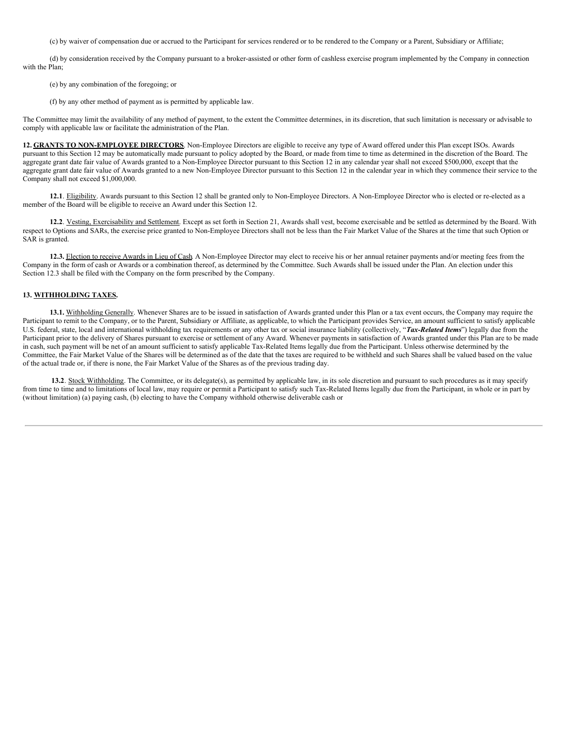(c) by waiver of compensation due or accrued to the Participant for services rendered or to be rendered to the Company or a Parent, Subsidiary or Affiliate;

(d) by consideration received by the Company pursuant to a broker-assisted or other form of cashless exercise program implemented by the Company in connection with the Plan;

- (e) by any combination of the foregoing; or
- (f) by any other method of payment as is permitted by applicable law.

The Committee may limit the availability of any method of payment, to the extent the Committee determines, in its discretion, that such limitation is necessary or advisable to comply with applicable law or facilitate the administration of the Plan.

**12. GRANTS TO NON-EMPLOYEE DIRECTORS**. Non-Employee Directors are eligible to receive any type of Award offered under this Plan except ISOs. Awards pursuant to this Section 12 may be automatically made pursuant to policy adopted by the Board, or made from time to time as determined in the discretion of the Board. The aggregate grant date fair value of Awards granted to a Non-Employee Director pursuant to this Section 12 in any calendar year shall not exceed \$500,000, except that the aggregate grant date fair value of Awards granted to a new Non-Employee Director pursuant to this Section 12 in the calendar year in which they commence their service to the Company shall not exceed \$1,000,000.

**12.1**. Eligibility. Awards pursuant to this Section 12 shall be granted only to Non-Employee Directors. A Non-Employee Director who is elected or re-elected as a member of the Board will be eligible to receive an Award under this Section 12.

**12.2**. Vesting, Exercisability and Settlement. Except as set forth in Section 21, Awards shall vest, become exercisable and be settled as determined by the Board. With respect to Options and SARs, the exercise price granted to Non-Employee Directors shall not be less than the Fair Market Value of the Shares at the time that such Option or SAR is granted.

**12.3.** Election to receive Awards in Lieu of Cash. A Non-Employee Director may elect to receive his or her annual retainer payments and/or meeting fees from the Company in the form of cash or Awards or a combination thereof, as determined by the Committee. Such Awards shall be issued under the Plan. An election under this Section 12.3 shall be filed with the Company on the form prescribed by the Company.

# **13. WITHHOLDING TAXES.**

**13.1.** Withholding Generally. Whenever Shares are to be issued in satisfaction of Awards granted under this Plan or a tax event occurs, the Company may require the Participant to remit to the Company, or to the Parent, Subsidiary or Affiliate, as applicable, to which the Participant provides Service, an amount sufficient to satisfy applicable U.S. federal, state, local and international withholding tax requirements or any other tax or social insurance liability (collectively, "*Tax-Related Items*") legally due from the Participant prior to the delivery of Shares pursuant to exercise or settlement of any Award. Whenever payments in satisfaction of Awards granted under this Plan are to be made in cash, such payment will be net of an amount sufficient to satisfy applicable Tax-Related Items legally due from the Participant. Unless otherwise determined by the Committee, the Fair Market Value of the Shares will be determined as of the date that the taxes are required to be withheld and such Shares shall be valued based on the value of the actual trade or, if there is none, the Fair Market Value of the Shares as of the previous trading day.

13.2. Stock Withholding. The Committee, or its delegate(s), as permitted by applicable law, in its sole discretion and pursuant to such procedures as it may specify from time to time and to limitations of local law, may require or permit a Participant to satisfy such Tax-Related Items legally due from the Participant, in whole or in part by (without limitation) (a) paying cash, (b) electing to have the Company withhold otherwise deliverable cash or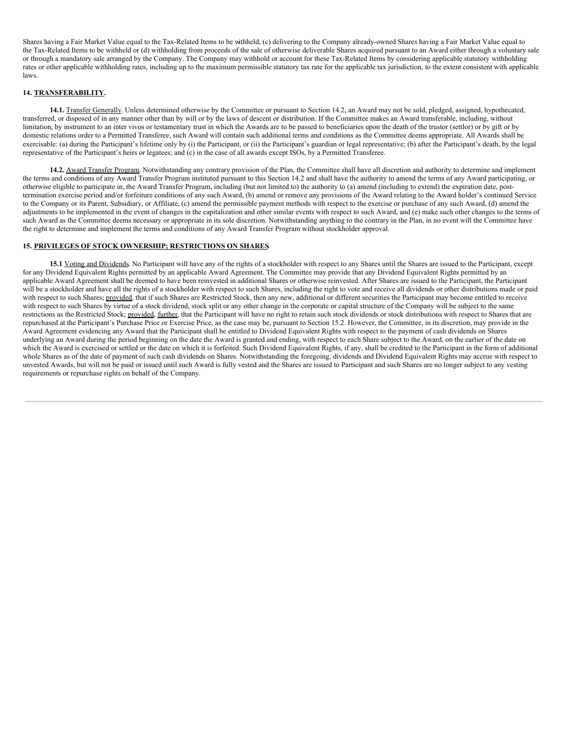Shares having a Fair Market Value equal to the Tax-Related Items to be withheld, (c) delivering to the Company already-owned Shares having a Fair Market Value equal to the Tax-Related Items to be withheld or (d) withholding from proceeds of the sale of otherwise deliverable Shares acquired pursuant to an Award either through a voluntary sale or through a mandatory sale arranged by the Company. The Company may withhold or account for these Tax-Related Items by considering applicable statutory withholding rates or other applicable withholding rates, including up to the maximum permissible statutory tax rate for the applicable tax jurisdiction, to the extent consistent with applicable laws.

## **14. TRANSFERABILITY.**

**14.1.** Transfer Generally. Unless determined otherwise by the Committee or pursuant to Section 14.2, an Award may not be sold, pledged, assigned, hypothecated, transferred, or disposed of in any manner other than by will or by the laws of descent or distribution. If the Committee makes an Award transferable, including, without limitation, by instrument to an inter vivos or testamentary trust in which the Awards are to be passed to beneficiaries upon the death of the trustor (settlor) or by gift or by domestic relations order to a Permitted Transferee, such Award will contain such additional terms and conditions as the Committee deems appropriate. All Awards shall be exercisable: (a) during the Participant's lifetime only by (i) the Participant, or (ii) the Participant's guardian or legal representative; (b) after the Participant's death, by the legal representative of the Participant's heirs or legatees; and (c) in the case of all awards except ISOs, by a Permitted Transferee.

**14.2.** Award Transfer Program. Notwithstanding any contrary provision of the Plan, the Committee shall have all discretion and authority to determine and implement the terms and conditions of any Award Transfer Program instituted pursuant to this Section 14.2 and shall have the authority to amend the terms of any Award participating, or otherwise eligible to participate in, the Award Transfer Program, including (but not limited to) the authority to (a) amend (including to extend) the expiration date, posttermination exercise period and/or forfeiture conditions of any such Award, (b) amend or remove any provisions of the Award relating to the Award holder's continued Service to the Company or its Parent, Subsidiary, or Affiliate, (c) amend the permissible payment methods with respect to the exercise or purchase of any such Award, (d) amend the adjustments to be implemented in the event of changes in the capitalization and other similar events with respect to such Award, and (e) make such other changes to the terms of such Award as the Committee deems necessary or appropriate in its sole discretion. Notwithstanding anything to the contrary in the Plan, in no event will the Committee have the right to determine and implement the terms and conditions of any Award Transfer Program without stockholder approval.

# **15. PRIVILEGES OF STOCK OWNERSHIP; RESTRICTIONS ON SHARES.**

15.1 Voting and Dividends. No Participant will have any of the rights of a stockholder with respect to any Shares until the Shares are issued to the Participant, except for any Dividend Equivalent Rights permitted by an applicable Award Agreement. The Committee may provide that any Dividend Equivalent Rights permitted by an applicable Award Agreement shall be deemed to have been reinvested in additional Shares or otherwise reinvested. After Shares are issued to the Participant, the Participant will be a stockholder and have all the rights of a stockholder with respect to such Shares, including the right to vote and receive all dividends or other distributions made or paid with respect to such Shares; provided, that if such Shares are Restricted Stock, then any new, additional or different securities the Participant may become entitled to receive with respect to such Shares by virtue of a stock dividend, stock split or any other change in the corporate or capital structure of the Company will be subject to the same restrictions as the Restricted Stock; provided, further, that the Participant will have no right to retain such stock dividends or stock distributions with respect to Shares that are repurchased at the Participant's Purchase Price or Exercise Price, as the case may be, pursuant to Section 15.2. However, the Committee, in its discretion, may provide in the Award Agreement evidencing any Award that the Participant shall be entitled to Dividend Equivalent Rights with respect to the payment of cash dividends on Shares underlying an Award during the period beginning on the date the Award is granted and ending, with respect to each Share subject to the Award, on the earlier of the date on which the Award is exercised or settled or the date on which it is forfeited. Such Dividend Equivalent Rights, if any, shall be credited to the Participant in the form of additional whole Shares as of the date of payment of such cash dividends on Shares. Notwithstanding the foregoing, dividends and Dividend Equivalent Rights may accrue with respect to unvested Awards, but will not be paid or issued until such Award is fully vested and the Shares are issued to Participant and such Shares are no longer subject to any vesting requirements or repurchase rights on behalf of the Company.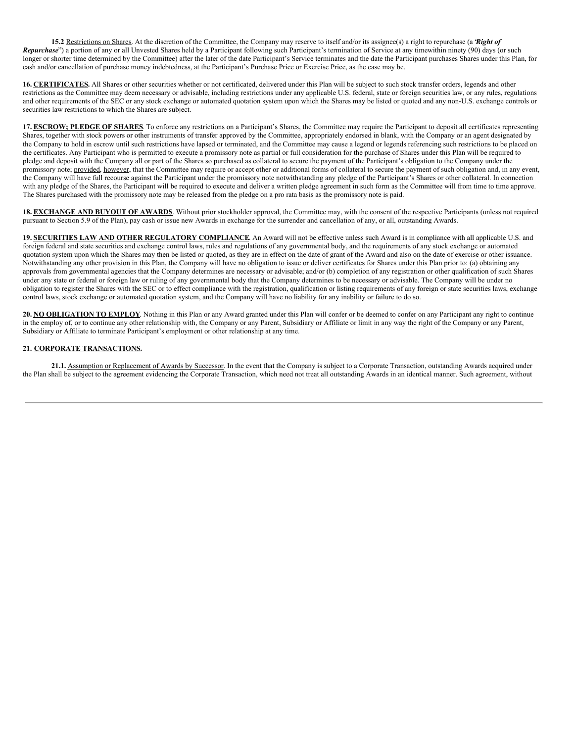**15.2** Restrictions on Shares. At the discretion of the Committee, the Company may reserve to itself and/or its assignee(s) a right to repurchase (a "*Right of Repurchase*") a portion of any or all Unvested Shares held by a Participant following such Participant's termination of Service at any timewithin ninety (90) days (or such longer or shorter time determined by the Committee) after the later of the date Participant's Service terminates and the date the Participant purchases Shares under this Plan, for cash and/or cancellation of purchase money indebtedness, at the Participant's Purchase Price or Exercise Price, as the case may be.

**16. CERTIFICATES.** All Shares or other securities whether or not certificated, delivered under this Plan will be subject to such stock transfer orders, legends and other restrictions as the Committee may deem necessary or advisable, including restrictions under any applicable U.S. federal, state or foreign securities law, or any rules, regulations and other requirements of the SEC or any stock exchange or automated quotation system upon which the Shares may be listed or quoted and any non-U.S. exchange controls or securities law restrictions to which the Shares are subject.

**17. ESCROW; PLEDGE OF SHARES**. To enforce any restrictions on a Participant's Shares, the Committee may require the Participant to deposit all certificates representing Shares, together with stock powers or other instruments of transfer approved by the Committee, appropriately endorsed in blank, with the Company or an agent designated by the Company to hold in escrow until such restrictions have lapsed or terminated, and the Committee may cause a legend or legends referencing such restrictions to be placed on the certificates. Any Participant who is permitted to execute a promissory note as partial or full consideration for the purchase of Shares under this Plan will be required to pledge and deposit with the Company all or part of the Shares so purchased as collateral to secure the payment of the Participant's obligation to the Company under the promissory note; provided, however, that the Committee may require or accept other or additional forms of collateral to secure the payment of such obligation and, in any event, the Company will have full recourse against the Participant under the promissory note notwithstanding any pledge of the Participant's Shares or other collateral. In connection with any pledge of the Shares, the Participant will be required to execute and deliver a written pledge agreement in such form as the Committee will from time to time approve. The Shares purchased with the promissory note may be released from the pledge on a pro rata basis as the promissory note is paid.

18. **EXCHANGE AND BUYOUT OF AWARDS**. Without prior stockholder approval, the Committee may, with the consent of the respective Participants (unless not required pursuant to Section 5.9 of the Plan), pay cash or issue new Awards in exchange for the surrender and cancellation of any, or all, outstanding Awards.

**19. SECURITIES LAW AND OTHER REGULATORY COMPLIANCE**. An Award will not be effective unless such Award is in compliance with all applicable U.S. and foreign federal and state securities and exchange control laws, rules and regulations of any governmental body, and the requirements of any stock exchange or automated quotation system upon which the Shares may then be listed or quoted, as they are in effect on the date of grant of the Award and also on the date of exercise or other issuance. Notwithstanding any other provision in this Plan, the Company will have no obligation to issue or deliver certificates for Shares under this Plan prior to: (a) obtaining any approvals from governmental agencies that the Company determines are necessary or advisable; and/or (b) completion of any registration or other qualification of such Shares under any state or federal or foreign law or ruling of any governmental body that the Company determines to be necessary or advisable. The Company will be under no obligation to register the Shares with the SEC or to effect compliance with the registration, qualification or listing requirements of any foreign or state securities laws, exchange control laws, stock exchange or automated quotation system, and the Company will have no liability for any inability or failure to do so.

**20. NO OBLIGATION TO EMPLOY**. Nothing in this Plan or any Award granted under this Plan will confer or be deemed to confer on any Participant any right to continue in the employ of, or to continue any other relationship with, the Company or any Parent, Subsidiary or Affiliate or limit in any way the right of the Company or any Parent, Subsidiary or Affiliate to terminate Participant's employment or other relationship at any time.

## **21. CORPORATE TRANSACTIONS.**

21.1. Assumption or Replacement of Awards by Successor. In the event that the Company is subject to a Corporate Transaction, outstanding Awards acquired under the Plan shall be subject to the agreement evidencing the Corporate Transaction, which need not treat all outstanding Awards in an identical manner. Such agreement, without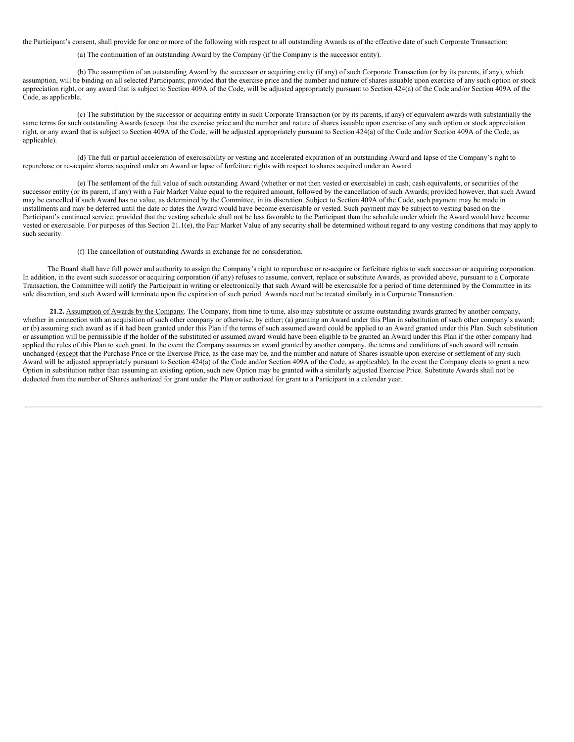the Participant's consent, shall provide for one or more of the following with respect to all outstanding Awards as of the effective date of such Corporate Transaction:

(a) The continuation of an outstanding Award by the Company (if the Company is the successor entity).

(b) The assumption of an outstanding Award by the successor or acquiring entity (if any) of such Corporate Transaction (or by its parents, if any), which assumption, will be binding on all selected Participants; provided that the exercise price and the number and nature of shares issuable upon exercise of any such option or stock appreciation right, or any award that is subject to Section 409A of the Code, will be adjusted appropriately pursuant to Section 424(a) of the Code and/or Section 409A of the Code, as applicable.

(c) The substitution by the successor or acquiring entity in such Corporate Transaction (or by its parents, if any) of equivalent awards with substantially the same terms for such outstanding Awards (except that the exercise price and the number and nature of shares issuable upon exercise of any such option or stock appreciation right, or any award that is subject to Section 409A of the Code, will be adjusted appropriately pursuant to Section 424(a) of the Code and/or Section 409A of the Code, as applicable).

(d) The full or partial acceleration of exercisability or vesting and accelerated expiration of an outstanding Award and lapse of the Company's right to repurchase or re-acquire shares acquired under an Award or lapse of forfeiture rights with respect to shares acquired under an Award.

(e) The settlement of the full value of such outstanding Award (whether or not then vested or exercisable) in cash, cash equivalents, or securities of the successor entity (or its parent, if any) with a Fair Market Value equal to the required amount, followed by the cancellation of such Awards; provided however, that such Award may be cancelled if such Award has no value, as determined by the Committee, in its discretion. Subject to Section 409A of the Code, such payment may be made in installments and may be deferred until the date or dates the Award would have become exercisable or vested. Such payment may be subject to vesting based on the Participant's continued service, provided that the vesting schedule shall not be less favorable to the Participant than the schedule under which the Award would have become vested or exercisable. For purposes of this Section 21.1(e), the Fair Market Value of any security shall be determined without regard to any vesting conditions that may apply to such security.

(f) The cancellation of outstanding Awards in exchange for no consideration.

The Board shall have full power and authority to assign the Company's right to repurchase or re-acquire or forfeiture rights to such successor or acquiring corporation. In addition, in the event such successor or acquiring corporation (if any) refuses to assume, convert, replace or substitute Awards, as provided above, pursuant to a Corporate Transaction, the Committee will notify the Participant in writing or electronically that such Award will be exercisable for a period of time determined by the Committee in its sole discretion, and such Award will terminate upon the expiration of such period. Awards need not be treated similarly in a Corporate Transaction.

**21.2.** Assumption of Awards by the Company. The Company, from time to time, also may substitute or assume outstanding awards granted by another company, whether in connection with an acquisition of such other company or otherwise, by either; (a) granting an Award under this Plan in substitution of such other company's award; or (b) assuming such award as if it had been granted under this Plan if the terms of such assumed award could be applied to an Award granted under this Plan. Such substitution or assumption will be permissible if the holder of the substituted or assumed award would have been eligible to be granted an Award under this Plan if the other company had applied the rules of this Plan to such grant. In the event the Company assumes an award granted by another company, the terms and conditions of such award will remain unchanged (except that the Purchase Price or the Exercise Price, as the case may be, and the number and nature of Shares issuable upon exercise or settlement of any such Award will be adjusted appropriately pursuant to Section 424(a) of the Code and/or Section 409A of the Code, as applicable). In the event the Company elects to grant a new Option in substitution rather than assuming an existing option, such new Option may be granted with a similarly adjusted Exercise Price. Substitute Awards shall not be deducted from the number of Shares authorized for grant under the Plan or authorized for grant to a Participant in a calendar year.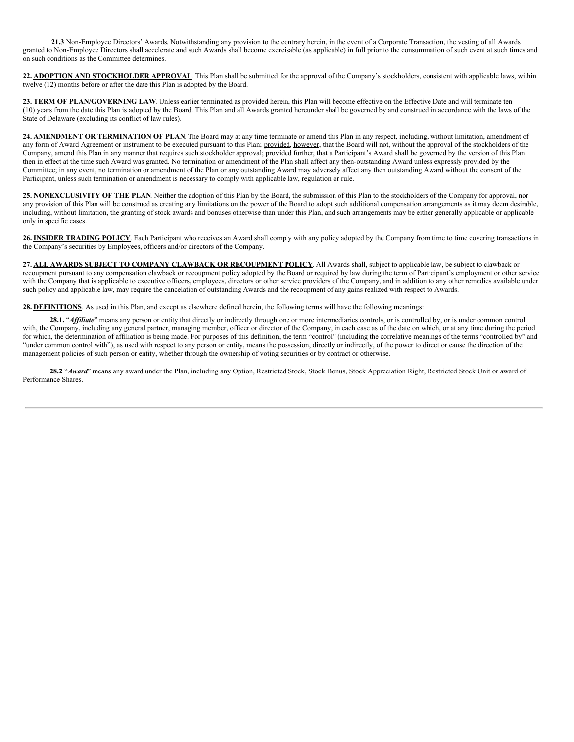**21.3** Non-Employee Directors' Awards. Notwithstanding any provision to the contrary herein, in the event of a Corporate Transaction, the vesting of all Awards granted to Non-Employee Directors shall accelerate and such Awards shall become exercisable (as applicable) in full prior to the consummation of such event at such times and on such conditions as the Committee determines.

**22. ADOPTION AND STOCKHOLDER APPROVAL**. This Plan shall be submitted for the approval of the Company's stockholders, consistent with applicable laws, within twelve (12) months before or after the date this Plan is adopted by the Board.

**23. TERM OF PLAN/GOVERNING LAW**. Unless earlier terminated as provided herein, this Plan will become effective on the Effective Date and will terminate ten (10) years from the date this Plan is adopted by the Board. This Plan and all Awards granted hereunder shall be governed by and construed in accordance with the laws of the State of Delaware (excluding its conflict of law rules).

**24. AMENDMENT OR TERMINATION OF PLAN**. The Board may at any time terminate or amend this Plan in any respect, including, without limitation, amendment of any form of Award Agreement or instrument to be executed pursuant to this Plan; provided, however, that the Board will not, without the approval of the stockholders of the Company, amend this Plan in any manner that requires such stockholder approval; provided further, that a Participant's Award shall be governed by the version of this Plan then in effect at the time such Award was granted. No termination or amendment of the Plan shall affect any then-outstanding Award unless expressly provided by the Committee; in any event, no termination or amendment of the Plan or any outstanding Award may adversely affect any then outstanding Award without the consent of the Participant, unless such termination or amendment is necessary to comply with applicable law, regulation or rule.

**25. NONEXCLUSIVITY OF THE PLAN**. Neither the adoption of this Plan by the Board, the submission of this Plan to the stockholders of the Company for approval, nor any provision of this Plan will be construed as creating any limitations on the power of the Board to adopt such additional compensation arrangements as it may deem desirable, including, without limitation, the granting of stock awards and bonuses otherwise than under this Plan, and such arrangements may be either generally applicable or applicable only in specific cases.

**26. INSIDER TRADING POLICY**. Each Participant who receives an Award shall comply with any policy adopted by the Company from time to time covering transactions in the Company's securities by Employees, officers and/or directors of the Company.

**27. ALL AWARDS SUBJECT TO COMPANY CLAWBACK OR RECOUPMENT POLICY**. All Awards shall, subject to applicable law, be subject to clawback or recoupment pursuant to any compensation clawback or recoupment policy adopted by the Board or required by law during the term of Participant's employment or other service with the Company that is applicable to executive officers, employees, directors or other service providers of the Company, and in addition to any other remedies available under such policy and applicable law, may require the cancelation of outstanding Awards and the recoupment of any gains realized with respect to Awards.

**28. DEFINITIONS**. As used in this Plan, and except as elsewhere defined herein, the following terms will have the following meanings:

**28.1.** "*Af iliate*" means any person or entity that directly or indirectly through one or more intermediaries controls, or is controlled by, or is under common control with, the Company, including any general partner, managing member, officer or director of the Company, in each case as of the date on which, or at any time during the period for which, the determination of affiliation is being made. For purposes of this definition, the term "control" (including the correlative meanings of the terms "controlled by" and "under common control with"), as used with respect to any person or entity, means the possession, directly or indirectly, of the power to direct or cause the direction of the management policies of such person or entity, whether through the ownership of voting securities or by contract or otherwise.

**28.2** "*Award*" means any award under the Plan, including any Option, Restricted Stock, Stock Bonus, Stock Appreciation Right, Restricted Stock Unit or award of Performance Shares.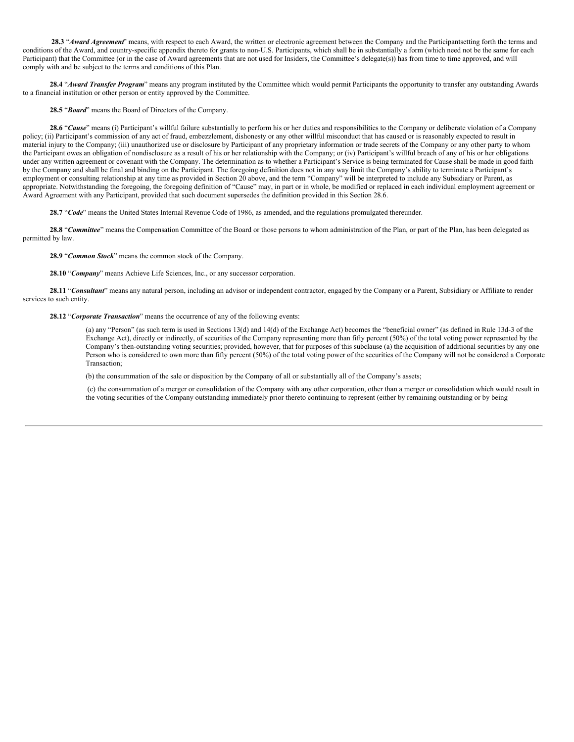**28.3** "*Award Agreement*" means, with respect to each Award, the written or electronic agreement between the Company and the Participantsetting forth the terms and conditions of the Award, and country-specific appendix thereto for grants to non-U.S. Participants, which shall be in substantially a form (which need not be the same for each Participant) that the Committee (or in the case of Award agreements that are not used for Insiders, the Committee's delegate(s)) has from time to time approved, and will comply with and be subject to the terms and conditions of this Plan.

**28.4** "*Award Transfer Program*" means any program instituted by the Committee which would permit Participants the opportunity to transfer any outstanding Awards to a financial institution or other person or entity approved by the Committee.

**28.5** "*Board*" means the Board of Directors of the Company.

**28.6** "*Cause*" means (i) Participant's willful failure substantially to perform his or her duties and responsibilities to the Company or deliberate violation of a Company policy; (ii) Participant's commission of any act of fraud, embezzlement, dishonesty or any other willful misconduct that has caused or is reasonably expected to result in material injury to the Company; (iii) unauthorized use or disclosure by Participant of any proprietary information or trade secrets of the Company or any other party to whom the Participant owes an obligation of nondisclosure as a result of his or her relationship with the Company; or (iv) Participant's willful breach of any of his or her obligations under any written agreement or covenant with the Company. The determination as to whether a Participant's Service is being terminated for Cause shall be made in good faith by the Company and shall be final and binding on the Participant. The foregoing definition does not in any way limit the Company's ability to terminate a Participant's employment or consulting relationship at any time as provided in Section 20 above, and the term "Company" will be interpreted to include any Subsidiary or Parent, as appropriate. Notwithstanding the foregoing, the foregoing definition of "Cause" may, in part or in whole, be modified or replaced in each individual employment agreement or Award Agreement with any Participant, provided that such document supersedes the definition provided in this Section 28.6.

**28.7** "*Code*" means the United States Internal Revenue Code of 1986, as amended, and the regulations promulgated thereunder.

28.8 "*Committee*" means the Compensation Committee of the Board or those persons to whom administration of the Plan, or part of the Plan, has been delegated as permitted by law.

**28.9** "*Common Stock*" means the common stock of the Company.

**28.10** "*Company*" means Achieve Life Sciences, Inc., or any successor corporation.

**28.11** "*Consultant*" means any natural person, including an advisor or independent contractor, engaged by the Company or a Parent, Subsidiary or Affiliate to render services to such entity.

**28.12** "*Corporate Transaction*" means the occurrence of any of the following events:

(a) any "Person" (as such term is used in Sections 13(d) and 14(d) of the Exchange Act) becomes the "beneficial owner" (as defined in Rule 13d-3 of the Exchange Act), directly or indirectly, of securities of the Company representing more than fifty percent (50%) of the total voting power represented by the Company's then-outstanding voting securities; provided, however, that for purposes of this subclause (a) the acquisition of additional securities by any one Person who is considered to own more than fifty percent (50%) of the total voting power of the securities of the Company will not be considered a Corporate Transaction;

(b) the consummation of the sale or disposition by the Company of all or substantially all of the Company's assets;

(c) the consummation of a merger or consolidation of the Company with any other corporation, other than a merger or consolidation which would result in the voting securities of the Company outstanding immediately prior thereto continuing to represent (either by remaining outstanding or by being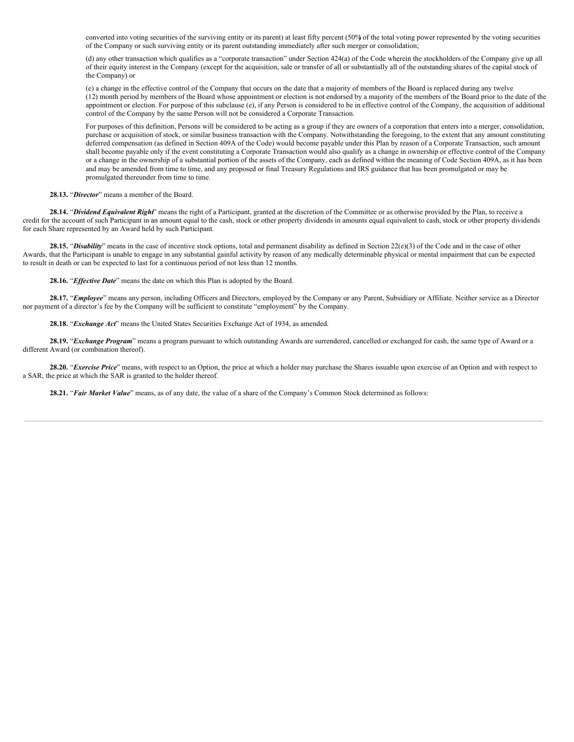converted into voting securities of the surviving entity or its parent) at least fifty percent (50%) of the total voting power represented by the voting securities of the Company or such surviving entity or its parent outstanding immediately after such merger or consolidation;

(d) any other transaction which qualifies as a "corporate transaction" under Section 424(a) of the Code wherein the stockholders of the Company give up all of their equity interest in the Company (except for the acquisition, sale or transfer of all or substantially all of the outstanding shares of the capital stock of the Company) or

(e) a change in the effective control of the Company that occurs on the date that a majority of members of the Board is replaced during any twelve (12) month period by members of the Board whose appointment or election is not endorsed by a majority of the members of the Board prior to the date of the appointment or election. For purpose of this subclause (e), if any Person is considered to be in effective control of the Company, the acquisition of additional control of the Company by the same Person will not be considered a Corporate Transaction.

For purposes of this definition, Persons will be considered to be acting as a group if they are owners of a corporation that enters into a merger, consolidation, purchase or acquisition of stock, or similar business transaction with the Company. Notwithstanding the foregoing, to the extent that any amount constituting deferred compensation (as defined in Section 409A of the Code) would become payable under this Plan by reason of a Corporate Transaction, such amount shall become payable only if the event constituting a Corporate Transaction would also qualify as a change in ownership or effective control of the Company or a change in the ownership of a substantial portion of the assets of the Company, each as defined within the meaning of Code Section 409A, as it has been and may be amended from time to time, and any proposed or final Treasury Regulations and IRS guidance that has been promulgated or may be promulgated thereunder from time to time.

**28.13.** "*Director*" means a member of the Board.

**28.14.** "*Dividend Equivalent Right*" means the right of a Participant, granted at the discretion of the Committee or as otherwise provided by the Plan, to receive a credit for the account of such Participant in an amount equal to the cash, stock or other property dividends in amounts equal equivalent to cash, stock or other property dividends for each Share represented by an Award held by such Participant.

28.15. "Disability" means in the case of incentive stock options, total and permanent disability as defined in Section 22(e)(3) of the Code and in the case of other Awards, that the Participant is unable to engage in any substantial gainful activity by reason of any medically determinable physical or mental impairment that can be expected to result in death or can be expected to last for a continuous period of not less than 12 months.

28.16. "*Effective Date*" means the date on which this Plan is adopted by the Board.

**28.17.** "*Employee*" means any person, including Officers and Directors, employed by the Company or any Parent, Subsidiary or Affiliate. Neither service as a Director nor payment of a director's fee by the Company will be sufficient to constitute "employment" by the Company.

**28.18.** "*Exchange Act*" means the United States Securities Exchange Act of 1934, as amended.

**28.19.** "*Exchange Program*" means a program pursuant to which outstanding Awards are surrendered, cancelled or exchanged for cash, the same type of Award or a different Award (or combination thereof).

**28.20.** "*Exercise Price*" means, with respect to an Option, the price at which a holder may purchase the Shares issuable upon exercise of an Option and with respect to a SAR, the price at which the SAR is granted to the holder thereof.

**28.21.** "*Fair Market Value*" means, as of any date, the value of a share of the Company's Common Stock determined as follows: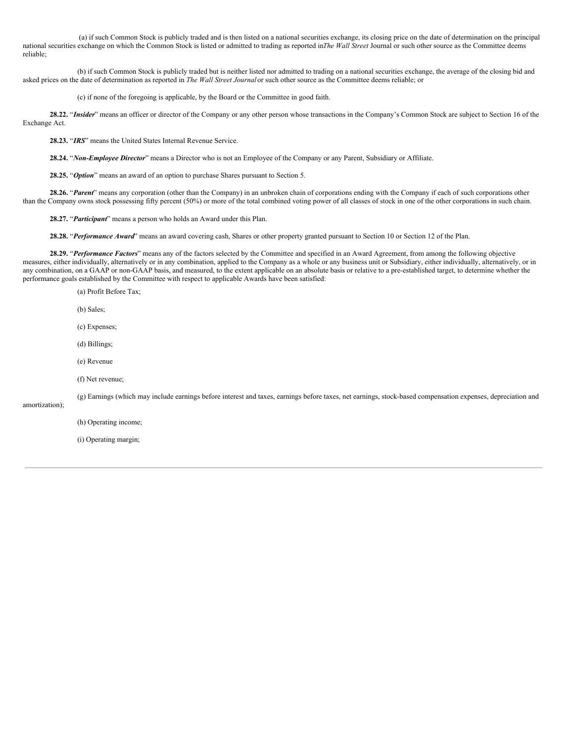(a) if such Common Stock is publicly traded and is then listed on a national securities exchange, its closing price on the date of determination on the principal national securities exchange on which the Common Stock is listed or admitted to trading as reported in*The Wall Street* Journal or such other source as the Committee deems reliable;

(b) if such Common Stock is publicly traded but is neither listed nor admitted to trading on a national securities exchange, the average of the closing bid and asked prices on the date of determination as reported in *The Wall Street Journal* or such other source as the Committee deems reliable; or

(c) if none of the foregoing is applicable, by the Board or the Committee in good faith.

**28.22.** "*Insider*" means an officer or director of the Company or any other person whose transactions in the Company's Common Stock are subject to Section 16 of the Exchange Act.

**28.23.** "*IRS*" means the United States Internal Revenue Service.

**28.24.** "*Non-Employee Director*" means a Director who is not an Employee of the Company or any Parent, Subsidiary or Affiliate.

**28.25.** "*Option*" means an award of an option to purchase Shares pursuant to Section 5.

**28.26.** "*Parent*" means any corporation (other than the Company) in an unbroken chain of corporations ending with the Company if each of such corporations other than the Company owns stock possessing fifty percent (50%) or more of the total combined voting power of all classes of stock in one of the other corporations in such chain.

**28.27.** "*Participant*" means a person who holds an Award under this Plan.

**28.28.** "*Performance Award*" means an award covering cash, Shares or other property granted pursuant to Section 10 or Section 12 of the Plan.

**28.29.** "*Performance Factors*" means any of the factors selected by the Committee and specified in an Award Agreement, from among the following objective measures, either individually, alternatively or in any combination, applied to the Company as a whole or any business unit or Subsidiary, either individually, alternatively, or in any combination, on a GAAP or non-GAAP basis, and measured, to the extent applicable on an absolute basis or relative to a pre-established target, to determine whether the performance goals established by the Committee with respect to applicable Awards have been satisfied:

(a) Profit Before Tax;

(b) Sales;

- (c) Expenses;
- (d) Billings;
- (e) Revenue
- (f) Net revenue;

(g) Earnings (which may include earnings before interest and taxes, earnings before taxes, net earnings, stock-based compensation expenses, depreciation and

amortization);

(h) Operating income;

(i) Operating margin;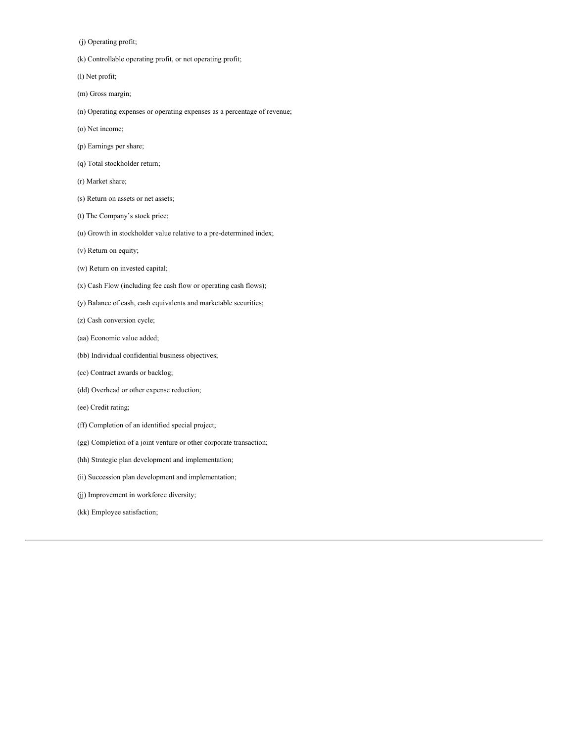(j) Operating profit;

(k) Controllable operating profit, or net operating profit;

(l) Net profit;

- (m) Gross margin;
- (n) Operating expenses or operating expenses as a percentage of revenue;
- (o) Net income;
- (p) Earnings per share;
- (q) Total stockholder return;
- (r) Market share;
- (s) Return on assets or net assets;
- (t) The Company's stock price;
- (u) Growth in stockholder value relative to a pre-determined index;
- (v) Return on equity;
- (w) Return on invested capital;
- (x) Cash Flow (including fee cash flow or operating cash flows);
- (y) Balance of cash, cash equivalents and marketable securities;
- (z) Cash conversion cycle;
- (aa) Economic value added;
- (bb) Individual confidential business objectives;
- (cc) Contract awards or backlog;
- (dd) Overhead or other expense reduction;
- (ee) Credit rating;
- (ff) Completion of an identified special project;
- (gg) Completion of a joint venture or other corporate transaction;
- (hh) Strategic plan development and implementation;
- (ii) Succession plan development and implementation;
- (jj) Improvement in workforce diversity;
- (kk) Employee satisfaction;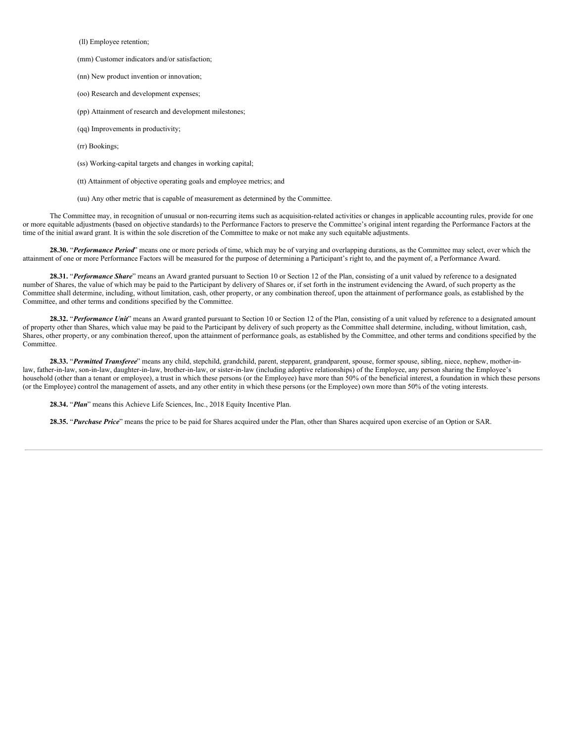(ll) Employee retention;

(mm) Customer indicators and/or satisfaction;

(nn) New product invention or innovation;

(oo) Research and development expenses;

(pp) Attainment of research and development milestones;

(qq) Improvements in productivity;

(rr) Bookings;

(ss) Working-capital targets and changes in working capital;

(tt) Attainment of objective operating goals and employee metrics; and

(uu) Any other metric that is capable of measurement as determined by the Committee.

The Committee may, in recognition of unusual or non-recurring items such as acquisition-related activities or changes in applicable accounting rules, provide for one or more equitable adjustments (based on objective standards) to the Performance Factors to preserve the Committee's original intent regarding the Performance Factors at the time of the initial award grant. It is within the sole discretion of the Committee to make or not make any such equitable adjustments.

**28.30.** "*Performance Period*" means one or more periods of time, which may be of varying and overlapping durations, as the Committee may select, over which the attainment of one or more Performance Factors will be measured for the purpose of determining a Participant's right to, and the payment of, a Performance Award.

**28.31.** "*Performance Share*" means an Award granted pursuant to Section 10 or Section 12 of the Plan, consisting of a unit valued by reference to a designated number of Shares, the value of which may be paid to the Participant by delivery of Shares or, if set forth in the instrument evidencing the Award, of such property as the Committee shall determine, including, without limitation, cash, other property, or any combination thereof, upon the attainment of performance goals, as established by the Committee, and other terms and conditions specified by the Committee.

28.32. "Performance Unit" means an Award granted pursuant to Section 10 or Section 12 of the Plan, consisting of a unit valued by reference to a designated amount of property other than Shares, which value may be paid to the Participant by delivery of such property as the Committee shall determine, including, without limitation, cash, Shares, other property, or any combination thereof, upon the attainment of performance goals, as established by the Committee, and other terms and conditions specified by the Committee.

**28.33.** "*Permitted Transferee*" means any child, stepchild, grandchild, parent, stepparent, grandparent, spouse, former spouse, sibling, niece, nephew, mother-inlaw, father-in-law, son-in-law, daughter-in-law, brother-in-law, or sister-in-law (including adoptive relationships) of the Employee, any person sharing the Employee's household (other than a tenant or employee), a trust in which these persons (or the Employee) have more than 50% of the beneficial interest, a foundation in which these persons (or the Employee) control the management of assets, and any other entity in which these persons (or the Employee) own more than 50% of the voting interests.

**28.34.** "*Plan*" means this Achieve Life Sciences, Inc., 2018 Equity Incentive Plan.

**28.35.** "*Purchase Price*" means the price to be paid for Shares acquired under the Plan, other than Shares acquired upon exercise of an Option or SAR.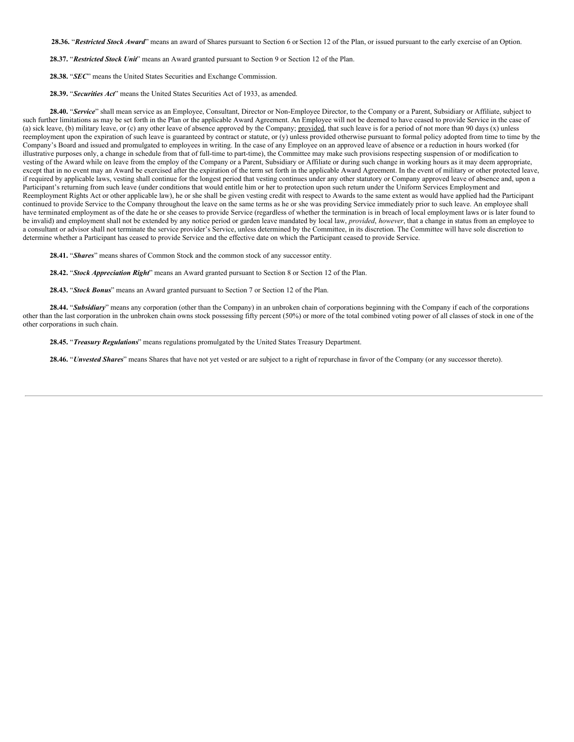**28.36.** "*Restricted Stock Award*" means an award of Shares pursuant to Section 6 or Section 12 of the Plan, or issued pursuant to the early exercise of an Option.

**28.37.** "*Restricted Stock Unit*" means an Award granted pursuant to Section 9 or Section 12 of the Plan.

**28.38.** "*SEC*" means the United States Securities and Exchange Commission.

**28.39.** "*Securities Act*" means the United States Securities Act of 1933, as amended.

**28.40.** "*Service*" shall mean service as an Employee, Consultant, Director or Non-Employee Director, to the Company or a Parent, Subsidiary or Affiliate, subject to such further limitations as may be set forth in the Plan or the applicable Award Agreement. An Employee will not be deemed to have ceased to provide Service in the case of (a) sick leave, (b) military leave, or (c) any other leave of absence approved by the Company; provided, that such leave is for a period of not more than 90 days (x) unless reemployment upon the expiration of such leave is guaranteed by contract or statute, or (y) unless provided otherwise pursuant to formal policy adopted from time to time by the Company's Board and issued and promulgated to employees in writing. In the case of any Employee on an approved leave of absence or a reduction in hours worked (for illustrative purposes only, a change in schedule from that of full-time to part-time), the Committee may make such provisions respecting suspension of or modification to vesting of the Award while on leave from the employ of the Company or a Parent, Subsidiary or Affiliate or during such change in working hours as it may deem appropriate, except that in no event may an Award be exercised after the expiration of the term set forth in the applicable Award Agreement. In the event of military or other protected leave, if required by applicable laws, vesting shall continue for the longest period that vesting continues under any other statutory or Company approved leave of absence and, upon a Participant's returning from such leave (under conditions that would entitle him or her to protection upon such return under the Uniform Services Employment and Reemployment Rights Act or other applicable law), he or she shall be given vesting credit with respect to Awards to the same extent as would have applied had the Participant continued to provide Service to the Company throughout the leave on the same terms as he or she was providing Service immediately prior to such leave. An employee shall have terminated employment as of the date he or she ceases to provide Service (regardless of whether the termination is in breach of local employment laws or is later found to be invalid) and employment shall not be extended by any notice period or garden leave mandated by local law, *provided*, *however*, that a change in status from an employee to a consultant or advisor shall not terminate the service provider's Service, unless determined by the Committee, in its discretion. The Committee will have sole discretion to determine whether a Participant has ceased to provide Service and the effective date on which the Participant ceased to provide Service.

**28.41.** "*Shares*" means shares of Common Stock and the common stock of any successor entity.

**28.42.** "*Stock Appreciation Right*" means an Award granted pursuant to Section 8 or Section 12 of the Plan.

**28.43.** "*Stock Bonus*" means an Award granted pursuant to Section 7 or Section 12 of the Plan.

**28.44.** "*Subsidiary*" means any corporation (other than the Company) in an unbroken chain of corporations beginning with the Company if each of the corporations other than the last corporation in the unbroken chain owns stock possessing fifty percent (50%) or more of the total combined voting power of all classes of stock in one of the other corporations in such chain.

**28.45.** "*Treasury Regulations*" means regulations promulgated by the United States Treasury Department.

**28.46.** "*Unvested Shares*" means Shares that have not yet vested or are subject to a right of repurchase in favor of the Company (or any successor thereto).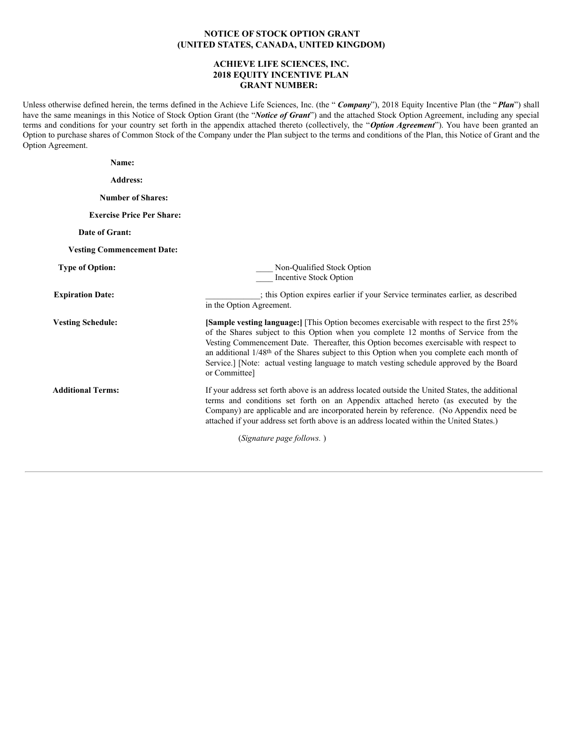# **NOTICE OF STOCK OPTION GRANT (UNITED STATES, CANADA, UNITED KINGDOM)**

## **ACHIEVE LIFE SCIENCES, INC. 2018 EQUITY INCENTIVE PLAN GRANT NUMBER:**

Unless otherwise defined herein, the terms defined in the Achieve Life Sciences, Inc. (the " *Company*"), 2018 Equity Incentive Plan (the "*Plan*") shall have the same meanings in this Notice of Stock Option Grant (the "*Notice of Grant*") and the attached Stock Option Agreement, including any special terms and conditions for your country set forth in the appendix attached thereto (collectively, the "*Option Agreement*"). You have been granted an Option to purchase shares of Common Stock of the Company under the Plan subject to the terms and conditions of the Plan, this Notice of Grant and the Option Agreement.

| Name:                             |                                                                                                                                                                                                                                                                                                                                                                                                                                                                                                   |
|-----------------------------------|---------------------------------------------------------------------------------------------------------------------------------------------------------------------------------------------------------------------------------------------------------------------------------------------------------------------------------------------------------------------------------------------------------------------------------------------------------------------------------------------------|
| <b>Address:</b>                   |                                                                                                                                                                                                                                                                                                                                                                                                                                                                                                   |
| <b>Number of Shares:</b>          |                                                                                                                                                                                                                                                                                                                                                                                                                                                                                                   |
| <b>Exercise Price Per Share:</b>  |                                                                                                                                                                                                                                                                                                                                                                                                                                                                                                   |
| Date of Grant:                    |                                                                                                                                                                                                                                                                                                                                                                                                                                                                                                   |
| <b>Vesting Commencement Date:</b> |                                                                                                                                                                                                                                                                                                                                                                                                                                                                                                   |
| <b>Type of Option:</b>            | Non-Qualified Stock Option<br>Incentive Stock Option                                                                                                                                                                                                                                                                                                                                                                                                                                              |
| <b>Expiration Date:</b>           | ; this Option expires earlier if your Service terminates earlier, as described<br>in the Option Agreement.                                                                                                                                                                                                                                                                                                                                                                                        |
| <b>Vesting Schedule:</b>          | [Sample vesting language:] [This Option becomes exercisable with respect to the first 25%<br>of the Shares subject to this Option when you complete 12 months of Service from the<br>Vesting Commencement Date. Thereafter, this Option becomes exercisable with respect to<br>an additional 1/48 <sup>th</sup> of the Shares subject to this Option when you complete each month of<br>Service.] [Note: actual vesting language to match vesting schedule approved by the Board<br>or Committee] |
| <b>Additional Terms:</b>          | If your address set forth above is an address located outside the United States, the additional<br>terms and conditions set forth on an Appendix attached hereto (as executed by the<br>Company) are applicable and are incorporated herein by reference. (No Appendix need be<br>attached if your address set forth above is an address located within the United States.)                                                                                                                       |
|                                   | (Signature page follows.)                                                                                                                                                                                                                                                                                                                                                                                                                                                                         |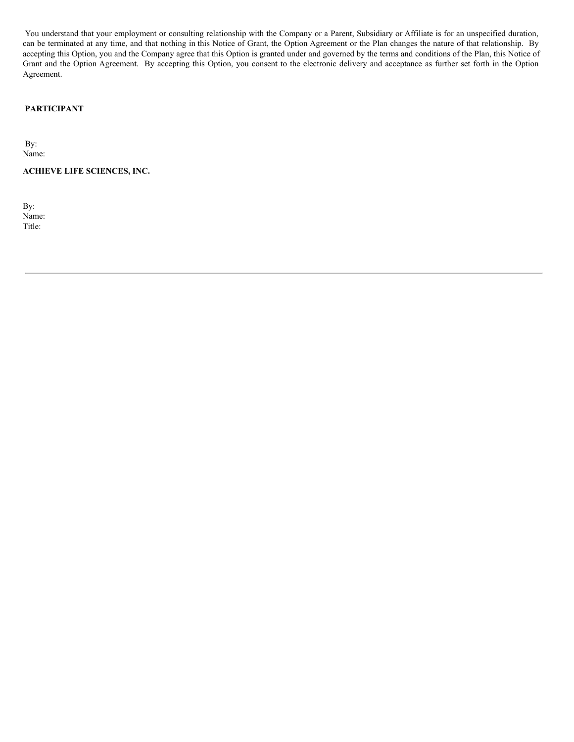You understand that your employment or consulting relationship with the Company or a Parent, Subsidiary or Affiliate is for an unspecified duration, can be terminated at any time, and that nothing in this Notice of Grant, the Option Agreement or the Plan changes the nature of that relationship. By accepting this Option, you and the Company agree that this Option is granted under and governed by the terms and conditions of the Plan, this Notice of Grant and the Option Agreement. By accepting this Option, you consent to the electronic delivery and acceptance as further set forth in the Option Agreement.

# **PARTICIPANT**

By: Name:

**ACHIEVE LIFE SCIENCES, INC.**

By: Name: Title: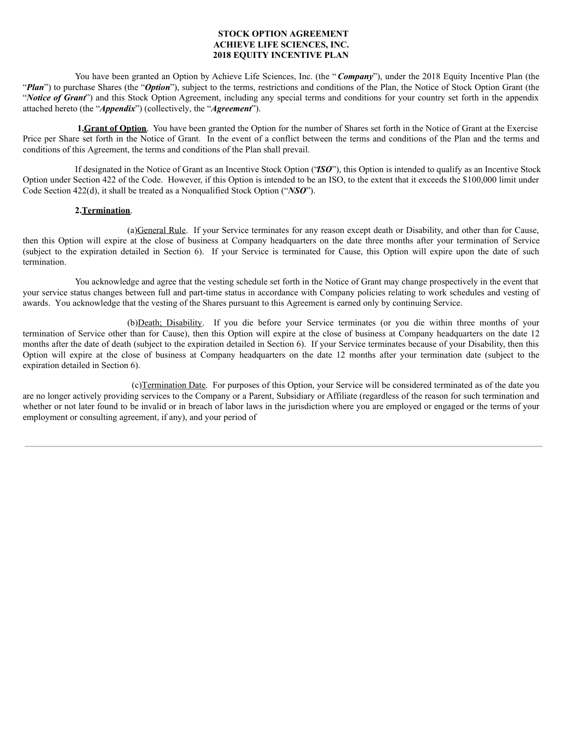# **STOCK OPTION AGREEMENT ACHIEVE LIFE SCIENCES, INC. 2018 EQUITY INCENTIVE PLAN**

You have been granted an Option by Achieve Life Sciences, Inc. (the "*Company*"), under the 2018 Equity Incentive Plan (the "*Plan*") to purchase Shares (the "*Option*"), subject to the terms, restrictions and conditions of the Plan, the Notice of Stock Option Grant (the "*Notice of Grant*") and this Stock Option Agreement, including any special terms and conditions for your country set forth in the appendix attached hereto (the "*Appendix*") (collectively, the "*Agreement*").

**1.Grant of Option**. You have been granted the Option for the number of Shares set forth in the Notice of Grant at the Exercise Price per Share set forth in the Notice of Grant. In the event of a conflict between the terms and conditions of the Plan and the terms and conditions of this Agreement, the terms and conditions of the Plan shall prevail.

If designated in the Notice of Grant as an Incentive Stock Option ("*ISO*"), this Option is intended to qualify as an Incentive Stock Option under Section 422 of the Code. However, if this Option is intended to be an ISO, to the extent that it exceeds the \$100,000 limit under Code Section 422(d), it shall be treated as a Nonqualified Stock Option ("*NSO*").

#### **2.Termination**.

(a)General Rule. If your Service terminates for any reason except death or Disability, and other than for Cause, then this Option will expire at the close of business at Company headquarters on the date three months after your termination of Service (subject to the expiration detailed in Section 6). If your Service is terminated for Cause, this Option will expire upon the date of such termination.

You acknowledge and agree that the vesting schedule set forth in the Notice of Grant may change prospectively in the event that your service status changes between full and part-time status in accordance with Company policies relating to work schedules and vesting of awards. You acknowledge that the vesting of the Shares pursuant to this Agreement is earned only by continuing Service.

(b)Death; Disability. If you die before your Service terminates (or you die within three months of your termination of Service other than for Cause), then this Option will expire at the close of business at Company headquarters on the date 12 months after the date of death (subject to the expiration detailed in Section 6). If your Service terminates because of your Disability, then this Option will expire at the close of business at Company headquarters on the date 12 months after your termination date (subject to the expiration detailed in Section 6).

(c)Termination Date. For purposes of this Option, your Service will be considered terminated as of the date you are no longer actively providing services to the Company or a Parent, Subsidiary or Affiliate (regardless of the reason for such termination and whether or not later found to be invalid or in breach of labor laws in the jurisdiction where you are employed or engaged or the terms of your employment or consulting agreement, if any), and your period of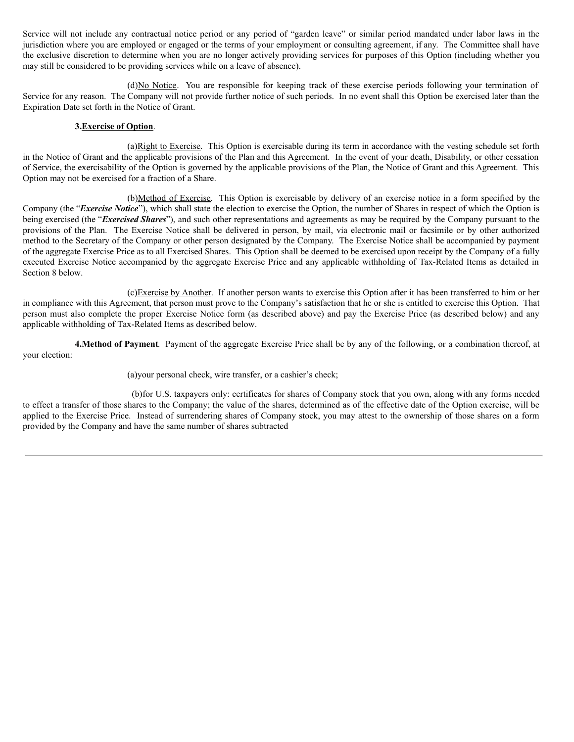Service will not include any contractual notice period or any period of "garden leave" or similar period mandated under labor laws in the jurisdiction where you are employed or engaged or the terms of your employment or consulting agreement, if any. The Committee shall have the exclusive discretion to determine when you are no longer actively providing services for purposes of this Option (including whether you may still be considered to be providing services while on a leave of absence).

(d)No Notice. You are responsible for keeping track of these exercise periods following your termination of Service for any reason. The Company will not provide further notice of such periods. In no event shall this Option be exercised later than the Expiration Date set forth in the Notice of Grant.

## **3.Exercise of Option**.

(a)Right to Exercise. This Option is exercisable during its term in accordance with the vesting schedule set forth in the Notice of Grant and the applicable provisions of the Plan and this Agreement. In the event of your death, Disability, or other cessation of Service, the exercisability of the Option is governed by the applicable provisions of the Plan, the Notice of Grant and this Agreement. This Option may not be exercised for a fraction of a Share.

(b)Method of Exercise. This Option is exercisable by delivery of an exercise notice in a form specified by the Company (the "*Exercise Notice*"), which shall state the election to exercise the Option, the number of Shares in respect of which the Option is being exercised (the "*Exercised Shares*"), and such other representations and agreements as may be required by the Company pursuant to the provisions of the Plan. The Exercise Notice shall be delivered in person, by mail, via electronic mail or facsimile or by other authorized method to the Secretary of the Company or other person designated by the Company. The Exercise Notice shall be accompanied by payment of the aggregate Exercise Price as to all Exercised Shares. This Option shall be deemed to be exercised upon receipt by the Company of a fully executed Exercise Notice accompanied by the aggregate Exercise Price and any applicable withholding of Tax-Related Items as detailed in Section 8 below.

(c)Exercise by Another. If another person wants to exercise this Option after it has been transferred to him or her in compliance with this Agreement, that person must prove to the Company's satisfaction that he or she is entitled to exercise this Option. That person must also complete the proper Exercise Notice form (as described above) and pay the Exercise Price (as described below) and any applicable withholding of Tax-Related Items as described below.

**4.Method of Payment**. Payment of the aggregate Exercise Price shall be by any of the following, or a combination thereof, at your election:

(a)your personal check, wire transfer, or a cashier's check;

(b)for U.S. taxpayers only: certificates for shares of Company stock that you own, along with any forms needed to effect a transfer of those shares to the Company; the value of the shares, determined as of the effective date of the Option exercise, will be applied to the Exercise Price. Instead of surrendering shares of Company stock, you may attest to the ownership of those shares on a form provided by the Company and have the same number of shares subtracted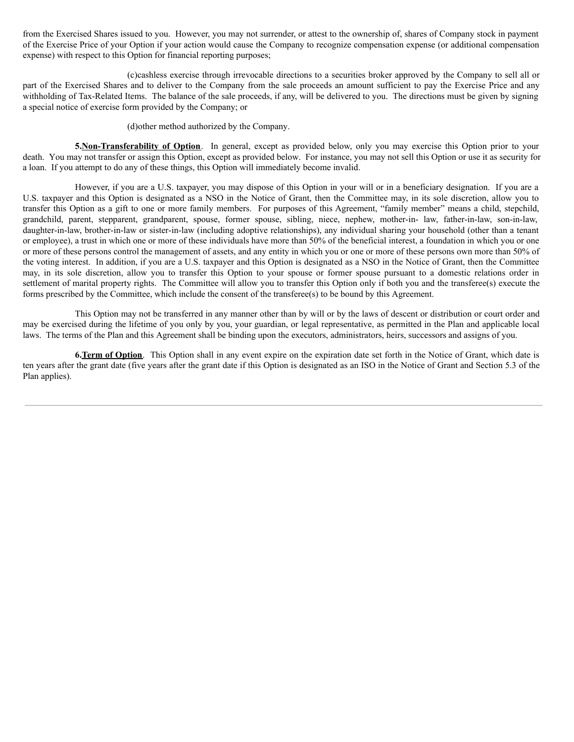from the Exercised Shares issued to you. However, you may not surrender, or attest to the ownership of, shares of Company stock in payment of the Exercise Price of your Option if your action would cause the Company to recognize compensation expense (or additional compensation expense) with respect to this Option for financial reporting purposes;

(c)cashless exercise through irrevocable directions to a securities broker approved by the Company to sell all or part of the Exercised Shares and to deliver to the Company from the sale proceeds an amount sufficient to pay the Exercise Price and any withholding of Tax-Related Items. The balance of the sale proceeds, if any, will be delivered to you. The directions must be given by signing a special notice of exercise form provided by the Company; or

(d)other method authorized by the Company.

**5.Non-Transferability of Option**. In general, except as provided below, only you may exercise this Option prior to your death. You may not transfer or assign this Option, except as provided below. For instance, you may not sell this Option or use it as security for a loan. If you attempt to do any of these things, this Option will immediately become invalid.

However, if you are a U.S. taxpayer, you may dispose of this Option in your will or in a beneficiary designation. If you are a U.S. taxpayer and this Option is designated as a NSO in the Notice of Grant, then the Committee may, in its sole discretion, allow you to transfer this Option as a gift to one or more family members. For purposes of this Agreement, "family member" means a child, stepchild, grandchild, parent, stepparent, grandparent, spouse, former spouse, sibling, niece, nephew, mother-in- law, father-in-law, son-in-law, daughter-in-law, brother-in-law or sister-in-law (including adoptive relationships), any individual sharing your household (other than a tenant or employee), a trust in which one or more of these individuals have more than 50% of the beneficial interest, a foundation in which you or one or more of these persons control the management of assets, and any entity in which you or one or more of these persons own more than 50% of the voting interest. In addition, if you are a U.S. taxpayer and this Option is designated as a NSO in the Notice of Grant, then the Committee may, in its sole discretion, allow you to transfer this Option to your spouse or former spouse pursuant to a domestic relations order in settlement of marital property rights. The Committee will allow you to transfer this Option only if both you and the transferee(s) execute the forms prescribed by the Committee, which include the consent of the transferee(s) to be bound by this Agreement.

This Option may not be transferred in any manner other than by will or by the laws of descent or distribution or court order and may be exercised during the lifetime of you only by you, your guardian, or legal representative, as permitted in the Plan and applicable local laws. The terms of the Plan and this Agreement shall be binding upon the executors, administrators, heirs, successors and assigns of you.

**6.Term of Option**. This Option shall in any event expire on the expiration date set forth in the Notice of Grant, which date is ten years after the grant date (five years after the grant date if this Option is designated as an ISO in the Notice of Grant and Section 5.3 of the Plan applies).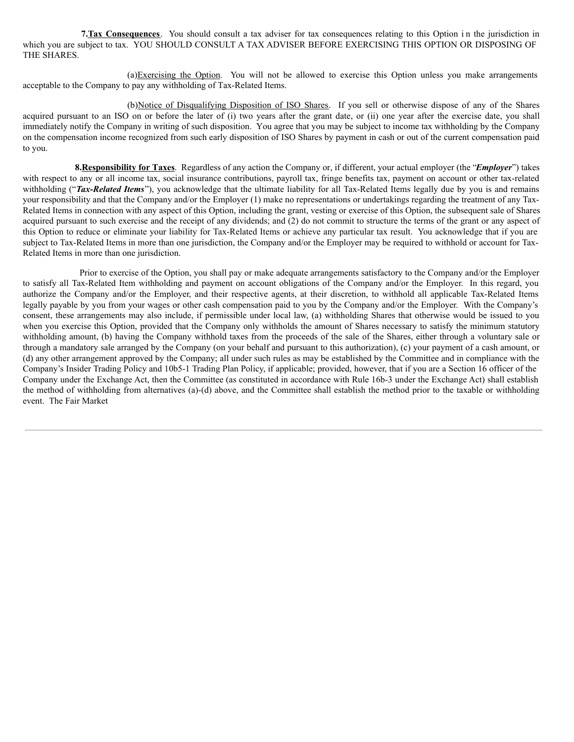7. Tax Consequences. You should consult a tax adviser for tax consequences relating to this Option in the jurisdiction in which you are subject to tax. YOU SHOULD CONSULT A TAX ADVISER BEFORE EXERCISING THIS OPTION OR DISPOSING OF THE SHARES.

(a)Exercising the Option. You will not be allowed to exercise this Option unless you make arrangements acceptable to the Company to pay any withholding of Tax-Related Items.

(b)Notice of Disqualifying Disposition of ISO Shares. If you sell or otherwise dispose of any of the Shares acquired pursuant to an ISO on or before the later of (i) two years after the grant date, or (ii) one year after the exercise date, you shall immediately notify the Company in writing of such disposition. You agree that you may be subject to income tax withholding by the Company on the compensation income recognized from such early disposition of ISO Shares by payment in cash or out of the current compensation paid to you.

**8.Responsibility for Taxes**. Regardless of any action the Company or, if different, your actual employer (the "*Employer*") takes with respect to any or all income tax, social insurance contributions, payroll tax, fringe benefits tax, payment on account or other tax-related withholding ("*Tax-Related Items*"), you acknowledge that the ultimate liability for all Tax-Related Items legally due by you is and remains your responsibility and that the Company and/or the Employer (1) make no representations or undertakings regarding the treatment of any Tax-Related Items in connection with any aspect of this Option, including the grant, vesting or exercise of this Option, the subsequent sale of Shares acquired pursuant to such exercise and the receipt of any dividends; and (2) do not commit to structure the terms of the grant or any aspect of this Option to reduce or eliminate your liability for Tax-Related Items or achieve any particular tax result. You acknowledge that if you are subject to Tax-Related Items in more than one jurisdiction, the Company and/or the Employer may be required to withhold or account for Tax-Related Items in more than one jurisdiction.

Prior to exercise of the Option, you shall pay or make adequate arrangements satisfactory to the Company and/or the Employer to satisfy all Tax-Related Item withholding and payment on account obligations of the Company and/or the Employer. In this regard, you authorize the Company and/or the Employer, and their respective agents, at their discretion, to withhold all applicable Tax-Related Items legally payable by you from your wages or other cash compensation paid to you by the Company and/or the Employer. With the Company's consent, these arrangements may also include, if permissible under local law, (a) withholding Shares that otherwise would be issued to you when you exercise this Option, provided that the Company only withholds the amount of Shares necessary to satisfy the minimum statutory withholding amount, (b) having the Company withhold taxes from the proceeds of the sale of the Shares, either through a voluntary sale or through a mandatory sale arranged by the Company (on your behalf and pursuant to this authorization), (c) your payment of a cash amount, or (d) any other arrangement approved by the Company; all under such rules as may be established by the Committee and in compliance with the Company's Insider Trading Policy and 10b5-1 Trading Plan Policy, if applicable; provided, however, that if you are a Section 16 officer of the Company under the Exchange Act, then the Committee (as constituted in accordance with Rule 16b-3 under the Exchange Act) shall establish the method of withholding from alternatives (a)-(d) above, and the Committee shall establish the method prior to the taxable or withholding event. The Fair Market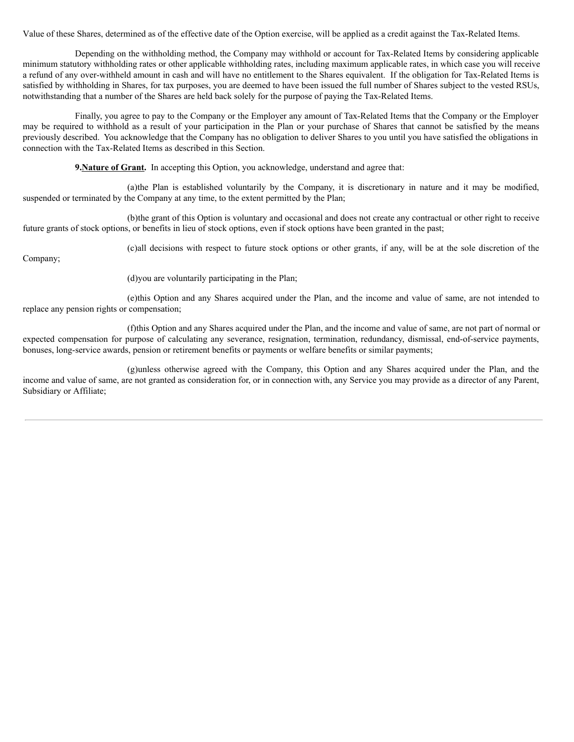Value of these Shares, determined as of the effective date of the Option exercise, will be applied as a credit against the Tax-Related Items.

Depending on the withholding method, the Company may withhold or account for Tax-Related Items by considering applicable minimum statutory withholding rates or other applicable withholding rates, including maximum applicable rates, in which case you will receive a refund of any over-withheld amount in cash and will have no entitlement to the Shares equivalent. If the obligation for Tax-Related Items is satisfied by withholding in Shares, for tax purposes, you are deemed to have been issued the full number of Shares subject to the vested RSUs, notwithstanding that a number of the Shares are held back solely for the purpose of paying the Tax-Related Items.

Finally, you agree to pay to the Company or the Employer any amount of Tax-Related Items that the Company or the Employer may be required to withhold as a result of your participation in the Plan or your purchase of Shares that cannot be satisfied by the means previously described. You acknowledge that the Company has no obligation to deliver Shares to you until you have satisfied the obligations in connection with the Tax-Related Items as described in this Section.

**9. Nature of Grant.** In accepting this Option, you acknowledge, understand and agree that:

(a)the Plan is established voluntarily by the Company, it is discretionary in nature and it may be modified, suspended or terminated by the Company at any time, to the extent permitted by the Plan;

(b)the grant of this Option is voluntary and occasional and does not create any contractual or other right to receive future grants of stock options, or benefits in lieu of stock options, even if stock options have been granted in the past;

Company;

(c)all decisions with respect to future stock options or other grants, if any, will be at the sole discretion of the

(d)you are voluntarily participating in the Plan;

(e)this Option and any Shares acquired under the Plan, and the income and value of same, are not intended to replace any pension rights or compensation;

(f)this Option and any Shares acquired under the Plan, and the income and value of same, are not part of normal or expected compensation for purpose of calculating any severance, resignation, termination, redundancy, dismissal, end-of-service payments, bonuses, long-service awards, pension or retirement benefits or payments or welfare benefits or similar payments;

(g)unless otherwise agreed with the Company, this Option and any Shares acquired under the Plan, and the income and value of same, are not granted as consideration for, or in connection with, any Service you may provide as a director of any Parent, Subsidiary or Affiliate;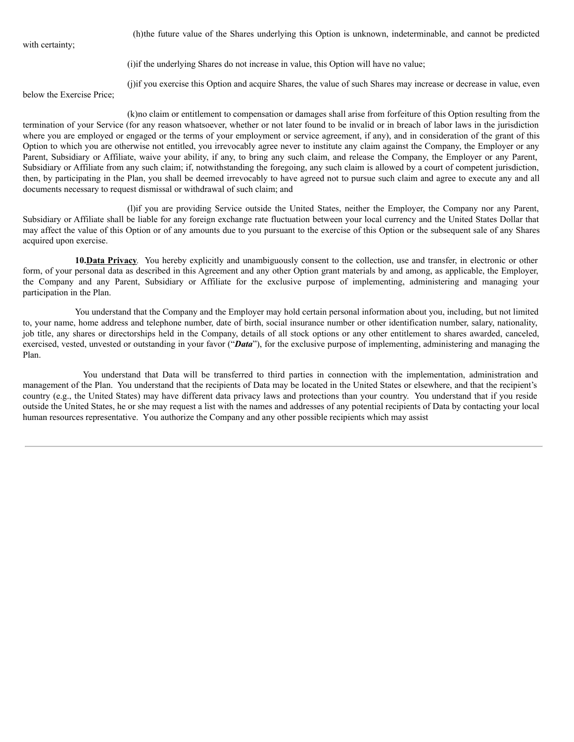with certainty;

(h)the future value of the Shares underlying this Option is unknown, indeterminable, and cannot be predicted

(i)if the underlying Shares do not increase in value, this Option will have no value;

(j)if you exercise this Option and acquire Shares, the value of such Shares may increase or decrease in value, even

below the Exercise Price;

(k)no claim or entitlement to compensation or damages shall arise from forfeiture of this Option resulting from the termination of your Service (for any reason whatsoever, whether or not later found to be invalid or in breach of labor laws in the jurisdiction where you are employed or engaged or the terms of your employment or service agreement, if any), and in consideration of the grant of this Option to which you are otherwise not entitled, you irrevocably agree never to institute any claim against the Company, the Employer or any Parent, Subsidiary or Affiliate, waive your ability, if any, to bring any such claim, and release the Company, the Employer or any Parent, Subsidiary or Affiliate from any such claim; if, notwithstanding the foregoing, any such claim is allowed by a court of competent jurisdiction, then, by participating in the Plan, you shall be deemed irrevocably to have agreed not to pursue such claim and agree to execute any and all documents necessary to request dismissal or withdrawal of such claim; and

(l)if you are providing Service outside the United States, neither the Employer, the Company nor any Parent, Subsidiary or Affiliate shall be liable for any foreign exchange rate fluctuation between your local currency and the United States Dollar that may affect the value of this Option or of any amounts due to you pursuant to the exercise of this Option or the subsequent sale of any Shares acquired upon exercise.

**10.Data Privacy***.* You hereby explicitly and unambiguously consent to the collection, use and transfer, in electronic or other form, of your personal data as described in this Agreement and any other Option grant materials by and among, as applicable, the Employer, the Company and any Parent, Subsidiary or Affiliate for the exclusive purpose of implementing, administering and managing your participation in the Plan.

You understand that the Company and the Employer may hold certain personal information about you, including, but not limited to, your name, home address and telephone number, date of birth, social insurance number or other identification number, salary, nationality, job title, any shares or directorships held in the Company, details of all stock options or any other entitlement to shares awarded, canceled, exercised, vested, unvested or outstanding in your favor ("*Data*"), for the exclusive purpose of implementing, administering and managing the Plan.

You understand that Data will be transferred to third parties in connection with the implementation, administration and management of the Plan. You understand that the recipients of Data may be located in the United States or elsewhere, and that the recipient's country (e.g., the United States) may have different data privacy laws and protections than your country. You understand that if you reside outside the United States, he or she may request a list with the names and addresses of any potential recipients of Data by contacting your local human resources representative. You authorize the Company and any other possible recipients which may assist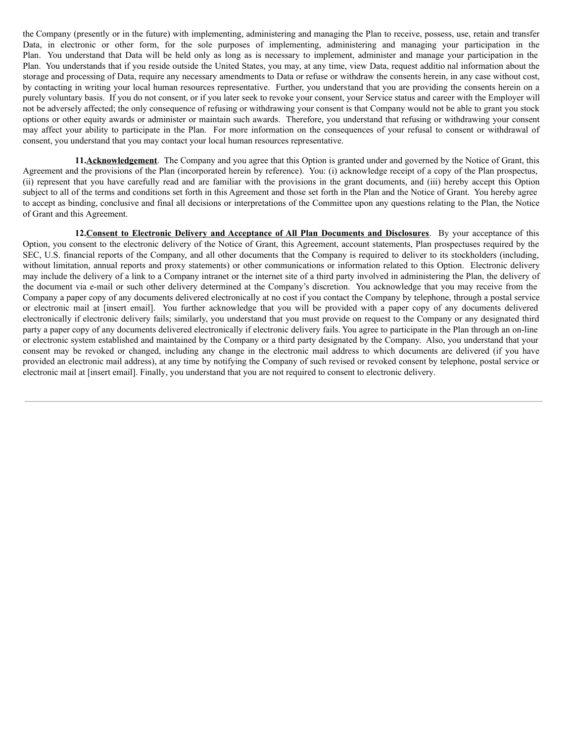the Company (presently or in the future) with implementing, administering and managing the Plan to receive, possess, use, retain and transfer Data, in electronic or other form, for the sole purposes of implementing, administering and managing your participation in the Plan. You understand that Data will be held only as long as is necessary to implement, administer and manage your participation in the Plan. You understands that if you reside outside the United States, you may, at any time, view Data, request additio nal information about the storage and processing of Data, require any necessary amendments to Data or refuse or withdraw the consents herein, in any case without cost, by contacting in writing your local human resources representative. Further, you understand that you are providing the consents herein on a purely voluntary basis. If you do not consent, or if you later seek to revoke your consent, your Service status and career with the Employer will not be adversely affected; the only consequence of refusing or withdrawing your consent is that Company would not be able to grant you stock options or other equity awards or administer or maintain such awards. Therefore, you understand that refusing or withdrawing your consent may affect your ability to participate in the Plan. For more information on the consequences of your refusal to consent or withdrawal of consent, you understand that you may contact your local human resources representative.

**11.Acknowledgement**. The Company and you agree that this Option is granted under and governed by the Notice of Grant, this Agreement and the provisions of the Plan (incorporated herein by reference). You: (i) acknowledge receipt of a copy of the Plan prospectus, (ii) represent that you have carefully read and are familiar with the provisions in the grant documents, and (iii) hereby accept this Option subject to all of the terms and conditions set forth in this Agreement and those set forth in the Plan and the Notice of Grant. You hereby agree to accept as binding, conclusive and final all decisions or interpretations of the Committee upon any questions relating to the Plan, the Notice of Grant and this Agreement.

**12.Consent to Electronic Delivery and Acceptance of All Plan Documents and Disclosures**. By your acceptance of this Option, you consent to the electronic delivery of the Notice of Grant, this Agreement, account statements, Plan prospectuses required by the SEC, U.S. financial reports of the Company, and all other documents that the Company is required to deliver to its stockholders (including, without limitation, annual reports and proxy statements) or other communications or information related to this Option. Electronic delivery may include the delivery of a link to a Company intranet or the internet site of a third party involved in administering the Plan, the delivery of the document via e-mail or such other delivery determined at the Company's discretion. You acknowledge that you may receive from the Company a paper copy of any documents delivered electronically at no cost if you contact the Company by telephone, through a postal service or electronic mail at [insert email]. You further acknowledge that you will be provided with a paper copy of any documents delivered electronically if electronic delivery fails; similarly, you understand that you must provide on request to the Company or any designated third party a paper copy of any documents delivered electronically if electronic delivery fails. You agree to participate in the Plan through an on-line or electronic system established and maintained by the Company or a third party designated by the Company. Also, you understand that your consent may be revoked or changed, including any change in the electronic mail address to which documents are delivered (if you have provided an electronic mail address), at any time by notifying the Company of such revised or revoked consent by telephone, postal service or electronic mail at [insert email]. Finally, you understand that you are not required to consent to electronic delivery.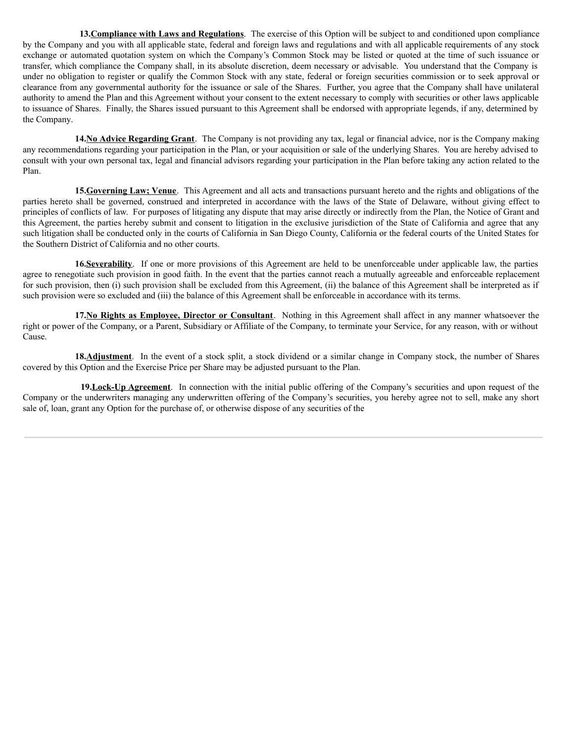**13.Compliance with Laws and Regulations**. The exercise of this Option will be subject to and conditioned upon compliance by the Company and you with all applicable state, federal and foreign laws and regulations and with all applicable requirements of any stock exchange or automated quotation system on which the Company's Common Stock may be listed or quoted at the time of such issuance or transfer, which compliance the Company shall, in its absolute discretion, deem necessary or advisable. You understand that the Company is under no obligation to register or qualify the Common Stock with any state, federal or foreign securities commission or to seek approval or clearance from any governmental authority for the issuance or sale of the Shares. Further, you agree that the Company shall have unilateral authority to amend the Plan and this Agreement without your consent to the extent necessary to comply with securities or other laws applicable to issuance of Shares. Finally, the Shares issued pursuant to this Agreement shall be endorsed with appropriate legends, if any, determined by the Company.

**14.No Advice Regarding Grant**. The Company is not providing any tax, legal or financial advice, nor is the Company making any recommendations regarding your participation in the Plan, or your acquisition or sale of the underlying Shares. You are hereby advised to consult with your own personal tax, legal and financial advisors regarding your participation in the Plan before taking any action related to the Plan.

**15.Governing Law; Venue**. This Agreement and all acts and transactions pursuant hereto and the rights and obligations of the parties hereto shall be governed, construed and interpreted in accordance with the laws of the State of Delaware, without giving effect to principles of conflicts of law. For purposes of litigating any dispute that may arise directly or indirectly from the Plan, the Notice of Grant and this Agreement, the parties hereby submit and consent to litigation in the exclusive jurisdiction of the State of California and agree that any such litigation shall be conducted only in the courts of California in San Diego County, California or the federal courts of the United States for the Southern District of California and no other courts.

**16.Severability**. If one or more provisions of this Agreement are held to be unenforceable under applicable law, the parties agree to renegotiate such provision in good faith. In the event that the parties cannot reach a mutually agreeable and enforceable replacement for such provision, then (i) such provision shall be excluded from this Agreement, (ii) the balance of this Agreement shall be interpreted as if such provision were so excluded and (iii) the balance of this Agreement shall be enforceable in accordance with its terms.

**17.No Rights as Employee, Director or Consultant**. Nothing in this Agreement shall affect in any manner whatsoever the right or power of the Company, or a Parent, Subsidiary or Affiliate of the Company, to terminate your Service, for any reason, with or without Cause.

**18.Adjustment**. In the event of a stock split, a stock dividend or a similar change in Company stock, the number of Shares covered by this Option and the Exercise Price per Share may be adjusted pursuant to the Plan.

**19.Lock-Up Agreement**. In connection with the initial public offering of the Company's securities and upon request of the Company or the underwriters managing any underwritten offering of the Company's securities, you hereby agree not to sell, make any short sale of, loan, grant any Option for the purchase of, or otherwise dispose of any securities of the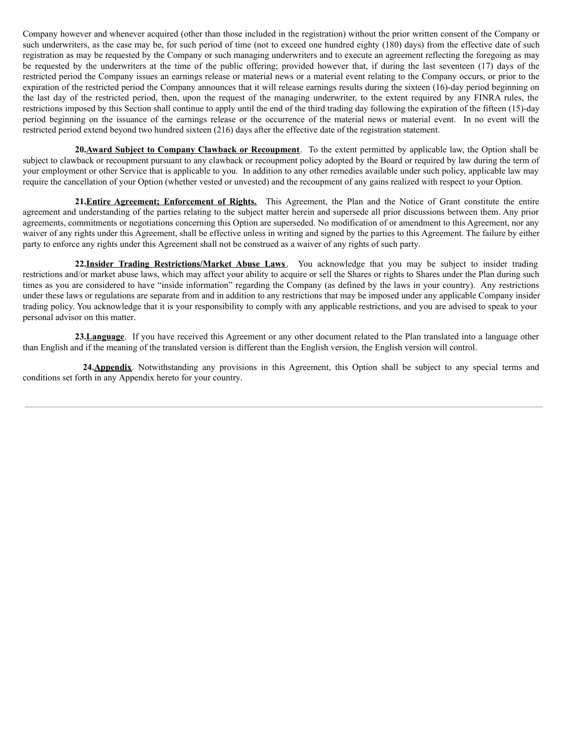Company however and whenever acquired (other than those included in the registration) without the prior written consent of the Company or such underwriters, as the case may be, for such period of time (not to exceed one hundred eighty (180) days) from the effective date of such registration as may be requested by the Company or such managing underwriters and to execute an agreement reflecting the foregoing as may be requested by the underwriters at the time of the public offering; provided however that, if during the last seventeen (17) days of the restricted period the Company issues an earnings release or material news or a material event relating to the Company occurs, or prior to the expiration of the restricted period the Company announces that it will release earnings results during the sixteen (16)-day period beginning on the last day of the restricted period, then, upon the request of the managing underwriter, to the extent required by any FINRA rules, the restrictions imposed by this Section shall continue to apply until the end of the third trading day following the expiration of the fifteen (15)-day period beginning on the issuance of the earnings release or the occurrence of the material news or material event. In no event will the restricted period extend beyond two hundred sixteen (216) days after the effective date of the registration statement.

**20.Award Subject to Company Clawback or Recoupment**. To the extent permitted by applicable law, the Option shall be subject to clawback or recoupment pursuant to any clawback or recoupment policy adopted by the Board or required by law during the term of your employment or other Service that is applicable to you. In addition to any other remedies available under such policy, applicable law may require the cancellation of your Option (whether vested or unvested) and the recoupment of any gains realized with respect to your Option.

**21.Entire Agreement; Enforcement of Rights.** This Agreement, the Plan and the Notice of Grant constitute the entire agreement and understanding of the parties relating to the subject matter herein and supersede all prior discussions between them. Any prior agreements, commitments or negotiations concerning this Option are superseded. No modification of or amendment to this Agreement, nor any waiver of any rights under this Agreement, shall be effective unless in writing and signed by the parties to this Agreement. The failure by either party to enforce any rights under this Agreement shall not be construed as a waiver of any rights of such party.

**22.Insider Trading Restrictions/Market Abuse Laws**. You acknowledge that you may be subject to insider trading restrictions and/or market abuse laws, which may affect your ability to acquire or sell the Shares or rights to Shares under the Plan during such times as you are considered to have "inside information" regarding the Company (as defined by the laws in your country). Any restrictions under these laws or regulations are separate from and in addition to any restrictions that may be imposed under any applicable Company insider trading policy. You acknowledge that it is your responsibility to comply with any applicable restrictions, and you are advised to speak to your personal advisor on this matter.

**23.Language**. If you have received this Agreement or any other document related to the Plan translated into a language other than English and if the meaning of the translated version is different than the English version, the English version will control.

**24.Appendix**. Notwithstanding any provisions in this Agreement, this Option shall be subject to any special terms and conditions set forth in any Appendix hereto for your country.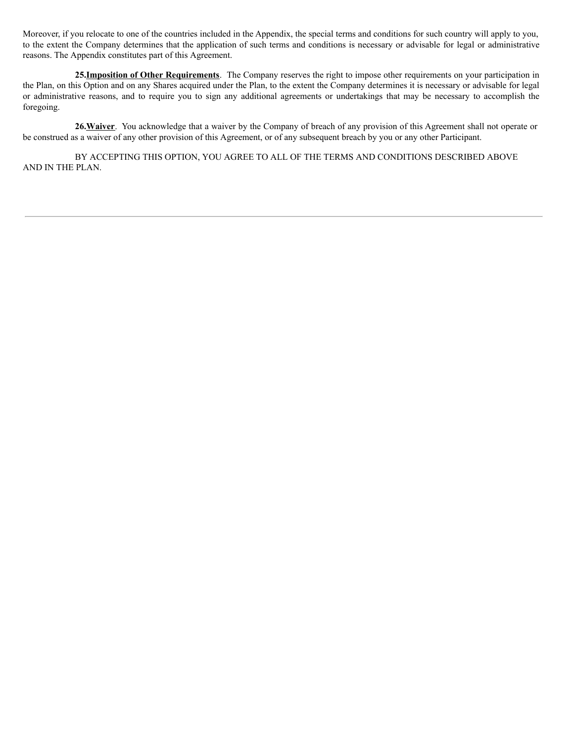Moreover, if you relocate to one of the countries included in the Appendix, the special terms and conditions for such country will apply to you, to the extent the Company determines that the application of such terms and conditions is necessary or advisable for legal or administrative reasons. The Appendix constitutes part of this Agreement.

**25.Imposition of Other Requirements**. The Company reserves the right to impose other requirements on your participation in the Plan, on this Option and on any Shares acquired under the Plan, to the extent the Company determines it is necessary or advisable for legal or administrative reasons, and to require you to sign any additional agreements or undertakings that may be necessary to accomplish the foregoing.

**26.Waiver**. You acknowledge that a waiver by the Company of breach of any provision of this Agreement shall not operate or be construed as a waiver of any other provision of this Agreement, or of any subsequent breach by you or any other Participant.

BY ACCEPTING THIS OPTION, YOU AGREE TO ALL OF THE TERMS AND CONDITIONS DESCRIBED ABOVE AND IN THE PLAN.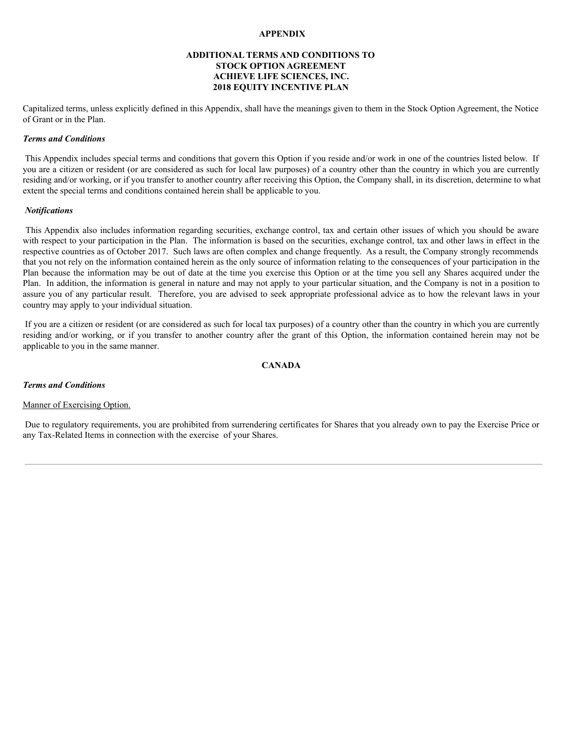## **APPENDIX**

## **ADDITIONAL TERMS AND CONDITIONS TO STOCK OPTION AGREEMENT ACHIEVE LIFE SCIENCES, INC. 2018 EQUITY INCENTIVE PLAN**

Capitalized terms, unless explicitly defined in this Appendix, shall have the meanings given to them in the Stock Option Agreement, the Notice of Grant or in the Plan.

## *Terms and Conditions*

This Appendix includes special terms and conditions that govern this Option if you reside and/or work in one of the countries listed below. If you are a citizen or resident (or are considered as such for local law purposes) of a country other than the country in which you are currently residing and/or working, or if you transfer to another country after receiving this Option, the Company shall, in its discretion, determine to what extent the special terms and conditions contained herein shall be applicable to you.

## *Notifications*

This Appendix also includes information regarding securities, exchange control, tax and certain other issues of which you should be aware with respect to your participation in the Plan. The information is based on the securities, exchange control, tax and other laws in effect in the respective countries as of October 2017. Such laws are often complex and change frequently. As a result, the Company strongly recommends that you not rely on the information contained herein as the only source of information relating to the consequences of your participation in the Plan because the information may be out of date at the time you exercise this Option or at the time you sell any Shares acquired under the Plan. In addition, the information is general in nature and may not apply to your particular situation, and the Company is not in a position to assure you of any particular result. Therefore, you are advised to seek appropriate professional advice as to how the relevant laws in your country may apply to your individual situation.

If you are a citizen or resident (or are considered as such for local tax purposes) of a country other than the country in which you are currently residing and/or working, or if you transfer to another country after the grant of this Option, the information contained herein may not be applicable to you in the same manner.

# **CANADA**

## *Terms and Conditions*

## Manner of Exercising Option.

Due to regulatory requirements, you are prohibited from surrendering certificates for Shares that you already own to pay the Exercise Price or any Tax-Related Items in connection with the exercise of your Shares.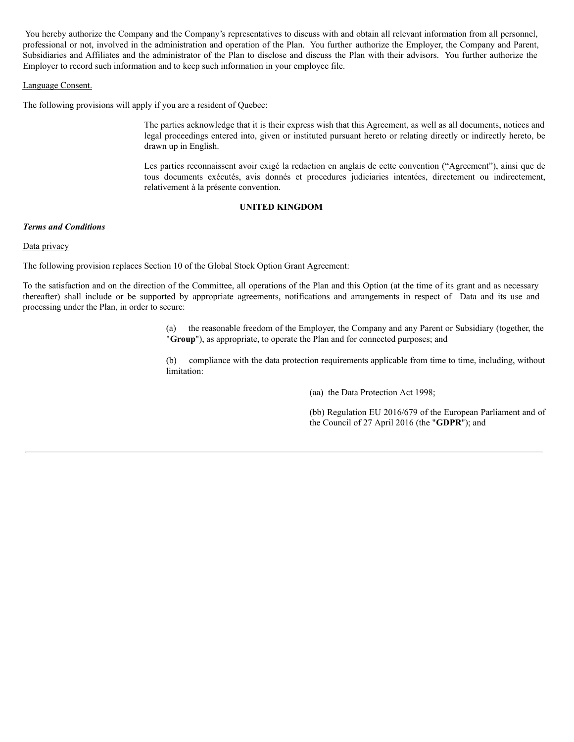You hereby authorize the Company and the Company's representatives to discuss with and obtain all relevant information from all personnel, professional or not, involved in the administration and operation of the Plan. You further authorize the Employer, the Company and Parent, Subsidiaries and Affiliates and the administrator of the Plan to disclose and discuss the Plan with their advisors. You further authorize the Employer to record such information and to keep such information in your employee file.

## Language Consent.

The following provisions will apply if you are a resident of Quebec:

The parties acknowledge that it is their express wish that this Agreement, as well as all documents, notices and legal proceedings entered into, given or instituted pursuant hereto or relating directly or indirectly hereto, be drawn up in English.

Les parties reconnaissent avoir exigé la redaction en anglais de cette convention ("Agreement"), ainsi que de tous documents exécutés, avis donnés et procedures judiciaries intentées, directement ou indirectement, relativement à la présente convention.

## **UNITED KINGDOM**

## *Terms and Conditions*

## Data privacy

The following provision replaces Section 10 of the Global Stock Option Grant Agreement:

To the satisfaction and on the direction of the Committee, all operations of the Plan and this Option (at the time of its grant and as necessary thereafter) shall include or be supported by appropriate agreements, notifications and arrangements in respect of Data and its use and processing under the Plan, in order to secure:

> (a) the reasonable freedom of the Employer, the Company and any Parent or Subsidiary (together, the "**Group**"), as appropriate, to operate the Plan and for connected purposes; and

> (b) compliance with the data protection requirements applicable from time to time, including, without limitation:

> > (aa) the Data Protection Act 1998;

(bb) Regulation EU 2016/679 of the European Parliament and of the Council of 27 April 2016 (the "**GDPR**"); and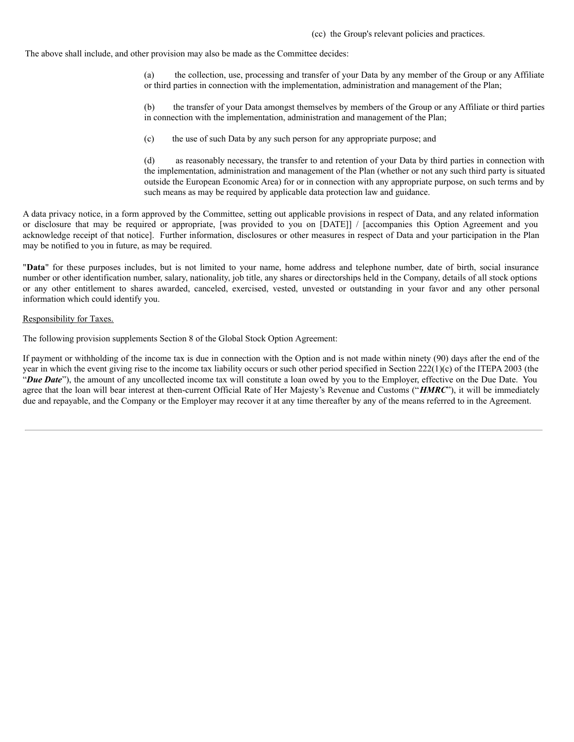The above shall include, and other provision may also be made as the Committee decides:

(a) the collection, use, processing and transfer of your Data by any member of the Group or any Affiliate or third parties in connection with the implementation, administration and management of the Plan;

(b) the transfer of your Data amongst themselves by members of the Group or any Affiliate or third parties in connection with the implementation, administration and management of the Plan;

(c) the use of such Data by any such person for any appropriate purpose; and

(d) as reasonably necessary, the transfer to and retention of your Data by third parties in connection with the implementation, administration and management of the Plan (whether or not any such third party is situated outside the European Economic Area) for or in connection with any appropriate purpose, on such terms and by such means as may be required by applicable data protection law and guidance.

A data privacy notice, in a form approved by the Committee, setting out applicable provisions in respect of Data, and any related information or disclosure that may be required or appropriate, [was provided to you on [DATE]] / [accompanies this Option Agreement and you acknowledge receipt of that notice]. Further information, disclosures or other measures in respect of Data and your participation in the Plan may be notified to you in future, as may be required.

"**Data**" for these purposes includes, but is not limited to your name, home address and telephone number, date of birth, social insurance number or other identification number, salary, nationality, job title, any shares or directorships held in the Company, details of all stock options or any other entitlement to shares awarded, canceled, exercised, vested, unvested or outstanding in your favor and any other personal information which could identify you.

#### Responsibility for Taxes.

The following provision supplements Section 8 of the Global Stock Option Agreement:

If payment or withholding of the income tax is due in connection with the Option and is not made within ninety (90) days after the end of the year in which the event giving rise to the income tax liability occurs or such other period specified in Section 222(1)(c) of the ITEPA 2003 (the "*Due Date*"), the amount of any uncollected income tax will constitute a loan owed by you to the Employer, effective on the Due Date. You agree that the loan will bear interest at then-current Official Rate of Her Majesty's Revenue and Customs ("*HMRC*"), it will be immediately due and repayable, and the Company or the Employer may recover it at any time thereafter by any of the means referred to in the Agreement.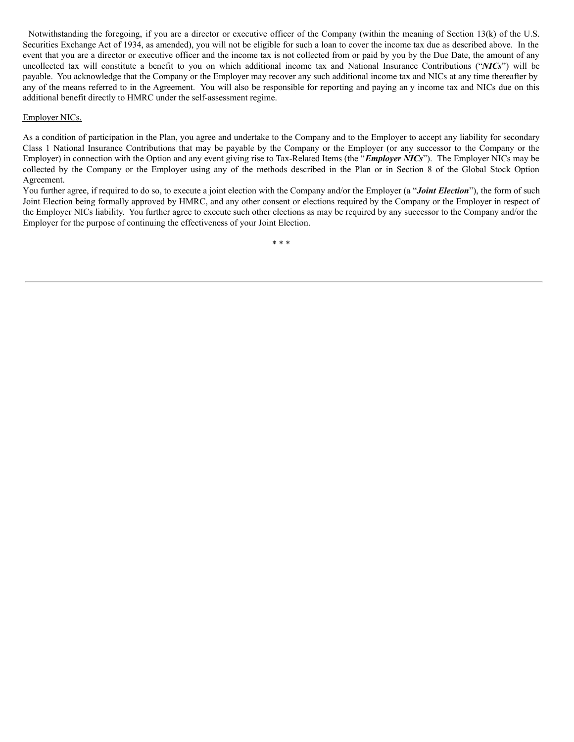Notwithstanding the foregoing, if you are a director or executive officer of the Company (within the meaning of Section 13(k) of the U.S. Securities Exchange Act of 1934, as amended), you will not be eligible for such a loan to cover the income tax due as described above. In the event that you are a director or executive officer and the income tax is not collected from or paid by you by the Due Date, the amount of any uncollected tax will constitute a benefit to you on which additional income tax and National Insurance Contributions ("*NICs*") will be payable. You acknowledge that the Company or the Employer may recover any such additional income tax and NICs at any time thereafter by any of the means referred to in the Agreement. You will also be responsible for reporting and paying an y income tax and NICs due on this additional benefit directly to HMRC under the self-assessment regime.

## Employer NICs.

As a condition of participation in the Plan, you agree and undertake to the Company and to the Employer to accept any liability for secondary Class 1 National Insurance Contributions that may be payable by the Company or the Employer (or any successor to the Company or the Employer) in connection with the Option and any event giving rise to Tax-Related Items (the "*Employer NICs*"). The Employer NICs may be collected by the Company or the Employer using any of the methods described in the Plan or in Section 8 of the Global Stock Option Agreement.

You further agree, if required to do so, to execute a joint election with the Company and/or the Employer (a "*Joint Election*"), the form of such Joint Election being formally approved by HMRC, and any other consent or elections required by the Company or the Employer in respect of the Employer NICs liability. You further agree to execute such other elections as may be required by any successor to the Company and/or the Employer for the purpose of continuing the effectiveness of your Joint Election.

\* \* \*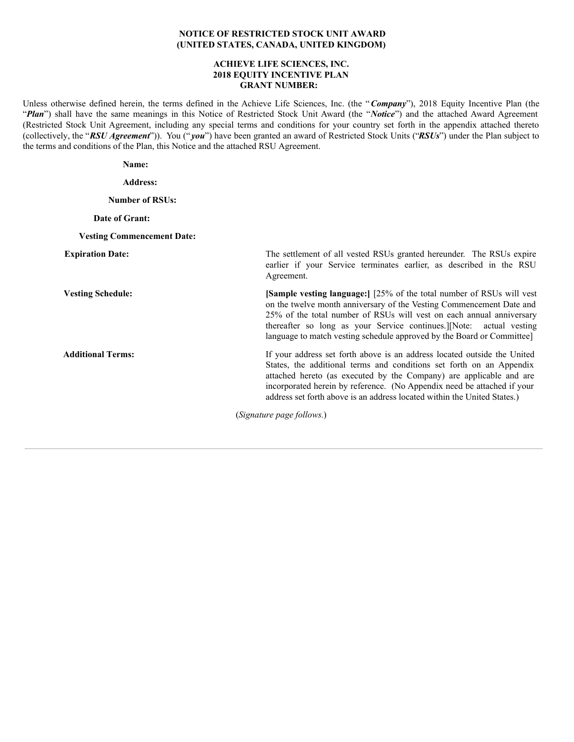## **NOTICE OF RESTRICTED STOCK UNIT AWARD (UNITED STATES, CANADA, UNITED KINGDOM)**

## **ACHIEVE LIFE SCIENCES, INC. 2018 EQUITY INCENTIVE PLAN GRANT NUMBER:**

Unless otherwise defined herein, the terms defined in the Achieve Life Sciences, Inc. (the "*Company*"), 2018 Equity Incentive Plan (the "*Plan*") shall have the same meanings in this Notice of Restricted Stock Unit Award (the "*Notice*") and the attached Award Agreement (Restricted Stock Unit Agreement, including any special terms and conditions for your country set forth in the appendix attached thereto (collectively, the "*RSU Agreement*")). You (" *you*") have been granted an award of Restricted Stock Units ("*RSUs*") under the Plan subject to the terms and conditions of the Plan, this Notice and the attached RSU Agreement.

**Name:**

**Address:**

**Number of RSUs:**

## **Date of Grant:**

#### **Vesting Commencement Date:**

**Expiration Date:** The settlement of all vested RSUs granted hereunder. The RSUs expire earlier if your Service terminates earlier, as described in the RSU Agreement.

**Vesting Schedule: [Sample vesting language:**] [25% of the total number of RSUs will vest on the twelve month anniversary of the Vesting Commencement Date and 25% of the total number of RSUs will vest on each annual anniversary thereafter so long as your Service continues.][Note: actual vesting language to match vesting schedule approved by the Board or Committee]

**Additional Terms:** If your address set forth above is an address located outside the United States, the additional terms and conditions set forth on an Appendix attached hereto (as executed by the Company) are applicable and are incorporated herein by reference. (No Appendix need be attached if your address set forth above is an address located within the United States.)

(*Signature page follows.*)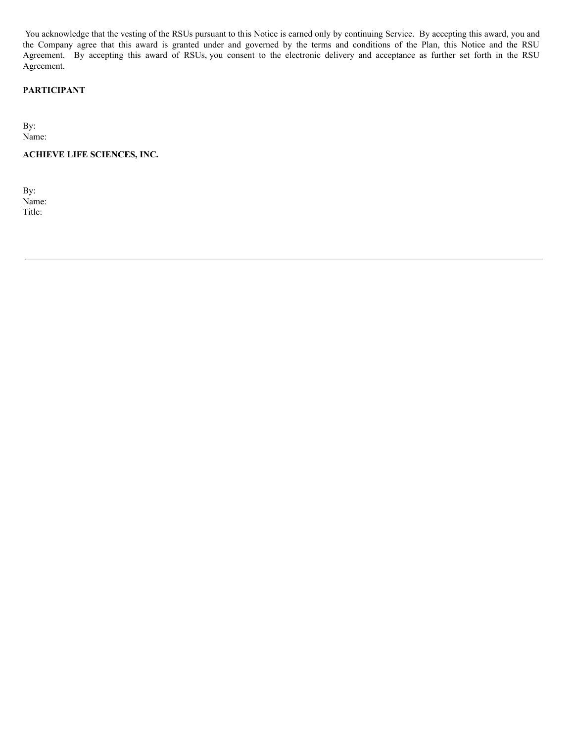You acknowledge that the vesting of the RSUs pursuant to this Notice is earned only by continuing Service. By accepting this award, you and the Company agree that this award is granted under and governed by the terms and conditions of the Plan, this Notice and the RSU Agreement. By accepting this award of RSUs, you consent to the electronic delivery and acceptance as further set forth in the RSU Agreement.

# **PARTICIPANT**

By: Name:

**ACHIEVE LIFE SCIENCES, INC.**

By: Name: Title: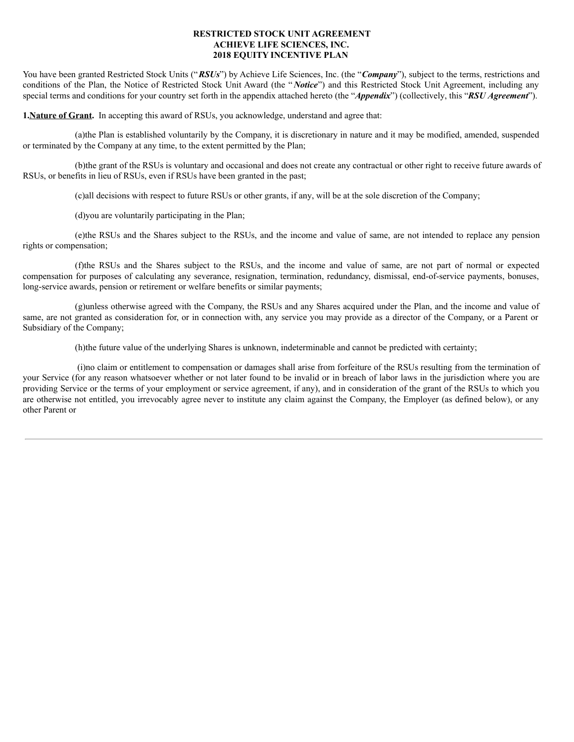## **RESTRICTED STOCK UNIT AGREEMENT ACHIEVE LIFE SCIENCES, INC. 2018 EQUITY INCENTIVE PLAN**

You have been granted Restricted Stock Units ("*RSUs*") by Achieve Life Sciences, Inc. (the "*Company*"), subject to the terms, restrictions and conditions of the Plan, the Notice of Restricted Stock Unit Award (the " *Notice*") and this Restricted Stock Unit Agreement, including any special terms and conditions for your country set forth in the appendix attached hereto (the "*Appendix*") (collectively, this "*RSU Agreement*").

**1.Nature of Grant.** In accepting this award of RSUs, you acknowledge, understand and agree that:

(a)the Plan is established voluntarily by the Company, it is discretionary in nature and it may be modified, amended, suspended or terminated by the Company at any time, to the extent permitted by the Plan;

(b)the grant of the RSUs is voluntary and occasional and does not create any contractual or other right to receive future awards of RSUs, or benefits in lieu of RSUs, even if RSUs have been granted in the past;

(c)all decisions with respect to future RSUs or other grants, if any, will be at the sole discretion of the Company;

(d)you are voluntarily participating in the Plan;

(e)the RSUs and the Shares subject to the RSUs, and the income and value of same, are not intended to replace any pension rights or compensation;

(f)the RSUs and the Shares subject to the RSUs, and the income and value of same, are not part of normal or expected compensation for purposes of calculating any severance, resignation, termination, redundancy, dismissal, end-of-service payments, bonuses, long-service awards, pension or retirement or welfare benefits or similar payments;

(g)unless otherwise agreed with the Company, the RSUs and any Shares acquired under the Plan, and the income and value of same, are not granted as consideration for, or in connection with, any service you may provide as a director of the Company, or a Parent or Subsidiary of the Company;

(h)the future value of the underlying Shares is unknown, indeterminable and cannot be predicted with certainty;

(i)no claim or entitlement to compensation or damages shall arise from forfeiture of the RSUs resulting from the termination of your Service (for any reason whatsoever whether or not later found to be invalid or in breach of labor laws in the jurisdiction where you are providing Service or the terms of your employment or service agreement, if any), and in consideration of the grant of the RSUs to which you are otherwise not entitled, you irrevocably agree never to institute any claim against the Company, the Employer (as defined below), or any other Parent or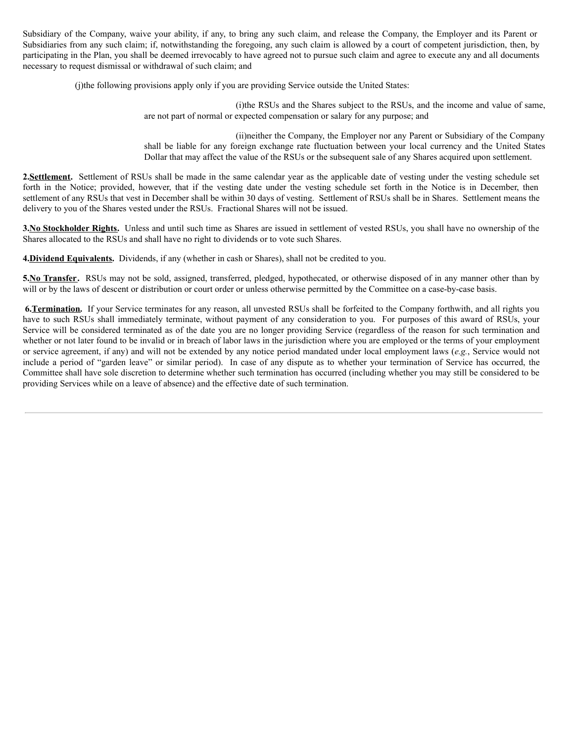Subsidiary of the Company, waive your ability, if any, to bring any such claim, and release the Company, the Employer and its Parent or Subsidiaries from any such claim; if, notwithstanding the foregoing, any such claim is allowed by a court of competent jurisdiction, then, by participating in the Plan, you shall be deemed irrevocably to have agreed not to pursue such claim and agree to execute any and all documents necessary to request dismissal or withdrawal of such claim; and

(j)the following provisions apply only if you are providing Service outside the United States:

(i)the RSUs and the Shares subject to the RSUs, and the income and value of same, are not part of normal or expected compensation or salary for any purpose; and

(ii)neither the Company, the Employer nor any Parent or Subsidiary of the Company shall be liable for any foreign exchange rate fluctuation between your local currency and the United States Dollar that may affect the value of the RSUs or the subsequent sale of any Shares acquired upon settlement.

2.Settlement. Settlement of RSUs shall be made in the same calendar year as the applicable date of vesting under the vesting schedule set forth in the Notice; provided, however, that if the vesting date under the vesting schedule set forth in the Notice is in December, then settlement of any RSUs that vest in December shall be within 30 days of vesting. Settlement of RSUs shall be in Shares. Settlement means the delivery to you of the Shares vested under the RSUs. Fractional Shares will not be issued.

**3.No Stockholder Rights.** Unless and until such time as Shares are issued in settlement of vested RSUs, you shall have no ownership of the Shares allocated to the RSUs and shall have no right to dividends or to vote such Shares.

**4.Dividend Equivalents.** Dividends, if any (whether in cash or Shares), shall not be credited to you.

**5.No Transfer.** RSUs may not be sold, assigned, transferred, pledged, hypothecated, or otherwise disposed of in any manner other than by will or by the laws of descent or distribution or court order or unless otherwise permitted by the Committee on a case-by-case basis.

**6.Termination.** If your Service terminates for any reason, all unvested RSUs shall be forfeited to the Company forthwith, and all rights you have to such RSUs shall immediately terminate, without payment of any consideration to you. For purposes of this award of RSUs, your Service will be considered terminated as of the date you are no longer providing Service (regardless of the reason for such termination and whether or not later found to be invalid or in breach of labor laws in the jurisdiction where you are employed or the terms of your employment or service agreement, if any) and will not be extended by any notice period mandated under local employment laws (*e.g.*, Service would not include a period of "garden leave" or similar period). In case of any dispute as to whether your termination of Service has occurred, the Committee shall have sole discretion to determine whether such termination has occurred (including whether you may still be considered to be providing Services while on a leave of absence) and the effective date of such termination.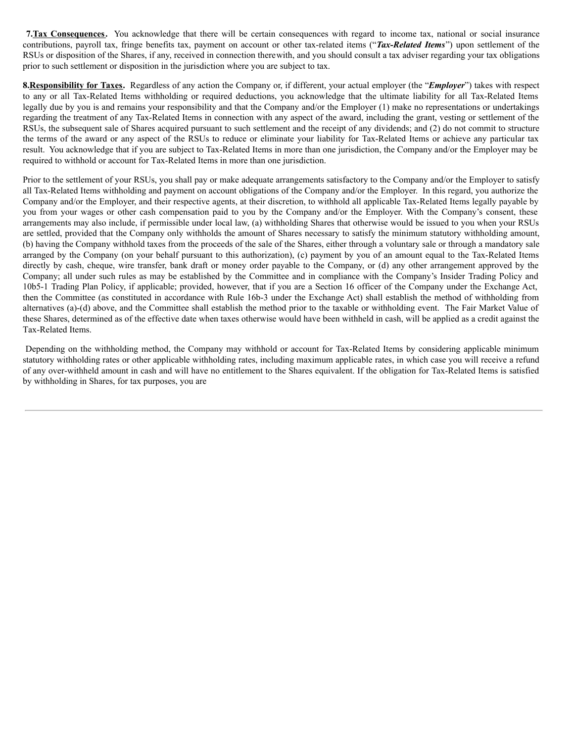**7.Tax Consequences.** You acknowledge that there will be certain consequences with regard to income tax, national or social insurance contributions, payroll tax, fringe benefits tax, payment on account or other tax-related items ("*Tax-Related Items*") upon settlement of the RSUs or disposition of the Shares, if any, received in connection therewith, and you should consult a tax adviser regarding your tax obligations prior to such settlement or disposition in the jurisdiction where you are subject to tax.

**8.Responsibility for Taxes.** Regardless of any action the Company or, if different, your actual employer (the "*Employer*") takes with respect to any or all Tax-Related Items withholding or required deductions, you acknowledge that the ultimate liability for all Tax-Related Items legally due by you is and remains your responsibility and that the Company and/or the Employer (1) make no representations or undertakings regarding the treatment of any Tax-Related Items in connection with any aspect of the award, including the grant, vesting or settlement of the RSUs, the subsequent sale of Shares acquired pursuant to such settlement and the receipt of any dividends; and (2) do not commit to structure the terms of the award or any aspect of the RSUs to reduce or eliminate your liability for Tax-Related Items or achieve any particular tax result. You acknowledge that if you are subject to Tax-Related Items in more than one jurisdiction, the Company and/or the Employer may be required to withhold or account for Tax-Related Items in more than one jurisdiction.

Prior to the settlement of your RSUs, you shall pay or make adequate arrangements satisfactory to the Company and/or the Employer to satisfy all Tax-Related Items withholding and payment on account obligations of the Company and/or the Employer. In this regard, you authorize the Company and/or the Employer, and their respective agents, at their discretion, to withhold all applicable Tax-Related Items legally payable by you from your wages or other cash compensation paid to you by the Company and/or the Employer. With the Company's consent, these arrangements may also include, if permissible under local law, (a) withholding Shares that otherwise would be issued to you when your RSUs are settled, provided that the Company only withholds the amount of Shares necessary to satisfy the minimum statutory withholding amount, (b) having the Company withhold taxes from the proceeds of the sale of the Shares, either through a voluntary sale or through a mandatory sale arranged by the Company (on your behalf pursuant to this authorization), (c) payment by you of an amount equal to the Tax-Related Items directly by cash, cheque, wire transfer, bank draft or money order payable to the Company, or (d) any other arrangement approved by the Company; all under such rules as may be established by the Committee and in compliance with the Company's Insider Trading Policy and 10b5-1 Trading Plan Policy, if applicable; provided, however, that if you are a Section 16 officer of the Company under the Exchange Act, then the Committee (as constituted in accordance with Rule 16b-3 under the Exchange Act) shall establish the method of withholding from alternatives (a)-(d) above, and the Committee shall establish the method prior to the taxable or withholding event. The Fair Market Value of these Shares, determined as of the effective date when taxes otherwise would have been withheld in cash, will be applied as a credit against the Tax-Related Items.

Depending on the withholding method, the Company may withhold or account for Tax-Related Items by considering applicable minimum statutory withholding rates or other applicable withholding rates, including maximum applicable rates, in which case you will receive a refund of any over-withheld amount in cash and will have no entitlement to the Shares equivalent. If the obligation for Tax-Related Items is satisfied by withholding in Shares, for tax purposes, you are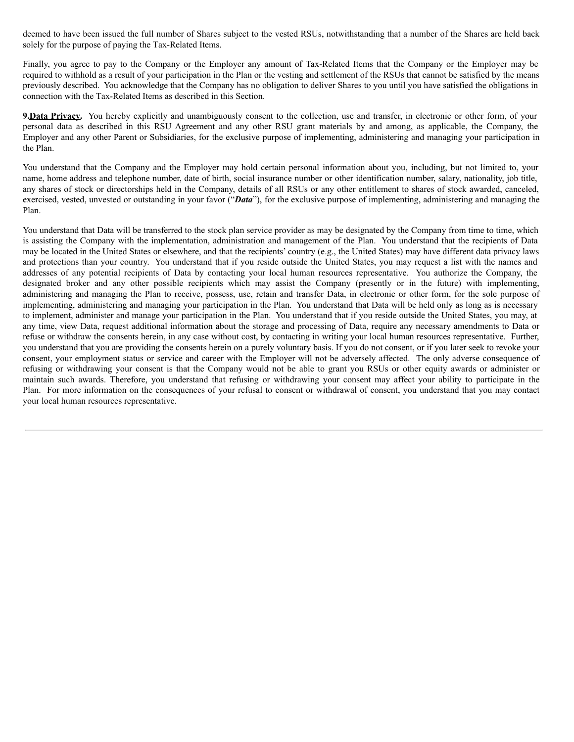deemed to have been issued the full number of Shares subject to the vested RSUs, notwithstanding that a number of the Shares are held back solely for the purpose of paying the Tax-Related Items.

Finally, you agree to pay to the Company or the Employer any amount of Tax-Related Items that the Company or the Employer may be required to withhold as a result of your participation in the Plan or the vesting and settlement of the RSUs that cannot be satisfied by the means previously described. You acknowledge that the Company has no obligation to deliver Shares to you until you have satisfied the obligations in connection with the Tax-Related Items as described in this Section.

**9.Data Privacy.** You hereby explicitly and unambiguously consent to the collection, use and transfer, in electronic or other form, of your personal data as described in this RSU Agreement and any other RSU grant materials by and among, as applicable, the Company, the Employer and any other Parent or Subsidiaries, for the exclusive purpose of implementing, administering and managing your participation in the Plan.

You understand that the Company and the Employer may hold certain personal information about you, including, but not limited to, your name, home address and telephone number, date of birth, social insurance number or other identification number, salary, nationality, job title, any shares of stock or directorships held in the Company, details of all RSUs or any other entitlement to shares of stock awarded, canceled, exercised, vested, unvested or outstanding in your favor ("*Data*"), for the exclusive purpose of implementing, administering and managing the Plan.

You understand that Data will be transferred to the stock plan service provider as may be designated by the Company from time to time, which is assisting the Company with the implementation, administration and management of the Plan. You understand that the recipients of Data may be located in the United States or elsewhere, and that the recipients' country (e.g., the United States) may have different data privacy laws and protections than your country. You understand that if you reside outside the United States, you may request a list with the names and addresses of any potential recipients of Data by contacting your local human resources representative. You authorize the Company, the designated broker and any other possible recipients which may assist the Company (presently or in the future) with implementing, administering and managing the Plan to receive, possess, use, retain and transfer Data, in electronic or other form, for the sole purpose of implementing, administering and managing your participation in the Plan. You understand that Data will be held only as long as is necessary to implement, administer and manage your participation in the Plan. You understand that if you reside outside the United States, you may, at any time, view Data, request additional information about the storage and processing of Data, require any necessary amendments to Data or refuse or withdraw the consents herein, in any case without cost, by contacting in writing your local human resources representative. Further, you understand that you are providing the consents herein on a purely voluntary basis. If you do not consent, or if you later seek to revoke your consent, your employment status or service and career with the Employer will not be adversely affected. The only adverse consequence of refusing or withdrawing your consent is that the Company would not be able to grant you RSUs or other equity awards or administer or maintain such awards. Therefore, you understand that refusing or withdrawing your consent may affect your ability to participate in the Plan. For more information on the consequences of your refusal to consent or withdrawal of consent, you understand that you may contact your local human resources representative.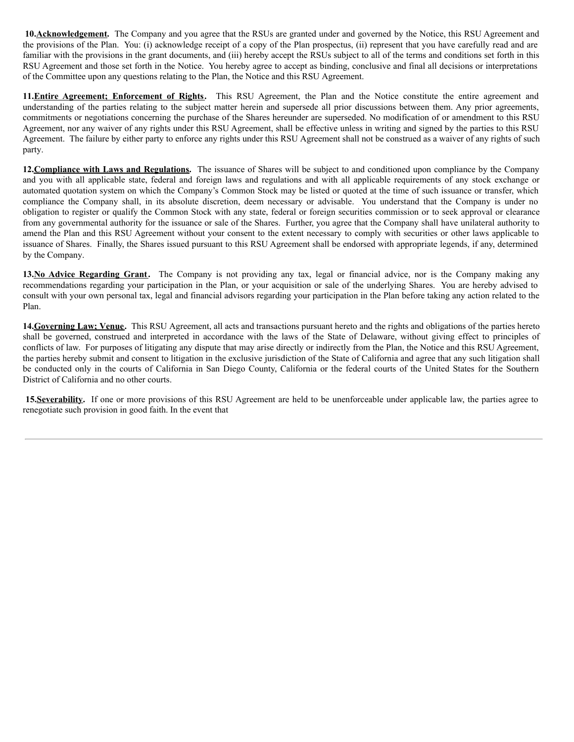**10.Acknowledgement.** The Company and you agree that the RSUs are granted under and governed by the Notice, this RSU Agreement and the provisions of the Plan. You: (i) acknowledge receipt of a copy of the Plan prospectus, (ii) represent that you have carefully read and are familiar with the provisions in the grant documents, and (iii) hereby accept the RSUs subject to all of the terms and conditions set forth in this RSU Agreement and those set forth in the Notice. You hereby agree to accept as binding, conclusive and final all decisions or interpretations of the Committee upon any questions relating to the Plan, the Notice and this RSU Agreement.

**11.Entire Agreement; Enforcement of Rights.** This RSU Agreement, the Plan and the Notice constitute the entire agreement and understanding of the parties relating to the subject matter herein and supersede all prior discussions between them. Any prior agreements, commitments or negotiations concerning the purchase of the Shares hereunder are superseded. No modification of or amendment to this RSU Agreement, nor any waiver of any rights under this RSU Agreement, shall be effective unless in writing and signed by the parties to this RSU Agreement. The failure by either party to enforce any rights under this RSU Agreement shall not be construed as a waiver of any rights of such party.

**12.Compliance with Laws and Regulations.** The issuance of Shares will be subject to and conditioned upon compliance by the Company and you with all applicable state, federal and foreign laws and regulations and with all applicable requirements of any stock exchange or automated quotation system on which the Company's Common Stock may be listed or quoted at the time of such issuance or transfer, which compliance the Company shall, in its absolute discretion, deem necessary or advisable. You understand that the Company is under no obligation to register or qualify the Common Stock with any state, federal or foreign securities commission or to seek approval or clearance from any governmental authority for the issuance or sale of the Shares. Further, you agree that the Company shall have unilateral authority to amend the Plan and this RSU Agreement without your consent to the extent necessary to comply with securities or other laws applicable to issuance of Shares. Finally, the Shares issued pursuant to this RSU Agreement shall be endorsed with appropriate legends, if any, determined by the Company.

**13.No Advice Regarding Grant.** The Company is not providing any tax, legal or financial advice, nor is the Company making any recommendations regarding your participation in the Plan, or your acquisition or sale of the underlying Shares. You are hereby advised to consult with your own personal tax, legal and financial advisors regarding your participation in the Plan before taking any action related to the Plan.

**14.Governing Law; Venue.** This RSU Agreement, all acts and transactions pursuant hereto and the rights and obligations of the parties hereto shall be governed, construed and interpreted in accordance with the laws of the State of Delaware, without giving effect to principles of conflicts of law. For purposes of litigating any dispute that may arise directly or indirectly from the Plan, the Notice and this RSU Agreement, the parties hereby submit and consent to litigation in the exclusive jurisdiction of the State of California and agree that any such litigation shall be conducted only in the courts of California in San Diego County, California or the federal courts of the United States for the Southern District of California and no other courts.

**15.Severability.** If one or more provisions of this RSU Agreement are held to be unenforceable under applicable law, the parties agree to renegotiate such provision in good faith. In the event that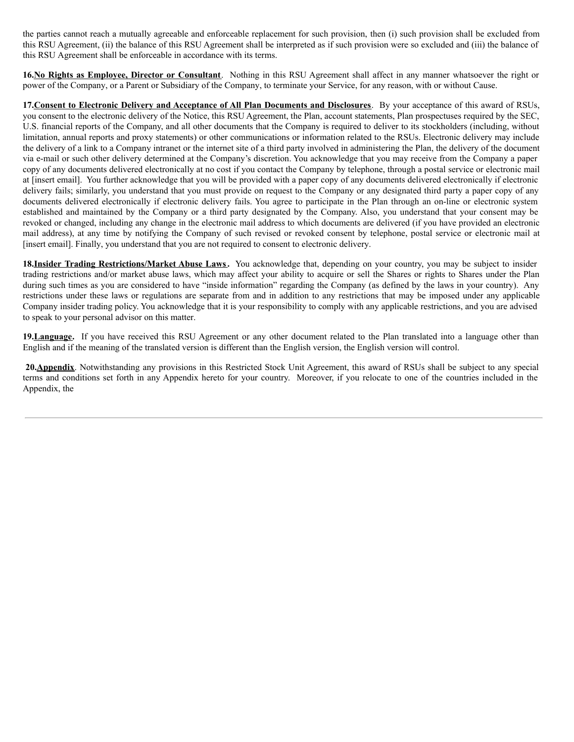the parties cannot reach a mutually agreeable and enforceable replacement for such provision, then (i) such provision shall be excluded from this RSU Agreement, (ii) the balance of this RSU Agreement shall be interpreted as if such provision were so excluded and (iii) the balance of this RSU Agreement shall be enforceable in accordance with its terms.

**16.No Rights as Employee, Director or Consultant**. Nothing in this RSU Agreement shall affect in any manner whatsoever the right or power of the Company, or a Parent or Subsidiary of the Company, to terminate your Service, for any reason, with or without Cause.

**17.Consent to Electronic Delivery and Acceptance of All Plan Documents and Disclosures**. By your acceptance of this award of RSUs, you consent to the electronic delivery of the Notice, this RSU Agreement, the Plan, account statements, Plan prospectuses required by the SEC, U.S. financial reports of the Company, and all other documents that the Company is required to deliver to its stockholders (including, without limitation, annual reports and proxy statements) or other communications or information related to the RSUs. Electronic delivery may include the delivery of a link to a Company intranet or the internet site of a third party involved in administering the Plan, the delivery of the document via e-mail or such other delivery determined at the Company's discretion. You acknowledge that you may receive from the Company a paper copy of any documents delivered electronically at no cost if you contact the Company by telephone, through a postal service or electronic mail at [insert email]. You further acknowledge that you will be provided with a paper copy of any documents delivered electronically if electronic delivery fails; similarly, you understand that you must provide on request to the Company or any designated third party a paper copy of any documents delivered electronically if electronic delivery fails. You agree to participate in the Plan through an on-line or electronic system established and maintained by the Company or a third party designated by the Company. Also, you understand that your consent may be revoked or changed, including any change in the electronic mail address to which documents are delivered (if you have provided an electronic mail address), at any time by notifying the Company of such revised or revoked consent by telephone, postal service or electronic mail at [insert email]. Finally, you understand that you are not required to consent to electronic delivery.

**18.Insider Trading Restrictions/Market Abuse Laws.** You acknowledge that, depending on your country, you may be subject to insider trading restrictions and/or market abuse laws, which may affect your ability to acquire or sell the Shares or rights to Shares under the Plan during such times as you are considered to have "inside information" regarding the Company (as defined by the laws in your country). Any restrictions under these laws or regulations are separate from and in addition to any restrictions that may be imposed under any applicable Company insider trading policy. You acknowledge that it is your responsibility to comply with any applicable restrictions, and you are advised to speak to your personal advisor on this matter.

**19.Language.** If you have received this RSU Agreement or any other document related to the Plan translated into a language other than English and if the meaning of the translated version is different than the English version, the English version will control.

**20.Appendix**. Notwithstanding any provisions in this Restricted Stock Unit Agreement, this award of RSUs shall be subject to any special terms and conditions set forth in any Appendix hereto for your country. Moreover, if you relocate to one of the countries included in the Appendix, the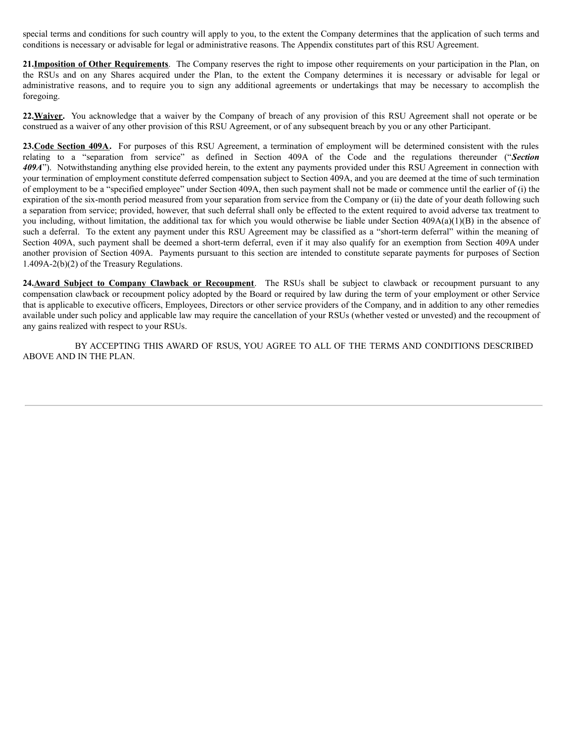special terms and conditions for such country will apply to you, to the extent the Company determines that the application of such terms and conditions is necessary or advisable for legal or administrative reasons. The Appendix constitutes part of this RSU Agreement.

**21.Imposition of Other Requirements**. The Company reserves the right to impose other requirements on your participation in the Plan, on the RSUs and on any Shares acquired under the Plan, to the extent the Company determines it is necessary or advisable for legal or administrative reasons, and to require you to sign any additional agreements or undertakings that may be necessary to accomplish the foregoing.

**22.Waiver.** You acknowledge that a waiver by the Company of breach of any provision of this RSU Agreement shall not operate or be construed as a waiver of any other provision of this RSU Agreement, or of any subsequent breach by you or any other Participant.

**23.Code Section 409A.** For purposes of this RSU Agreement, a termination of employment will be determined consistent with the rules relating to a "separation from service" as defined in Section 409A of the Code and the regulations thereunder ("*Section 409A*"). Notwithstanding anything else provided herein, to the extent any payments provided under this RSU Agreement in connection with your termination of employment constitute deferred compensation subject to Section 409A, and you are deemed at the time of such termination of employment to be a "specified employee" under Section 409A, then such payment shall not be made or commence until the earlier of (i) the expiration of the six-month period measured from your separation from service from the Company or (ii) the date of your death following such a separation from service; provided, however, that such deferral shall only be effected to the extent required to avoid adverse tax treatment to you including, without limitation, the additional tax for which you would otherwise be liable under Section 409A(a)(1)(B) in the absence of such a deferral. To the extent any payment under this RSU Agreement may be classified as a "short-term deferral" within the meaning of Section 409A, such payment shall be deemed a short-term deferral, even if it may also qualify for an exemption from Section 409A under another provision of Section 409A. Payments pursuant to this section are intended to constitute separate payments for purposes of Section 1.409A-2(b)(2) of the Treasury Regulations.

**24.Award Subject to Company Clawback or Recoupment**. The RSUs shall be subject to clawback or recoupment pursuant to any compensation clawback or recoupment policy adopted by the Board or required by law during the term of your employment or other Service that is applicable to executive officers, Employees, Directors or other service providers of the Company, and in addition to any other remedies available under such policy and applicable law may require the cancellation of your RSUs (whether vested or unvested) and the recoupment of any gains realized with respect to your RSUs.

BY ACCEPTING THIS AWARD OF RSUS, YOU AGREE TO ALL OF THE TERMS AND CONDITIONS DESCRIBED ABOVE AND IN THE PLAN.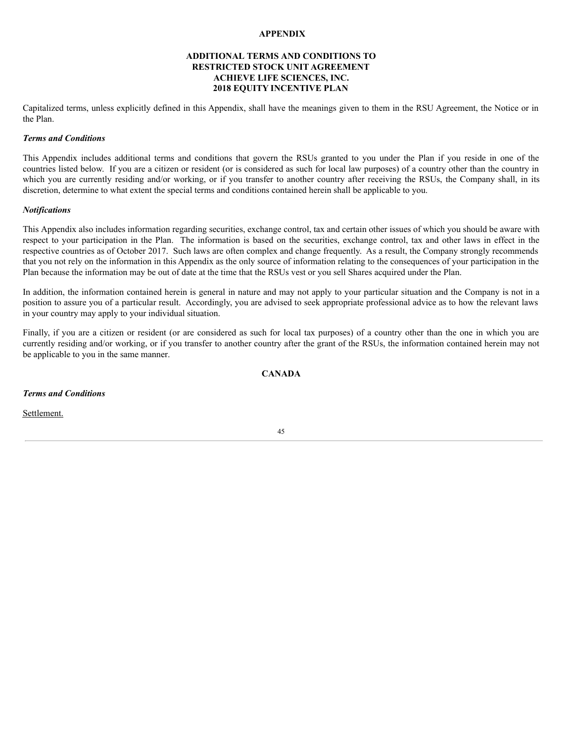## **APPENDIX**

## **ADDITIONAL TERMS AND CONDITIONS TO RESTRICTED STOCK UNIT AGREEMENT ACHIEVE LIFE SCIENCES, INC. 2018 EQUITY INCENTIVE PLAN**

Capitalized terms, unless explicitly defined in this Appendix, shall have the meanings given to them in the RSU Agreement, the Notice or in the Plan.

## *Terms and Conditions*

This Appendix includes additional terms and conditions that govern the RSUs granted to you under the Plan if you reside in one of the countries listed below. If you are a citizen or resident (or is considered as such for local law purposes) of a country other than the country in which you are currently residing and/or working, or if you transfer to another country after receiving the RSUs, the Company shall, in its discretion, determine to what extent the special terms and conditions contained herein shall be applicable to you.

#### *Notifications*

This Appendix also includes information regarding securities, exchange control, tax and certain other issues of which you should be aware with respect to your participation in the Plan. The information is based on the securities, exchange control, tax and other laws in effect in the respective countries as of October 2017. Such laws are often complex and change frequently. As a result, the Company strongly recommends that you not rely on the information in this Appendix as the only source of information relating to the consequences of your participation in the Plan because the information may be out of date at the time that the RSUs vest or you sell Shares acquired under the Plan.

In addition, the information contained herein is general in nature and may not apply to your particular situation and the Company is not in a position to assure you of a particular result. Accordingly, you are advised to seek appropriate professional advice as to how the relevant laws in your country may apply to your individual situation.

Finally, if you are a citizen or resident (or are considered as such for local tax purposes) of a country other than the one in which you are currently residing and/or working, or if you transfer to another country after the grant of the RSUs, the information contained herein may not be applicable to you in the same manner.

## **CANADA**

*Terms and Conditions*

Settlement.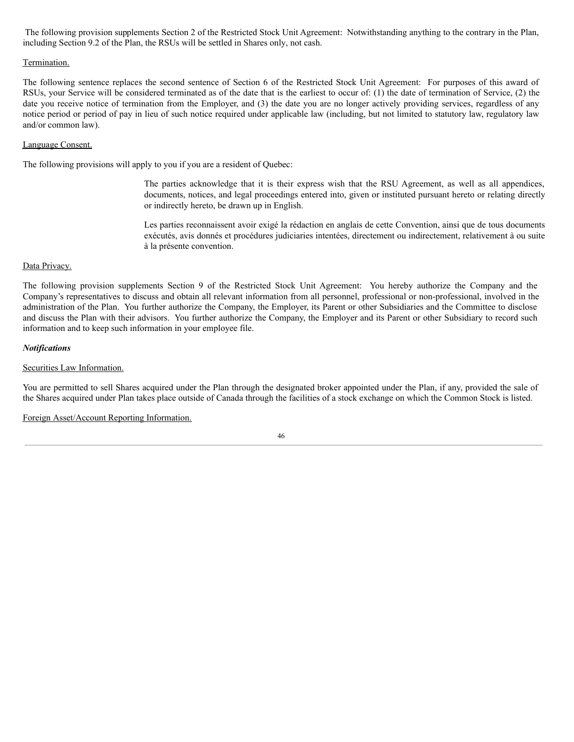The following provision supplements Section 2 of the Restricted Stock Unit Agreement: Notwithstanding anything to the contrary in the Plan, including Section 9.2 of the Plan, the RSUs will be settled in Shares only, not cash.

## Termination.

The following sentence replaces the second sentence of Section 6 of the Restricted Stock Unit Agreement: For purposes of this award of RSUs, your Service will be considered terminated as of the date that is the earliest to occur of: (1) the date of termination of Service, (2) the date you receive notice of termination from the Employer, and (3) the date you are no longer actively providing services, regardless of any notice period or period of pay in lieu of such notice required under applicable law (including, but not limited to statutory law, regulatory law and/or common law).

## Language Consent.

The following provisions will apply to you if you are a resident of Quebec:

The parties acknowledge that it is their express wish that the RSU Agreement, as well as all appendices, documents, notices, and legal proceedings entered into, given or instituted pursuant hereto or relating directly or indirectly hereto, be drawn up in English.

Les parties reconnaissent avoir exigé la rédaction en anglais de cette Convention, ainsi que de tous documents exécutés, avis donnés et procédures judiciaries intentées, directement ou indirectement, relativement à ou suite à la présente convention.

## Data Privacy.

The following provision supplements Section 9 of the Restricted Stock Unit Agreement: You hereby authorize the Company and the Company's representatives to discuss and obtain all relevant information from all personnel, professional or non-professional, involved in the administration of the Plan. You further authorize the Company, the Employer, its Parent or other Subsidiaries and the Committee to disclose and discuss the Plan with their advisors. You further authorize the Company, the Employer and its Parent or other Subsidiary to record such information and to keep such information in your employee file.

## *Notifications*

## Securities Law Information.

You are permitted to sell Shares acquired under the Plan through the designated broker appointed under the Plan, if any, provided the sale of the Shares acquired under Plan takes place outside of Canada through the facilities of a stock exchange on which the Common Stock is listed.

Foreign Asset/Account Reporting Information.

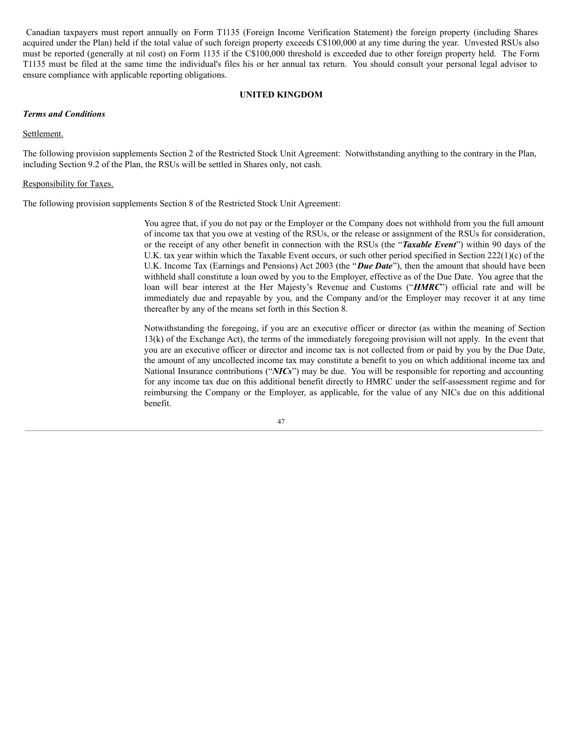Canadian taxpayers must report annually on Form T1135 (Foreign Income Verification Statement) the foreign property (including Shares acquired under the Plan) held if the total value of such foreign property exceeds C\$100,000 at any time during the year. Unvested RSUs also must be reported (generally at nil cost) on Form 1135 if the C\$100,000 threshold is exceeded due to other foreign property held. The Form T1135 must be filed at the same time the individual's files his or her annual tax return. You should consult your personal legal advisor to ensure compliance with applicable reporting obligations.

#### **UNITED KINGDOM**

## *Terms and Conditions*

## Settlement.

The following provision supplements Section 2 of the Restricted Stock Unit Agreement: Notwithstanding anything to the contrary in the Plan, including Section 9.2 of the Plan, the RSUs will be settled in Shares only, not cash.

#### Responsibility for Taxes.

The following provision supplements Section 8 of the Restricted Stock Unit Agreement:

You agree that, if you do not pay or the Employer or the Company does not withhold from you the full amount of income tax that you owe at vesting of the RSUs, or the release or assignment of the RSUs for consideration, or the receipt of any other benefit in connection with the RSUs (the "*Taxable Event*") within 90 days of the U.K. tax year within which the Taxable Event occurs, or such other period specified in Section 222(1)(c) of the U.K. Income Tax (Earnings and Pensions) Act 2003 (the "*Due Date*"), then the amount that should have been withheld shall constitute a loan owed by you to the Employer, effective as of the Due Date. You agree that the loan will bear interest at the Her Majesty's Revenue and Customs ("*HMRC*") official rate and will be immediately due and repayable by you, and the Company and/or the Employer may recover it at any time thereafter by any of the means set forth in this Section 8.

Notwithstanding the foregoing, if you are an executive officer or director (as within the meaning of Section 13(k) of the Exchange Act), the terms of the immediately foregoing provision will not apply. In the event that you are an executive officer or director and income tax is not collected from or paid by you by the Due Date, the amount of any uncollected income tax may constitute a benefit to you on which additional income tax and National Insurance contributions ("*NICs*") may be due. You will be responsible for reporting and accounting for any income tax due on this additional benefit directly to HMRC under the self-assessment regime and for reimbursing the Company or the Employer, as applicable, for the value of any NICs due on this additional benefit.

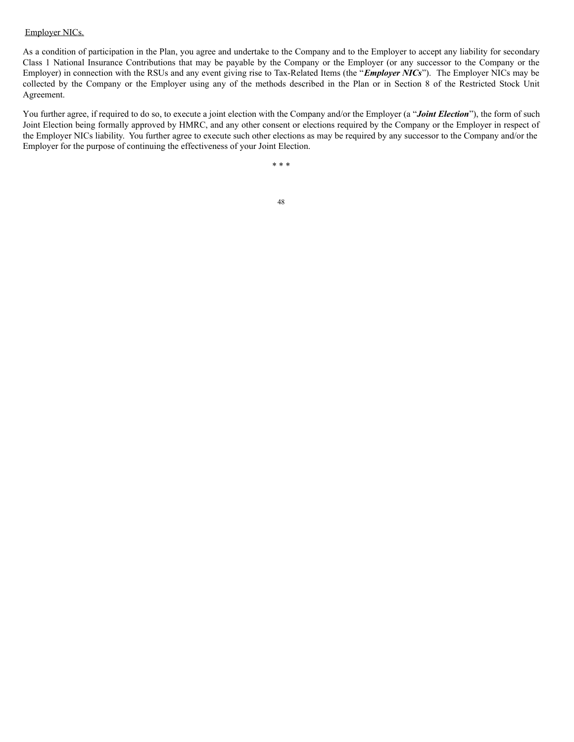#### Employer NICs.

As a condition of participation in the Plan, you agree and undertake to the Company and to the Employer to accept any liability for secondary Class 1 National Insurance Contributions that may be payable by the Company or the Employer (or any successor to the Company or the Employer) in connection with the RSUs and any event giving rise to Tax-Related Items (the "*Employer NICs*"). The Employer NICs may be collected by the Company or the Employer using any of the methods described in the Plan or in Section 8 of the Restricted Stock Unit Agreement.

You further agree, if required to do so, to execute a joint election with the Company and/or the Employer (a "*Joint Election*"), the form of such Joint Election being formally approved by HMRC, and any other consent or elections required by the Company or the Employer in respect of the Employer NICs liability. You further agree to execute such other elections as may be required by any successor to the Company and/or the Employer for the purpose of continuing the effectiveness of your Joint Election.

\* \* \*

48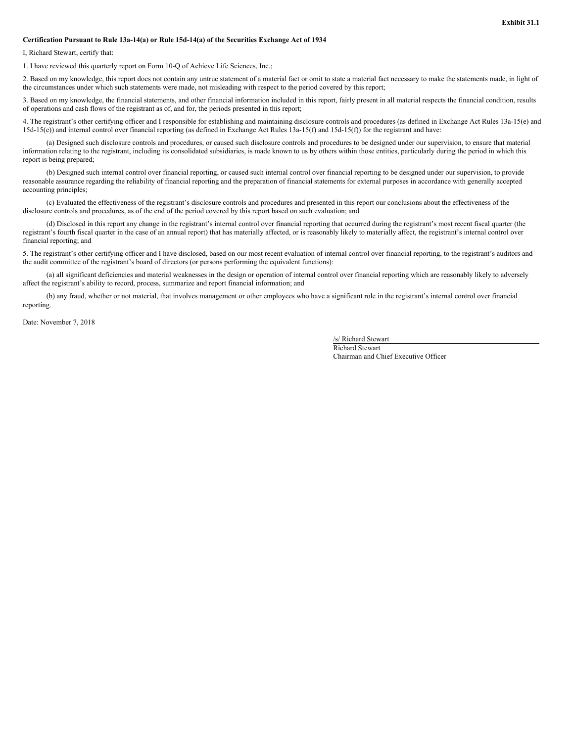#### **Certification Pursuant to Rule 13a-14(a) or Rule 15d-14(a) of the Securities Exchange Act of 1934**

I, Richard Stewart, certify that:

1. I have reviewed this quarterly report on Form 10-Q of Achieve Life Sciences, Inc.;

2. Based on my knowledge, this report does not contain any untrue statement of a material fact or omit to state a material fact necessary to make the statements made, in light of the circumstances under which such statements were made, not misleading with respect to the period covered by this report;

3. Based on my knowledge, the financial statements, and other financial information included in this report, fairly present in all material respects the financial condition, results of operations and cash flows of the registrant as of, and for, the periods presented in this report;

4. The registrant's other certifying officer and I responsible for establishing and maintaining disclosure controls and procedures (as defined in Exchange Act Rules 13a-15(e) and 15d-15(e)) and internal control over financial reporting (as defined in Exchange Act Rules 13a-15(f) and 15d-15(f)) for the registrant and have:

(a) Designed such disclosure controls and procedures, or caused such disclosure controls and procedures to be designed under our supervision, to ensure that material information relating to the registrant, including its consolidated subsidiaries, is made known to us by others within those entities, particularly during the period in which this report is being prepared;

(b) Designed such internal control over financial reporting, or caused such internal control over financial reporting to be designed under our supervision, to provide reasonable assurance regarding the reliability of financial reporting and the preparation of financial statements for external purposes in accordance with generally accepted accounting principles;

(c) Evaluated the effectiveness of the registrant's disclosure controls and procedures and presented in this report our conclusions about the effectiveness of the disclosure controls and procedures, as of the end of the period covered by this report based on such evaluation; and

(d) Disclosed in this report any change in the registrant's internal control over financial reporting that occurred during the registrant's most recent fiscal quarter (the registrant's fourth fiscal quarter in the case of an annual report) that has materially affected, or is reasonably likely to materially affect, the registrant's internal control over financial reporting; and

5. The registrant's other certifying officer and I have disclosed, based on our most recent evaluation of internal control over financial reporting, to the registrant's auditors and the audit committee of the registrant's board of directors (or persons performing the equivalent functions):

(a) all significant deficiencies and material weaknesses in the design or operation of internal control over financial reporting which are reasonably likely to adversely affect the registrant's ability to record, process, summarize and report financial information; and

(b) any fraud, whether or not material, that involves management or other employees who have a significant role in the registrant's internal control over financial reporting.

Date: November 7, 2018

/s/ Richard Stewart

Richard Stewart Chairman and Chief Executive Officer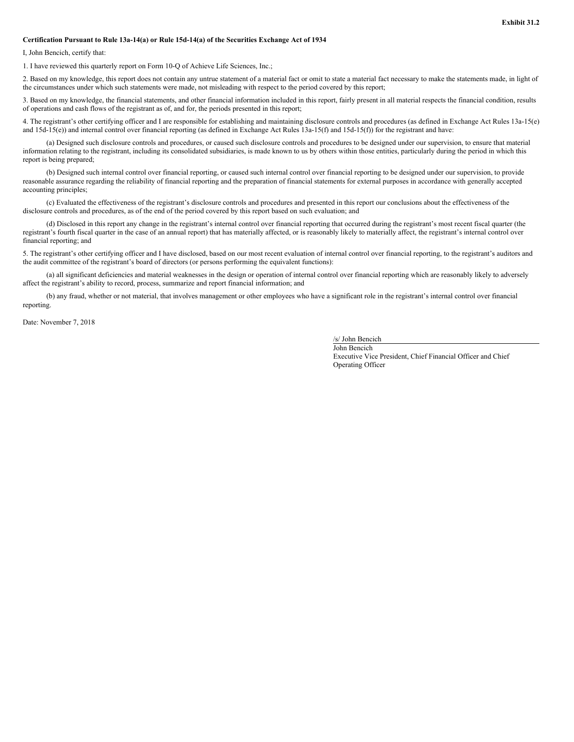#### **Certification Pursuant to Rule 13a-14(a) or Rule 15d-14(a) of the Securities Exchange Act of 1934**

I, John Bencich, certify that:

1. I have reviewed this quarterly report on Form 10-Q of Achieve Life Sciences, Inc.;

2. Based on my knowledge, this report does not contain any untrue statement of a material fact or omit to state a material fact necessary to make the statements made, in light of the circumstances under which such statements were made, not misleading with respect to the period covered by this report;

3. Based on my knowledge, the financial statements, and other financial information included in this report, fairly present in all material respects the financial condition, results of operations and cash flows of the registrant as of, and for, the periods presented in this report;

4. The registrant's other certifying officer and I are responsible for establishing and maintaining disclosure controls and procedures (as defined in Exchange Act Rules 13a-15(e) and  $15d-15(e)$ ) and internal control over financial reporting (as defined in Exchange Act Rules  $13a-15(f)$  and  $15d-15(f)$ ) for the registrant and have:

(a) Designed such disclosure controls and procedures, or caused such disclosure controls and procedures to be designed under our supervision, to ensure that material information relating to the registrant, including its consolidated subsidiaries, is made known to us by others within those entities, particularly during the period in which this report is being prepared;

(b) Designed such internal control over financial reporting, or caused such internal control over financial reporting to be designed under our supervision, to provide reasonable assurance regarding the reliability of financial reporting and the preparation of financial statements for external purposes in accordance with generally accepted accounting principles;

(c) Evaluated the effectiveness of the registrant's disclosure controls and procedures and presented in this report our conclusions about the effectiveness of the disclosure controls and procedures, as of the end of the period covered by this report based on such evaluation; and

(d) Disclosed in this report any change in the registrant's internal control over financial reporting that occurred during the registrant's most recent fiscal quarter (the registrant's fourth fiscal quarter in the case of an annual report) that has materially affected, or is reasonably likely to materially affect, the registrant's internal control over financial reporting; and

5. The registrant's other certifying officer and I have disclosed, based on our most recent evaluation of internal control over financial reporting, to the registrant's auditors and the audit committee of the registrant's board of directors (or persons performing the equivalent functions):

(a) all significant deficiencies and material weaknesses in the design or operation of internal control over financial reporting which are reasonably likely to adversely affect the registrant's ability to record, process, summarize and report financial information; and

(b) any fraud, whether or not material, that involves management or other employees who have a significant role in the registrant's internal control over financial reporting.

Date: November 7, 2018

/s/ John Bencich

John Bencich Executive Vice President, Chief Financial Officer and Chief Operating Officer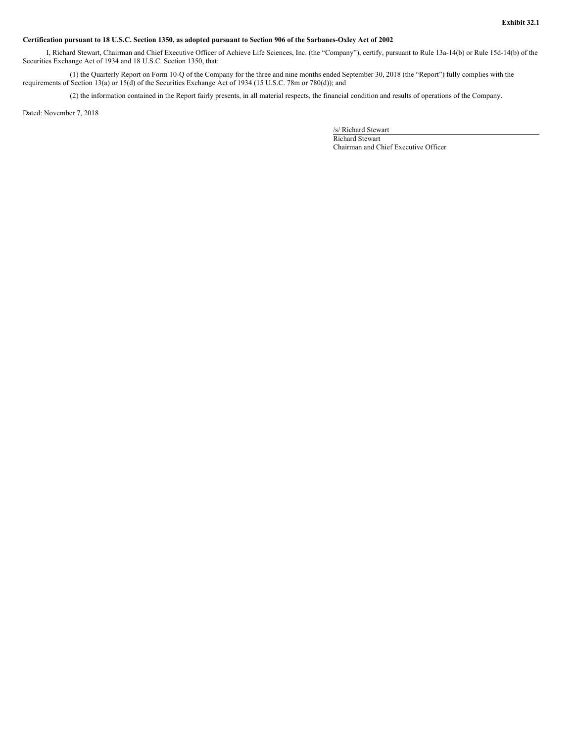#### Certification pursuant to 18 U.S.C. Section 1350, as adopted pursuant to Section 906 of the Sarbanes-Oxley Act of 2002

I, Richard Stewart, Chairman and Chief Executive Officer of Achieve Life Sciences, Inc. (the "Company"), certify, pursuant to Rule 13a-14(b) or Rule 15d-14(b) of the Securities Exchange Act of 1934 and 18 U.S.C. Section 1350, that:

(1) the Quarterly Report on Form 10-Q of the Company for the three and nine months ended September 30, 2018 (the "Report") fully complies with the requirements of Section 13(a) or 15(d) of the Securities Exchange Act of 1934 (15 U.S.C. 78m or 780(d)); and

(2) the information contained in the Report fairly presents, in all material respects, the financial condition and results of operations of the Company.

Dated: November 7, 2018

/s/ Richard Stewart

Richard Stewart Chairman and Chief Executive Officer